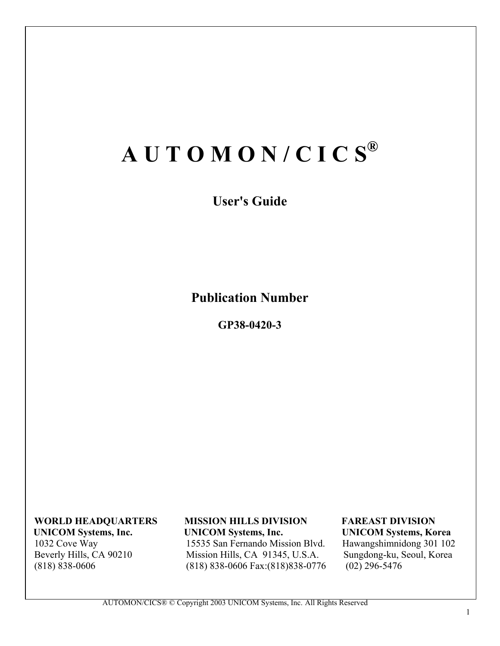# **A U T O M O N / C I C S®**

**User's Guide**

**Publication Number**

**GP38-0420-3** 

**WORLD HEADQUARTERS** MISSION HILLS DIVISION FAREAST DIVISION<br>UNICOM Systems, Inc. UNICOM Systems, Inc. UNICOM Systems, Ko 1032 Cove Way 15535 San Fernando Mission Blvd. Hawangshimnidong 301 102 Beverly Hills, CA 90210 Mission Hills, CA 91345, U.S.A. Sungdong-ku, Seoul, Korea (818) 838-0606 Fax: (818) 838-0606 Fax: (818) 838-0776 (02) 296-5476 (818) 838-0606 Fax:(818) 838-0776

**UNICOM Systems, Korea**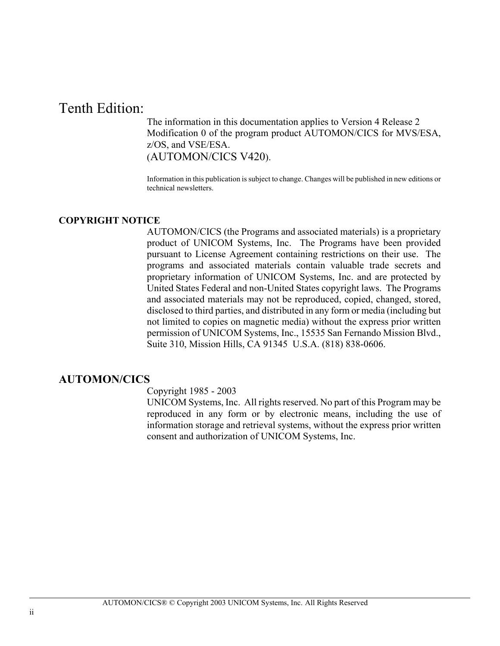## Tenth Edition:

The information in this documentation applies to Version 4 Release 2 Modification 0 of the program product AUTOMON/CICS for MVS/ESA, z/OS, and VSE/ESA. (AUTOMON/CICS V420).

Information in this publication is subject to change. Changes will be published in new editions or technical newsletters.

#### **COPYRIGHT NOTICE**

AUTOMON/CICS (the Programs and associated materials) is a proprietary product of UNICOM Systems, Inc. The Programs have been provided pursuant to License Agreement containing restrictions on their use. The programs and associated materials contain valuable trade secrets and proprietary information of UNICOM Systems, Inc. and are protected by United States Federal and non-United States copyright laws. The Programs and associated materials may not be reproduced, copied, changed, stored, disclosed to third parties, and distributed in any form or media (including but not limited to copies on magnetic media) without the express prior written permission of UNICOM Systems, Inc., 15535 San Fernando Mission Blvd., Suite 310, Mission Hills, CA 91345 U.S.A. (818) 838-0606.

### **AUTOMON/CICS**

Copyright 1985 - 2003

UNICOM Systems, Inc. All rights reserved. No part of this Program may be reproduced in any form or by electronic means, including the use of information storage and retrieval systems, without the express prior written consent and authorization of UNICOM Systems, Inc.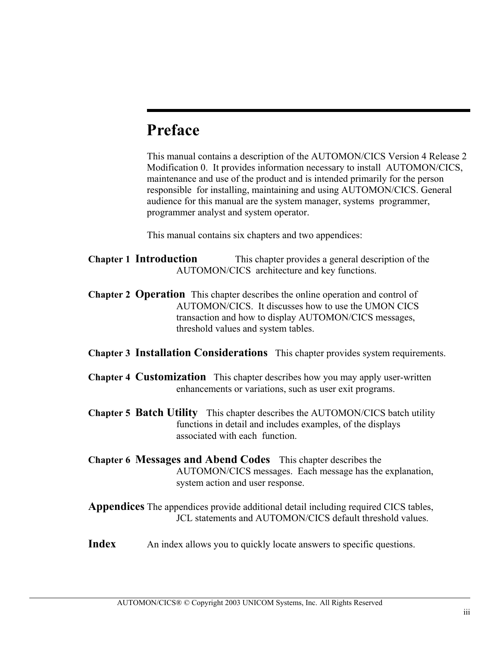## **Preface**

This manual contains a description of the AUTOMON/CICS Version 4 Release 2 Modification 0. It provides information necessary to install AUTOMON/CICS, maintenance and use of the product and is intended primarily for the person responsible for installing, maintaining and using AUTOMON/CICS. General audience for this manual are the system manager, systems programmer, programmer analyst and system operator.

This manual contains six chapters and two appendices:

- **Chapter 1 Introduction** This chapter provides a general description of the AUTOMON/CICS architecture and key functions.
- **Chapter 2 Operation** This chapter describes the online operation and control of AUTOMON/CICS. It discusses how to use the UMON CICS transaction and how to display AUTOMON/CICS messages, threshold values and system tables.
- **Chapter 3 Installation Considerations** This chapter provides system requirements.
- **Chapter 4 Customization** This chapter describes how you may apply user-written enhancements or variations, such as user exit programs.
- **Chapter 5 Batch Utility** This chapter describes the AUTOMON/CICS batch utility functions in detail and includes examples, of the displays associated with each function.
- **Chapter 6 Messages and Abend Codes** This chapter describes the AUTOMON/CICS messages. Each message has the explanation, system action and user response.

**Appendices** The appendices provide additional detail including required CICS tables, JCL statements and AUTOMON/CICS default threshold values.

**Index** An index allows you to quickly locate answers to specific questions.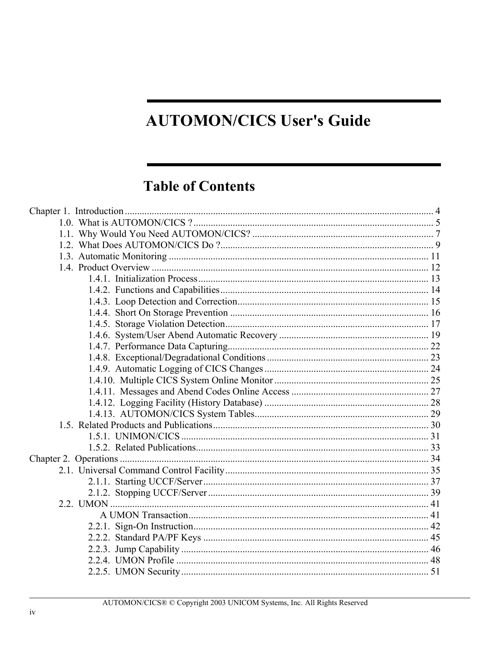## **AUTOMON/CICS User's Guide**

## **Table of Contents**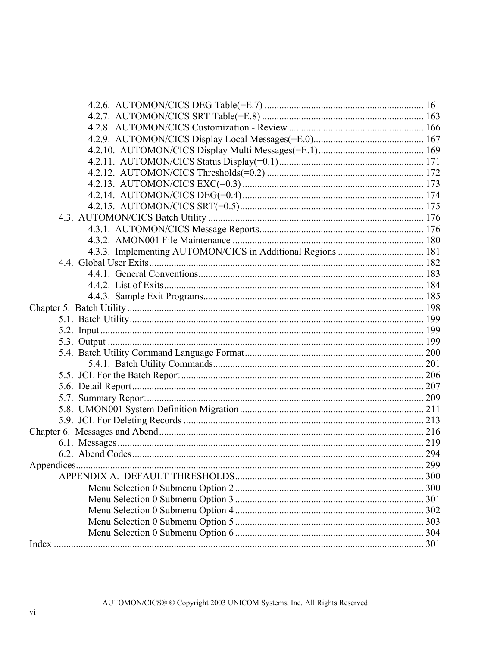| 4.3.3. Implementing AUTOMON/CICS in Additional Regions  181 |     |
|-------------------------------------------------------------|-----|
|                                                             |     |
|                                                             |     |
|                                                             |     |
|                                                             |     |
|                                                             |     |
|                                                             |     |
|                                                             |     |
|                                                             |     |
|                                                             |     |
|                                                             |     |
|                                                             |     |
|                                                             |     |
|                                                             |     |
|                                                             |     |
|                                                             |     |
|                                                             |     |
|                                                             |     |
|                                                             |     |
| Appendices                                                  | 299 |
|                                                             |     |
|                                                             |     |
|                                                             |     |
|                                                             |     |
|                                                             |     |
|                                                             |     |
|                                                             |     |
|                                                             |     |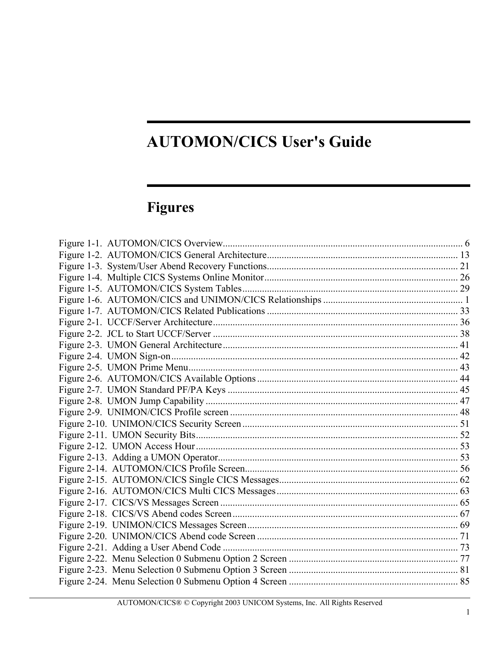## **AUTOMON/CICS User's Guide**

## **Figures**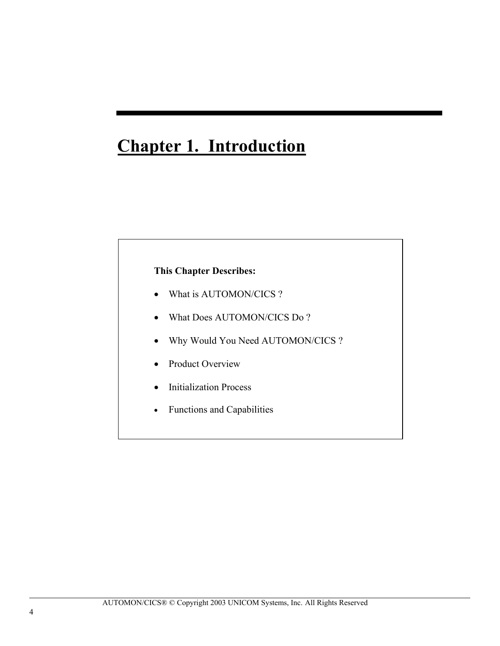## **Chapter 1. Introduction**

### **This Chapter Describes:**

- What is AUTOMON/CICS?
- What Does AUTOMON/CICS Do ?
- Why Would You Need AUTOMON/CICS ?
- Product Overview
- Initialization Process
- Functions and Capabilities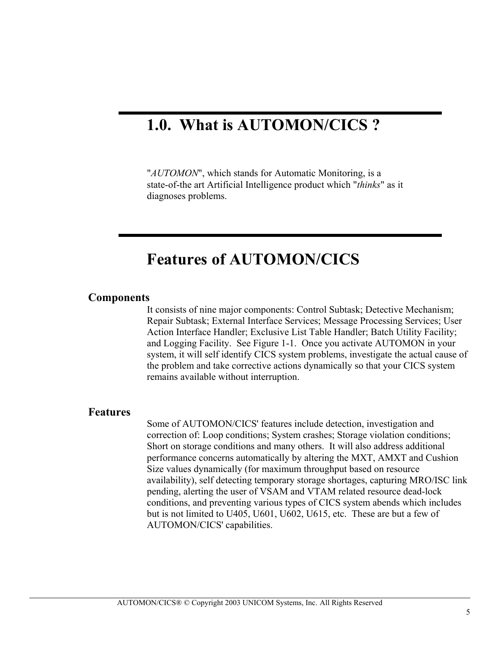## **1.0. What is AUTOMON/CICS ?**

"*AUTOMON*", which stands for Automatic Monitoring, is a state-of-the art Artificial Intelligence product which "*thinks*" as it diagnoses problems.

## **Features of AUTOMON/CICS**

#### **Components**

It consists of nine major components: Control Subtask; Detective Mechanism; Repair Subtask; External Interface Services; Message Processing Services; User Action Interface Handler; Exclusive List Table Handler; Batch Utility Facility; and Logging Facility. See Figure 1-1. Once you activate AUTOMON in your system, it will self identify CICS system problems, investigate the actual cause of the problem and take corrective actions dynamically so that your CICS system remains available without interruption.

#### **Features**

Some of AUTOMON/CICS' features include detection, investigation and correction of: Loop conditions; System crashes; Storage violation conditions; Short on storage conditions and many others. It will also address additional performance concerns automatically by altering the MXT, AMXT and Cushion Size values dynamically (for maximum throughput based on resource availability), self detecting temporary storage shortages, capturing MRO/ISC link pending, alerting the user of VSAM and VTAM related resource dead-lock conditions, and preventing various types of CICS system abends which includes but is not limited to U405, U601, U602, U615, etc. These are but a few of AUTOMON/CICS' capabilities.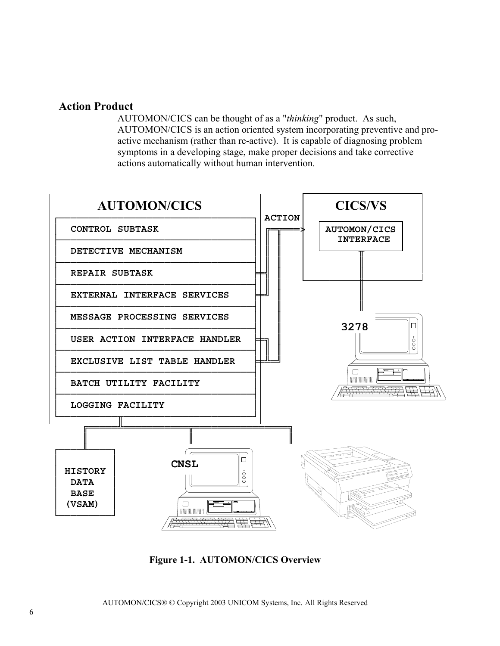### **Action Product**

AUTOMON/CICS can be thought of as a "*thinking*" product. As such, AUTOMON/CICS is an action oriented system incorporating preventive and proactive mechanism (rather than re-active). It is capable of diagnosing problem symptoms in a developing stage, make proper decisions and take corrective actions automatically without human intervention.



**Figure 1-1. AUTOMON/CICS Overview**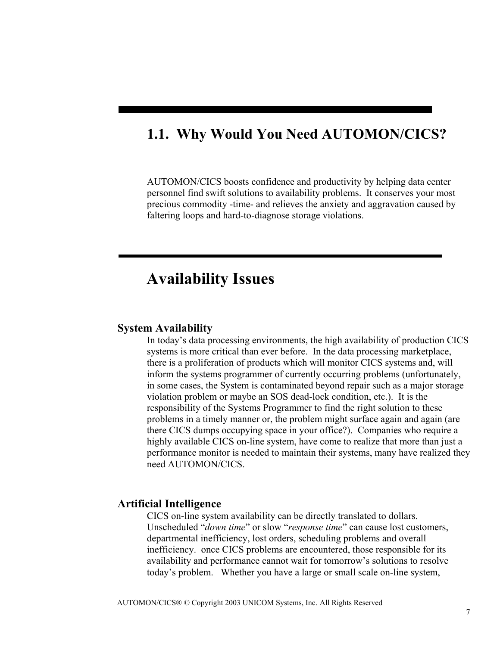## **1.1. Why Would You Need AUTOMON/CICS?**

ı

AUTOMON/CICS boosts confidence and productivity by helping data center personnel find swift solutions to availability problems. It conserves your most precious commodity -time- and relieves the anxiety and aggravation caused by faltering loops and hard-to-diagnose storage violations.

## **Availability Issues**

#### **System Availability**

In today's data processing environments, the high availability of production CICS systems is more critical than ever before. In the data processing marketplace, there is a proliferation of products which will monitor CICS systems and, will inform the systems programmer of currently occurring problems (unfortunately, in some cases, the System is contaminated beyond repair such as a major storage violation problem or maybe an SOS dead-lock condition, etc.). It is the responsibility of the Systems Programmer to find the right solution to these problems in a timely manner or, the problem might surface again and again (are there CICS dumps occupying space in your office?). Companies who require a highly available CICS on-line system, have come to realize that more than just a performance monitor is needed to maintain their systems, many have realized they need AUTOMON/CICS.

#### **Artificial Intelligence**

CICS on-line system availability can be directly translated to dollars. Unscheduled "*down time*" or slow "*response time*" can cause lost customers, departmental inefficiency, lost orders, scheduling problems and overall inefficiency. once CICS problems are encountered, those responsible for its availability and performance cannot wait for tomorrow's solutions to resolve today's problem. Whether you have a large or small scale on-line system,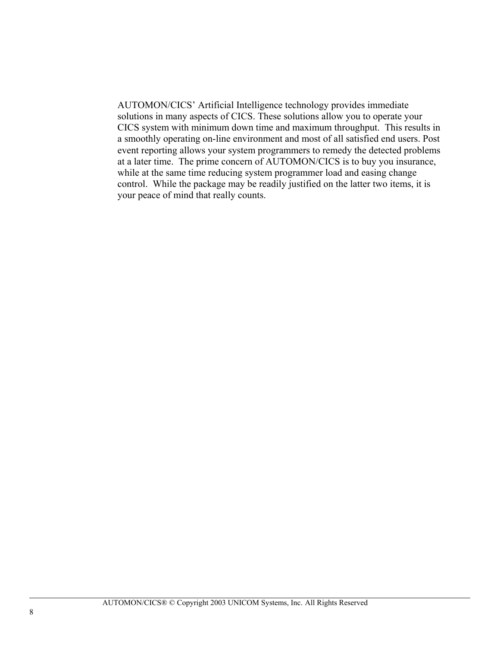AUTOMON/CICS' Artificial Intelligence technology provides immediate solutions in many aspects of CICS. These solutions allow you to operate your CICS system with minimum down time and maximum throughput. This results in a smoothly operating on-line environment and most of all satisfied end users. Post event reporting allows your system programmers to remedy the detected problems at a later time. The prime concern of AUTOMON/CICS is to buy you insurance, while at the same time reducing system programmer load and easing change control. While the package may be readily justified on the latter two items, it is your peace of mind that really counts.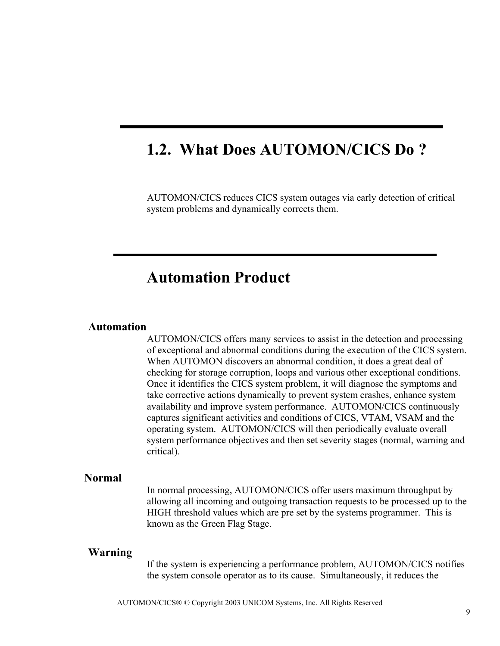## **1.2. What Does AUTOMON/CICS Do ?**

AUTOMON/CICS reduces CICS system outages via early detection of critical system problems and dynamically corrects them.

## **Automation Product**

#### **Automation**

AUTOMON/CICS offers many services to assist in the detection and processing of exceptional and abnormal conditions during the execution of the CICS system. When AUTOMON discovers an abnormal condition, it does a great deal of checking for storage corruption, loops and various other exceptional conditions. Once it identifies the CICS system problem, it will diagnose the symptoms and take corrective actions dynamically to prevent system crashes, enhance system availability and improve system performance. AUTOMON/CICS continuously captures significant activities and conditions of CICS, VTAM, VSAM and the operating system. AUTOMON/CICS will then periodically evaluate overall system performance objectives and then set severity stages (normal, warning and critical).

#### **Normal**

In normal processing, AUTOMON/CICS offer users maximum throughput by allowing all incoming and outgoing transaction requests to be processed up to the HIGH threshold values which are pre set by the systems programmer. This is known as the Green Flag Stage.

#### **Warning**

If the system is experiencing a performance problem, AUTOMON/CICS notifies the system console operator as to its cause. Simultaneously, it reduces the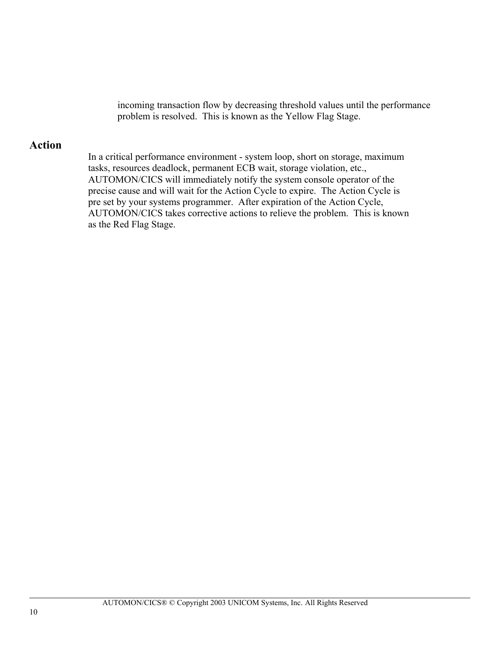incoming transaction flow by decreasing threshold values until the performance problem is resolved. This is known as the Yellow Flag Stage.

### **Action**

In a critical performance environment - system loop, short on storage, maximum tasks, resources deadlock, permanent ECB wait, storage violation, etc., AUTOMON/CICS will immediately notify the system console operator of the precise cause and will wait for the Action Cycle to expire. The Action Cycle is pre set by your systems programmer. After expiration of the Action Cycle, AUTOMON/CICS takes corrective actions to relieve the problem. This is known as the Red Flag Stage.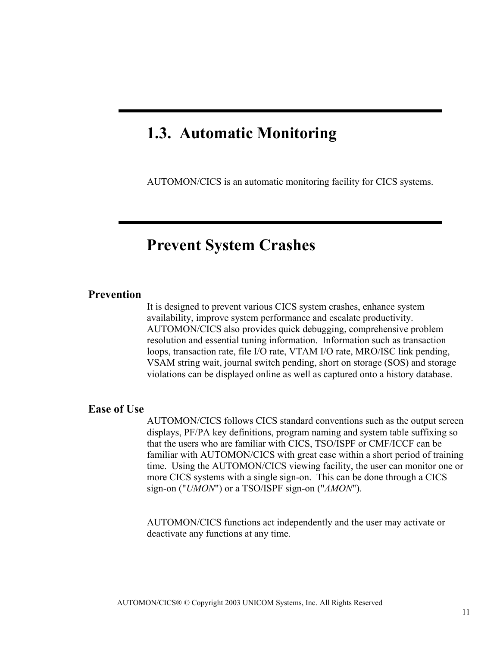## **1.3. Automatic Monitoring**

AUTOMON/CICS is an automatic monitoring facility for CICS systems.

## **Prevent System Crashes**

#### **Prevention**

It is designed to prevent various CICS system crashes, enhance system availability, improve system performance and escalate productivity. AUTOMON/CICS also provides quick debugging, comprehensive problem resolution and essential tuning information. Information such as transaction loops, transaction rate, file I/O rate, VTAM I/O rate, MRO/ISC link pending, VSAM string wait, journal switch pending, short on storage (SOS) and storage violations can be displayed online as well as captured onto a history database.

### **Ease of Use**

AUTOMON/CICS follows CICS standard conventions such as the output screen displays, PF/PA key definitions, program naming and system table suffixing so that the users who are familiar with CICS, TSO/ISPF or CMF/ICCF can be familiar with AUTOMON/CICS with great ease within a short period of training time. Using the AUTOMON/CICS viewing facility, the user can monitor one or more CICS systems with a single sign-on. This can be done through a CICS sign-on ("*UMON*") or a TSO/ISPF sign-on ("*AMON*").

AUTOMON/CICS functions act independently and the user may activate or deactivate any functions at any time.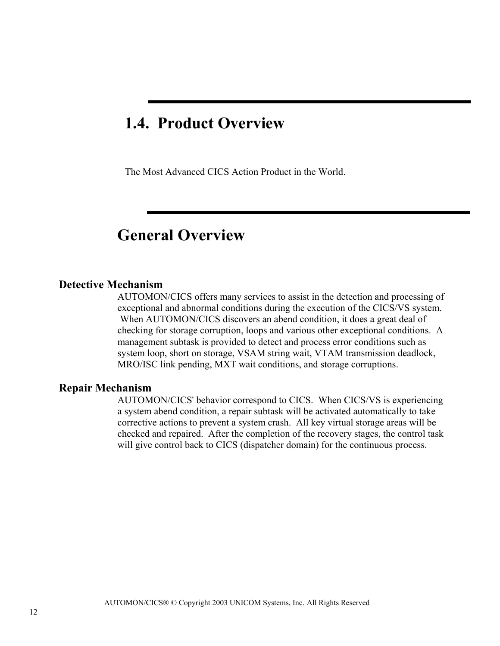## **1.4. Product Overview**

The Most Advanced CICS Action Product in the World.

## **General Overview**

#### **Detective Mechanism**

AUTOMON/CICS offers many services to assist in the detection and processing of exceptional and abnormal conditions during the execution of the CICS/VS system. When AUTOMON/CICS discovers an abend condition, it does a great deal of checking for storage corruption, loops and various other exceptional conditions. A management subtask is provided to detect and process error conditions such as system loop, short on storage, VSAM string wait, VTAM transmission deadlock, MRO/ISC link pending, MXT wait conditions, and storage corruptions.

#### **Repair Mechanism**

AUTOMON/CICS' behavior correspond to CICS. When CICS/VS is experiencing a system abend condition, a repair subtask will be activated automatically to take corrective actions to prevent a system crash. All key virtual storage areas will be checked and repaired. After the completion of the recovery stages, the control task will give control back to CICS (dispatcher domain) for the continuous process.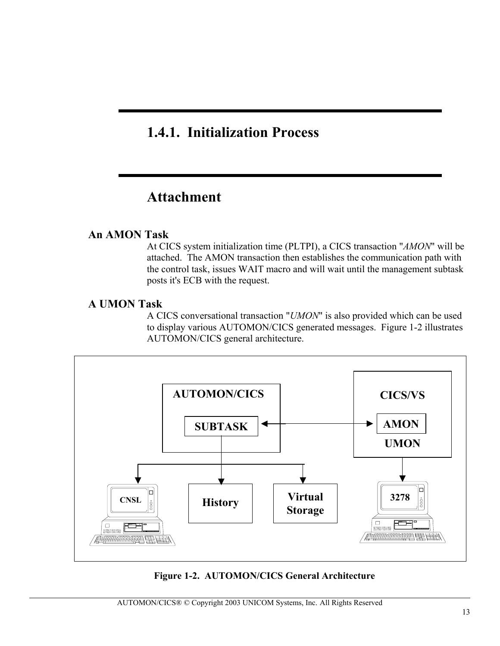## **1.4.1. Initialization Process**

## **Attachment**

### **An AMON Task**

At CICS system initialization time (PLTPI), a CICS transaction "*AMON*" will be attached. The AMON transaction then establishes the communication path with the control task, issues WAIT macro and will wait until the management subtask posts it's ECB with the request.

#### **A UMON Task**

A CICS conversational transaction "*UMON*" is also provided which can be used to display various AUTOMON/CICS generated messages. Figure 1-2 illustrates AUTOMON/CICS general architecture.



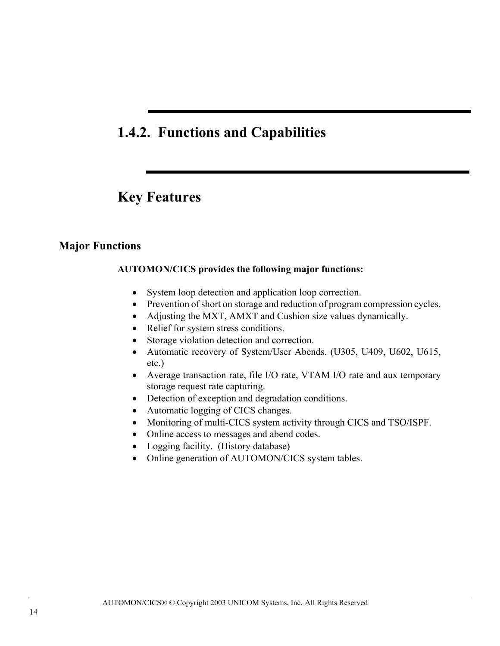## **1.4.2. Functions and Capabilities**

## **Key Features**

#### **Major Functions**

#### **AUTOMON/CICS provides the following major functions:**

- System loop detection and application loop correction.
- Prevention of short on storage and reduction of program compression cycles.
- Adjusting the MXT, AMXT and Cushion size values dynamically.
- Relief for system stress conditions.
- Storage violation detection and correction.
- Automatic recovery of System/User Abends. (U305, U409, U602, U615, etc.)
- Average transaction rate, file I/O rate, VTAM I/O rate and aux temporary storage request rate capturing.
- Detection of exception and degradation conditions.
- Automatic logging of CICS changes.
- Monitoring of multi-CICS system activity through CICS and TSO/ISPF.
- Online access to messages and abend codes.
- Logging facility. (History database)
- Online generation of AUTOMON/CICS system tables.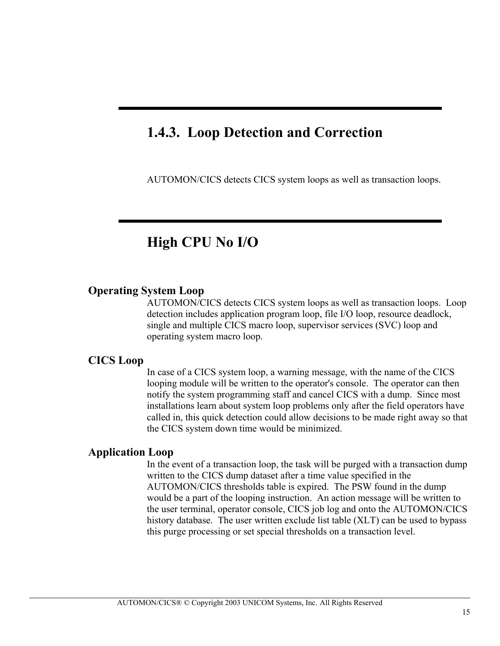## **1.4.3. Loop Detection and Correction**

ı

AUTOMON/CICS detects CICS system loops as well as transaction loops.

## **High CPU No I/O**

#### **Operating System Loop**

AUTOMON/CICS detects CICS system loops as well as transaction loops. Loop detection includes application program loop, file I/O loop, resource deadlock, single and multiple CICS macro loop, supervisor services (SVC) loop and operating system macro loop.

#### **CICS Loop**

In case of a CICS system loop, a warning message, with the name of the CICS looping module will be written to the operator's console. The operator can then notify the system programming staff and cancel CICS with a dump. Since most installations learn about system loop problems only after the field operators have called in, this quick detection could allow decisions to be made right away so that the CICS system down time would be minimized.

#### **Application Loop**

In the event of a transaction loop, the task will be purged with a transaction dump written to the CICS dump dataset after a time value specified in the AUTOMON/CICS thresholds table is expired. The PSW found in the dump would be a part of the looping instruction. An action message will be written to the user terminal, operator console, CICS job log and onto the AUTOMON/CICS history database. The user written exclude list table (XLT) can be used to bypass this purge processing or set special thresholds on a transaction level.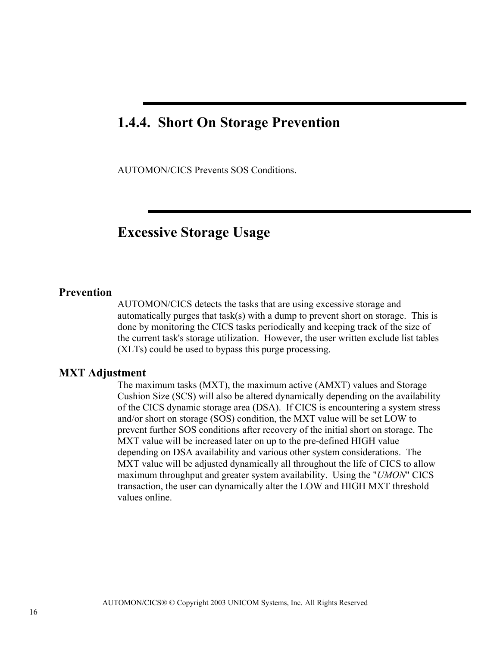## **1.4.4. Short On Storage Prevention**

AUTOMON/CICS Prevents SOS Conditions.

### **Excessive Storage Usage**

#### **Prevention**

AUTOMON/CICS detects the tasks that are using excessive storage and automatically purges that task(s) with a dump to prevent short on storage. This is done by monitoring the CICS tasks periodically and keeping track of the size of the current task's storage utilization. However, the user written exclude list tables (XLTs) could be used to bypass this purge processing.

#### **MXT Adjustment**

The maximum tasks (MXT), the maximum active (AMXT) values and Storage Cushion Size (SCS) will also be altered dynamically depending on the availability of the CICS dynamic storage area (DSA). If CICS is encountering a system stress and/or short on storage (SOS) condition, the MXT value will be set LOW to prevent further SOS conditions after recovery of the initial short on storage. The MXT value will be increased later on up to the pre-defined HIGH value depending on DSA availability and various other system considerations. The MXT value will be adjusted dynamically all throughout the life of CICS to allow maximum throughput and greater system availability. Using the "*UMON*" CICS transaction, the user can dynamically alter the LOW and HIGH MXT threshold values online.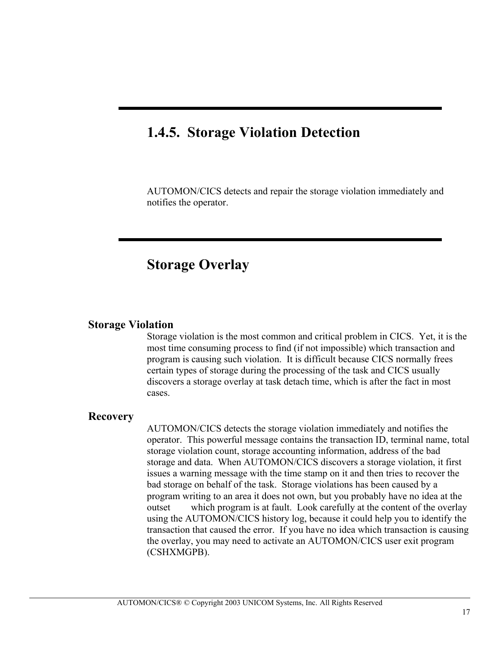## **1.4.5. Storage Violation Detection**

ı

AUTOMON/CICS detects and repair the storage violation immediately and notifies the operator.

## **Storage Overlay**

#### **Storage Violation**

Storage violation is the most common and critical problem in CICS. Yet, it is the most time consuming process to find (if not impossible) which transaction and program is causing such violation. It is difficult because CICS normally frees certain types of storage during the processing of the task and CICS usually discovers a storage overlay at task detach time, which is after the fact in most cases.

#### **Recovery**

AUTOMON/CICS detects the storage violation immediately and notifies the operator. This powerful message contains the transaction ID, terminal name, total storage violation count, storage accounting information, address of the bad storage and data. When AUTOMON/CICS discovers a storage violation, it first issues a warning message with the time stamp on it and then tries to recover the bad storage on behalf of the task. Storage violations has been caused by a program writing to an area it does not own, but you probably have no idea at the outset which program is at fault. Look carefully at the content of the overlay using the AUTOMON/CICS history log, because it could help you to identify the transaction that caused the error. If you have no idea which transaction is causing the overlay, you may need to activate an AUTOMON/CICS user exit program (CSHXMGPB).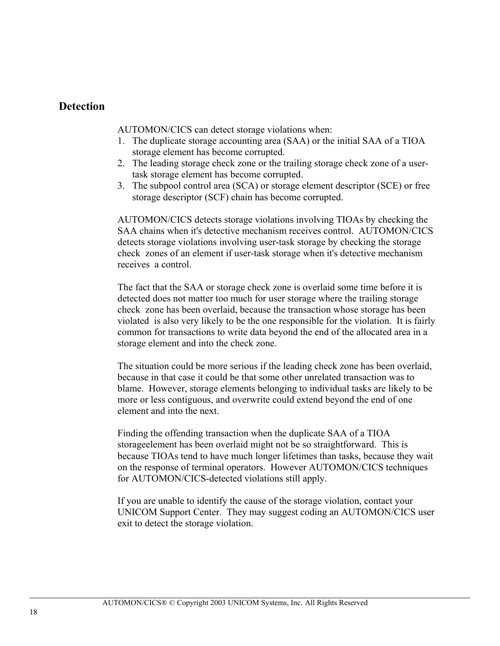#### **Detection**

AUTOMON/CICS can detect storage violations when:

- 1. The duplicate storage accounting area (SAA) or the initial SAA of a TIOA storage element has become corrupted.
- 2. The leading storage check zone or the trailing storage check zone of a usertask storage element has become corrupted.
- 3. The subpool control area (SCA) or storage element descriptor (SCE) or free storage descriptor (SCF) chain has become corrupted.

AUTOMON/CICS detects storage violations involving TIOAs by checking the SAA chains when it's detective mechanism receives control. AUTOMON/CICS detects storage violations involving user-task storage by checking the storage check zones of an element if user-task storage when it's detective mechanism receives a control.

The fact that the SAA or storage check zone is overlaid some time before it is detected does not matter too much for user storage where the trailing storage check zone has been overlaid, because the transaction whose storage has been violated is also very likely to be the one responsible for the violation. It is fairly common for transactions to write data beyond the end of the allocated area in a storage element and into the check zone.

The situation could be more serious if the leading check zone has been overlaid, because in that case it could be that some other unrelated transaction was to blame. However, storage elements belonging to individual tasks are likely to be more or less contiguous, and overwrite could extend beyond the end of one element and into the next.

Finding the offending transaction when the duplicate SAA of a TIOA storageelement has been overlaid might not be so straightforward. This is because TIOAs tend to have much longer lifetimes than tasks, because they wait on the response of terminal operators. However AUTOMON/CICS techniques for AUTOMON/CICS-detected violations still apply.

If you are unable to identify the cause of the storage violation, contact your UNICOM Support Center. They may suggest coding an AUTOMON/CICS user exit to detect the storage violation.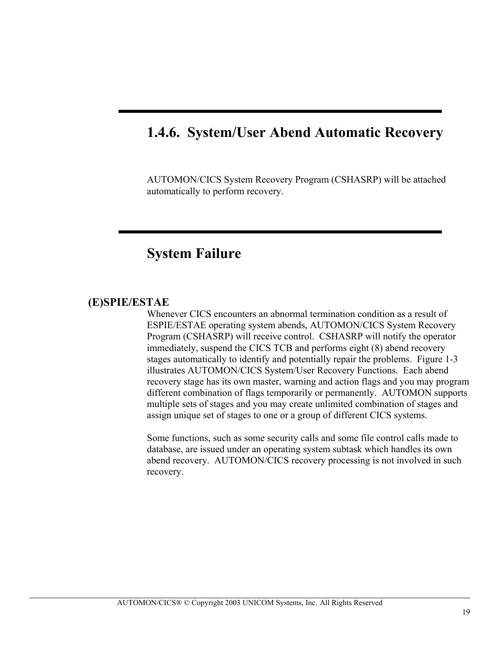## **1.4.6. System/User Abend Automatic Recovery**

AUTOMON/CICS System Recovery Program (CSHASRP) will be attached automatically to perform recovery.

## **System Failure**

#### **(E)SPIE/ESTAE**

Whenever CICS encounters an abnormal termination condition as a result of ESPIE/ESTAE operating system abends, AUTOMON/CICS System Recovery Program (CSHASRP) will receive control. CSHASRP will notify the operator immediately, suspend the CICS TCB and performs eight (8) abend recovery stages automatically to identify and potentially repair the problems. Figure 1-3 illustrates AUTOMON/CICS System/User Recovery Functions. Each abend recovery stage has its own master, warning and action flags and you may program different combination of flags temporarily or permanently. AUTOMON supports multiple sets of stages and you may create unlimited combination of stages and assign unique set of stages to one or a group of different CICS systems.

Some functions, such as some security calls and some file control calls made to database, are issued under an operating system subtask which handles its own abend recovery. AUTOMON/CICS recovery processing is not involved in such recovery.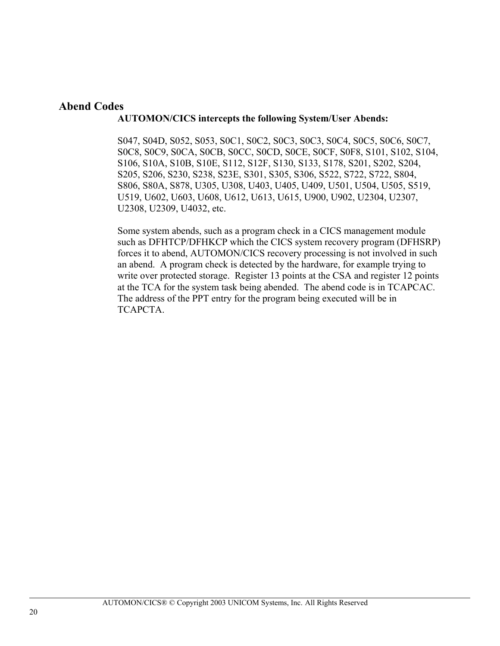### **Abend Codes**

#### **AUTOMON/CICS intercepts the following System/User Abends:**

S047, S04D, S052, S053, S0C1, S0C2, S0C3, S0C3, S0C4, S0C5, S0C6, S0C7, S0C8, S0C9, S0CA, S0CB, S0CC, S0CD, S0CE, S0CF, S0F8, S101, S102, S104, S106, S10A, S10B, S10E, S112, S12F, S130, S133, S178, S201, S202, S204, S205, S206, S230, S238, S23E, S301, S305, S306, S522, S722, S722, S804, S806, S80A, S878, U305, U308, U403, U405, U409, U501, U504, U505, S519, U519, U602, U603, U608, U612, U613, U615, U900, U902, U2304, U2307, U2308, U2309, U4032, etc.

Some system abends, such as a program check in a CICS management module such as DFHTCP/DFHKCP which the CICS system recovery program (DFHSRP) forces it to abend, AUTOMON/CICS recovery processing is not involved in such an abend. A program check is detected by the hardware, for example trying to write over protected storage. Register 13 points at the CSA and register 12 points at the TCA for the system task being abended. The abend code is in TCAPCAC. The address of the PPT entry for the program being executed will be in TCAPCTA.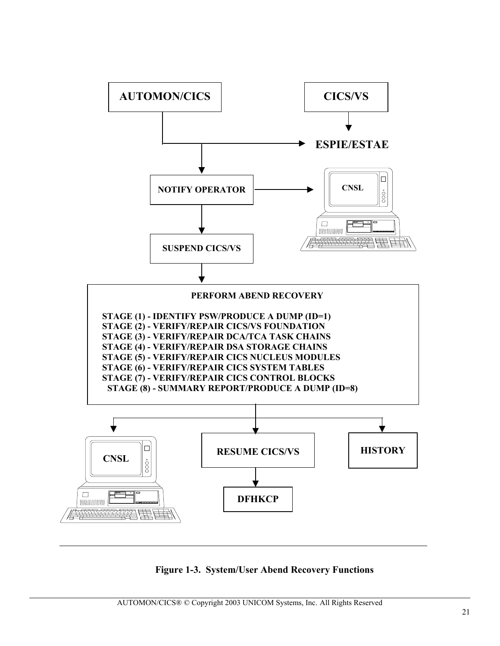

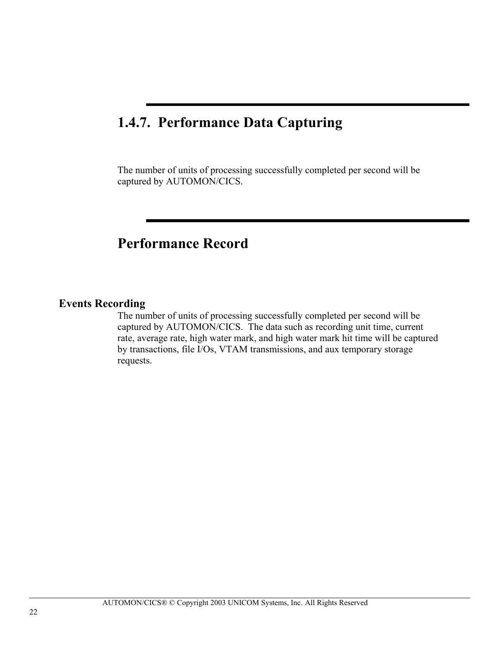## **1.4.7. Performance Data Capturing**

The number of units of processing successfully completed per second will be captured by AUTOMON/CICS.

## **Performance Record**

### **Events Recording**

The number of units of processing successfully completed per second will be captured by AUTOMON/CICS. The data such as recording unit time, current rate, average rate, high water mark, and high water mark hit time will be captured by transactions, file I/Os, VTAM transmissions, and aux temporary storage requests.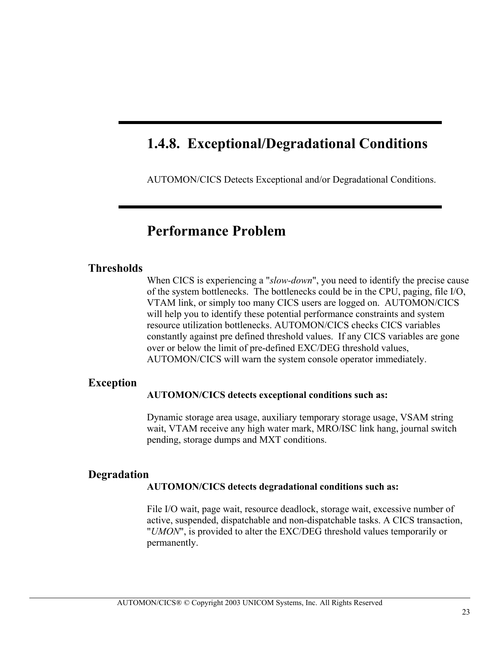## **1.4.8. Exceptional/Degradational Conditions**

AUTOMON/CICS Detects Exceptional and/or Degradational Conditions.

## **Performance Problem**

#### **Thresholds**

When CICS is experiencing a "*slow-down*", you need to identify the precise cause of the system bottlenecks. The bottlenecks could be in the CPU, paging, file I/O, VTAM link, or simply too many CICS users are logged on. AUTOMON/CICS will help you to identify these potential performance constraints and system resource utilization bottlenecks. AUTOMON/CICS checks CICS variables constantly against pre defined threshold values. If any CICS variables are gone over or below the limit of pre-defined EXC/DEG threshold values, AUTOMON/CICS will warn the system console operator immediately.

#### **Exception**

#### **AUTOMON/CICS detects exceptional conditions such as:**

Dynamic storage area usage, auxiliary temporary storage usage, VSAM string wait, VTAM receive any high water mark, MRO/ISC link hang, journal switch pending, storage dumps and MXT conditions.

#### **Degradation**

#### **AUTOMON/CICS detects degradational conditions such as:**

File I/O wait, page wait, resource deadlock, storage wait, excessive number of active, suspended, dispatchable and non-dispatchable tasks. A CICS transaction, "*UMON*", is provided to alter the EXC/DEG threshold values temporarily or permanently.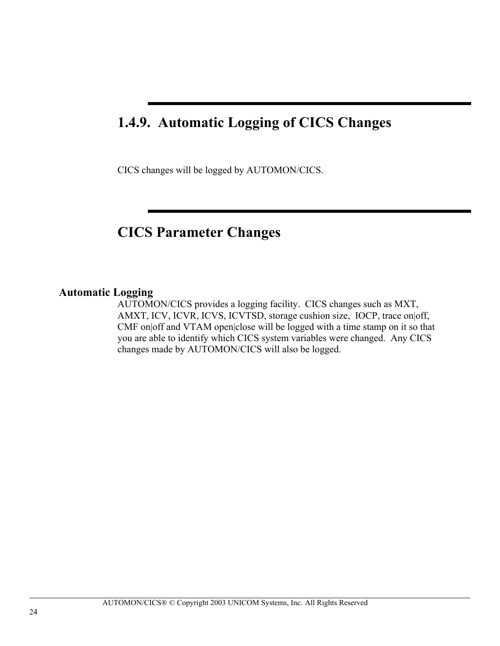## **1.4.9. Automatic Logging of CICS Changes**

CICS changes will be logged by AUTOMON/CICS.

## **CICS Parameter Changes**

### **Automatic Logging**

AUTOMON/CICS provides a logging facility. CICS changes such as MXT, AMXT, ICV, ICVR, ICVS, ICVTSD, storage cushion size, IOCP, trace on off, CMF on|off and VTAM open|close will be logged with a time stamp on it so that you are able to identify which CICS system variables were changed. Any CICS changes made by AUTOMON/CICS will also be logged.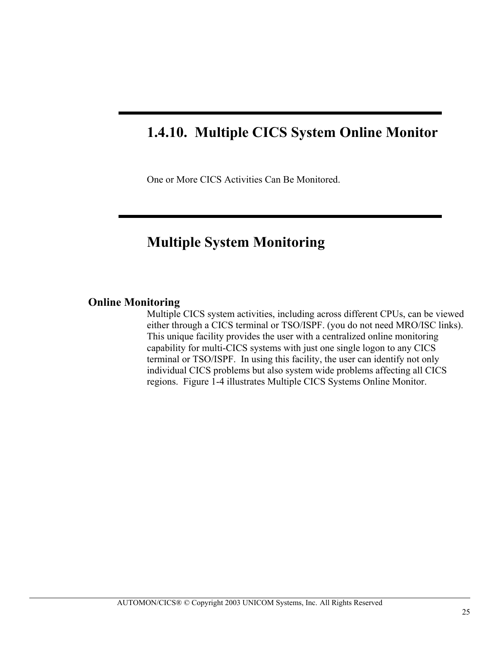## **1.4.10. Multiple CICS System Online Monitor**

One or More CICS Activities Can Be Monitored.

## **Multiple System Monitoring**

### **Online Monitoring**

Multiple CICS system activities, including across different CPUs, can be viewed either through a CICS terminal or TSO/ISPF. (you do not need MRO/ISC links). This unique facility provides the user with a centralized online monitoring capability for multi-CICS systems with just one single logon to any CICS terminal or TSO/ISPF. In using this facility, the user can identify not only individual CICS problems but also system wide problems affecting all CICS regions. Figure 1-4 illustrates Multiple CICS Systems Online Monitor.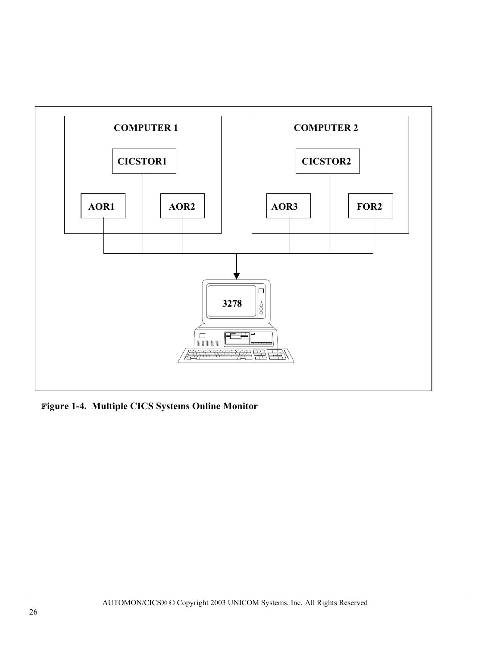

Figure 1-4. Multiple CICS Systems Online Monitor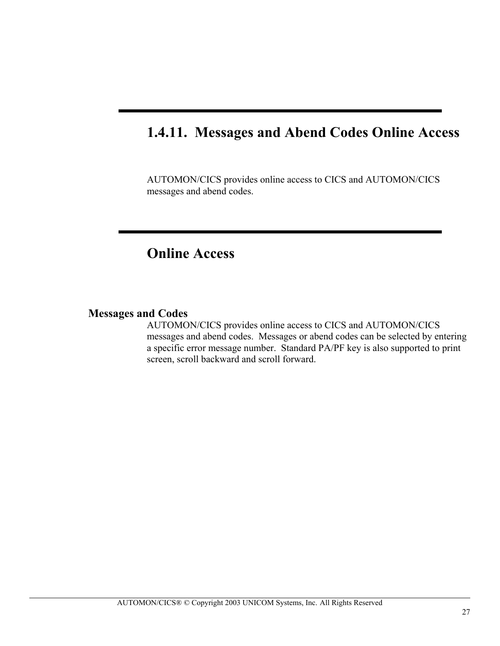## **1.4.11. Messages and Abend Codes Online Access**

AUTOMON/CICS provides online access to CICS and AUTOMON/CICS messages and abend codes.

## **Online Access**

#### **Messages and Codes**

AUTOMON/CICS provides online access to CICS and AUTOMON/CICS messages and abend codes. Messages or abend codes can be selected by entering a specific error message number. Standard PA/PF key is also supported to print screen, scroll backward and scroll forward.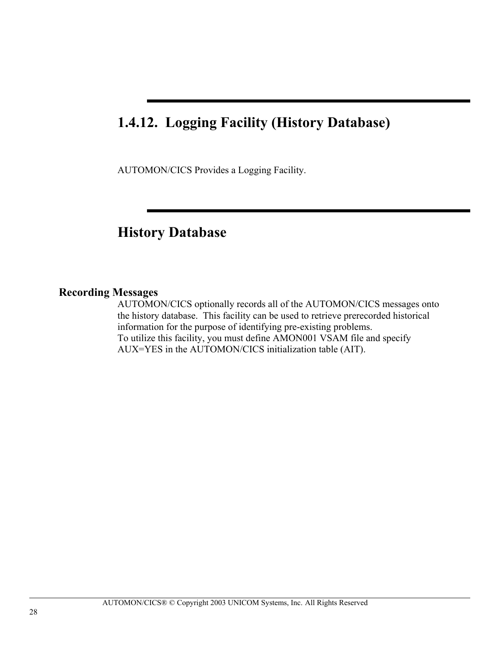## **1.4.12. Logging Facility (History Database)**

AUTOMON/CICS Provides a Logging Facility.

## **History Database**

### **Recording Messages**

AUTOMON/CICS optionally records all of the AUTOMON/CICS messages onto the history database. This facility can be used to retrieve prerecorded historical information for the purpose of identifying pre-existing problems. To utilize this facility, you must define AMON001 VSAM file and specify AUX=YES in the AUTOMON/CICS initialization table (AIT).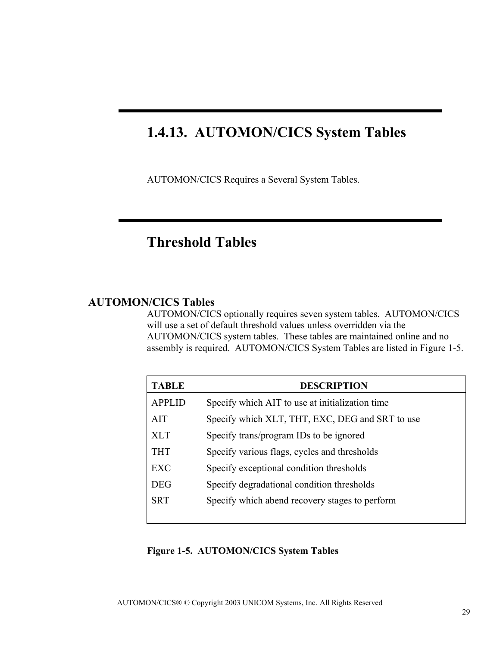## **1.4.13. AUTOMON/CICS System Tables**

AUTOMON/CICS Requires a Several System Tables.

## **Threshold Tables**

### **AUTOMON/CICS Tables**

AUTOMON/CICS optionally requires seven system tables. AUTOMON/CICS will use a set of default threshold values unless overridden via the AUTOMON/CICS system tables. These tables are maintained online and no assembly is required. AUTOMON/CICS System Tables are listed in Figure 1-5.

| <b>TABLE</b>  | <b>DESCRIPTION</b>                              |
|---------------|-------------------------------------------------|
| <b>APPLID</b> | Specify which AIT to use at initialization time |
| <b>AIT</b>    | Specify which XLT, THT, EXC, DEG and SRT to use |
| <b>XLT</b>    | Specify trans/program IDs to be ignored         |
| <b>THT</b>    | Specify various flags, cycles and thresholds    |
| EXC           | Specify exceptional condition thresholds        |
| <b>DEG</b>    | Specify degradational condition thresholds      |
| <b>SRT</b>    | Specify which abend recovery stages to perform  |
|               |                                                 |

#### **Figure 1-5. AUTOMON/CICS System Tables**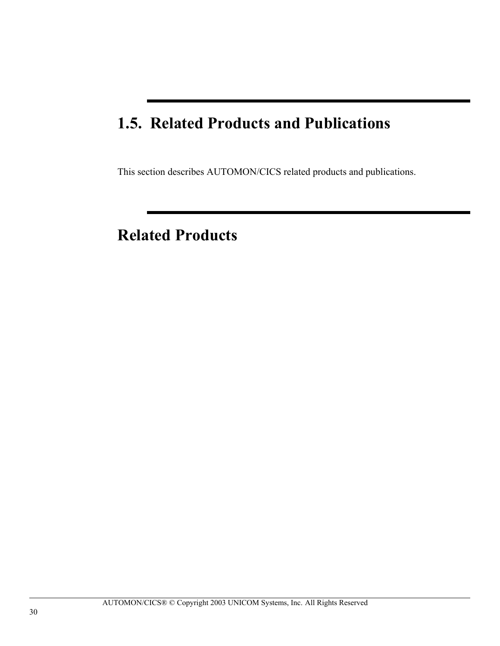## **1.5. Related Products and Publications**

This section describes AUTOMON/CICS related products and publications.

## **Related Products**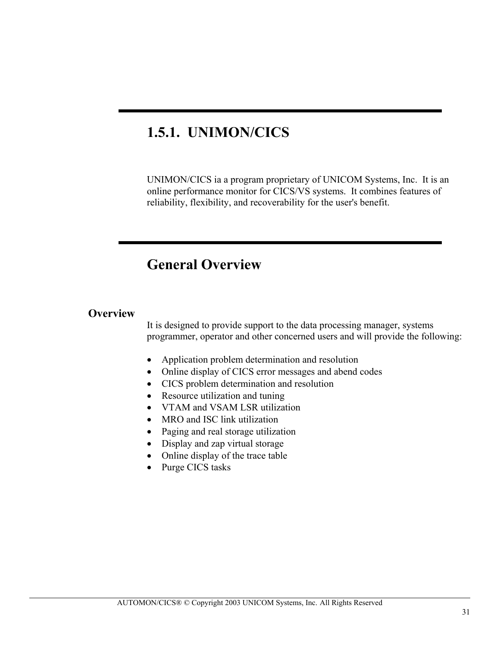## **1.5.1. UNIMON/CICS**

UNIMON/CICS ia a program proprietary of UNICOM Systems, Inc. It is an online performance monitor for CICS/VS systems. It combines features of reliability, flexibility, and recoverability for the user's benefit.

## **General Overview**

## **Overview**

It is designed to provide support to the data processing manager, systems programmer, operator and other concerned users and will provide the following:

- Application problem determination and resolution
- Online display of CICS error messages and abend codes
- CICS problem determination and resolution
- Resource utilization and tuning
- VTAM and VSAM LSR utilization
- MRO and ISC link utilization
- Paging and real storage utilization
- Display and zap virtual storage
- Online display of the trace table
- Purge CICS tasks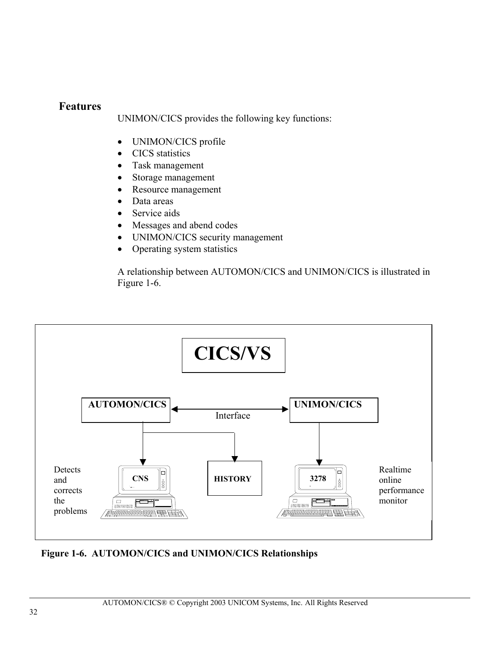## **Features**

UNIMON/CICS provides the following key functions:

- UNIMON/CICS profile
- CICS statistics
- Task management
- Storage management
- Resource management
- Data areas
- Service aids
- Messages and abend codes
- UNIMON/CICS security management
- Operating system statistics

A relationship between AUTOMON/CICS and UNIMON/CICS is illustrated in Figure 1-6.



**Figure 1-6. AUTOMON/CICS and UNIMON/CICS Relationships**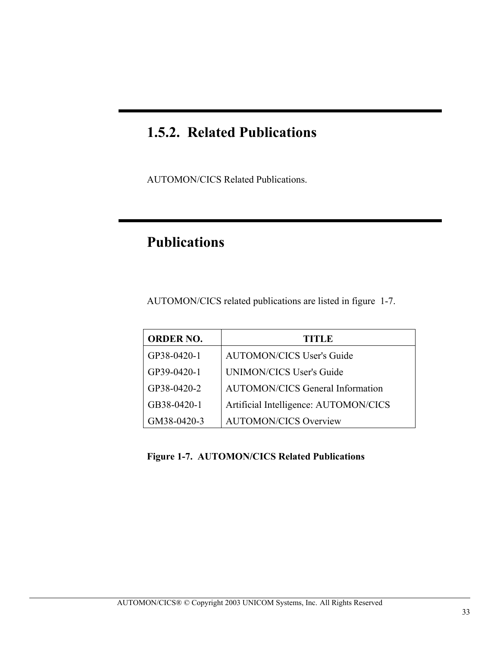## **1.5.2. Related Publications**

AUTOMON/CICS Related Publications.

## **Publications**

AUTOMON/CICS related publications are listed in figure 1-7.

| <b>ORDER NO.</b> | <b>TITLE</b>                            |
|------------------|-----------------------------------------|
| GP38-0420-1      | <b>AUTOMON/CICS User's Guide</b>        |
| GP39-0420-1      | <b>UNIMON/CICS User's Guide</b>         |
| GP38-0420-2      | <b>AUTOMON/CICS General Information</b> |
| GB38-0420-1      | Artificial Intelligence: AUTOMON/CICS   |
| GM38-0420-3      | <b>AUTOMON/CICS Overview</b>            |

**Figure 1-7. AUTOMON/CICS Related Publications**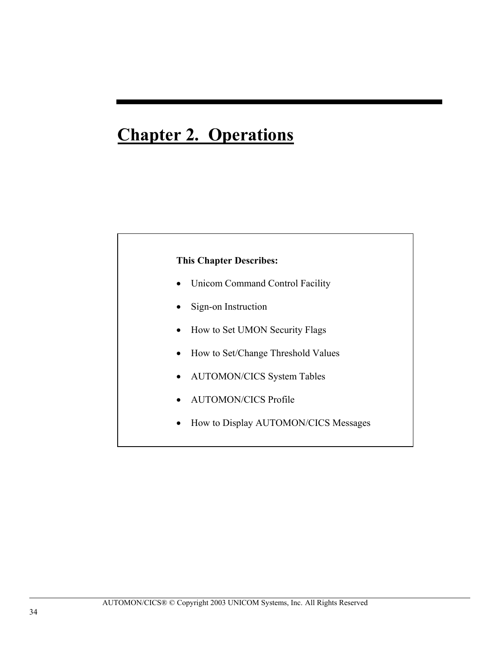# **Chapter 2. Operations**

#### **This Chapter Describes:**

- Unicom Command Control Facility
- Sign-on Instruction
- How to Set UMON Security Flags
- How to Set/Change Threshold Values
- AUTOMON/CICS System Tables
- AUTOMON/CICS Profile
- How to Display AUTOMON/CICS Messages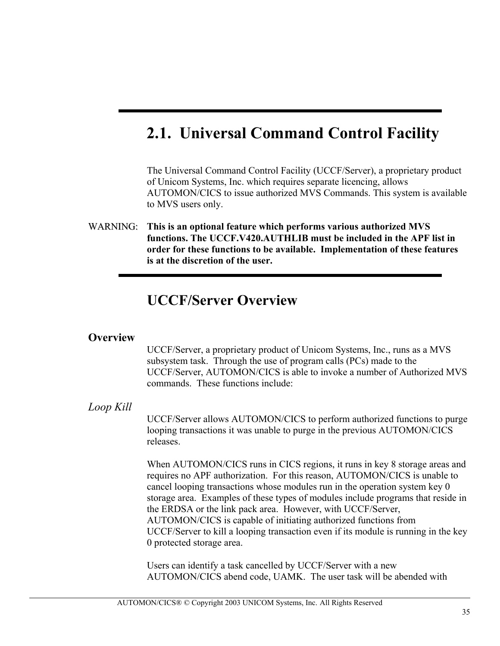# **2.1. Universal Command Control Facility**

The Universal Command Control Facility (UCCF/Server), a proprietary product of Unicom Systems, Inc. which requires separate licencing, allows AUTOMON/CICS to issue authorized MVS Commands. This system is available to MVS users only.

WARNING:**This is an optional feature which performs various authorized MVS functions. The UCCF.V420.AUTHLIB must be included in the APF list in f order for these functions to be available. Implementation of these features is at the discretion of the user.**

## **UCCF/Server Overview**

### **Overview**

UCCF/Server, a proprietary product of Unicom Systems, Inc., runs as a MVS subsystem task. Through the use of program calls (PCs) made to the UCCF/Server, AUTOMON/CICS is able to invoke a number of Authorized MVS commands. These functions include:

### *Loop Kill*

UCCF/Server allows AUTOMON/CICS to perform authorized functions to purge looping transactions it was unable to purge in the previous AUTOMON/CICS releases.

When AUTOMON/CICS runs in CICS regions, it runs in key 8 storage areas and requires no APF authorization. For this reason, AUTOMON/CICS is unable to cancel looping transactions whose modules run in the operation system key 0 storage area. Examples of these types of modules include programs that reside in the ERDSA or the link pack area. However, with UCCF/Server, AUTOMON/CICS is capable of initiating authorized functions from UCCF/Server to kill a looping transaction even if its module is running in the key 0 protected storage area.

Users can identify a task cancelled by UCCF/Server with a new AUTOMON/CICS abend code, UAMK. The user task will be abended with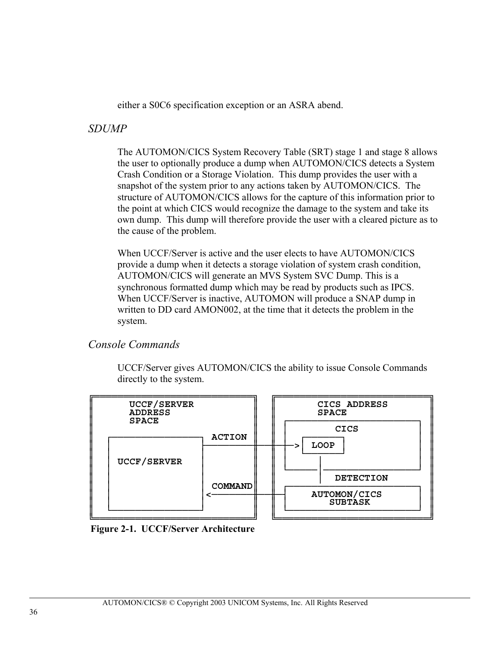either a S0C6 specification exception or an ASRA abend.

## *SDUMP*

The AUTOMON/CICS System Recovery Table (SRT) stage 1 and stage 8 allows the user to optionally produce a dump when AUTOMON/CICS detects a System Crash Condition or a Storage Violation. This dump provides the user with a snapshot of the system prior to any actions taken by AUTOMON/CICS. The structure of AUTOMON/CICS allows for the capture of this information prior to the point at which CICS would recognize the damage to the system and take its own dump. This dump will therefore provide the user with a cleared picture as to the cause of the problem.

When UCCF/Server is active and the user elects to have AUTOMON/CICS provide a dump when it detects a storage violation of system crash condition, AUTOMON/CICS will generate an MVS System SVC Dump. This is a synchronous formatted dump which may be read by products such as IPCS. When UCCF/Server is inactive, AUTOMON will produce a SNAP dump in written to DD card AMON002, at the time that it detects the problem in the system.

## *Console Commands*

UCCF/Server gives AUTOMON/CICS the ability to issue Console Commands directly to the system.



 **Figure 2-1. UCCF/Server Architecture**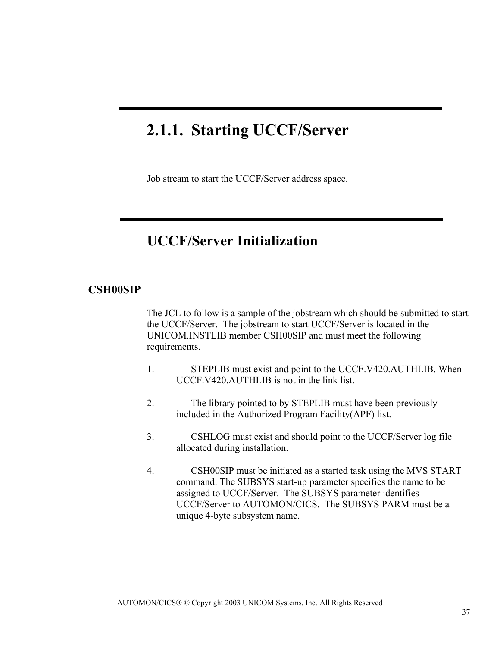# **2.1.1. Starting UCCF/Server**

ı

Job stream to start the UCCF/Server address space.

## **UCCF/Server Initialization**

#### **CSH00SIP**

The JCL to follow is a sample of the jobstream which should be submitted to start the UCCF/Server. The jobstream to start UCCF/Server is located in the UNICOM.INSTLIB member CSH00SIP and must meet the following requirements.

- 1. STEPLIB must exist and point to the UCCF.V420.AUTHLIB. When UCCF.V420.AUTHLIB is not in the link list.
- 2. The library pointed to by STEPLIB must have been previously included in the Authorized Program Facility(APF) list.
- 3. CSHLOG must exist and should point to the UCCF/Server log file allocated during installation.
- 4. CSH00SIP must be initiated as a started task using the MVS START command. The SUBSYS start-up parameter specifies the name to be assigned to UCCF/Server. The SUBSYS parameter identifies UCCF/Server to AUTOMON/CICS. The SUBSYS PARM must be a unique 4-byte subsystem name.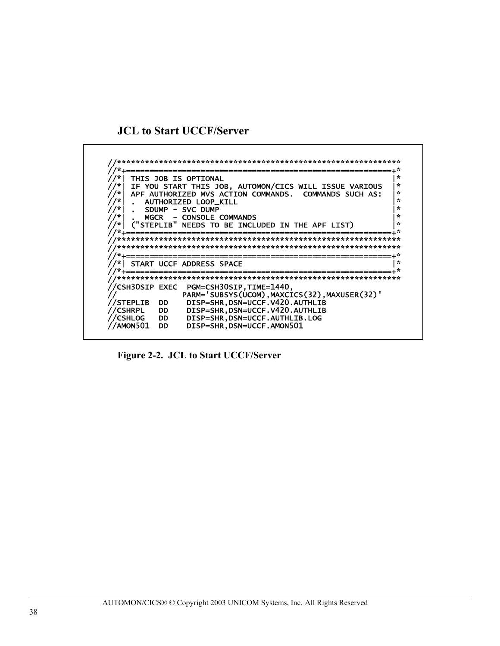### **JCL to Start UCCF/Server**



**Figure 2-2. JCL to Start UCCF/Server**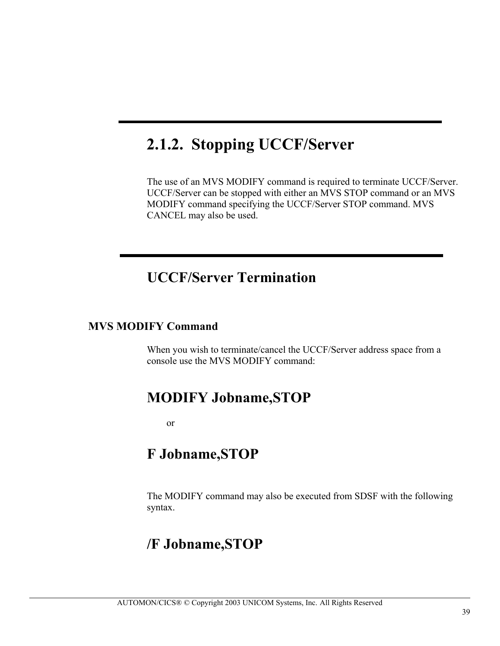# **2.1.2. Stopping UCCF/Server**

The use of an MVS MODIFY command is required to terminate UCCF/Server. UCCF/Server can be stopped with either an MVS STOP command or an MVS MODIFY command specifying the UCCF/Server STOP command. MVS CANCEL may also be used.

## **UCCF/Server Termination**

### **MVS MODIFY Command**

When you wish to terminate/cancel the UCCF/Server address space from a console use the MVS MODIFY command:

## **MODIFY Jobname,STOP**

or

## **F Jobname,STOP**

The MODIFY command may also be executed from SDSF with the following syntax.

## **/F Jobname,STOP**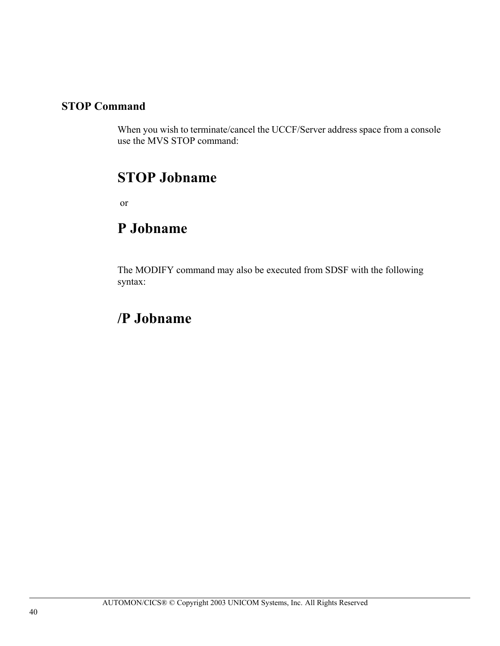## **STOP Command**

When you wish to terminate/cancel the UCCF/Server address space from a console use the MVS STOP command:

## **STOP Jobname**

or

## **P Jobname**

The MODIFY command may also be executed from SDSF with the following syntax:

## **/P Jobname**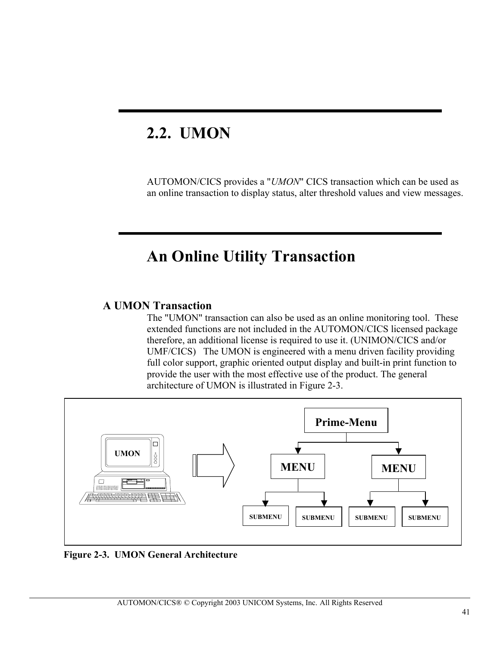# **2.2. UMON**

AUTOMON/CICS provides a "*UMON*" CICS transaction which can be used as an online transaction to display status, alter threshold values and view messages.

## **An Online Utility Transaction**

## **A UMON Transaction**

The "UMON" transaction can also be used as an online monitoring tool. These extended functions are not included in the AUTOMON/CICS licensed package therefore, an additional license is required to use it. (UNIMON/CICS and/or UMF/CICS) The UMON is engineered with a menu driven facility providing full color support, graphic oriented output display and built-in print function to provide the user with the most effective use of the product. The general architecture of UMON is illustrated in Figure 2-3.



 **Figure 2-3. UMON General Architecture**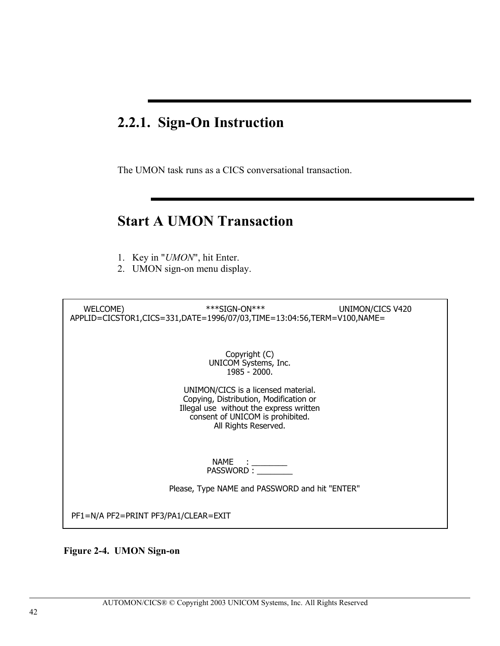## **2.2.1. Sign-On Instruction**

The UMON task runs as a CICS conversational transaction.

## **Start A UMON Transaction**

- 1. Key in "*UMON*", hit Enter.
- 2. UMON sign-on menu display.

WELCOME) \*\*\*\*SIGN-ON\*\*\* UNIMON/CICS V420 APPLID=CICSTOR1,CICS=331,DATE=1996/07/03,TIME=13:04:56,TERM=V100,NAME=

> Copyright (C) UNICOM Systems, Inc. 1985 - 2000.

UNIMON/CICS is a licensed material. Copying, Distribution, Modification or Illegal use without the express written consent of UNICOM is prohibited. All Rights Reserved.

> NAME : \_\_\_\_\_\_\_\_ PASSWORD : \_\_\_\_\_\_\_\_

Please, Type NAME and PASSWORD and hit "ENTER"

PF1=N/A PF2=PRINT PF3/PA1/CLEAR=EXIT

 **Figure 2-4. UMON Sign-on**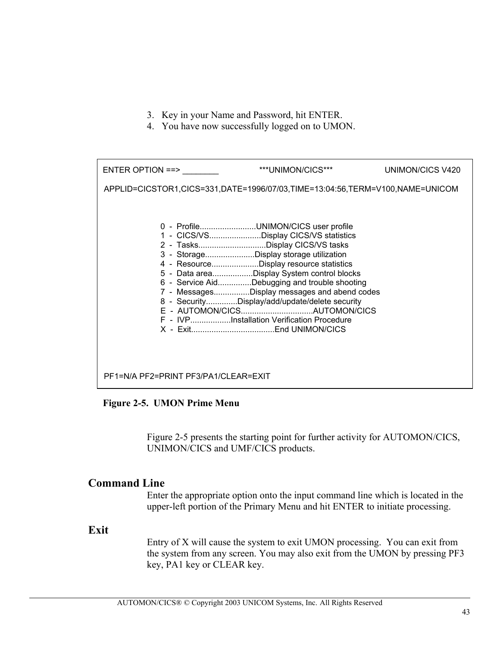- 3. Key in your Name and Password, hit ENTER.
- 4. You have now successfully logged on to UMON.

| ENTER OPTION ==>                                                             | ***UNIMON/CICS***                                                                                                                                                                                                                                                                                                                                                                                                                                  | UNIMON/CICS V420 |
|------------------------------------------------------------------------------|----------------------------------------------------------------------------------------------------------------------------------------------------------------------------------------------------------------------------------------------------------------------------------------------------------------------------------------------------------------------------------------------------------------------------------------------------|------------------|
| APPLID=CICSTOR1,CICS=331,DATE=1996/07/03,TIME=13:04:56,TERM=V100,NAME=UNICOM |                                                                                                                                                                                                                                                                                                                                                                                                                                                    |                  |
|                                                                              | 0 - ProfileUNIMON/CICS user profile<br>1 - CICS/VSDisplay CICS/VS statistics<br>2 - TasksDisplay CICS/VS tasks<br>3 - StorageDisplay storage utilization<br>4 - ResourceDisplay resource statistics<br>5 - Data areaDisplay System control blocks<br>6 - Service AidDebugging and trouble shooting<br>7 - MessagesDisplay messages and abend codes<br>8 - SecurityDisplay/add/update/delete security<br>F - IVPInstallation Verification Procedure |                  |
| PF1=N/A PF2=PRINT PF3/PA1/CLEAR=EXIT                                         |                                                                                                                                                                                                                                                                                                                                                                                                                                                    |                  |

 **Figure 2-5. UMON Prime Menu** 

Figure 2-5 presents the starting point for further activity for AUTOMON/CICS, UNIMON/CICS and UMF/CICS products.

### **Command Line**

Enter the appropriate option onto the input command line which is located in the upper-left portion of the Primary Menu and hit ENTER to initiate processing.

### **Exit**

Entry of X will cause the system to exit UMON processing. You can exit from the system from any screen. You may also exit from the UMON by pressing PF3 key, PA1 key or CLEAR key.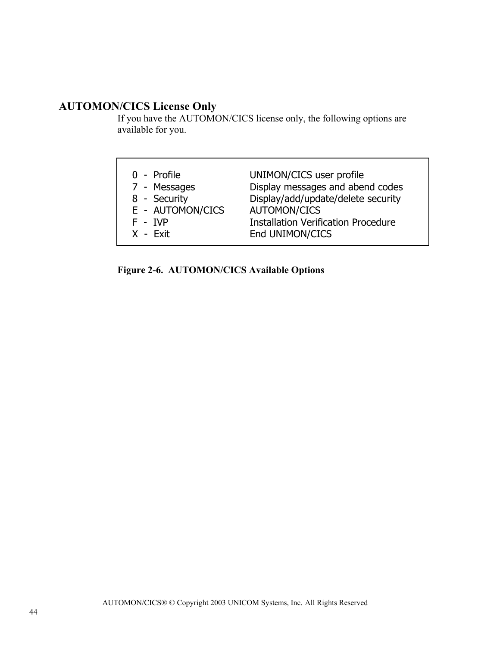## **AUTOMON/CICS License Only**

If you have the AUTOMON/CICS license only, the following options are available for you.

| 0 - Profile      | UNIMON/CICS user profile                   |
|------------------|--------------------------------------------|
| 7 - Messages     | Display messages and abend codes           |
| 8 - Security     | Display/add/update/delete security         |
| E - AUTOMON/CICS | <b>AUTOMON/CICS</b>                        |
| $F - IVP$        | <b>Installation Verification Procedure</b> |
| $X - Exit$       | End UNIMON/CICS                            |

**Figure 2-6. AUTOMON/CICS Available Options**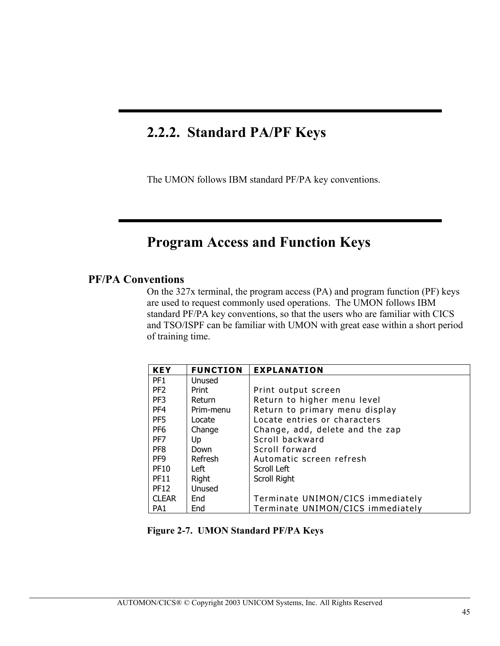## **2.2.2. Standard PA/PF Keys**

The UMON follows IBM standard PF/PA key conventions.

## **Program Access and Function Keys**

## **PF/PA Conventions**

On the 327x terminal, the program access (PA) and program function (PF) keys are used to request commonly used operations. The UMON follows IBM standard PF/PA key conventions, so that the users who are familiar with CICS and TSO/ISPF can be familiar with UMON with great ease within a short period of training time.

| <b>KEY</b>      | <b>FUNCTION</b> | <b>EXPLANATION</b>                |
|-----------------|-----------------|-----------------------------------|
| PF <sub>1</sub> | Unused          |                                   |
| PF <sub>2</sub> | Print           | Print output screen               |
| PF3             | Return          | Return to higher menu level       |
| PF <sub>4</sub> | Prim-menu       | Return to primary menu display    |
| PF <sub>5</sub> | Locate          | Locate entries or characters      |
| PF <sub>6</sub> | Change          | Change, add, delete and the zap   |
| PF7             | Up              | Scroll backward                   |
| PF <sub>8</sub> | Down            | Scroll forward                    |
| PF <sub>9</sub> | Refresh         | Automatic screen refresh          |
| <b>PF10</b>     | Left            | Scroll Left                       |
| <b>PF11</b>     | Right           | Scroll Right                      |
| <b>PF12</b>     | Unused          |                                   |
| <b>CLEAR</b>    | End             | Terminate UNIMON/CICS immediately |
| PA <sub>1</sub> | End             | Terminate UNIMON/CICS immediately |

| Figure 2-7. UMON Standard PF/PA Keys |
|--------------------------------------|
|--------------------------------------|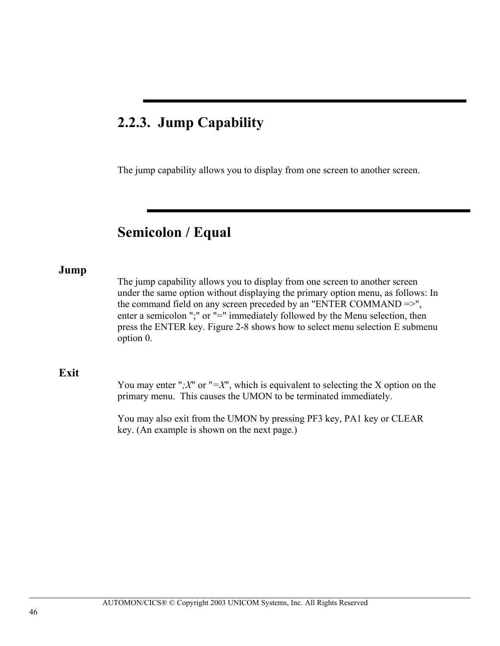## **2.2.3. Jump Capability**

The jump capability allows you to display from one screen to another screen.

## **Semicolon / Equal**

#### **Jump**

The jump capability allows you to display from one screen to another screen under the same option without displaying the primary option menu, as follows: In the command field on any screen preceded by an "ENTER COMMAND =>", enter a semicolon ";" or "=" immediately followed by the Menu selection, then press the ENTER key. Figure 2-8 shows how to select menu selection E submenu option 0.

#### **Exit**

You may enter " $;X$ " or " $=X$ ", which is equivalent to selecting the X option on the primary menu. This causes the UMON to be terminated immediately.

You may also exit from the UMON by pressing PF3 key, PA1 key or CLEAR key. (An example is shown on the next page.)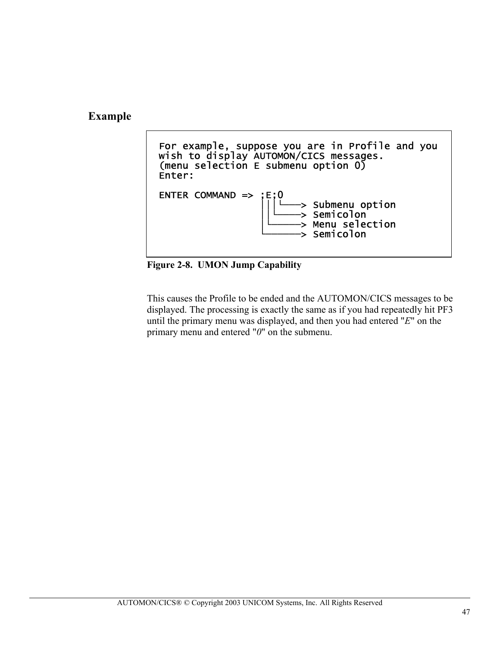**Example** 



**Figure 2-8. UMON Jump Capability** 

This causes the Profile to be ended and the AUTOMON/CICS messages to be displayed. The processing is exactly the same as if you had repeatedly hit PF3 until the primary menu was displayed, and then you had entered "*E*" on the primary menu and entered "*0*" on the submenu.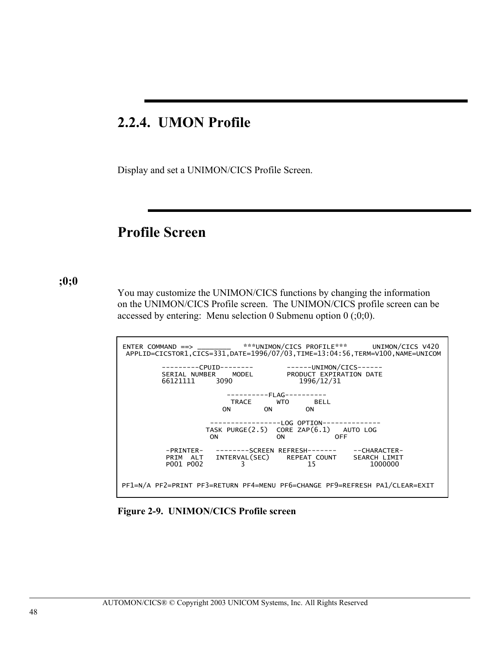## **2.2.4. UMON Profile**

Display and set a UNIMON/CICS Profile Screen.

## **Profile Screen**

#### **;0;0**

You may customize the UNIMON/CICS functions by changing the information on the UNIMON/CICS Profile screen. The UNIMON/CICS profile screen can be accessed by entering: Menu selection 0 Submenu option  $(0;0;0)$ .



**Figure 2-9. UNIMON/CICS Profile screen**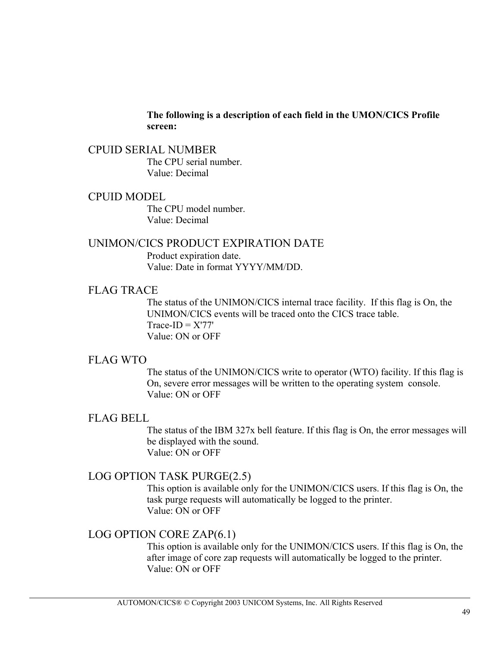#### **The following is a description of each field in the UMON/CICS Profile screen:**

### CPUID SERIAL NUMBER The CPU serial number. Value: Decimal

#### CPUID MODEL

The CPU model number. Value: Decimal

## UNIMON/CICS PRODUCT EXPIRATION DATE

Product expiration date. Value: Date in format YYYY/MM/DD.

### FLAG TRACE

The status of the UNIMON/CICS internal trace facility. If this flag is On, the UNIMON/CICS events will be traced onto the CICS trace table.  $Trace-ID = X'77'$ Value: ON or OFF

### FLAG WTO

The status of the UNIMON/CICS write to operator (WTO) facility. If this flag is On, severe error messages will be written to the operating system console. Value: ON or OFF

## FLAG BELL

The status of the IBM 327x bell feature. If this flag is On, the error messages will be displayed with the sound. Value: ON or OFF

### LOG OPTION TASK PURGE(2.5)

This option is available only for the UNIMON/CICS users. If this flag is On, the task purge requests will automatically be logged to the printer. Value: ON or OFF

## LOG OPTION CORE ZAP(6.1)

This option is available only for the UNIMON/CICS users. If this flag is On, the after image of core zap requests will automatically be logged to the printer. Value: ON or OFF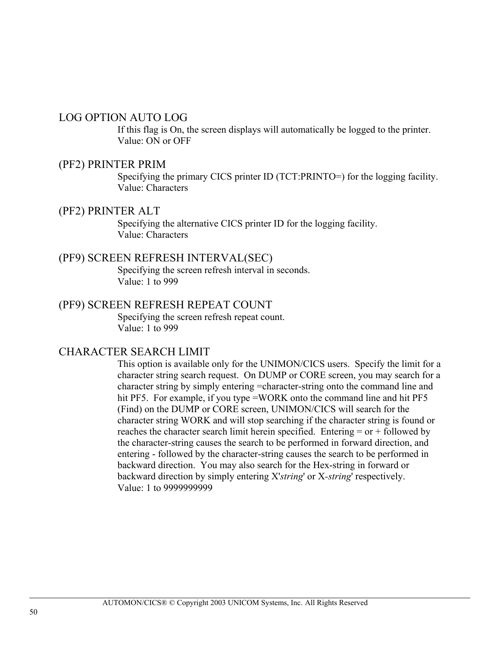### LOG OPTION AUTO LOG

If this flag is On, the screen displays will automatically be logged to the printer. Value: ON or OFF

### (PF2) PRINTER PRIM

Specifying the primary CICS printer ID (TCT:PRINTO=) for the logging facility. Value: Characters

#### (PF2) PRINTER ALT

Specifying the alternative CICS printer ID for the logging facility. Value: Characters

## (PF9) SCREEN REFRESH INTERVAL(SEC)

Specifying the screen refresh interval in seconds. Value: 1 to 999

### (PF9) SCREEN REFRESH REPEAT COUNT

Specifying the screen refresh repeat count. Value: 1 to 999

## CHARACTER SEARCH LIMIT

This option is available only for the UNIMON/CICS users. Specify the limit for a character string search request. On DUMP or CORE screen, you may search for a character string by simply entering =character-string onto the command line and hit PF5. For example, if you type =WORK onto the command line and hit PF5 (Find) on the DUMP or CORE screen, UNIMON/CICS will search for the character string WORK and will stop searching if the character string is found or reaches the character search limit herein specified. Entering  $=$  or  $+$  followed by the character-string causes the search to be performed in forward direction, and entering - followed by the character-string causes the search to be performed in backward direction. You may also search for the Hex-string in forward or backward direction by simply entering X'*string*' or X*-string*' respectively. Value: 1 to 9999999999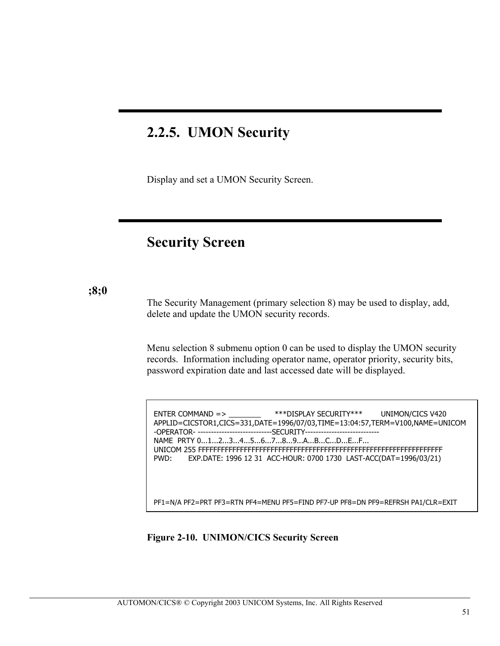## **2.2.5. UMON Security**

Display and set a UMON Security Screen.

## **Security Screen**

#### **;8;0**

The Security Management (primary selection 8) may be used to display, add, delete and update the UMON security records.

Menu selection 8 submenu option 0 can be used to display the UMON security records. Information including operator name, operator priority, security bits, password expiration date and last accessed date will be displayed.

ENTER COMMAND => \_\_\_\_\_\_\_\_ \*\*\*DISPLAY SECURITY\*\*\* UNIMON/CICS V420 APPLID=CICSTOR1,CICS=331,DATE=1996/07/03,TIME=13:04:57,TERM=V100,NAME=UNICOM -OPERATOR- -----------------------------SECURITY------- NAME PRTY 0...1...2...3...4...5...6...7...8...9...A...B...C...D...E...F... UNICOM 255 FFFFFFFFFFFFFFFFFFFFFFFFFFFFFFFFFFFFFFFFFFFFFFFFFFFFFFFFFFFFFFFF PWD: EXP.DATE: 1996 12 31 ACC-HOUR: 0700 1730 LAST-ACC(DAT=1996/03/21)

PF1=N/A PF2=PRT PF3=RTN PF4=MENU PF5=FIND PF7-UP PF8=DN PF9=REFRSH PA1/CLR=EXIT

#### **Figure 2-10. UNIMON/CICS Security Screen**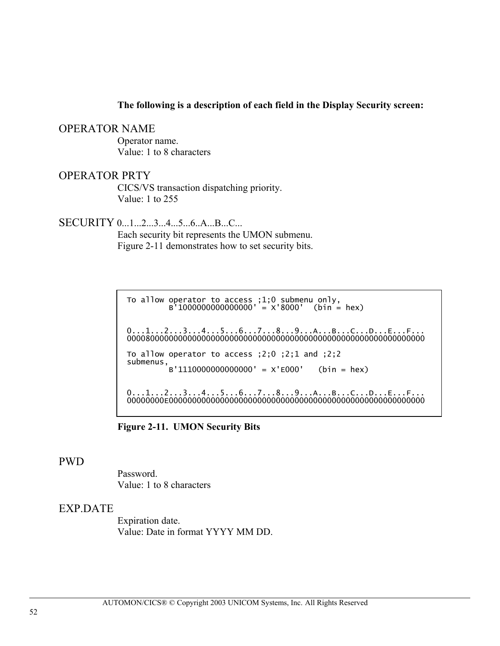#### **The following is a description of each field in the Display Security screen:**

#### OPERATOR NAME

Operator name. Value: 1 to 8 characters

#### OPERATOR PRTY

CICS/VS transaction dispatching priority. Value: 1 to 255

SECURITY 0...1...2...3...4...5...6..A...B...C...

Each security bit represents the UMON submenu. Figure 2-11 demonstrates how to set security bits.

 To allow operator to access ;1;0 submenu only, B'1000000000000000' = X'8000' (bin = hex) 0...1...2...3...4...5...6...7...8...9...A...B...C...D...E...F... 0000800000000000000000000000000000000000000000000000000000000000 To allow operator to access ;2;0 ;2;1 and ;2;2 submenus,  $B'1110000000000000' = X'E000'$  (bin = hex)  $0...1...2...3...4...5...6...7...8...9...A...B...C...D...E...F...$ 

00000000E0000000000000000000000000000000000000000000000000000000

**Figure 2-11. UMON Security Bits** 

#### PWD

Password. Value: 1 to 8 characters

### EXP.DATE

Expiration date. Value: Date in format YYYY MM DD.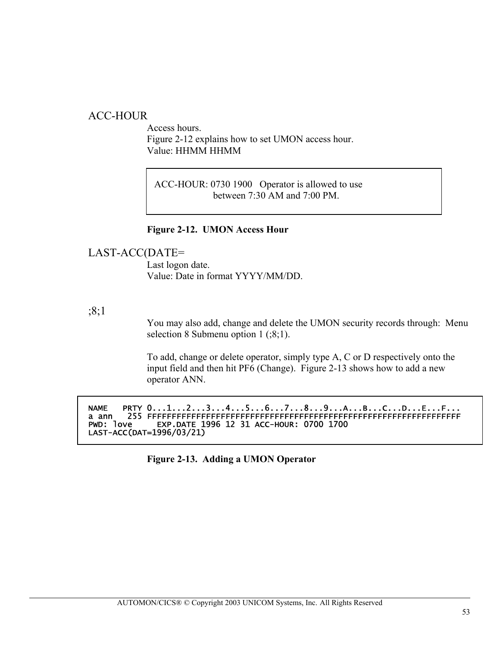## ACC-HOUR

Access hours. Figure 2-12 explains how to set UMON access hour. Value: HHMM HHMM

 ACC-HOUR: 0730 1900 Operator is allowed to use between 7:30 AM and 7:00 PM.

#### **Figure 2-12. UMON Access Hour**

### LAST-ACC(DATE=

Last logon date. Value: Date in format YYYY/MM/DD.

### ;8;1

You may also add, change and delete the UMON security records through: Menu selection 8 Submenu option 1 (;8;1).

To add, change or delete operator, simply type A, C or D respectively onto the input field and then hit PF6 (Change). Figure 2-13 shows how to add a new operator ANN.

NAME PRTY 0...1...2...3...4...5...6...7...8...9...A...B...C...D...E...F... a ann 255 FFFFFFFFFFFFFFFFFFFFFFFFFFFFFFFFFFFFFFFFFFFFFFFFFFFFFFFFFFFFFFFF EXP.DATE 1996 12 31 ACC-HOUR: 0700 1700 LAST-ACC(DAT=1996/03/21)

**Figure 2-13. Adding a UMON Operator**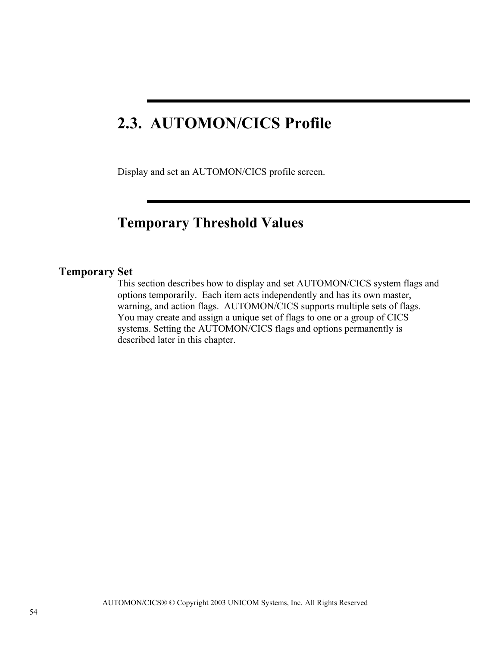# **2.3. AUTOMON/CICS Profile**

Display and set an AUTOMON/CICS profile screen.

## **Temporary Threshold Values**

## **Temporary Set**

This section describes how to display and set AUTOMON/CICS system flags and options temporarily. Each item acts independently and has its own master, warning, and action flags. AUTOMON/CICS supports multiple sets of flags. You may create and assign a unique set of flags to one or a group of CICS systems. Setting the AUTOMON/CICS flags and options permanently is described later in this chapter.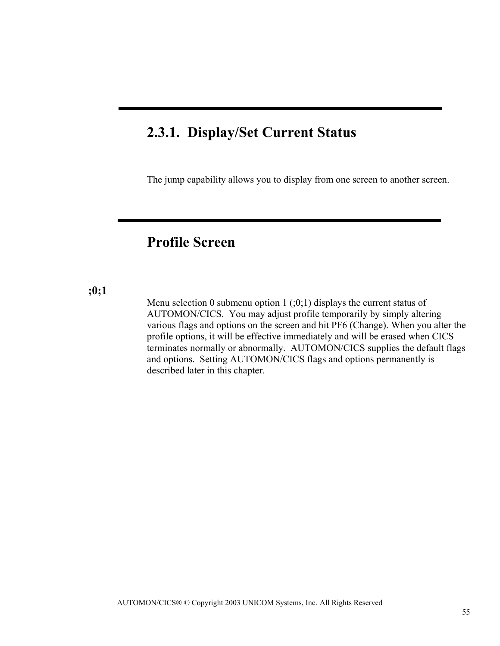## **2.3.1. Display/Set Current Status**

ı

The jump capability allows you to display from one screen to another screen.

## **Profile Screen**

### **;0;1**

Menu selection 0 submenu option 1  $(0,1)$  displays the current status of AUTOMON/CICS. You may adjust profile temporarily by simply altering various flags and options on the screen and hit PF6 (Change). When you alter the profile options, it will be effective immediately and will be erased when CICS terminates normally or abnormally. AUTOMON/CICS supplies the default flags and options. Setting AUTOMON/CICS flags and options permanently is described later in this chapter.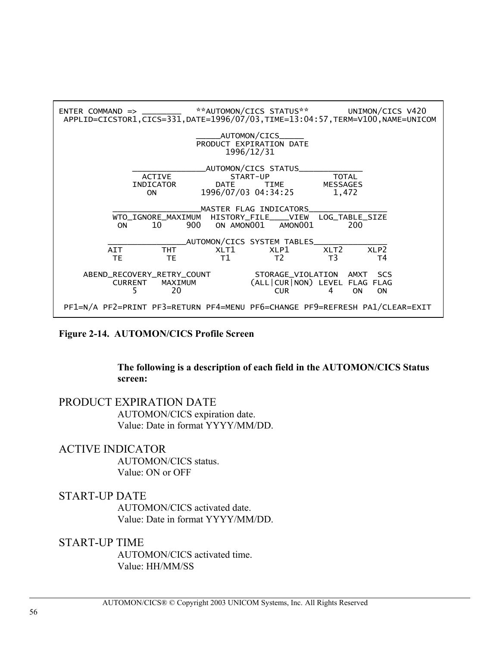

#### **Figure 2-14. AUTOMON/CICS Profile Screen**

#### **The following is a description of each field in the AUTOMON/CICS Status screen:**

#### PRODUCT EXPIRATION DATE AUTOMON/CICS expiration date.

Value: Date in format YYYY/MM/DD.

#### ACTIVE INDICATOR

AUTOMON/CICS status. Value: ON or OFF

#### START-UP DATE

AUTOMON/CICS activated date. Value: Date in format YYYY/MM/DD.

### START-UP TIME

AUTOMON/CICS activated time. Value: HH/MM/SS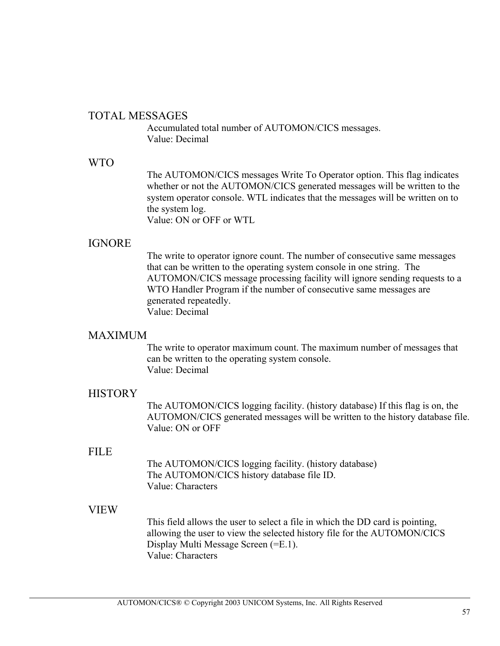### TOTAL MESSAGES

Accumulated total number of AUTOMON/CICS messages. Value: Decimal

### WTO

The AUTOMON/CICS messages Write To Operator option. This flag indicates whether or not the AUTOMON/CICS generated messages will be written to the system operator console. WTL indicates that the messages will be written on to the system log. Value: ON or OFF or WTL

## IGNORE

The write to operator ignore count. The number of consecutive same messages that can be written to the operating system console in one string. The AUTOMON/CICS message processing facility will ignore sending requests to a WTO Handler Program if the number of consecutive same messages are generated repeatedly. Value: Decimal

### **MAXIMUM**

The write to operator maximum count. The maximum number of messages that can be written to the operating system console. Value: Decimal

### **HISTORY**

The AUTOMON/CICS logging facility. (history database) If this flag is on, the AUTOMON/CICS generated messages will be written to the history database file. Value: ON or OFF

### FILE

The AUTOMON/CICS logging facility. (history database) The AUTOMON/CICS history database file ID. Value: Characters

### VIEW

This field allows the user to select a file in which the DD card is pointing, allowing the user to view the selected history file for the AUTOMON/CICS Display Multi Message Screen (=E.1). Value: Characters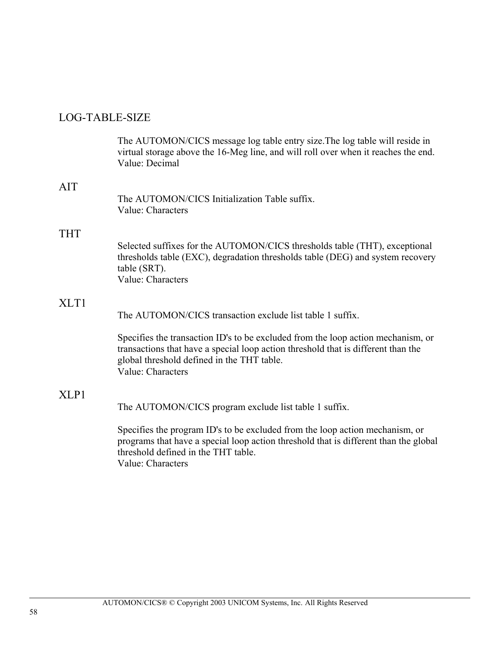## LOG-TABLE-SIZE

|                  | The AUTOMON/CICS message log table entry size. The log table will reside in<br>virtual storage above the 16-Meg line, and will roll over when it reaches the end.<br>Value: Decimal                                                      |
|------------------|------------------------------------------------------------------------------------------------------------------------------------------------------------------------------------------------------------------------------------------|
| <b>AIT</b>       | The AUTOMON/CICS Initialization Table suffix.<br>Value: Characters                                                                                                                                                                       |
| THT              | Selected suffixes for the AUTOMON/CICS thresholds table (THT), exceptional<br>thresholds table (EXC), degradation thresholds table (DEG) and system recovery<br>table (SRT).<br>Value: Characters                                        |
| XLT <sub>1</sub> | The AUTOMON/CICS transaction exclude list table 1 suffix.                                                                                                                                                                                |
|                  | Specifies the transaction ID's to be excluded from the loop action mechanism, or<br>transactions that have a special loop action threshold that is different than the<br>global threshold defined in the THT table.<br>Value: Characters |
| XLP1             | The AUTOMON/CICS program exclude list table 1 suffix.                                                                                                                                                                                    |
|                  | Specifies the program ID's to be excluded from the loop action mechanism, or<br>programs that have a special loop action threshold that is different than the global<br>threshold defined in the THT table.                              |

Value: Characters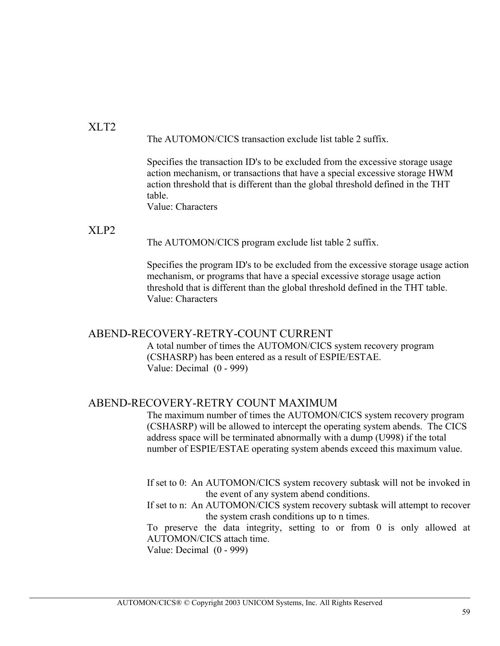### $XLT2$ The AUTOMON/CICS transaction exclude list table 2 suffix.

Specifies the transaction ID's to be excluded from the excessive storage usage action mechanism, or transactions that have a special excessive storage HWM action threshold that is different than the global threshold defined in the THT table.

Value: Characters

## XLP2

The AUTOMON/CICS program exclude list table 2 suffix.

Specifies the program ID's to be excluded from the excessive storage usage action mechanism, or programs that have a special excessive storage usage action threshold that is different than the global threshold defined in the THT table. Value: Characters

### ABEND-RECOVERY-RETRY-COUNT CURRENT

A total number of times the AUTOMON/CICS system recovery program (CSHASRP) has been entered as a result of ESPIE/ESTAE. Value: Decimal (0 - 999)

## ABEND-RECOVERY-RETRY COUNT MAXIMUM

The maximum number of times the AUTOMON/CICS system recovery program (CSHASRP) will be allowed to intercept the operating system abends. The CICS address space will be terminated abnormally with a dump (U998) if the total number of ESPIE/ESTAE operating system abends exceed this maximum value.

If set to 0: An AUTOMON/CICS system recovery subtask will not be invoked in the event of any system abend conditions.

If set to n: An AUTOMON/CICS system recovery subtask will attempt to recover the system crash conditions up to n times.

To preserve the data integrity, setting to or from 0 is only allowed at AUTOMON/CICS attach time.

Value: Decimal (0 - 999)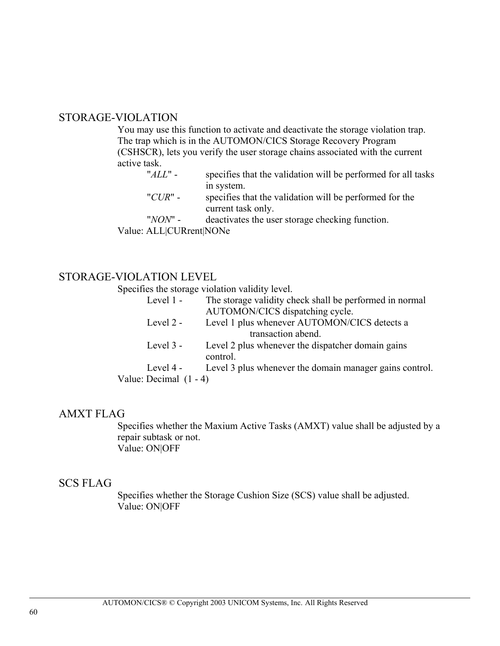### STORAGE-VIOLATION

You may use this function to activate and deactivate the storage violation trap. The trap which is in the AUTOMON/CICS Storage Recovery Program (CSHSCR), lets you verify the user storage chains associated with the current active task.

- "*ALL*" specifies that the validation will be performed for all tasks in system.
- "*CUR*" specifies that the validation will be performed for the current task only.

"*NON*" - deactivates the user storage checking function.

Value: ALL|CURrent|NONe

## STORAGE-VIOLATION LEVEL

Specifies the storage violation validity level.

| Level 1 -                | The storage validity check shall be performed in normal |
|--------------------------|---------------------------------------------------------|
|                          | AUTOMON/CICS dispatching cycle.                         |
| Level 2 -                | Level 1 plus whenever AUTOMON/CICS detects a            |
|                          | transaction abend.                                      |
| Level $3 -$              | Level 2 plus whenever the dispatcher domain gains       |
|                          | control.                                                |
| Level 4 -                | Level 3 plus whenever the domain manager gains control. |
| Value: Decimal $(1 - 4)$ |                                                         |
|                          |                                                         |

## AMXT FLAG

Specifies whether the Maxium Active Tasks (AMXT) value shall be adjusted by a repair subtask or not. Value: ON|OFF

### SCS FLAG

Specifies whether the Storage Cushion Size (SCS) value shall be adjusted. Value: ON|OFF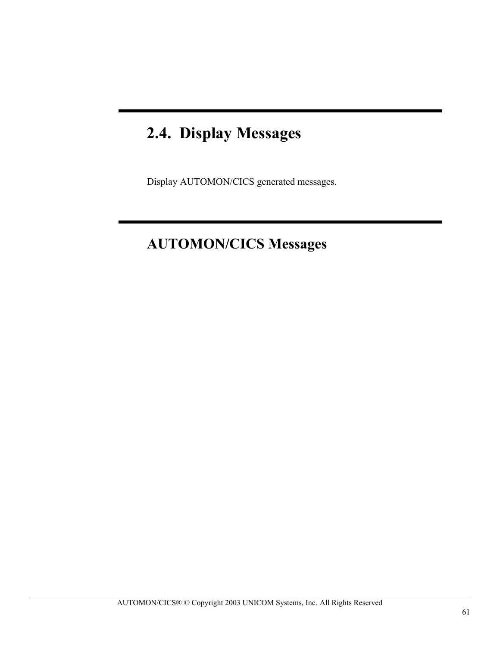# **2.4. Display Messages**

Display AUTOMON/CICS generated messages.

## **AUTOMON/CICS Messages**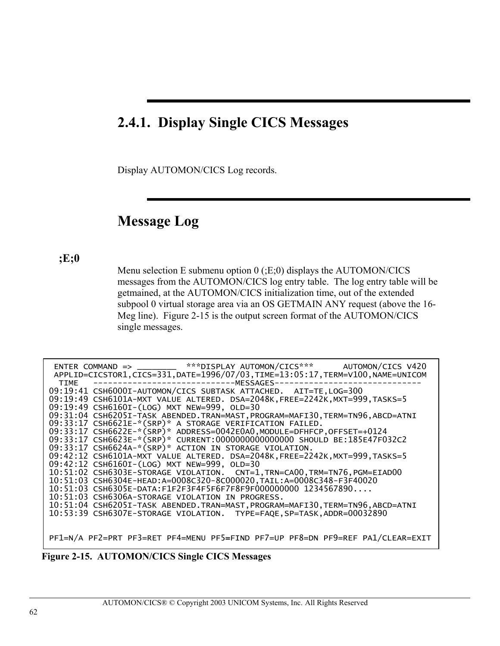## **2.4.1. Display Single CICS Messages**

Display AUTOMON/CICS Log records.

## **Message Log**

## **;E;0**

Menu selection E submenu option  $0$  (;E;0) displays the AUTOMON/CICS messages from the AUTOMON/CICS log entry table. The log entry table will be getmained, at the AUTOMON/CICS initialization time, out of the extended subpool 0 virtual storage area via an OS GETMAIN ANY request (above the 16- Meg line). Figure 2-15 is the output screen format of the AUTOMON/CICS single messages.

|      |                                                  |                                                                         | ENTER COMMAND => ________ ***DISPLAY AUTOMON/CICS*** AUTOMON/CICS V420            |
|------|--------------------------------------------------|-------------------------------------------------------------------------|-----------------------------------------------------------------------------------|
|      |                                                  |                                                                         | APPLID=CICSTOR1, CICS=331, DATE=1996/07/03, TIME=13:05:17, TERM=V100, NAME=UNICOM |
| TIME | -------------------MESSAGES--                    |                                                                         |                                                                                   |
|      |                                                  | 09:19:41 CSH6000I-AUTOMON/CICS SUBTASK ATTACHED. AIT=TE, LOG=300        |                                                                                   |
|      |                                                  |                                                                         | 09:19:49 CSH6101A-MXT VALUE ALTERED. DSA=2048K, FREE=2242K, MXT=999, TASKS=5      |
|      | 09:19:49 CSH6160I-(LOG) MXT NEW=999, OLD=30      |                                                                         |                                                                                   |
|      |                                                  |                                                                         | 09:31:04 CSH6205I-TASK ABENDED.TRAN=MAST, PROGRAM=MAFI30, TERM=TN96, ABCD=ATNI    |
|      |                                                  | 09:33:17 CSH6621E-*(SRP)* A STORAGE VERIFICATION FAILED.                |                                                                                   |
|      |                                                  | 09:33:17 CSH6622E-*(SRP)* ADDRESS=0042E0A0, MODULE=DFHFCP, OFFSET=+0124 |                                                                                   |
|      |                                                  |                                                                         | 09:33:17 CSH6623E-*(SRP)* CURRENT:0000000000000000 SHOULD BE:185E47F032C2         |
|      |                                                  | 09:33:17 CSH6624A-*(SRP)* ACTION IN STORAGE VIOLATION.                  |                                                                                   |
|      |                                                  |                                                                         | 09:42:12 CSH6101A-MXT VALUE ALTERED. DSA=2048K, FREE=2242K, MXT=999, TASKS=5      |
|      | 09:42:12 CSH6160I-(LOG) MXT NEW=999, OLD=30      |                                                                         |                                                                                   |
|      |                                                  |                                                                         | 10:51:02 CSH6303E-STORAGE VIOLATION. CNT=1,TRN=CA00,TRM=TN76,PGM=EIAD00           |
|      |                                                  | 10:51:03 CSH6304E-HEAD:A=0008C320-8C000020.TAIL:A=0008C348-F3F40020     |                                                                                   |
|      |                                                  | $10:51:03$ CSH6305E-DATA:F1F2F3F4F5F6F7F8F9F000000000 1234567890        |                                                                                   |
|      | 10:51:03 CSH6306A-STORAGE VIOLATION IN PROGRESS. |                                                                         |                                                                                   |
|      |                                                  |                                                                         | 10:51:04 CSH6205I-TASK ABENDED.TRAN=MAST,PROGRAM=MAFI30,TERM=TN96,ABCD=ATNI       |
|      |                                                  | 10:53:39 CSH6307E-STORAGE VIOLATION. TYPE=FAQE, SP=TASK, ADDR=00032890  |                                                                                   |
|      |                                                  |                                                                         |                                                                                   |
|      |                                                  |                                                                         |                                                                                   |
|      |                                                  |                                                                         | PF1=N/A PF2=PRT PF3=RET PF4=MENU PF5=FIND PF7=UP PF8=DN PF9=REF PA1/CLEAR=EXIT    |

 **Figure 2-15. AUTOMON/CICS Single CICS Messages**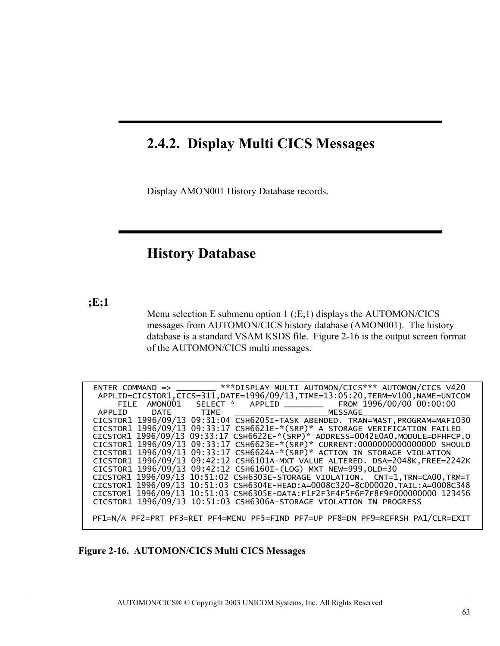## **2.4.2. Display Multi CICS Messages**

Display AMON001 History Database records.

## **History Database**

**;E;1**

Menu selection E submenu option 1 (;E;1) displays the AUTOMON/CICS messages from AUTOMON/CICS history database (AMON001). The history database is a standard VSAM KSDS file. Figure 2-16 is the output screen format of the AUTOMON/CICS multi messages.

|  | ENTER COMMAND => ________ ***DISPLAY MULTI AUTOMON/CICS*** AUTOMON/CICS V420     |
|--|----------------------------------------------------------------------------------|
|  | APPLID=CICSTOR1,CICS=311,DATE=1996/09/13,TIME=13:05:20,TERM=V100,NAME=UNICOM     |
|  | FILE AMONO01 SELECT * APPLID ________ FROM 1996/00/00 00:00:00                   |
|  | APPLID DATE TIME _______________________MESSAGE__                                |
|  | CICSTOR1 1996/09/13 09:31:04 CSH6205I-TASK ABENDED. TRAN=MAST, PROGRAM=MAFI030   |
|  | CICSTOR1 1996/09/13 09:33:17 CSH6621E-*(SRP)* A STORAGE VERIFICATION FAILED      |
|  | CICSTOR1 1996/09/13 09:33:17 CSH6622E-*(SRP)* ADDRESS=0042E0A0, MODULE=DFHFCP, 0 |
|  | CICSTOR1 1996/09/13 09:33:17 CSH6623E-*(SRP)* CURRENT:0000000000000000 SHOULD    |
|  | CICSTOR1 1996/09/13 09:33:17 CSH6624A-*(SRP)* ACTION IN STORAGE VIOLATION        |
|  | CICSTOR1 1996/09/13 09:42:12 CSH6101A-MXT VALUE ALTERED. DSA=2048K, FREE=2242K   |
|  | CICSTOR1 1996/09/13 09:42:12 CSH6160I-(LOG) MXT NEW=999, OLD=30                  |
|  | CICSTOR1 1996/09/13 10:51:02 CSH6303E-STORAGE VIOLATION. CNT=1, TRN=CA00, TRM=T  |
|  | CICSTOR1 1996/09/13 10:51:03 CSH6304E-HEAD:A=0008C320-8C000020,TAIL:A=0008C348   |
|  | CICSTOR1 1996/09/13 10:51:03 CSH6305E-DATA:F1F2F3F4F5F6F7F8F9F000000000 123456   |
|  | CICSTOR1 1996/09/13 10:51:03 CSH6306A-STORAGE VIOLATION IN PROGRESS              |
|  |                                                                                  |
|  | PF1=N/A PF2=PRT PF3=RET PF4=MENU PF5=FIND PF7=UP PF8=DN PF9=REFRSH PA1/CLR=EXIT  |

 **Figure 2-16. AUTOMON/CICS Multi CICS Messages**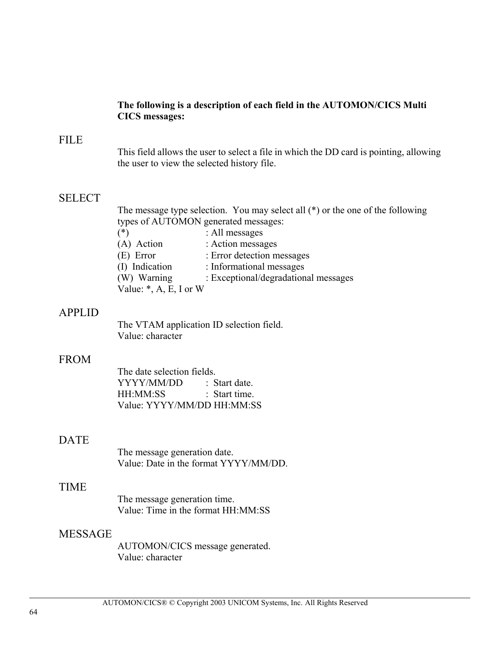#### **The following is a description of each field in the AUTOMON/CICS Multi CICS messages:**

### FILE

This field allows the user to select a file in which the DD card is pointing, allowing the user to view the selected history file.

### **SELECT**

The message type selection. You may select all (\*) or the one of the following types of AUTOMON generated messages:

- (\*) : All messages (A) Action : Action messages
- 
- (E) Error : Error detection messages
- (I) Indication : Informational messages
- (W) Warning : Exceptional/degradational messages

Value:  $*, A, E, I$  or W

### APPLID

The VTAM application ID selection field. Value: character

#### FROM

The date selection fields. YYYY/MM/DD : Start date. HH:MM:SS : Start time. Value: YYYY/MM/DD HH:MM:SS

### **DATE**

The message generation date. Value: Date in the format YYYY/MM/DD.

#### TIME

The message generation time. Value: Time in the format HH:MM:SS

#### MESSAGE

AUTOMON/CICS message generated. Value: character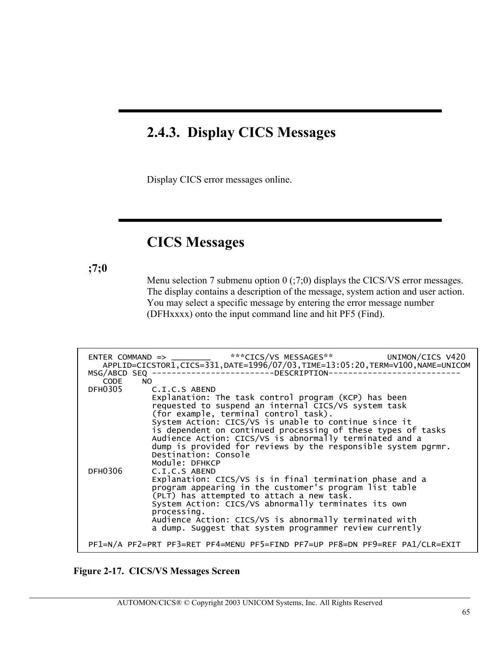## **2.4.3. Display CICS Messages**

Display CICS error messages online.

## **CICS Messages**

**;7;0**

Menu selection 7 submenu option 0 (;7;0) displays the CICS/VS error messages. The display contains a description of the message, system action and user action. You may select a specific message by entering the error message number (DFHxxxx) onto the input command line and hit PF5 (Find).

| CODE    | ENTER COMMAND => ________ ***CICS/VS MESSAGES** UNIMON/CICS V420<br>APPLID=CICSTOR1, CICS=331, DATE=1996/07/03, TIME=13:05:20, TERM=V100, NAME=UNICOM<br>MSG/ABCD SEQ --------------------------DESCRIPTION----<br>NO.                                                                                                                                                                                                                                                        |
|---------|-------------------------------------------------------------------------------------------------------------------------------------------------------------------------------------------------------------------------------------------------------------------------------------------------------------------------------------------------------------------------------------------------------------------------------------------------------------------------------|
|         | DFH0305 C.I.C.S ABEND<br>Explanation: The task control program (KCP) has been<br>requested to suspend an internal CICS/VS system task<br>(for example, terminal control task).<br>System Action: CICS/VS is unable to continue since it<br>is dependent on continued processing of these types of tasks<br>Audience Action: CICS/VS is abnormally terminated and a<br>dump is provided for reviews by the responsible system pgrmr.<br>Destination: Console<br>Module: DFHKCP |
| DFH0306 | C.I.C.S ABEND<br>Explanation: CICS/VS is in final termination phase and a<br>program appearing in the customer's program list table<br>(PLT) has attempted to attach a new task.<br>System Action: CICS/VS abnormally terminates its own<br>processing.<br>Audience Action: CICS/VS is abnormally terminated with<br>a dump. Suggest that system programmer review currently                                                                                                  |
|         | PF1=N/A PF2=PRT PF3=RET PF4=MENU PF5=FIND PF7=UP PF8=DN PF9=REF PA1/CLR=EXIT                                                                                                                                                                                                                                                                                                                                                                                                  |

#### **Figure 2-17. CICS/VS Messages Screen**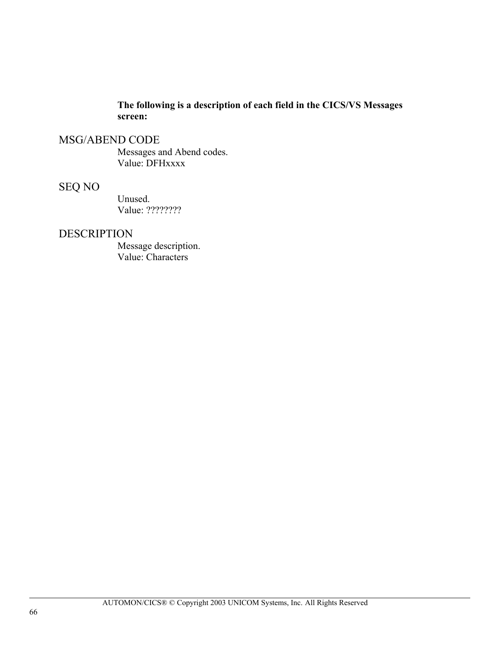## **The following is a description of each field in the CICS/VS Messages screen:**

## MSG/ABEND CODE

Messages and Abend codes. Value: DFHxxxx

## SEQ NO

Unused. Value: ????????

### DESCRIPTION

Message description. Value: Characters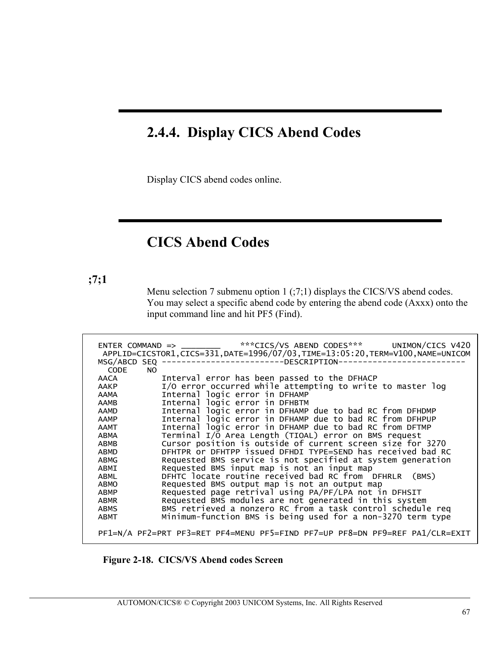# **2.4.4. Display CICS Abend Codes**

Display CICS abend codes online.

## **CICS Abend Codes**

**;7;1**

Menu selection 7 submenu option 1 (;7;1) displays the CICS/VS abend codes. You may select a specific abend code by entering the abend code (Axxx) onto the input command line and hit PF5 (Find).

| <b>CODE</b> | MSG/ABCD SEQ --------------------------DESCRIPTION-<br>NO.  |
|-------------|-------------------------------------------------------------|
| AACA        | Interval error has been passed to the DFHACP                |
| AAKP        | I/O error occurred while attempting to write to master log  |
| AAMA        | Internal logic error in DFHAMP                              |
| AAMB        | Internal logic error in DFHBTM                              |
| AAMD        | Internal logic error in DFHAMP due to bad RC from DFHDMP    |
| AAMP        | Internal logic error in DFHAMP due to bad RC from DFHPUP    |
| AAMT        | Internal logic error in DFHAMP due to bad RC from DFTMP     |
| ABMA        | Terminal I/O Area Length (TIOAL) error on BMS request       |
| ABMB        | Cursor position is outside of current screen size for 3270  |
| ABMD        | DFHTPR or DFHTPP issued DFHDI TYPE=SEND has received bad RC |
| ABMG        | Requested BMS service is not specified at system generation |
| ABMI        | Requested BMS input map is not an input map                 |
| ABML        | DFHTC locate routine received bad RC from DFHRLR (BMS)      |
| ABMO        | Requested BMS output map is not an output map               |
| ABMP        | Requested page retrival using PA/PF/LPA not in DFHSIT       |
| ABMR        | Requested BMS modules are not generated in this system      |
| <b>ABMS</b> | BMS retrieved a nonzero RC from a task control schedule req |
| ABMT        | Minimum-function BMS is being used for a non-3270 term type |

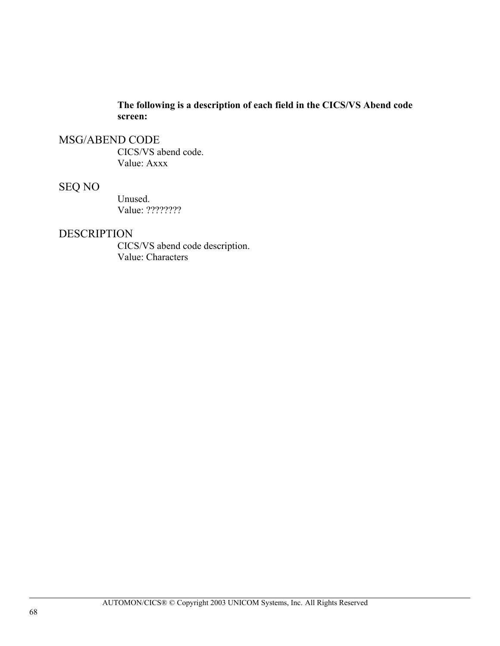**The following is a description of each field in the CICS/VS Abend code screen:**

#### MSG/ABEND CODE

CICS/VS abend code. Value: Axxx

### SEQ NO

Unused. Value: ????????

#### DESCRIPTION

CICS/VS abend code description. Value: Characters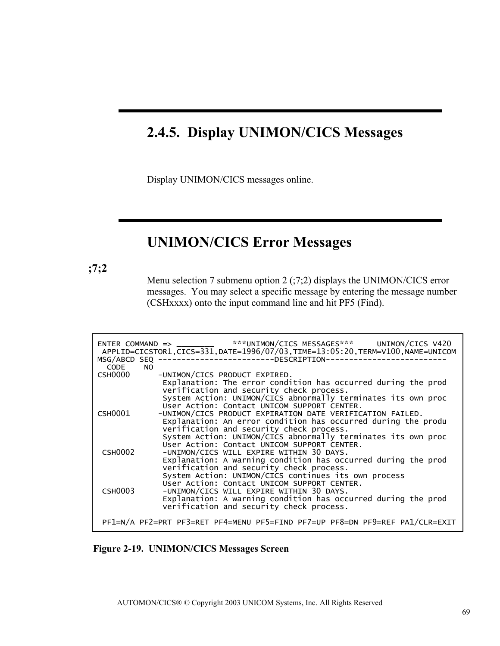# **2.4.5. Display UNIMON/CICS Messages**

Display UNIMON/CICS messages online.

## **UNIMON/CICS Error Messages**

**;7;2**

Menu selection 7 submenu option 2 (;7;2) displays the UNIMON/CICS error messages. You may select a specific message by entering the message number (CSHxxxx) onto the input command line and hit PF5 (Find).

| CODE<br>NO.    | ENTER COMMAND => _________ ***UNIMON/CICS MESSAGES*** UNIMON/CICS V420<br>APPLID=CICSTOR1,CICS=331,DATE=1996/07/03,TIME=13:05:20,TERM=V100,NAME=UNICOM<br>MSG/ABCD SEQ --------------------------DESCRIPTION-----------                                                                                           |
|----------------|-------------------------------------------------------------------------------------------------------------------------------------------------------------------------------------------------------------------------------------------------------------------------------------------------------------------|
| CSH0000        | -UNIMON/CICS PRODUCT EXPIRED.<br>Explanation: The error condition has occurred during the prod<br>verification and security check process.                                                                                                                                                                        |
| CSH0001        | System Action: UNIMON/CICS abnormally terminates its own proc<br>User Action: Contact UNICOM SUPPORT CENTER.<br>-UNIMON/CICS PRODUCT EXPIRATION DATE VERIFICATION FAILED.<br>Explanation: An error condition has occurred during the produ                                                                        |
| <b>CSH0002</b> | verification and security check process.<br>System Action: UNIMON/CICS abnormally terminates its own proc<br>User Action: Contact UNICOM SUPPORT CENTER.<br>-UNIMON/CICS WILL EXPIRE WITHIN 30 DAYS.<br>Explanation: A warning condition has occurred during the prod<br>verification and security check process. |
| <b>CSH0003</b> | System Action: UNIMON/CICS continues its own process<br>User Action: Contact UNICOM SUPPORT CENTER.<br>-UNIMON/CICS WILL EXPIRE WITHIN 30 DAYS.<br>Explanation: A warning condition has occurred during the prod<br>verification and security check process.                                                      |
|                | PF1=N/A PF2=PRT PF3=RET PF4=MENU PF5=FIND PF7=UP PF8=DN PF9=REF PA1/CLR=EXIT                                                                                                                                                                                                                                      |

 **Figure 2-19. UNIMON/CICS Messages Screen**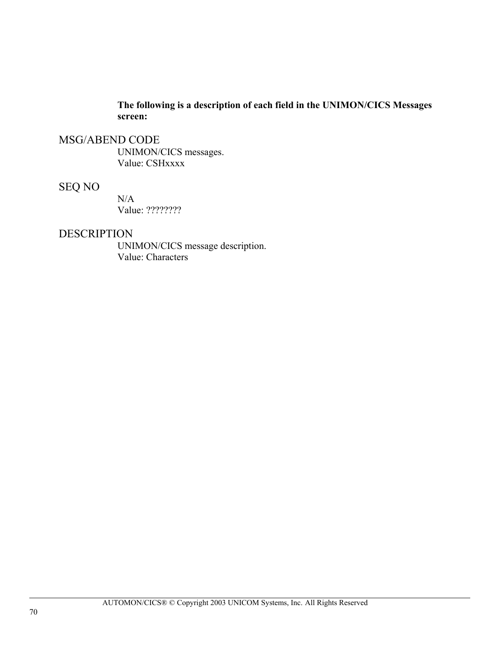**The following is a description of each field in the UNIMON/CICS Messages screen:**

#### MSG/ABEND CODE

UNIMON/CICS messages. Value: CSHxxxx

### SEQ NO

 $N/A$ Value: ????????

#### DESCRIPTION

UNIMON/CICS message description. Value: Characters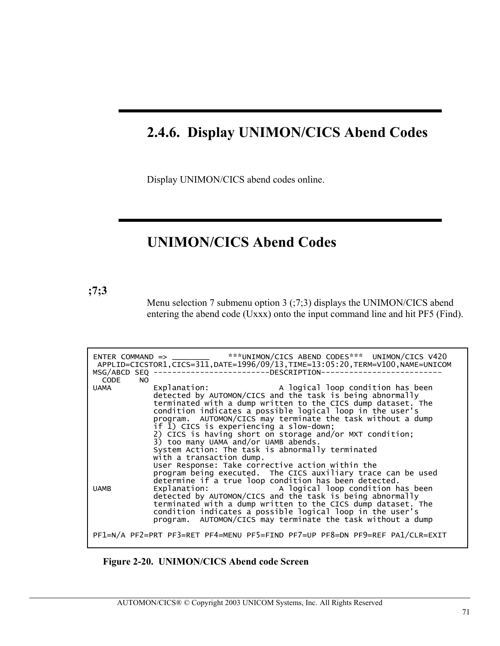# **2.4.6. Display UNIMON/CICS Abend Codes**

Display UNIMON/CICS abend codes online.

## **UNIMON/CICS Abend Codes**

**;7;3**

Menu selection 7 submenu option 3 (;7;3) displays the UNIMON/CICS abend entering the abend code (Uxxx) onto the input command line and hit PF5 (Find).

| CODE | MSG/ABCD SEQ --------------------------DESCRIPTION-<br>NO.                                                                                                                                                                                                                                                                                                                                                                                                                                                                             |
|------|----------------------------------------------------------------------------------------------------------------------------------------------------------------------------------------------------------------------------------------------------------------------------------------------------------------------------------------------------------------------------------------------------------------------------------------------------------------------------------------------------------------------------------------|
| UAMA | Explanation: A logical loop condition has been<br>detected by AUTOMON/CICS and the task is being abnormally<br>terminated with a dump written to the CICS dump dataset. The<br>condition indicates a possible logical loop in the user's<br>program. AUTOMON/CICS may terminate the task without a dump<br>if I) CICS is experiencing a slow-down;<br>2) CICS is having short on storage and/or MXT condition;<br>3) too many UAMA and/or UAMB abends.<br>System Action: The task is abnormally terminated<br>with a transaction dump. |
|      | User Response: Take corrective action within the<br>program being executed. The CICS auxiliary trace can be used                                                                                                                                                                                                                                                                                                                                                                                                                       |
| UAMB | determine if a true loop condition has been detected.<br>Explanation: A logical loop condition has been<br>detected by AUTOMON/CICS and the task is being abnormally<br>terminated with a dump written to the CICS dump dataset. The                                                                                                                                                                                                                                                                                                   |

**Figure 2-20. UNIMON/CICS Abend code Screen**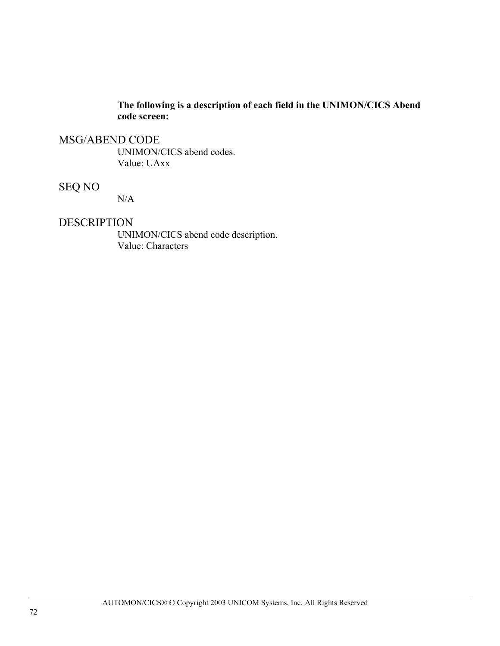#### **The following is a description of each field in the UNIMON/CICS Abend code screen:**

#### MSG/ABEND CODE

UNIMON/CICS abend codes. Value: UAxx

### SEQ NO

N/A

#### DESCRIPTION

UNIMON/CICS abend code description. Value: Characters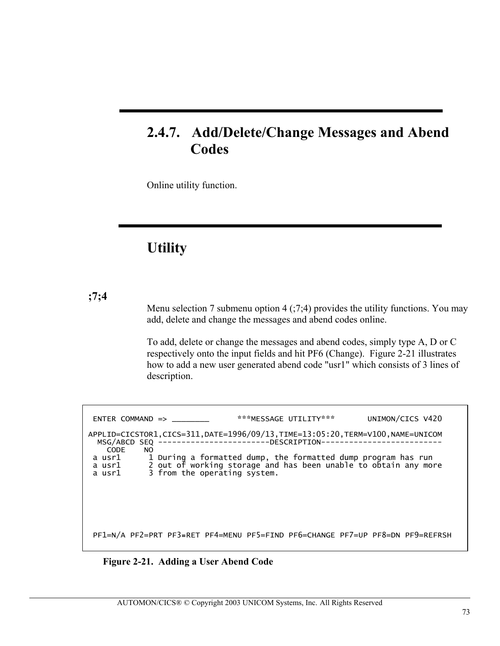## **2.4.7. Add/Delete/Change Messages and Abend Codes**

Online utility function.

# **Utility**

**;7;4**

Menu selection 7 submenu option 4  $(0.7,4)$  provides the utility functions. You may add, delete and change the messages and abend codes online.

To add, delete or change the messages and abend codes, simply type A, D or C respectively onto the input fields and hit PF6 (Change). Figure 2-21 illustrates how to add a new user generated abend code "usr1" which consists of 3 lines of description.

I ENTER COMMAND => \_\_\_\_\_\_\_\_ \*\*\*MESSAGE UTILITY\*\*\* UNIMON/CICS V420 APPLID=CICSTOR1,CICS=311,DATE=1996/09/13,TIME=13:05:20,TERM=V100,NAME=UNICOM .<br>MO<br>NO CODE<br>a usr1 a usr1 1 During a formatted dump, the formatted dump program has run a usr1 2 out of working storage and has been unable to obtain any more a usr1 3 from the operating system. PF1=N/A PF2=PRT PF3**=**RET PF4=MENU PF5=FIND PF6=CHANGE PF7=UP PF8=DN PF9=REFRSH

**Figure 2-21. Adding a User Abend Code**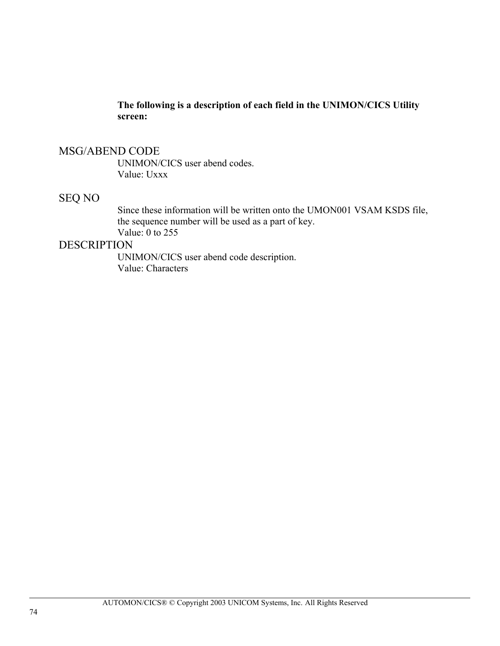**The following is a description of each field in the UNIMON/CICS Utility screen:**

### MSG/ABEND CODE

UNIMON/CICS user abend codes. Value: Uxxx

#### SEQ NO

Since these information will be written onto the UMON001 VSAM KSDS file, the sequence number will be used as a part of key. Value: 0 to 255

### **DESCRIPTION**

UNIMON/CICS user abend code description. Value: Characters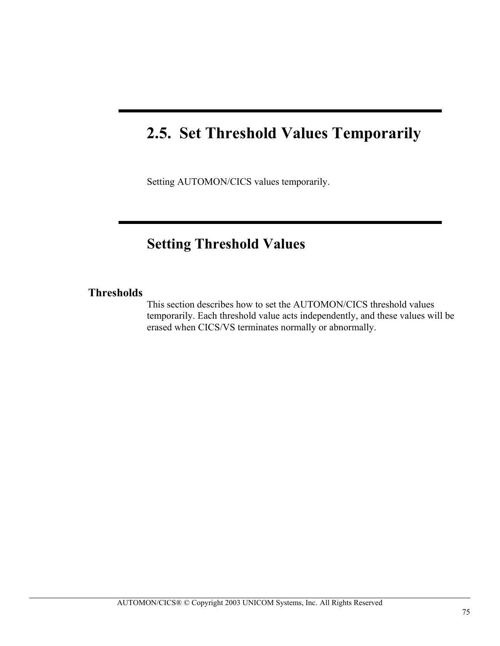# **2.5. Set Threshold Values Temporarily**

Setting AUTOMON/CICS values temporarily.

## **Setting Threshold Values**

#### **Thresholds**

This section describes how to set the AUTOMON/CICS threshold values temporarily. Each threshold value acts independently, and these values will be erased when CICS/VS terminates normally or abnormally.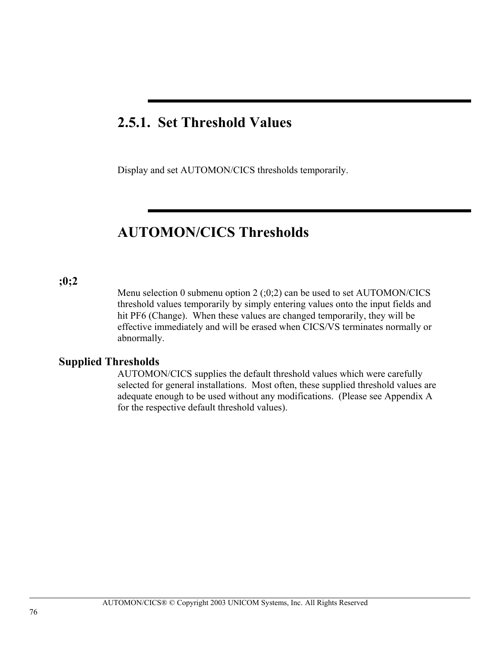## **2.5.1. Set Threshold Values**

Display and set AUTOMON/CICS thresholds temporarily.

## **AUTOMON/CICS Thresholds**

#### **;0;2**

Menu selection 0 submenu option  $2$  ( $;0;2$ ) can be used to set AUTOMON/CICS threshold values temporarily by simply entering values onto the input fields and hit PF6 (Change). When these values are changed temporarily, they will be effective immediately and will be erased when CICS/VS terminates normally or abnormally.

### **Supplied Thresholds**

AUTOMON/CICS supplies the default threshold values which were carefully selected for general installations. Most often, these supplied threshold values are adequate enough to be used without any modifications. (Please see Appendix A for the respective default threshold values).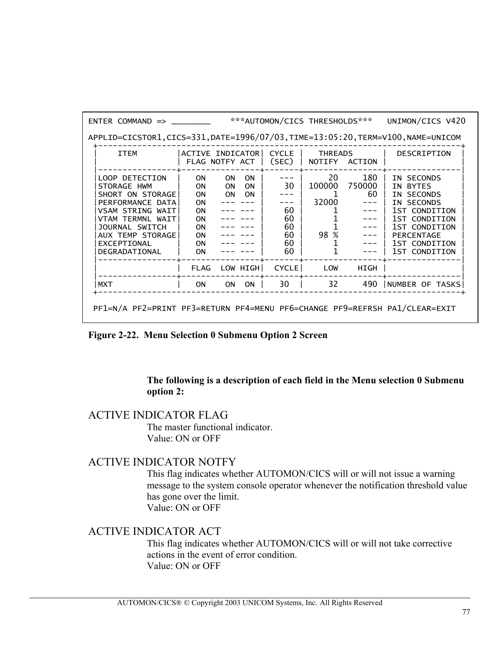| $ENTER$ COMMAND $\Rightarrow$                                                                                                                                                       |                                                                 |                        |                                     |                                        | ***AUTOMON/CICS THRESHOLDS***    |                     | UNIMON/CICS V420                                                                                                                                                                  |
|-------------------------------------------------------------------------------------------------------------------------------------------------------------------------------------|-----------------------------------------------------------------|------------------------|-------------------------------------|----------------------------------------|----------------------------------|---------------------|-----------------------------------------------------------------------------------------------------------------------------------------------------------------------------------|
| APPLID=CICSTOR1,CICS=331,DATE=1996/07/03,TIME=13:05:20,TERM=V100,NAME=UNICOM                                                                                                        |                                                                 |                        |                                     |                                        |                                  |                     |                                                                                                                                                                                   |
| <b>ITEM</b>                                                                                                                                                                         | ACTIVE INDICATOR<br>FLAG NOTFY ACT                              |                        |                                     | <b>CYCLE</b><br>(SEC)                  | <b>THREADS</b><br>NOTIFY         | ACTION              | <b>DESCRIPTION</b>                                                                                                                                                                |
| LOOP DETECTION<br>STORAGE HWM<br>SHORT ON STORAGE<br>PERFORMANCE DATA<br>VSAM STRING WAIT<br>VTAM TERMNL WAIT<br>JOURNAL SWITCH<br>AUX TEMP STORAGE<br>EXCEPTIONAL<br>DEGRADATIONAL | 0N<br>OΝ<br>ΟN<br>OΝ<br>OΝ<br>OΝ<br>OΝ<br><b>ON</b><br>OΝ<br>ΟN | 0N<br><b>ON</b><br>ON. | <b>ON</b><br><b>ON</b><br><b>ON</b> | 30<br>60<br>60<br>60<br>60<br>60<br>60 | 20<br>100000<br>32000<br>%<br>98 | 180<br>750000<br>60 | IN SECONDS<br><b>BYTES</b><br>ΤN.<br><b>SECONDS</b><br>ΤN<br>IN SECONDS<br>1ST CONDITION<br>1ST CONDITION<br>1ST CONDITION<br><b>PERCENTAGE</b><br>1ST CONDITION<br>1ST CONDITION |
|                                                                                                                                                                                     | <b>FLAG</b>                                                     |                        | LOW HIGH                            | <b>CYCLE</b>                           | LOW                              | HIGH                |                                                                                                                                                                                   |
| <b>MXT</b>                                                                                                                                                                          | ΟN                                                              | ON.                    | <b>ON</b>                           | 30                                     | 32                               | 490                 | NUMBER OF TASKS                                                                                                                                                                   |
| PF1=N/A PF2=PRINT PF3=RETURN PF4=MENU PF6=CHANGE PF9=REFRSH PA1/CLEAR=EXIT                                                                                                          |                                                                 |                        |                                     |                                        |                                  |                     |                                                                                                                                                                                   |

**Figure 2-22. Menu Selection 0 Submenu Option 2 Screen** 

#### **The following is a description of each field in the Menu selection 0 Submenu option 2:**

#### ACTIVE INDICATOR FLAG

The master functional indicator. Value: ON or OFF

### ACTIVE INDICATOR NOTFY

This flag indicates whether AUTOMON/CICS will or will not issue a warning message to the system console operator whenever the notification threshold value has gone over the limit. Value: ON or OFF

### ACTIVE INDICATOR ACT

This flag indicates whether AUTOMON/CICS will or will not take corrective actions in the event of error condition. Value: ON or OFF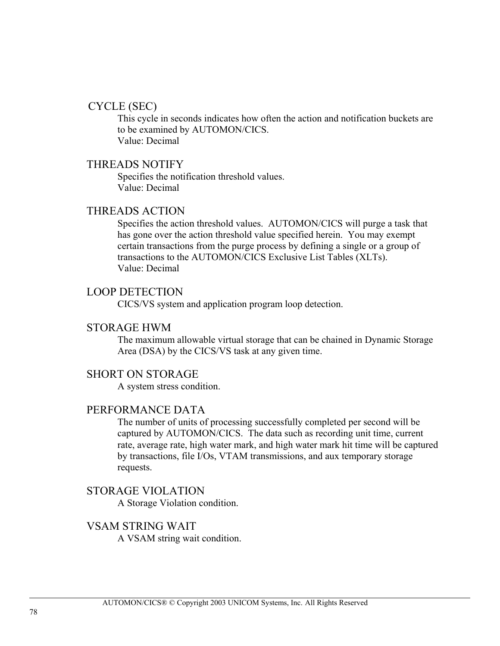#### CYCLE (SEC)

This cycle in seconds indicates how often the action and notification buckets are to be examined by AUTOMON/CICS. Value: Decimal

#### THREADS NOTIFY

Specifies the notification threshold values. Value: Decimal

#### THREADS ACTION

Specifies the action threshold values. AUTOMON/CICS will purge a task that has gone over the action threshold value specified herein. You may exempt certain transactions from the purge process by defining a single or a group of transactions to the AUTOMON/CICS Exclusive List Tables (XLTs). Value: Decimal

#### LOOP DETECTION

CICS/VS system and application program loop detection.

#### STORAGE HWM

The maximum allowable virtual storage that can be chained in Dynamic Storage Area (DSA) by the CICS/VS task at any given time.

#### SHORT ON STORAGE

A system stress condition.

#### PERFORMANCE DATA

The number of units of processing successfully completed per second will be captured by AUTOMON/CICS. The data such as recording unit time, current rate, average rate, high water mark, and high water mark hit time will be captured by transactions, file I/Os, VTAM transmissions, and aux temporary storage requests.

#### STORAGE VIOLATION

A Storage Violation condition.

#### VSAM STRING WAIT

A VSAM string wait condition.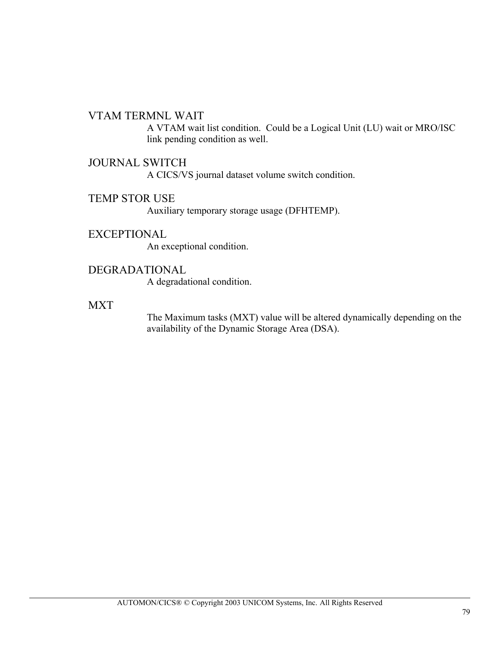#### VTAM TERMNL WAIT

A VTAM wait list condition. Could be a Logical Unit (LU) wait or MRO/ISC link pending condition as well.

#### JOURNAL SWITCH

A CICS/VS journal dataset volume switch condition.

### TEMP STOR USE

Auxiliary temporary storage usage (DFHTEMP).

#### EXCEPTIONAL

An exceptional condition.

#### DEGRADATIONAL

A degradational condition.

#### **MXT**

The Maximum tasks (MXT) value will be altered dynamically depending on the availability of the Dynamic Storage Area (DSA).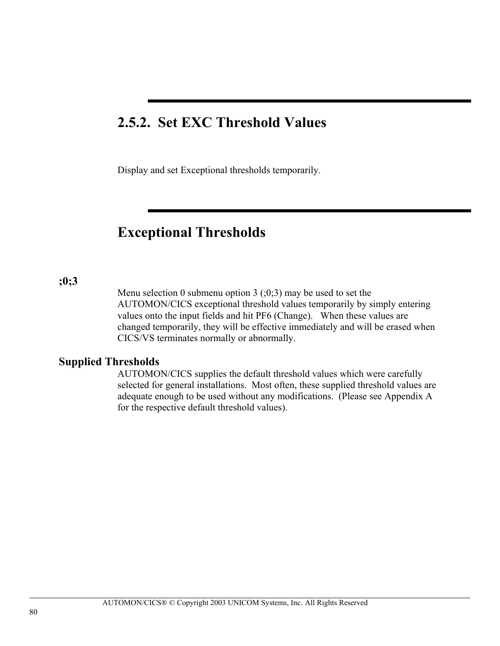## **2.5.2. Set EXC Threshold Values**

Display and set Exceptional thresholds temporarily.

### **Exceptional Thresholds**

#### **;0;3**

Menu selection 0 submenu option 3  $(0,3)$  may be used to set the AUTOMON/CICS exceptional threshold values temporarily by simply entering values onto the input fields and hit PF6 (Change). When these values are changed temporarily, they will be effective immediately and will be erased when CICS/VS terminates normally or abnormally.

#### **Supplied Thresholds**

AUTOMON/CICS supplies the default threshold values which were carefully selected for general installations. Most often, these supplied threshold values are adequate enough to be used without any modifications. (Please see Appendix A for the respective default threshold values).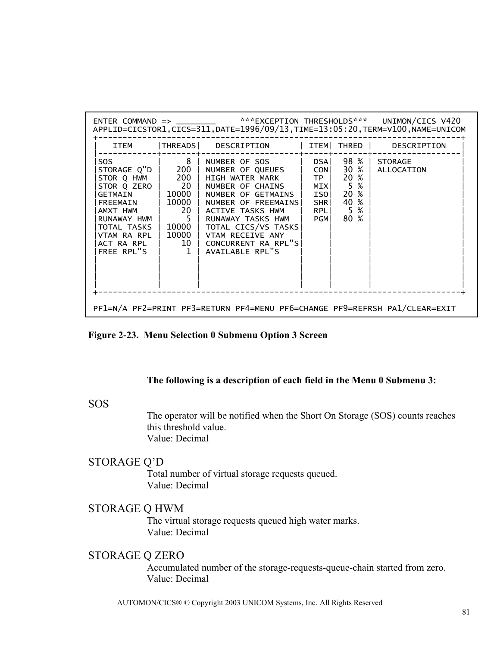|                                                                                                                                                                                |                                                        | ENTER COMMAND => _________ ***EXCEPTION THRESHOLDS*** UNIMON/CICS V420<br>APPLID=CICSTOR1,CICS=311,DATE=1996/09/13,TIME=13:05:20,TERM=V100,NAME=UNICOM                                                                                                                                                                    |                                           |                                                                |                            |  |
|--------------------------------------------------------------------------------------------------------------------------------------------------------------------------------|--------------------------------------------------------|---------------------------------------------------------------------------------------------------------------------------------------------------------------------------------------------------------------------------------------------------------------------------------------------------------------------------|-------------------------------------------|----------------------------------------------------------------|----------------------------|--|
| ITEM                                                                                                                                                                           |                                                        | THREADS  DESCRIPTION   ITEM  THRED   DESCRIPTION                                                                                                                                                                                                                                                                          |                                           |                                                                |                            |  |
| STOR Q HWM $\vert$ 200  <br>STOR Q ZERO $\vert$ 20 $\vert$<br>GETMAIN<br>FREEMAIN   10000<br>AMXT HWM<br>RUNAWAY HWM<br>TOTAL TASKS<br>VTAM RA RPL<br>ACT RA RPL<br>FREE RPL"S | 20<br>$\overline{5}$<br>$\perp$ 10000 $\perp$<br>10000 | SOS   8   NUMBER OF SOS   DSA  <br>STORAGE Q"D   200   NUMBER OF QUEUES   CON <br>HIGH WATER MARK<br>NUMBER OF CHAINS  <br>  10000   NUMBER OF GETMAINS  <br>NUMBER OF FREEMAINS!<br>ACTIVE TASKS HWM<br>RUNAWAY TASKS HWM<br>TOTAL CICS/VS TASKS<br>VTAM RECEIVE ANY<br>10   CONCURRENT RA RPL"S <br>1   AVAILABLE RPL"S | TP I<br>ISOI<br><b>SHRI</b><br><b>PGM</b> | 30 % l<br>20 %<br>$MIX$ 5 %<br>20 %<br>40 %<br>RPL 5 %<br>80 % | 98 % STORAGE<br>ALLOCATION |  |
|                                                                                                                                                                                |                                                        | PF1=N/A PF2=PRINT PF3=RETURN PF4=MENU PF6=CHANGE PF9=REFRSH PA1/CLEAR=EXIT                                                                                                                                                                                                                                                |                                           |                                                                |                            |  |

**Figure 2-23. Menu Selection 0 Submenu Option 3 Screen** 

#### **The following is a description of each field in the Menu 0 Submenu 3:**

#### SOS

The operator will be notified when the Short On Storage (SOS) counts reaches this threshold value. Value: Decimal

### STORAGE Q'D

Total number of virtual storage requests queued. Value: Decimal

### STORAGE Q HWM

The virtual storage requests queued high water marks. Value: Decimal

### STORAGE Q ZERO

Accumulated number of the storage-requests-queue-chain started from zero. Value: Decimal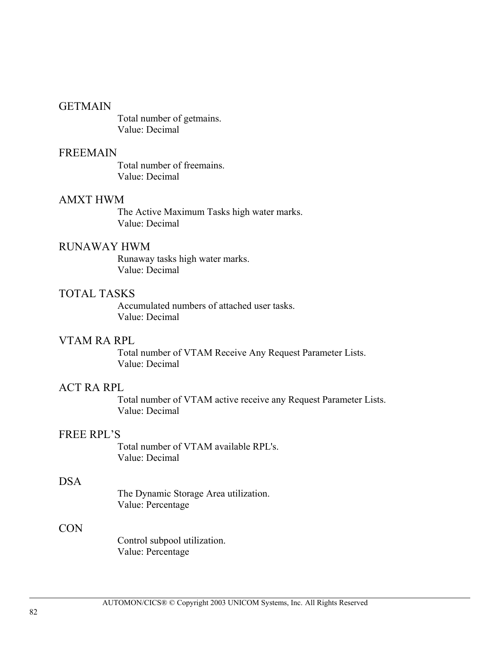#### **GETMAIN**

Total number of getmains. Value: Decimal

#### FREEMAIN

Total number of freemains. Value: Decimal

#### AMXT HWM

The Active Maximum Tasks high water marks. Value: Decimal

#### RUNAWAY HWM

Runaway tasks high water marks. Value: Decimal

#### TOTAL TASKS

Accumulated numbers of attached user tasks. Value: Decimal

#### VTAM RA RPL

Total number of VTAM Receive Any Request Parameter Lists. Value: Decimal

#### ACT RA RPL

Total number of VTAM active receive any Request Parameter Lists. Value: Decimal

#### FREE RPL'S

 Total number of VTAM available RPL's. Value: Decimal

#### DSA

The Dynamic Storage Area utilization. Value: Percentage

#### CON

Control subpool utilization. Value: Percentage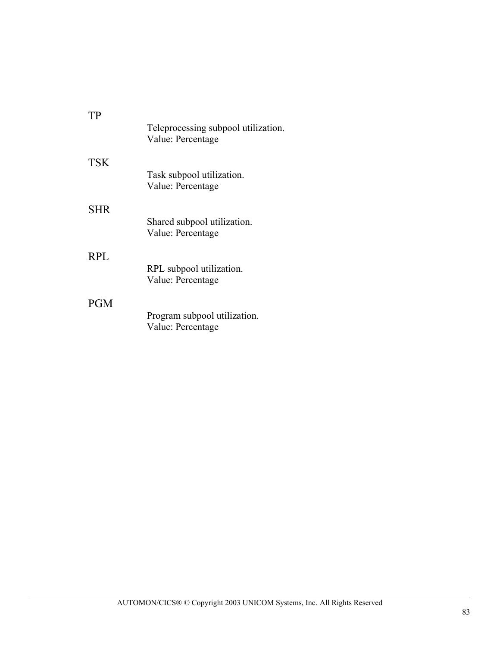| TР         | Teleprocessing subpool utilization.<br>Value: Percentage |
|------------|----------------------------------------------------------|
| TSK.       | Task subpool utilization.<br>Value: Percentage           |
| <b>SHR</b> | Shared subpool utilization.<br>Value: Percentage         |
| <b>RPL</b> | RPL subpool utilization.<br>Value: Percentage            |
| <b>PGM</b> | Program subpool utilization.<br>Value: Percentage        |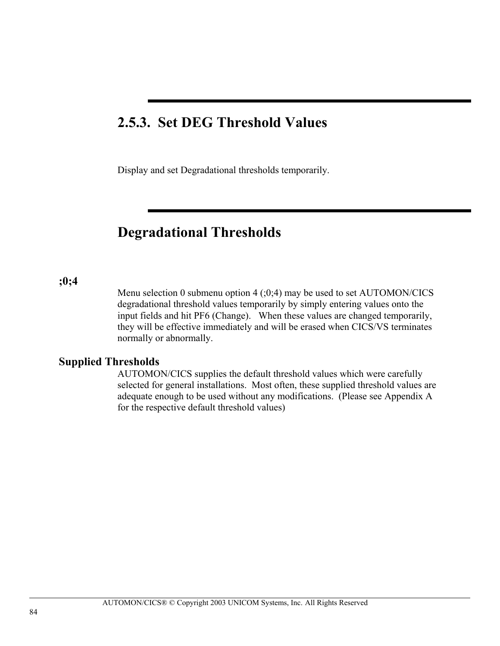### **2.5.3. Set DEG Threshold Values**

Display and set Degradational thresholds temporarily.

### **Degradational Thresholds**

#### **;0;4**

Menu selection 0 submenu option  $4$  (;0;4) may be used to set AUTOMON/CICS degradational threshold values temporarily by simply entering values onto the input fields and hit PF6 (Change). When these values are changed temporarily, they will be effective immediately and will be erased when CICS/VS terminates normally or abnormally.

#### **Supplied Thresholds**

AUTOMON/CICS supplies the default threshold values which were carefully selected for general installations. Most often, these supplied threshold values are adequate enough to be used without any modifications. (Please see Appendix A for the respective default threshold values)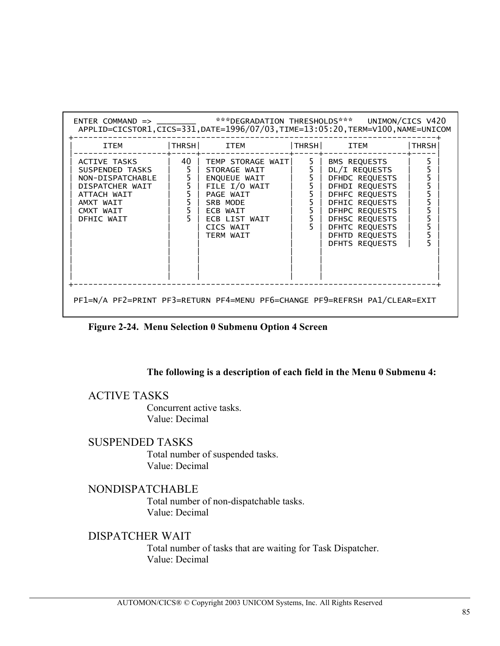| <b>ITEM</b> | THRSH  ITEM  THRSH  ITEM |                                                                                                                                                                                                 | THRSH                                      |
|-------------|--------------------------|-------------------------------------------------------------------------------------------------------------------------------------------------------------------------------------------------|--------------------------------------------|
|             | TERM WAIT                | BMS REQUESTS<br>DL/I REQUESTS<br>DFHDC REQUESTS<br>DFHDI REQUESTS<br>DFHFC REQUESTS<br>DFHIC REQUESTS<br>DFHPC REOUESTS<br>DFHSC REQUESTS<br>DFHTC REQUESTS<br>DFHTD REQUESTS<br>DFHTS REOUESTS | $\begin{array}{c} 5 \\ 5 \\ 5 \end{array}$ |

**Figure 2-24. Menu Selection 0 Submenu Option 4 Screen** 

#### **The following is a description of each field in the Menu 0 Submenu 4:**

#### ACTIVE TASKS

Concurrent active tasks. Value: Decimal

#### SUSPENDED TASKS

Total number of suspended tasks. Value: Decimal

#### NONDISPATCHABLE

Total number of non-dispatchable tasks. Value: Decimal

### DISPATCHER WAIT

Total number of tasks that are waiting for Task Dispatcher. Value: Decimal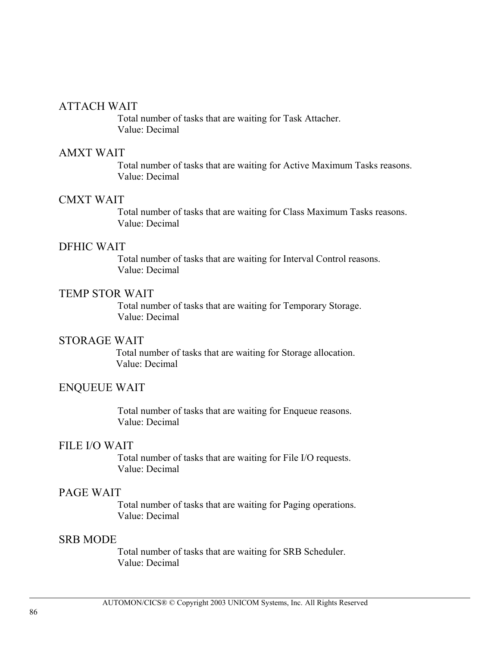#### ATTACH WAIT

Total number of tasks that are waiting for Task Attacher. Value: Decimal

#### AMXT WAIT

Total number of tasks that are waiting for Active Maximum Tasks reasons. Value: Decimal

#### CMXT WAIT

Total number of tasks that are waiting for Class Maximum Tasks reasons. Value: Decimal

#### DFHIC WAIT

Total number of tasks that are waiting for Interval Control reasons. Value: Decimal

#### TEMP STOR WAIT

Total number of tasks that are waiting for Temporary Storage. Value: Decimal

#### STORAGE WAIT

Total number of tasks that are waiting for Storage allocation. Value: Decimal

#### ENQUEUE WAIT

Total number of tasks that are waiting for Enqueue reasons. Value: Decimal

#### FILE I/O WAIT

Total number of tasks that are waiting for File I/O requests. Value: Decimal

#### PAGE WAIT

Total number of tasks that are waiting for Paging operations. Value: Decimal

#### SRB MODE

Total number of tasks that are waiting for SRB Scheduler. Value: Decimal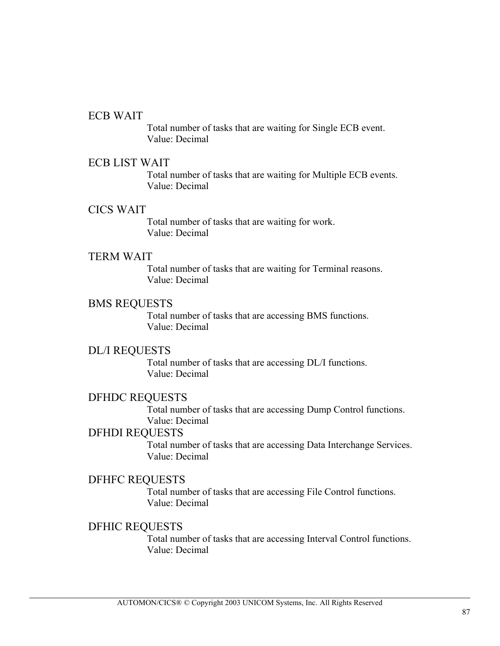#### ECB WAIT

Total number of tasks that are waiting for Single ECB event. Value: Decimal

#### ECB LIST WAIT

Total number of tasks that are waiting for Multiple ECB events. Value: Decimal

#### CICS WAIT

Total number of tasks that are waiting for work. Value: Decimal

#### TERM WAIT

Total number of tasks that are waiting for Terminal reasons. Value: Decimal

#### BMS REQUESTS

Total number of tasks that are accessing BMS functions. Value: Decimal

#### DL/I REQUESTS

Total number of tasks that are accessing DL/I functions. Value: Decimal

#### DFHDC REQUESTS

Total number of tasks that are accessing Dump Control functions. Value: Decimal

#### DFHDI REQUESTS

Total number of tasks that are accessing Data Interchange Services. Value: Decimal

### DFHFC REQUESTS

Total number of tasks that are accessing File Control functions. Value: Decimal

#### DFHIC REQUESTS

Total number of tasks that are accessing Interval Control functions. Value: Decimal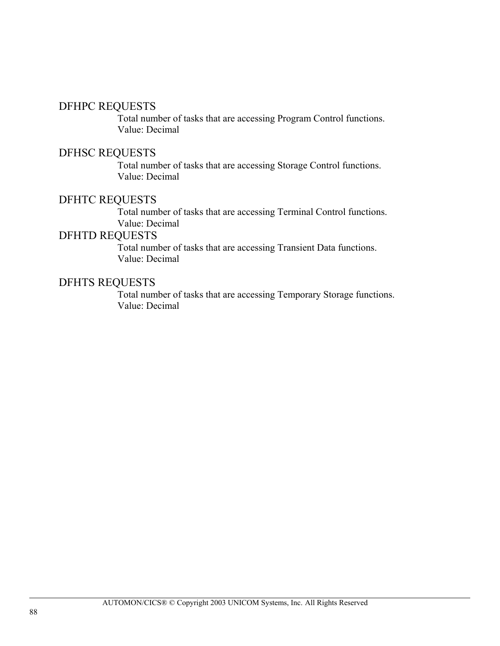#### DFHPC REQUESTS

Total number of tasks that are accessing Program Control functions. Value: Decimal

#### DFHSC REQUESTS

Total number of tasks that are accessing Storage Control functions. Value: Decimal

### DFHTC REQUESTS

Total number of tasks that are accessing Terminal Control functions. Value: Decimal

#### DFHTD REQUESTS

Total number of tasks that are accessing Transient Data functions. Value: Decimal

#### DFHTS REQUESTS

Total number of tasks that are accessing Temporary Storage functions. Value: Decimal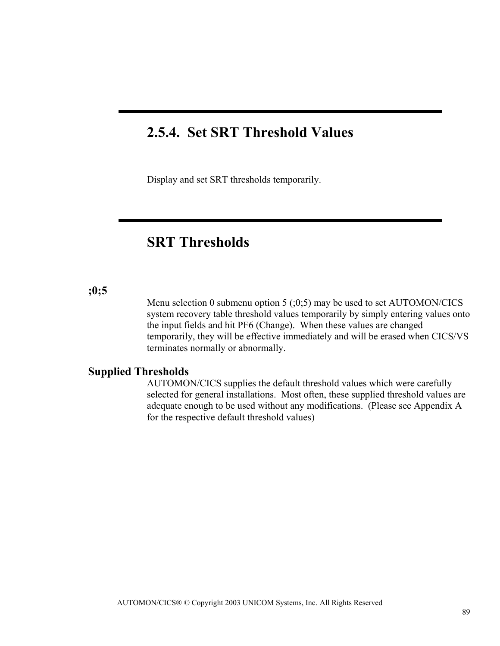## **2.5.4. Set SRT Threshold Values**

Display and set SRT thresholds temporarily.

## **SRT Thresholds**

#### **;0;5**

Menu selection 0 submenu option 5  $(0,5)$  may be used to set AUTOMON/CICS system recovery table threshold values temporarily by simply entering values onto the input fields and hit PF6 (Change). When these values are changed temporarily, they will be effective immediately and will be erased when CICS/VS terminates normally or abnormally.

#### **Supplied Thresholds**

AUTOMON/CICS supplies the default threshold values which were carefully selected for general installations. Most often, these supplied threshold values are adequate enough to be used without any modifications. (Please see Appendix A for the respective default threshold values)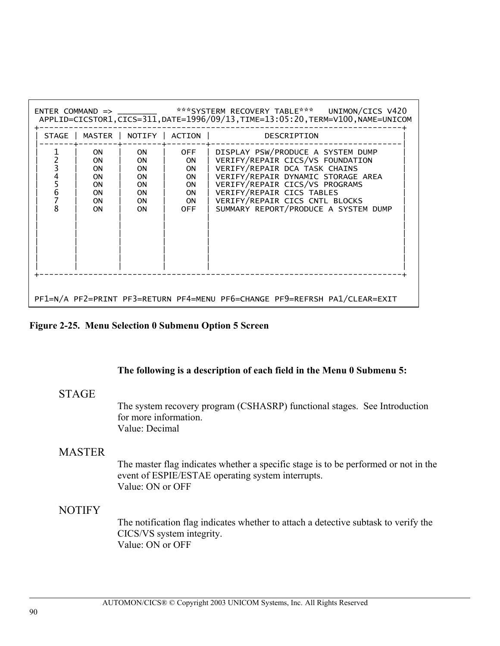|       |                                                            |                                                                                         |                                                 | ENTER COMMAND => _________ ***SYSTERM RECOVERY TABLE*** UNIMON/CICS V420<br>APPLID=CICSTOR1, CICS=311, DATE=1996/09/13, TIME=13:05:20, TERM=V100, NAME=UNICOM                                                                                                                         |
|-------|------------------------------------------------------------|-----------------------------------------------------------------------------------------|-------------------------------------------------|---------------------------------------------------------------------------------------------------------------------------------------------------------------------------------------------------------------------------------------------------------------------------------------|
| STAGE | MASTER                                                     | NOTIFY 1                                                                                | ACTION I                                        | DESCRIPTION                                                                                                                                                                                                                                                                           |
| 6     | <b>ON</b><br>0N<br>0N<br><b>ON</b><br>0N<br>0N<br>0N<br>ON | <b>ON</b><br><b>ON</b><br>0N<br><b>ON</b><br><b>ON</b><br><b>ON</b><br><b>ON</b><br>0N. | 0FF<br>ON<br>ON<br>ON<br>ON<br>ON.<br>ON<br>0FF | DISPLAY PSW/PRODUCE A SYSTEM DUMP<br>VERIFY/REPAIR CICS/VS FOUNDATION<br>VERIFY/REPAIR DCA TASK CHAINS<br>VERIFY/REPAIR DYNAMIC STORAGE AREA<br>VERIFY/REPAIR CICS/VS PROGRAMS<br>VERIFY/REPAIR CICS TABLES<br>VERIFY/REPAIR CICS CNTL BLOCKS<br>SUMMARY REPORT/PRODUCE A SYSTEM DUMP |
|       |                                                            |                                                                                         |                                                 | PF1=N/A PF2=PRINT PF3=RETURN PF4=MENU PF6=CHANGE PF9=REFRSH PA1/CLEAR=EXIT                                                                                                                                                                                                            |

|  |  |  |  | Figure 2-25. Menu Selection 0 Submenu Option 5 Screen |
|--|--|--|--|-------------------------------------------------------|
|--|--|--|--|-------------------------------------------------------|

#### **The following is a description of each field in the Menu 0 Submenu 5:**

#### **STAGE**

The system recovery program (CSHASRP) functional stages. See Introduction for more information. Value: Decimal

#### MASTER

The master flag indicates whether a specific stage is to be performed or not in the event of ESPIE/ESTAE operating system interrupts. Value: ON or OFF

#### **NOTIFY**

The notification flag indicates whether to attach a detective subtask to verify the CICS/VS system integrity. Value: ON or OFF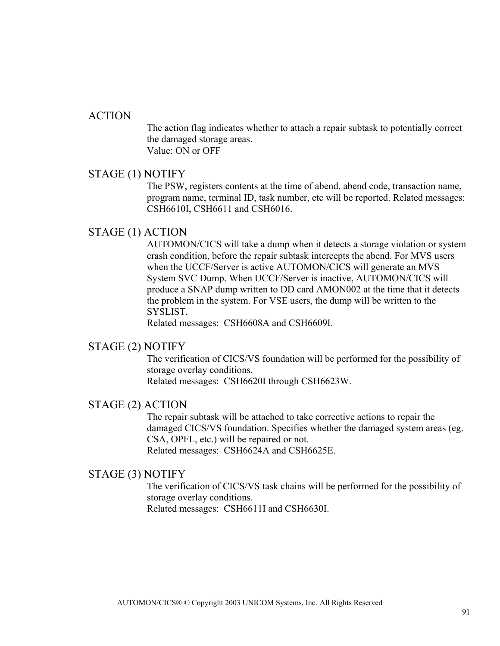#### ACTION

The action flag indicates whether to attach a repair subtask to potentially correct the damaged storage areas. Value: ON or OFF

#### STAGE (1) NOTIFY

The PSW, registers contents at the time of abend, abend code, transaction name, program name, terminal ID, task number, etc will be reported. Related messages: CSH6610I, CSH6611 and CSH6016.

#### STAGE (1) ACTION

AUTOMON/CICS will take a dump when it detects a storage violation or system crash condition, before the repair subtask intercepts the abend. For MVS users when the UCCF/Server is active AUTOMON/CICS will generate an MVS System SVC Dump. When UCCF/Server is inactive, AUTOMON/CICS will produce a SNAP dump written to DD card AMON002 at the time that it detects the problem in the system. For VSE users, the dump will be written to the **SYSLIST** 

Related messages: CSH6608A and CSH6609I.

#### STAGE (2) NOTIFY

The verification of CICS/VS foundation will be performed for the possibility of storage overlay conditions.

Related messages: CSH6620I through CSH6623W.

#### STAGE (2) ACTION

The repair subtask will be attached to take corrective actions to repair the damaged CICS/VS foundation. Specifies whether the damaged system areas (eg. CSA, OPFL, etc.) will be repaired or not. Related messages: CSH6624A and CSH6625E.

#### STAGE (3) NOTIFY

The verification of CICS/VS task chains will be performed for the possibility of storage overlay conditions. Related messages: CSH6611I and CSH6630I.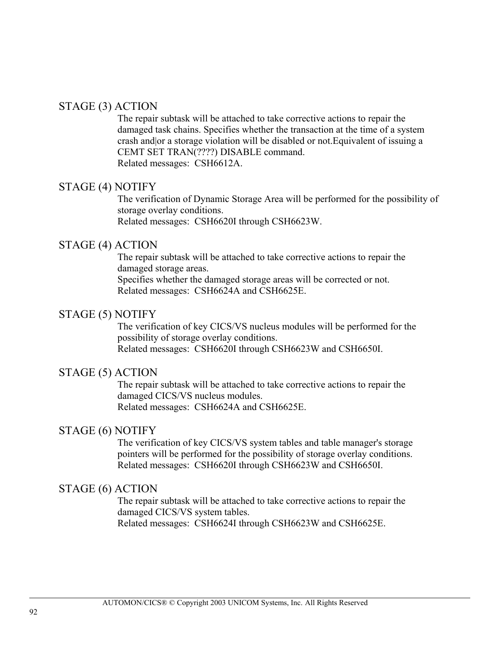#### STAGE (3) ACTION

The repair subtask will be attached to take corrective actions to repair the damaged task chains. Specifies whether the transaction at the time of a system crash and|or a storage violation will be disabled or not.Equivalent of issuing a CEMT SET TRAN(????) DISABLE command. Related messages: CSH6612A.

#### STAGE (4) NOTIFY

The verification of Dynamic Storage Area will be performed for the possibility of storage overlay conditions. Related messages: CSH6620I through CSH6623W.

#### STAGE (4) ACTION

The repair subtask will be attached to take corrective actions to repair the damaged storage areas. Specifies whether the damaged storage areas will be corrected or not. Related messages: CSH6624A and CSH6625E.

#### STAGE (5) NOTIFY

The verification of key CICS/VS nucleus modules will be performed for the possibility of storage overlay conditions. Related messages: CSH6620I through CSH6623W and CSH6650I.

#### STAGE (5) ACTION

The repair subtask will be attached to take corrective actions to repair the damaged CICS/VS nucleus modules. Related messages: CSH6624A and CSH6625E.

#### STAGE (6) NOTIFY

The verification of key CICS/VS system tables and table manager's storage pointers will be performed for the possibility of storage overlay conditions. Related messages: CSH6620I through CSH6623W and CSH6650I.

#### STAGE (6) ACTION

The repair subtask will be attached to take corrective actions to repair the damaged CICS/VS system tables. Related messages: CSH6624I through CSH6623W and CSH6625E.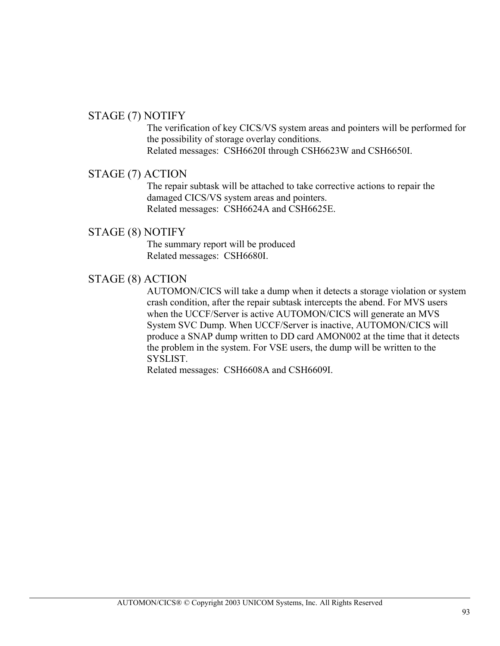#### STAGE (7) NOTIFY

The verification of key CICS/VS system areas and pointers will be performed for the possibility of storage overlay conditions. Related messages: CSH6620I through CSH6623W and CSH6650I.

#### STAGE (7) ACTION

The repair subtask will be attached to take corrective actions to repair the damaged CICS/VS system areas and pointers. Related messages: CSH6624A and CSH6625E.

#### STAGE (8) NOTIFY

The summary report will be produced Related messages: CSH6680I.

### STAGE (8) ACTION

AUTOMON/CICS will take a dump when it detects a storage violation or system crash condition, after the repair subtask intercepts the abend. For MVS users when the UCCF/Server is active AUTOMON/CICS will generate an MVS System SVC Dump. When UCCF/Server is inactive, AUTOMON/CICS will produce a SNAP dump written to DD card AMON002 at the time that it detects the problem in the system. For VSE users, the dump will be written to the SYSLIST.

Related messages: CSH6608A and CSH6609I.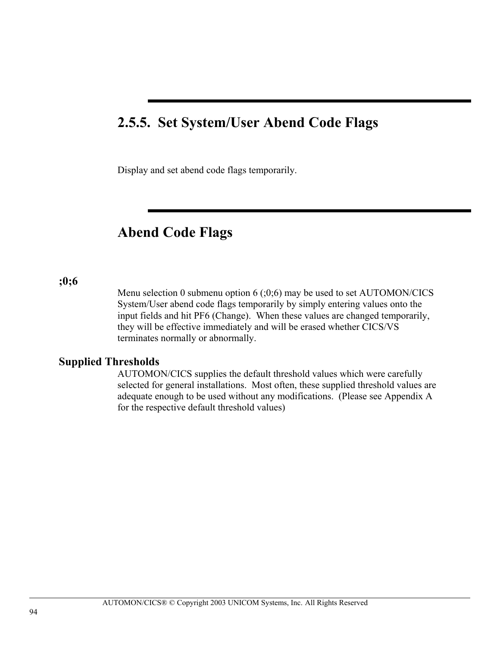## **2.5.5. Set System/User Abend Code Flags**

Display and set abend code flags temporarily.

### **Abend Code Flags**

#### **;0;6**

Menu selection 0 submenu option  $6$  (;0;6) may be used to set AUTOMON/CICS System/User abend code flags temporarily by simply entering values onto the input fields and hit PF6 (Change). When these values are changed temporarily, they will be effective immediately and will be erased whether CICS/VS terminates normally or abnormally.

#### **Supplied Thresholds**

AUTOMON/CICS supplies the default threshold values which were carefully selected for general installations. Most often, these supplied threshold values are adequate enough to be used without any modifications. (Please see Appendix A for the respective default threshold values)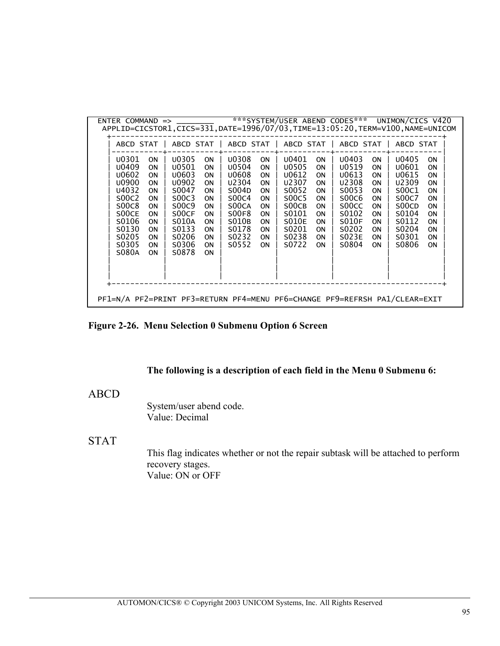|                                                                                                                                                                                                                                                                                                                             |                                                                                                                                                                                                                                                                                                                                                                                                                                                                                                                                                                                                                             |                                                                                                                                                                                                                                                                                                                    | ENTER COMMAND => _________ ***SYSTEM/USER ABEND CODES*** UNIMON/CICS V420<br>APPLID=CICSTOR1,CICS=331,DATE=1996/07/03,TIME=13:05:20,TERM=V100,NAME=UNICOM                                                                                                                                                                                                                                                                                                                                                                                                                         |  |
|-----------------------------------------------------------------------------------------------------------------------------------------------------------------------------------------------------------------------------------------------------------------------------------------------------------------------------|-----------------------------------------------------------------------------------------------------------------------------------------------------------------------------------------------------------------------------------------------------------------------------------------------------------------------------------------------------------------------------------------------------------------------------------------------------------------------------------------------------------------------------------------------------------------------------------------------------------------------------|--------------------------------------------------------------------------------------------------------------------------------------------------------------------------------------------------------------------------------------------------------------------------------------------------------------------|-----------------------------------------------------------------------------------------------------------------------------------------------------------------------------------------------------------------------------------------------------------------------------------------------------------------------------------------------------------------------------------------------------------------------------------------------------------------------------------------------------------------------------------------------------------------------------------|--|
|                                                                                                                                                                                                                                                                                                                             |                                                                                                                                                                                                                                                                                                                                                                                                                                                                                                                                                                                                                             |                                                                                                                                                                                                                                                                                                                    | ABCD STAT   ABCD STAT   ABCD STAT   ABCD STAT   ABCD STAT   ABCD STAT                                                                                                                                                                                                                                                                                                                                                                                                                                                                                                             |  |
| U0301<br><b>ON</b><br>U0409<br>ON<br>U0602<br><b>ON</b><br><b>U0900</b><br>ON<br>U4032<br><b>ON</b><br>500C2<br><b>ON</b><br><b>S00C8</b><br><b>ON</b><br>S <sub>0</sub> OCE<br><b>ON</b><br>S0106<br><b>ON</b><br>S0130<br><b>ON</b><br>S <sub>0</sub> 205<br><b>ON</b><br>S0305<br><b>ON</b><br><b>S080A</b><br><b>ON</b> | U0308<br><b>U0305</b><br><b>ON</b><br><b>ON</b><br><b>U0501</b><br><b>U0504</b><br><b>ON</b><br><b>ON</b><br>U0603<br><b>U0608</b><br><b>ON</b><br><b>ON</b><br>U2304<br><b>U0902</b><br><b>ON</b><br><b>ON</b><br>S0047<br>S004D<br><b>ON</b><br><b>ON</b><br>S00C3<br>S00C4<br><b>ON</b><br>0N<br>500C9<br>S <sub>0</sub> OCA<br>0N<br>0N<br><b>SOOF8</b><br>S <sub>0</sub> OCF<br><b>ON</b><br><b>ON</b><br><b>S010B</b><br>S010A<br><b>ON</b><br><b>ON</b><br>S <sub>0</sub> 133<br>S0178<br><b>ON</b><br><b>ON</b><br>S0206<br>S <sub>0</sub> 232<br>0N<br>0N<br>S0306<br>S <sub>0552</sub><br>0N<br>0N<br>S0878<br>0N | U0401<br><b>ON</b><br><b>U0505</b><br><b>ON</b><br>U0612<br><b>ON</b><br>U2307<br><b>ON</b><br>S0052<br><b>ON</b><br><b>S00C5</b><br><b>ON</b><br>S <sub>0</sub> OCB<br>ON<br>S0101<br><b>ON</b><br>S010E<br><b>ON</b><br>S <sub>0</sub> 201<br><b>ON</b><br>S <sub>0</sub> 238<br><b>ON</b><br>S0722<br><b>ON</b> | U0403<br><b>U0405</b><br><b>ON</b><br><b>ON</b><br>U0519<br>U0601<br><b>ON</b><br><b>ON</b><br>U0613<br>U0615<br><b>ON</b><br><b>ON</b><br>U2308<br>U2309<br><b>ON</b><br><b>ON</b><br>S <sub>0053</sub><br>S00C1<br><b>ON</b><br><b>ON</b><br>S00C6<br>S00C7<br><b>ON</b><br>0N<br>S <sub>0</sub> OCD<br>S <sub>0</sub> OCC<br><b>ON</b><br>0N<br>S0102<br>S0104<br><b>ON</b><br><b>ON</b><br>S010F<br>S0112<br><b>ON</b><br><b>ON</b><br>S0202<br>S <sub>0</sub> 204<br><b>ON</b><br><b>ON</b><br>S023E<br>S0301<br>0N<br><b>ON</b><br>S0804<br>S0806<br><b>ON</b><br><b>ON</b> |  |
|                                                                                                                                                                                                                                                                                                                             |                                                                                                                                                                                                                                                                                                                                                                                                                                                                                                                                                                                                                             |                                                                                                                                                                                                                                                                                                                    | PF1=N/A PF2=PRINT PF3=RETURN PF4=MENU PF6=CHANGE PF9=REFRSH PA1/CLEAR=EXIT                                                                                                                                                                                                                                                                                                                                                                                                                                                                                                        |  |

### **Figure 2-26. Menu Selection 0 Submenu Option 6 Screen**

#### **The following is a description of each field in the Menu 0 Submenu 6:**

#### ABCD

System/user abend code. Value: Decimal

#### STAT

This flag indicates whether or not the repair subtask will be attached to perform recovery stages. Value: ON or OFF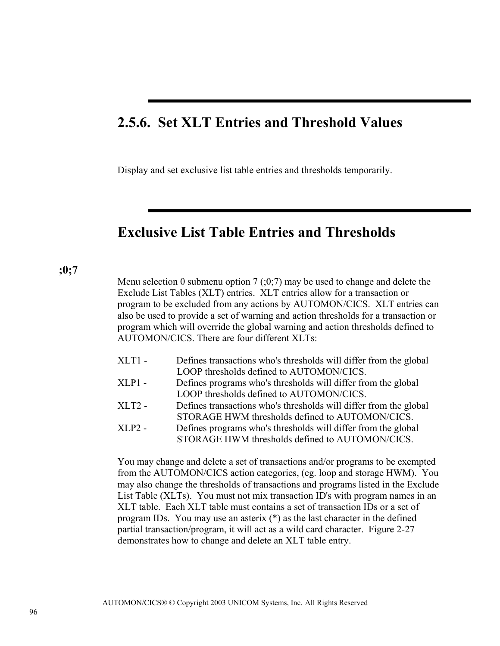## **2.5.6. Set XLT Entries and Threshold Values**

Display and set exclusive list table entries and thresholds temporarily.

### **Exclusive List Table Entries and Thresholds**

**;0;7**

Menu selection 0 submenu option 7 ( $(0,7)$  may be used to change and delete the Exclude List Tables (XLT) entries. XLT entries allow for a transaction or program to be excluded from any actions by AUTOMON/CICS. XLT entries can also be used to provide a set of warning and action thresholds for a transaction or program which will override the global warning and action thresholds defined to AUTOMON/CICS. There are four different XLTs:

| $XLT1 -$ | Defines transactions who's thresholds will differ from the global |
|----------|-------------------------------------------------------------------|
|          | LOOP thresholds defined to AUTOMON/CICS.                          |
| XLP1 -   | Defines programs who's thresholds will differ from the global     |
|          | LOOP thresholds defined to AUTOMON/CICS.                          |
| XLT2 -   | Defines transactions who's thresholds will differ from the global |
|          | STORAGE HWM thresholds defined to AUTOMON/CICS.                   |
| XLP2 -   | Defines programs who's thresholds will differ from the global     |
|          | STORAGE HWM thresholds defined to AUTOMON/CICS                    |

You may change and delete a set of transactions and/or programs to be exempted from the AUTOMON/CICS action categories, (eg. loop and storage HWM). You may also change the thresholds of transactions and programs listed in the Exclude List Table (XLTs). You must not mix transaction ID's with program names in an XLT table. Each XLT table must contains a set of transaction IDs or a set of program IDs. You may use an asterix (\*) as the last character in the defined partial transaction/program, it will act as a wild card character. Figure 2-27 demonstrates how to change and delete an XLT table entry.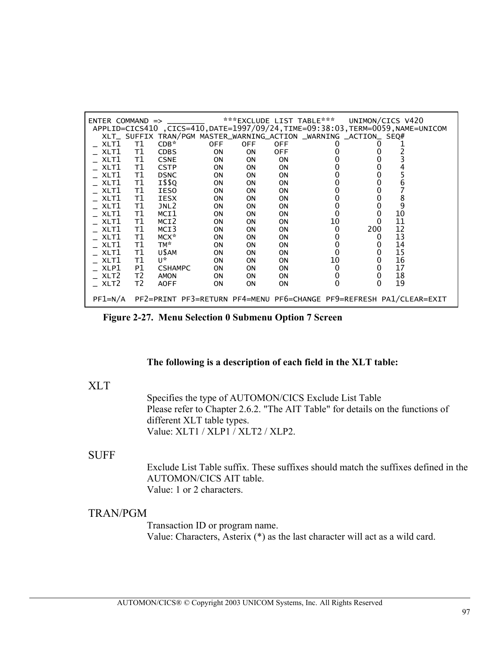|              |    |                  |            |            |            | APPLID=CICS410, CICS=410, DATE=1997/09/24, TIME=09:38:03, TERM=0059, NAME=UNICOM |     |        |
|--------------|----|------------------|------------|------------|------------|----------------------------------------------------------------------------------|-----|--------|
| XLT1         | т1 | $CDB*$           | <b>OFF</b> | <b>OFF</b> | <b>OFF</b> | XLT_ SUFFIX TRAN/PGM MASTER_WARNING_ACTION _WARNING _ACTION_ SEQ#                |     |        |
| XLT1         | Т1 | <b>CDBS</b>      | ON         | ON         | <b>OFF</b> |                                                                                  |     |        |
| XLT1         | Т1 | <b>CSNE</b>      | ON         | ON         | <b>ON</b>  |                                                                                  |     |        |
| XLT1         | т1 | <b>CSTP</b>      | <b>ON</b>  | 0N         | 0N         |                                                                                  |     |        |
| _ XLT1       | Т1 | <b>DSNC</b>      | ON         | ON         | ON         |                                                                                  |     |        |
| XLT1         | T1 | I\$\$Q           | ON         | ON         | ON         |                                                                                  |     | 6      |
| $\_$ XLT $1$ | т1 | <b>IESO</b>      | ON         | ON         | ON         |                                                                                  |     |        |
| XLT1         | Т1 | IESX             | ON         | <b>ON</b>  | <b>ON</b>  |                                                                                  |     |        |
| $\_$ XLT $1$ | Т1 | JNL <sub>2</sub> | ON         | ON         | <b>ON</b>  |                                                                                  |     | 8<br>9 |
| $\_$ XLT $1$ | т1 | MCI1             | <b>ON</b>  | <b>ON</b>  | <b>ON</b>  |                                                                                  |     | 10     |
| XLT1         | Т1 | MCI <sub>2</sub> | ON         | ON         | ON         | 10                                                                               |     | 11     |
| XLT1         | Т1 | MCI3             | ON         | ON         | ON         |                                                                                  | 200 | 12     |
| XLT1         | т1 | MCX*             | ON         | <b>ON</b>  | ON         |                                                                                  |     | 13     |
| XLT1         | Т1 | TM*              | ON         | ON         | ON         | 0                                                                                |     | 14     |
| XLT1         | Т1 | U\$AM            | ON         | <b>ON</b>  | ON         |                                                                                  |     | 15     |
| XLT1         | т1 | U*               | ON         | ON         | ON         | 10                                                                               |     | 16     |
| XLP1         | P1 | <b>CSHAMPC</b>   | ON         | <b>ON</b>  | ON         |                                                                                  |     | 17     |
| XLT2         | T2 | <b>AMON</b>      | ON         | ΟN         | <b>ON</b>  |                                                                                  |     | 18     |
| $\_$ XLT2    | T2 | <b>AOFF</b>      | <b>ON</b>  | <b>ON</b>  | ON         |                                                                                  | 0   | 19     |

**Figure 2-27. Menu Selection 0 Submenu Option 7 Screen** 

#### **The following is a description of each field in the XLT table:**

#### XLT

Specifies the type of AUTOMON/CICS Exclude List Table Please refer to Chapter 2.6.2. "The AIT Table" for details on the functions of different XLT table types. Value: XLT1 / XLP1 / XLT2 / XLP2.

#### SUFF

Exclude List Table suffix. These suffixes should match the suffixes defined in the AUTOMON/CICS AIT table. Value: 1 or 2 characters.

#### TRAN/PGM

Transaction ID or program name. Value: Characters, Asterix (\*) as the last character will act as a wild card.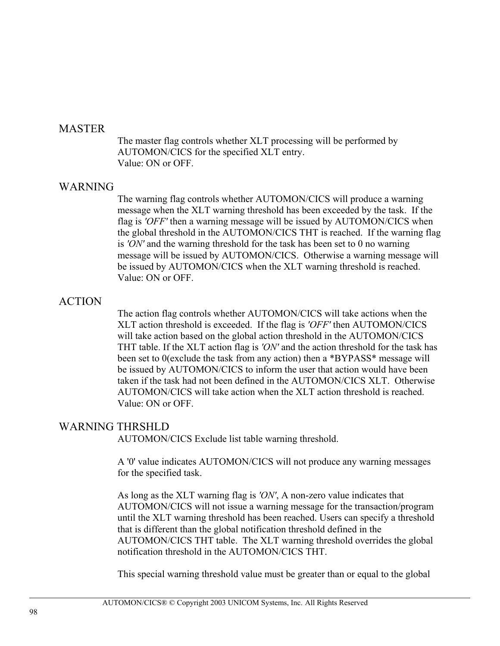#### **MASTER**

The master flag controls whether XLT processing will be performed by AUTOMON/CICS for the specified XLT entry. Value: ON or OFF.

#### WARNING

The warning flag controls whether AUTOMON/CICS will produce a warning message when the XLT warning threshold has been exceeded by the task. If the flag is *'OFF'* then a warning message will be issued by AUTOMON/CICS when the global threshold in the AUTOMON/CICS THT is reached. If the warning flag is *'ON'* and the warning threshold for the task has been set to 0 no warning message will be issued by AUTOMON/CICS. Otherwise a warning message will be issued by AUTOMON/CICS when the XLT warning threshold is reached. Value: ON or OFF.

### ACTION

The action flag controls whether AUTOMON/CICS will take actions when the XLT action threshold is exceeded. If the flag is *'OFF'* then AUTOMON/CICS will take action based on the global action threshold in the AUTOMON/CICS THT table. If the XLT action flag is *'ON'* and the action threshold for the task has been set to 0(exclude the task from any action) then a \*BYPASS\* message will be issued by AUTOMON/CICS to inform the user that action would have been taken if the task had not been defined in the AUTOMON/CICS XLT. Otherwise AUTOMON/CICS will take action when the XLT action threshold is reached. Value: ON or OFF.

### WARNING THRSHLD

AUTOMON/CICS Exclude list table warning threshold.

A '0' value indicates AUTOMON/CICS will not produce any warning messages for the specified task.

As long as the XLT warning flag is *'ON'*, A non-zero value indicates that AUTOMON/CICS will not issue a warning message for the transaction/program until the XLT warning threshold has been reached. Users can specify a threshold that is different than the global notification threshold defined in the AUTOMON/CICS THT table. The XLT warning threshold overrides the global notification threshold in the AUTOMON/CICS THT.

This special warning threshold value must be greater than or equal to the global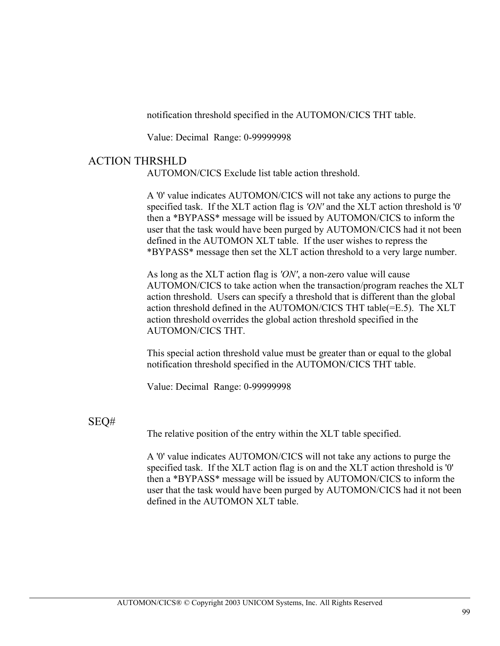notification threshold specified in the AUTOMON/CICS THT table.

Value: Decimal Range: 0-99999998

#### ACTION THRSHLD

AUTOMON/CICS Exclude list table action threshold.

A '0' value indicates AUTOMON/CICS will not take any actions to purge the specified task. If the XLT action flag is *'ON'* and the XLT action threshold is '0' then a \*BYPASS\* message will be issued by AUTOMON/CICS to inform the user that the task would have been purged by AUTOMON/CICS had it not been defined in the AUTOMON XLT table. If the user wishes to repress the \*BYPASS\* message then set the XLT action threshold to a very large number.

As long as the XLT action flag is *'ON'*, a non-zero value will cause AUTOMON/CICS to take action when the transaction/program reaches the XLT action threshold. Users can specify a threshold that is different than the global action threshold defined in the AUTOMON/CICS THT table(=E.5). The XLT action threshold overrides the global action threshold specified in the AUTOMON/CICS THT.

This special action threshold value must be greater than or equal to the global notification threshold specified in the AUTOMON/CICS THT table.

Value: Decimal Range: 0-99999998

### SEQ#

The relative position of the entry within the XLT table specified.

A '0' value indicates AUTOMON/CICS will not take any actions to purge the specified task. If the XLT action flag is on and the XLT action threshold is '0' then a \*BYPASS\* message will be issued by AUTOMON/CICS to inform the user that the task would have been purged by AUTOMON/CICS had it not been defined in the AUTOMON XLT table.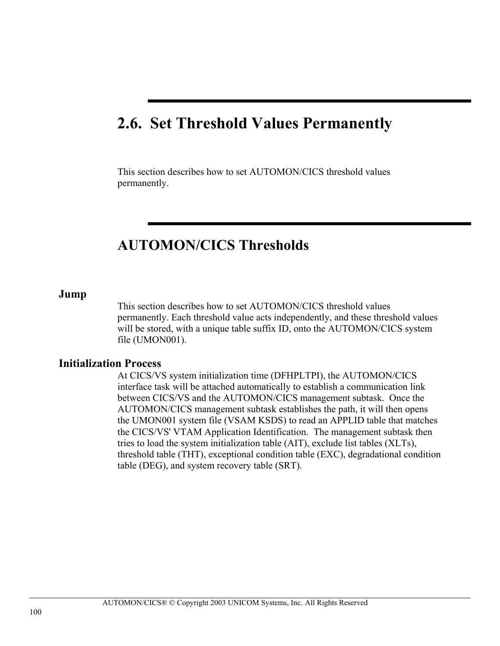# **2.6. Set Threshold Values Permanently**

This section describes how to set AUTOMON/CICS threshold values permanently.

## **AUTOMON/CICS Thresholds**

#### **Jump**

This section describes how to set AUTOMON/CICS threshold values permanently. Each threshold value acts independently, and these threshold values will be stored, with a unique table suffix ID, onto the AUTOMON/CICS system file (UMON001).

#### **Initialization Process**

At CICS/VS system initialization time (DFHPLTPI), the AUTOMON/CICS interface task will be attached automatically to establish a communication link between CICS/VS and the AUTOMON/CICS management subtask. Once the AUTOMON/CICS management subtask establishes the path, it will then opens the UMON001 system file (VSAM KSDS) to read an APPLID table that matches the CICS/VS' VTAM Application Identification. The management subtask then tries to load the system initialization table (AIT), exclude list tables (XLTs), threshold table (THT), exceptional condition table (EXC), degradational condition table (DEG), and system recovery table (SRT).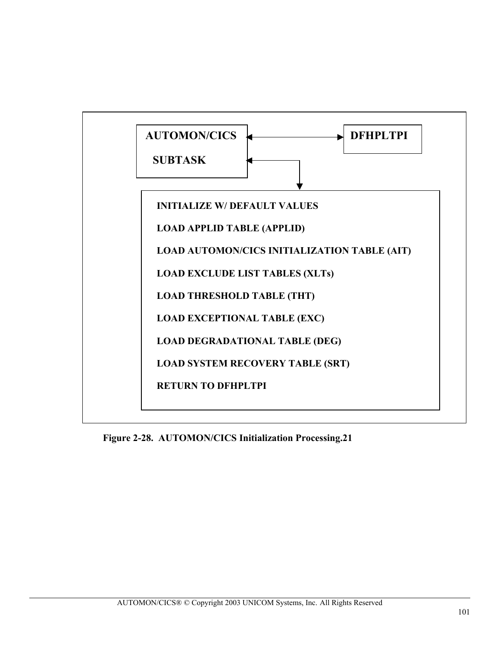

**Figure 2-28. AUTOMON/CICS Initialization Processing.21**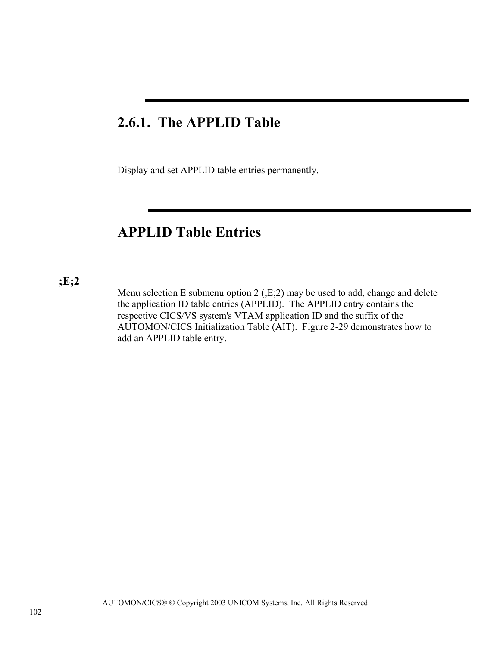## **2.6.1. The APPLID Table**

Display and set APPLID table entries permanently.

## **APPLID Table Entries**

#### **;E;2**

Menu selection E submenu option 2 (;E;2) may be used to add, change and delete the application ID table entries (APPLID). The APPLID entry contains the respective CICS/VS system's VTAM application ID and the suffix of the AUTOMON/CICS Initialization Table (AIT). Figure 2-29 demonstrates how to add an APPLID table entry.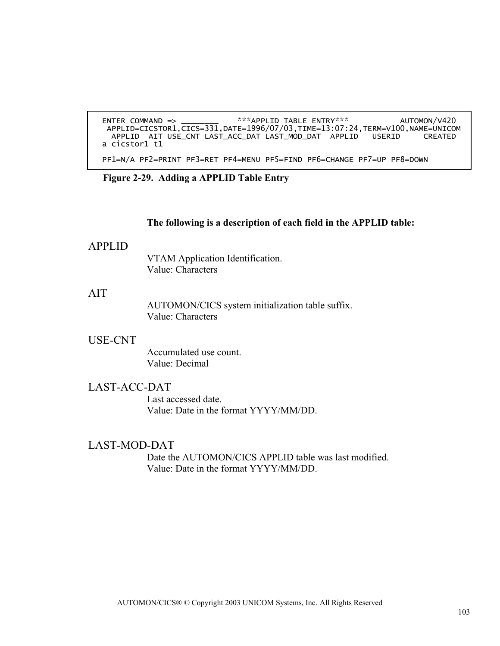```
 ENTER COMMAND => ________ ***APPLID TABLE ENTRY*** AUTOMON/V420 
APPLID=CICSTOR1,CICS=331,DATE=1996/07/03,TIME=13:07:24,TERM=V100,NAME=UNICOM 
        APPLID AIT USE_CNT LAST_ACC_DAT LAST_MOD_DAT APPLID USERID CREATED
       a cicstor1 t1
        PF1=N/A PF2=PRINT PF3=RET PF4=MENU PF5=FIND PF6=CHANGE PF7=UP PF8=DOWN
```
**Figure 2-29. Adding a APPLID Table Entry** 

#### **The following is a description of each field in the APPLID table:**

#### APPLID

VTAM Application Identification. Value: Characters

## AIT

AUTOMON/CICS system initialization table suffix. Value: Characters

## USE-CNT

Accumulated use count. Value: Decimal

## LAST-ACC-DAT

Last accessed date. Value: Date in the format YYYY/MM/DD.

## LAST-MOD-DAT

Date the AUTOMON/CICS APPLID table was last modified. Value: Date in the format YYYY/MM/DD.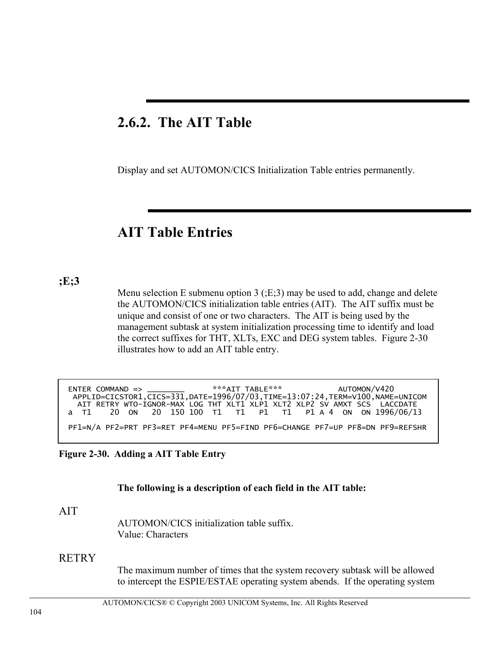## **2.6.2. The AIT Table**

Display and set AUTOMON/CICS Initialization Table entries permanently.

## **AIT Table Entries**

## **;E;3**

I

Menu selection E submenu option 3 ( $E:3$ ) may be used to add, change and delete the AUTOMON/CICS initialization table entries (AIT). The AIT suffix must be unique and consist of one or two characters. The AIT is being used by the management subtask at system initialization processing time to identify and load the correct suffixes for THT, XLTs, EXC and DEG system tables. Figure 2-30 illustrates how to add an AIT table entry.

| ENTER COMMAND => _________ ***AIT TABLE*** AUTOMON/V420 |                                                                               |
|---------------------------------------------------------|-------------------------------------------------------------------------------|
|                                                         | APPLID=CICSTOR1,CICS=331,DATE=1996/07/03,TIME=13:07:24,TERM=V100,NAME=UNICOM  |
|                                                         | AIT RETRY WTO-IGNOR-MAX LOG THT XLT1 XLP1 XLT2 XLP2 SV AMXT SCS LACCDATE      |
|                                                         | a T1 20 0N 20 150 100 T1 T1 P1 T1 P1 A 4 0N 0N 1996/06/13                     |
|                                                         | PF1=N/A PF2=PRT PF3=RET PF4=MENU PF5=FIND PF6=CHANGE PF7=UP PF8=DN PF9=REFSHR |
|                                                         |                                                                               |

## **Figure 2-30. Adding a AIT Table Entry**

#### **The following is a description of each field in the AIT table:**

#### AIT

AUTOMON/CICS initialization table suffix. Value: Characters

## **RETRY**

The maximum number of times that the system recovery subtask will be allowed to intercept the ESPIE/ESTAE operating system abends. If the operating system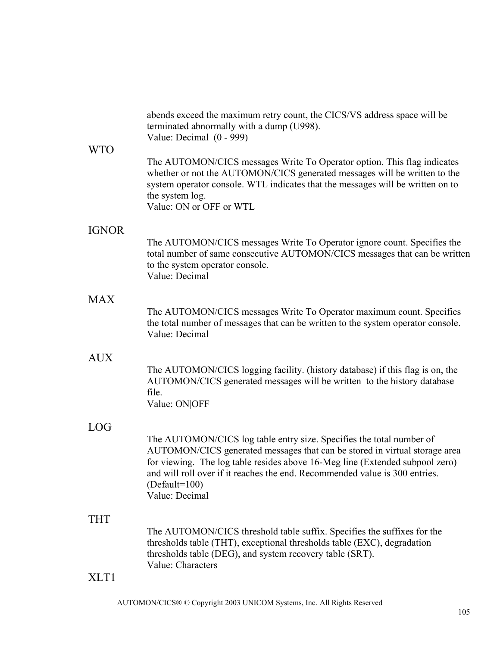|              | abends exceed the maximum retry count, the CICS/VS address space will be<br>terminated abnormally with a dump (U998).<br>Value: Decimal $(0 - 999)$                                                                                                                                                                                                    |
|--------------|--------------------------------------------------------------------------------------------------------------------------------------------------------------------------------------------------------------------------------------------------------------------------------------------------------------------------------------------------------|
| <b>WTO</b>   | The AUTOMON/CICS messages Write To Operator option. This flag indicates<br>whether or not the AUTOMON/CICS generated messages will be written to the<br>system operator console. WTL indicates that the messages will be written on to<br>the system log.<br>Value: ON or OFF or WTL                                                                   |
| <b>IGNOR</b> |                                                                                                                                                                                                                                                                                                                                                        |
|              | The AUTOMON/CICS messages Write To Operator ignore count. Specifies the<br>total number of same consecutive AUTOMON/CICS messages that can be written<br>to the system operator console.<br>Value: Decimal                                                                                                                                             |
| <b>MAX</b>   |                                                                                                                                                                                                                                                                                                                                                        |
|              | The AUTOMON/CICS messages Write To Operator maximum count. Specifies<br>the total number of messages that can be written to the system operator console.<br>Value: Decimal                                                                                                                                                                             |
| <b>AUX</b>   |                                                                                                                                                                                                                                                                                                                                                        |
|              | The AUTOMON/CICS logging facility. (history database) if this flag is on, the<br>AUTOMON/CICS generated messages will be written to the history database<br>file.<br>Value: ON OFF                                                                                                                                                                     |
| <b>LOG</b>   |                                                                                                                                                                                                                                                                                                                                                        |
|              | The AUTOMON/CICS log table entry size. Specifies the total number of<br>AUTOMON/CICS generated messages that can be stored in virtual storage area<br>for viewing. The log table resides above 16-Meg line (Extended subpool zero)<br>and will roll over if it reaches the end. Recommended value is 300 entries.<br>$(Default=100)$<br>Value: Decimal |
| <b>THT</b>   |                                                                                                                                                                                                                                                                                                                                                        |
|              | The AUTOMON/CICS threshold table suffix. Specifies the suffixes for the<br>thresholds table (THT), exceptional thresholds table (EXC), degradation<br>thresholds table (DEG), and system recovery table (SRT).<br>Value: Characters                                                                                                                    |
| XLT1         |                                                                                                                                                                                                                                                                                                                                                        |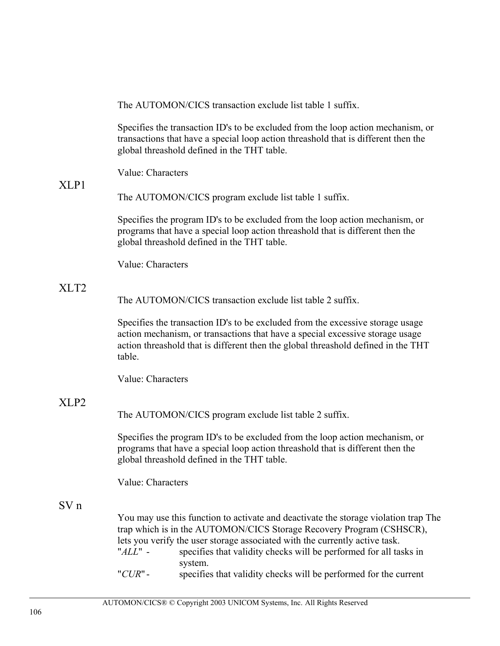The AUTOMON/CICS transaction exclude list table 1 suffix.

Specifies the transaction ID's to be excluded from the loop action mechanism, or transactions that have a special loop action threashold that is different then the global threashold defined in the THT table.

Value: Characters

## $XLP1$

The AUTOMON/CICS program exclude list table 1 suffix.

Specifies the program ID's to be excluded from the loop action mechanism, or programs that have a special loop action threashold that is different then the global threashold defined in the THT table.

Value: Characters

## XLT2

The AUTOMON/CICS transaction exclude list table 2 suffix.

Specifies the transaction ID's to be excluded from the excessive storage usage action mechanism, or transactions that have a special excessive storage usage action threashold that is different then the global threashold defined in the THT table.

Value: Characters

## XLP2

The AUTOMON/CICS program exclude list table 2 suffix.

Specifies the program ID's to be excluded from the loop action mechanism, or programs that have a special loop action threashold that is different then the global threashold defined in the THT table.

Value: Characters

## SV n

You may use this function to activate and deactivate the storage violation trap The trap which is in the AUTOMON/CICS Storage Recovery Program (CSHSCR), lets you verify the user storage associated with the currently active task.<br>"ALL" - specifies that validity checks will be performed for all ta

- specifies that validity checks will be performed for all tasks in system.
- "*CUR*" specifies that validity checks will be performed for the current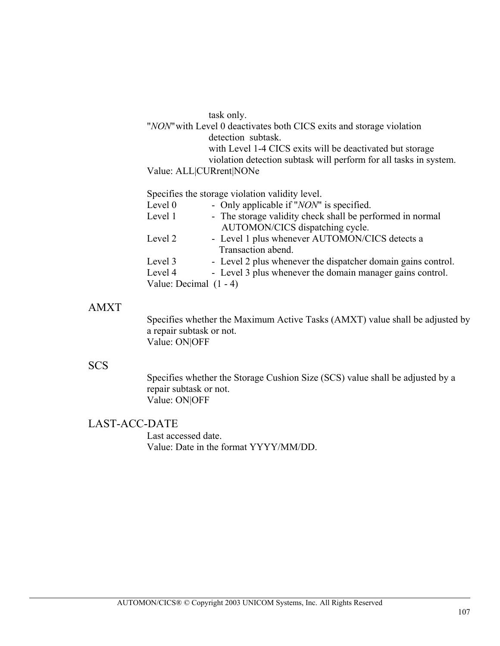task only. "*NON*" with Level 0 deactivates both CICS exits and storage violation detection subtask. with Level 1-4 CICS exits will be deactivated but storage violation detection subtask will perform for all tasks in system. Value: ALL|CURrent|NONe

Specifies the storage violation validity level.

| Level 0 | - Only applicable if " <i>NON</i> " is specified.            |
|---------|--------------------------------------------------------------|
| Level 1 | - The storage validity check shall be performed in normal    |
|         | AUTOMON/CICS dispatching cycle.                              |
| Level 2 | - Level 1 plus whenever AUTOMON/CICS detects a               |
|         | Transaction abend.                                           |
| Level 3 | - Level 2 plus whenever the dispatcher domain gains control. |
| Level 4 | - Level 3 plus whenever the domain manager gains control.    |
|         | Value: Decimal $(1 - 4)$                                     |
|         |                                                              |

## AMXT

Specifies whether the Maximum Active Tasks (AMXT) value shall be adjusted by a repair subtask or not. Value: ON|OFF

## SCS

Specifies whether the Storage Cushion Size (SCS) value shall be adjusted by a repair subtask or not. Value: ON|OFF

## LAST-ACC-DATE

Last accessed date. Value: Date in the format YYYY/MM/DD.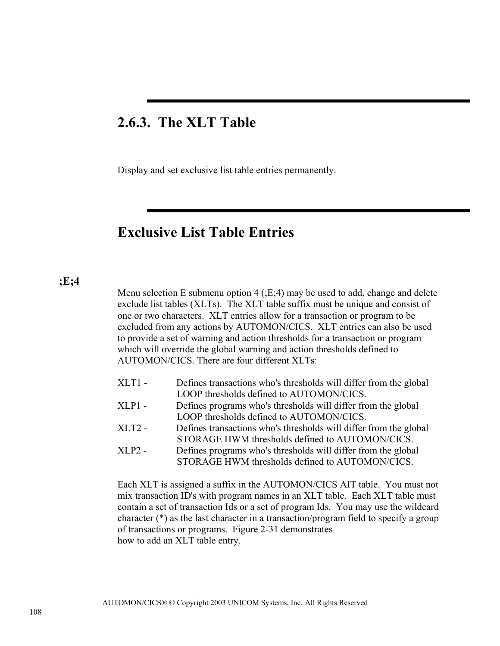## **2.6.3. The XLT Table**

Display and set exclusive list table entries permanently.

## **Exclusive List Table Entries**

#### **;E;4**

Menu selection E submenu option  $4$  ( $E:4$ ) may be used to add, change and delete exclude list tables (XLTs). The XLT table suffix must be unique and consist of one or two characters. XLT entries allow for a transaction or program to be excluded from any actions by AUTOMON/CICS. XLT entries can also be used to provide a set of warning and action thresholds for a transaction or program which will override the global warning and action thresholds defined to AUTOMON/CICS. There are four different XLTs:

- XLT1 Defines transactions who's thresholds will differ from the global LOOP thresholds defined to AUTOMON/CICS.
- XLP1 Defines programs who's thresholds will differ from the global LOOP thresholds defined to AUTOMON/CICS.
- XLT2 Defines transactions who's thresholds will differ from the global STORAGE HWM thresholds defined to AUTOMON/CICS.
- XLP2 Defines programs who's thresholds will differ from the global STORAGE HWM thresholds defined to AUTOMON/CICS.

Each XLT is assigned a suffix in the AUTOMON/CICS AIT table. You must not mix transaction ID's with program names in an XLT table. Each XLT table must contain a set of transaction Ids or a set of program Ids. You may use the wildcard character (\*) as the last character in a transaction/program field to specify a group of transactions or programs. Figure 2-31 demonstrates how to add an XLT table entry.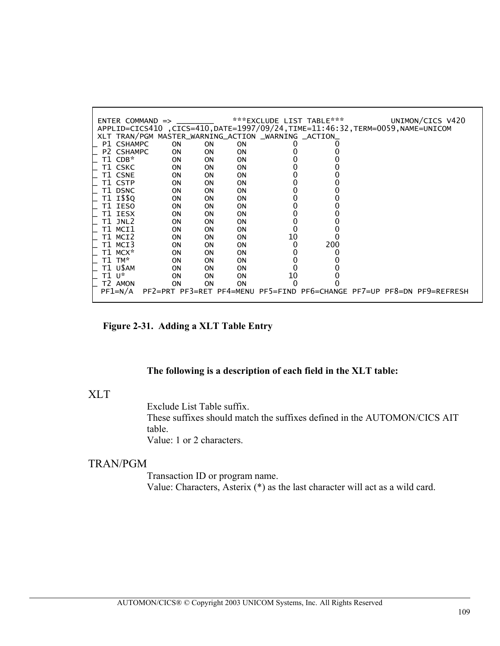| $ENTER$ COMMAND $\Rightarrow$                                                    |                                                                        |           |           |    | ***EXCLUDE LIST TABLE*** | UNIMON/CICS V420 |  |
|----------------------------------------------------------------------------------|------------------------------------------------------------------------|-----------|-----------|----|--------------------------|------------------|--|
| APPLID=CICS410, CICS=410, DATE=1997/09/24, TIME=11:46:32, TERM=0059, NAME=UNICOM |                                                                        |           |           |    |                          |                  |  |
| XLT TRAN/PGM MASTER_WARNING_ACTION _WARNING _ACTION_                             |                                                                        |           |           |    |                          |                  |  |
| P1 CSHAMPC                                                                       | <b>ON</b>                                                              | <b>ON</b> | <b>ON</b> |    |                          |                  |  |
| P2 CSHAMPC                                                                       | ON                                                                     | <b>ON</b> | <b>ON</b> |    |                          |                  |  |
| T1 CDB*                                                                          | ON.                                                                    | 0N        | 0N        |    |                          |                  |  |
| T1 CSKC                                                                          | <b>ON</b>                                                              | 0N        | 0N        |    |                          |                  |  |
| T1 CSNE                                                                          | <b>ON</b>                                                              | 0N        | <b>ON</b> |    |                          |                  |  |
| T1 CSTP                                                                          | 0N                                                                     | 0N        | 0N        |    |                          |                  |  |
| T1 DSNC                                                                          | <b>ON</b>                                                              | 0N        | <b>ON</b> |    |                          |                  |  |
| T1 I\$\$Q                                                                        | 0N                                                                     | 0N        | <b>ON</b> |    |                          |                  |  |
| T1 IESO                                                                          | <b>ON</b>                                                              | 0N        | <b>ON</b> |    |                          |                  |  |
| T1 IESX                                                                          | 0N                                                                     | 0N        | <b>ON</b> |    |                          |                  |  |
| T1 JNL2                                                                          | ON                                                                     | ΟN        | <b>ON</b> |    |                          |                  |  |
| T1 MCI1                                                                          | ON                                                                     | ΟN        | <b>ON</b> |    |                          |                  |  |
| T1 MCI2                                                                          |                                                                        |           |           | 10 |                          |                  |  |
|                                                                                  | <b>ON</b>                                                              | 0N        | <b>ON</b> |    |                          |                  |  |
| T1 MCI3                                                                          | <b>ON</b>                                                              | 0N        | 0N        |    | 200                      |                  |  |
| T1 MCX*                                                                          | ON                                                                     | ΟN        | 0N        |    |                          |                  |  |
| T1 TM*                                                                           | ON.                                                                    | 0N        | <b>ON</b> |    |                          |                  |  |
| T1 U\$AM                                                                         | <b>ON</b>                                                              | 0N        | 0N        |    |                          |                  |  |
| ⊤1 ∪*                                                                            | ON                                                                     | ΟN        | 0N        | 10 |                          |                  |  |
| T2 AMON                                                                          | 0N                                                                     | <b>ON</b> | <b>ON</b> |    |                          |                  |  |
| $PF1=N/A$                                                                        | PF2=PRT PF3=RET PF4=MENU PF5=FIND PF6=CHANGE PF7=UP PF8=DN PF9=REFRESH |           |           |    |                          |                  |  |

L

**Figure 2-31. Adding a XLT Table Entry** 

## **The following is a description of each field in the XLT table:**

## XLT

Exclude List Table suffix.

These suffixes should match the suffixes defined in the AUTOMON/CICS AIT table. Value: 1 or 2 characters.

## TRAN/PGM

Transaction ID or program name. Value: Characters, Asterix (\*) as the last character will act as a wild card.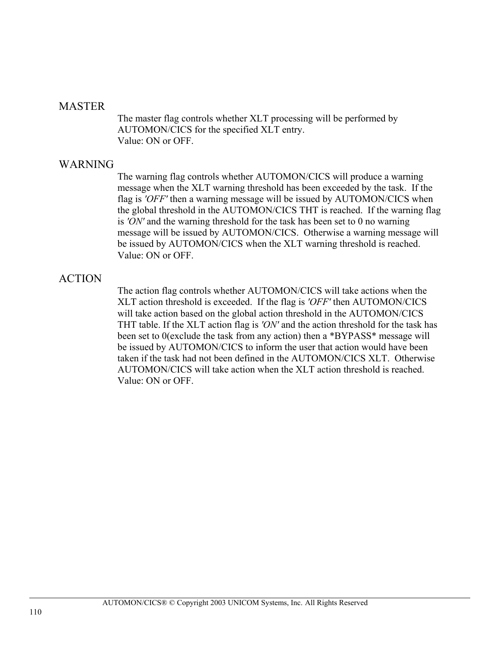#### MASTER

The master flag controls whether XLT processing will be performed by AUTOMON/CICS for the specified XLT entry. Value: ON or OFF.

## WARNING

The warning flag controls whether AUTOMON/CICS will produce a warning message when the XLT warning threshold has been exceeded by the task. If the flag is *'OFF'* then a warning message will be issued by AUTOMON/CICS when the global threshold in the AUTOMON/CICS THT is reached. If the warning flag is *'ON'* and the warning threshold for the task has been set to 0 no warning message will be issued by AUTOMON/CICS. Otherwise a warning message will be issued by AUTOMON/CICS when the XLT warning threshold is reached. Value: ON or OFF.

## ACTION

The action flag controls whether AUTOMON/CICS will take actions when the XLT action threshold is exceeded. If the flag is *'OFF'* then AUTOMON/CICS will take action based on the global action threshold in the AUTOMON/CICS THT table. If the XLT action flag is *'ON'* and the action threshold for the task has been set to 0(exclude the task from any action) then a \*BYPASS\* message will be issued by AUTOMON/CICS to inform the user that action would have been taken if the task had not been defined in the AUTOMON/CICS XLT. Otherwise AUTOMON/CICS will take action when the XLT action threshold is reached. Value: ON or OFF.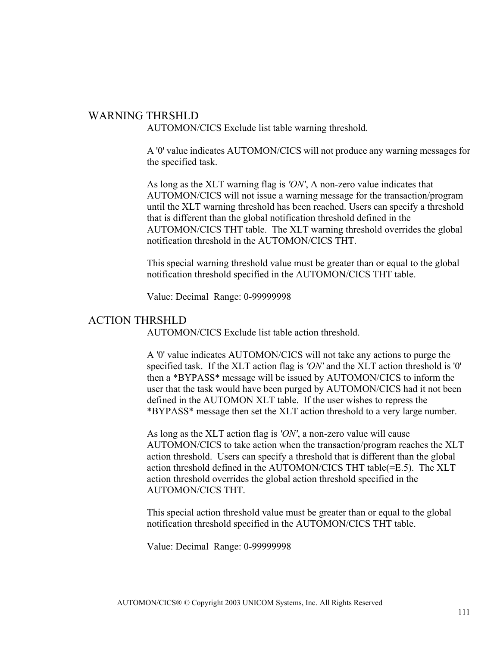## WARNING THRSHLD

AUTOMON/CICS Exclude list table warning threshold.

A '0' value indicates AUTOMON/CICS will not produce any warning messages for the specified task.

As long as the XLT warning flag is *'ON'*, A non-zero value indicates that AUTOMON/CICS will not issue a warning message for the transaction/program until the XLT warning threshold has been reached. Users can specify a threshold that is different than the global notification threshold defined in the AUTOMON/CICS THT table. The XLT warning threshold overrides the global notification threshold in the AUTOMON/CICS THT.

This special warning threshold value must be greater than or equal to the global notification threshold specified in the AUTOMON/CICS THT table.

Value: Decimal Range: 0-99999998

## ACTION THRSHLD

AUTOMON/CICS Exclude list table action threshold.

A '0' value indicates AUTOMON/CICS will not take any actions to purge the specified task. If the XLT action flag is *'ON'* and the XLT action threshold is '0' then a \*BYPASS\* message will be issued by AUTOMON/CICS to inform the user that the task would have been purged by AUTOMON/CICS had it not been defined in the AUTOMON XLT table. If the user wishes to repress the \*BYPASS\* message then set the XLT action threshold to a very large number.

As long as the XLT action flag is *'ON'*, a non-zero value will cause AUTOMON/CICS to take action when the transaction/program reaches the XLT action threshold. Users can specify a threshold that is different than the global action threshold defined in the AUTOMON/CICS THT table(=E.5). The XLT action threshold overrides the global action threshold specified in the AUTOMON/CICS THT.

This special action threshold value must be greater than or equal to the global notification threshold specified in the AUTOMON/CICS THT table.

Value: Decimal Range: 0-99999998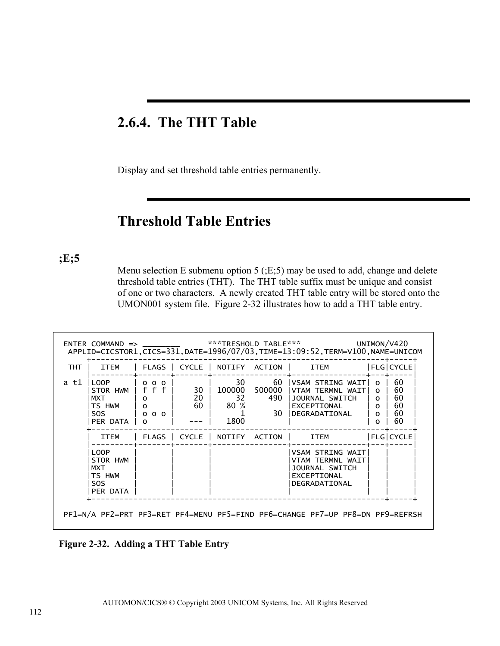## **2.6.4. The THT Table**

Display and set threshold table entries permanently.

## **Threshold Table Entries**

**;E;5**

Menu selection E submenu option 5 (;E;5) may be used to add, change and delete threshold table entries (THT). The THT table suffix must be unique and consist of one or two characters. A newly created THT table entry will be stored onto the UMON001 system file. Figure 2-32 illustrates how to add a THT table entry.

|            |                                                                        |                                                                           |            |                                   |                               | ENTER COMMAND => __________ ***TRESHOLD TABLE*** UNIMON/V420<br>APPLID=CICSTOR1, CICS=331, DATE=1996/07/03, TIME=13:09:52, TERM=V100, NAME=UNICOM |                                                                       |                                  |
|------------|------------------------------------------------------------------------|---------------------------------------------------------------------------|------------|-----------------------------------|-------------------------------|---------------------------------------------------------------------------------------------------------------------------------------------------|-----------------------------------------------------------------------|----------------------------------|
| <b>THT</b> | ITEM                                                                   |                                                                           |            |                                   |                               | FLAGS   CYCLE   NOTIFY ACTION       ITEM             FLG CYCLE                                                                                    |                                                                       |                                  |
| a t1       | LOOP<br>STOR HWM   f f f i<br><b>MXT</b><br>TS HWM<br>SOS.<br>PER DATA | $\Omega$<br>$\overline{\phantom{a}}$ $\overline{\phantom{a}}$<br>$\Omega$ | 20<br>60 l | 30   100000<br>32<br>80 %<br>1800 | 30 — 1<br>60<br>500000<br>490 | <b>IVSAM STRING WAIT!</b><br>VTAM TERMNL WAIT<br>JOURNAL SWITCH<br><b>LEXCEPTIONAL</b><br>1 30 DEGRADATIONAL                                      | $\circ$ 1<br>$\Omega$<br>$\Omega$<br>$\Omega$<br>$\Omega$<br>$\Omega$ | 60<br>60<br>60<br>60<br>60<br>60 |
|            | ITEM                                                                   |                                                                           |            |                                   |                               | FLAGS   CYCLE   NOTIFY ACTION   ITEM                                                                                                              |                                                                       | $ FLG $ CYCLE                    |
|            | LOOP<br>STOR HWM<br>MXT<br>TS HWM<br>SOS.<br>PER DATA                  |                                                                           |            |                                   |                               | VSAM STRING WAIT!<br>VTAM TERMNL WAIT<br>JOURNAL SWITCH<br>EXCEPTIONAL<br>DEGRADATIONAL                                                           |                                                                       |                                  |
|            |                                                                        |                                                                           |            |                                   |                               | PF1=N/A PF2=PRT PF3=RET PF4=MENU PF5=FIND PF6=CHANGE PF7=UP PF8=DN PF9=REFRSH                                                                     |                                                                       |                                  |

**Figure 2-32. Adding a THT Table Entry**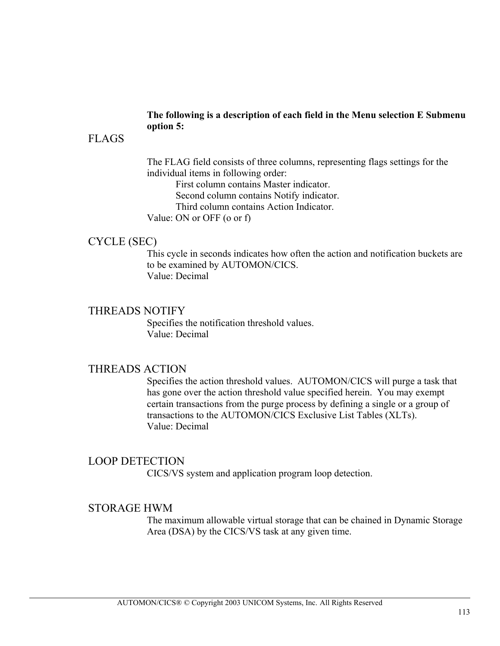#### **The following is a description of each field in the Menu selection E Submenu option 5:**

## FLAGS

The FLAG field consists of three columns, representing flags settings for the individual items in following order:

First column contains Master indicator. Second column contains Notify indicator. Third column contains Action Indicator.

Value: ON or OFF (o or f)

## CYCLE (SEC)

This cycle in seconds indicates how often the action and notification buckets are to be examined by AUTOMON/CICS. Value: Decimal

## THREADS NOTIFY

Specifies the notification threshold values. Value: Decimal

## THREADS ACTION

Specifies the action threshold values. AUTOMON/CICS will purge a task that has gone over the action threshold value specified herein. You may exempt certain transactions from the purge process by defining a single or a group of transactions to the AUTOMON/CICS Exclusive List Tables (XLTs). Value: Decimal

## LOOP DETECTION

CICS/VS system and application program loop detection.

## STORAGE HWM

The maximum allowable virtual storage that can be chained in Dynamic Storage Area (DSA) by the CICS/VS task at any given time.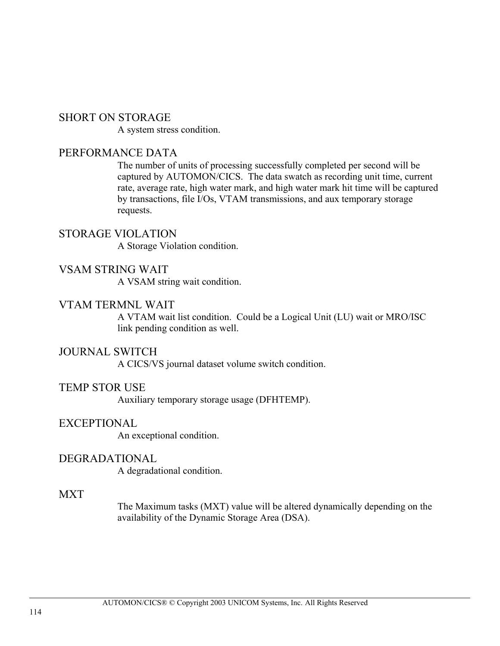## SHORT ON STORAGE

A system stress condition.

## PERFORMANCE DATA

The number of units of processing successfully completed per second will be captured by AUTOMON/CICS. The data swatch as recording unit time, current rate, average rate, high water mark, and high water mark hit time will be captured by transactions, file I/Os, VTAM transmissions, and aux temporary storage requests.

STORAGE VIOLATION A Storage Violation condition.

## VSAM STRING WAIT

A VSAM string wait condition.

## VTAM TERMNL WAIT

A VTAM wait list condition. Could be a Logical Unit (LU) wait or MRO/ISC link pending condition as well.

## JOURNAL SWITCH

A CICS/VS journal dataset volume switch condition.

## TEMP STOR USE

Auxiliary temporary storage usage (DFHTEMP).

## EXCEPTIONAL

An exceptional condition.

## DEGRADATIONAL

A degradational condition.

## **MXT**

The Maximum tasks (MXT) value will be altered dynamically depending on the availability of the Dynamic Storage Area (DSA).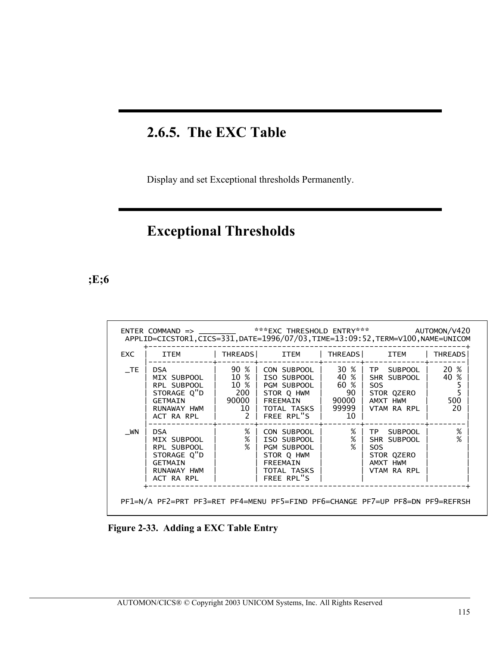## **2.6.5. The EXC Table**

Display and set Exceptional thresholds Permanently.

# **Exceptional Thresholds**

**;E;6**

| EXC | ITEM                                                                                                               |                                                | THREADS ITEM                                                                                                   | <b>THREADS</b>                                                  | ITEM                                                                             | <b>THREADS</b>                 |
|-----|--------------------------------------------------------------------------------------------------------------------|------------------------------------------------|----------------------------------------------------------------------------------------------------------------|-----------------------------------------------------------------|----------------------------------------------------------------------------------|--------------------------------|
| TE  | <b>DSA</b><br>MIX SUBPOOL<br>RPL SUBPOOL<br>STORAGE Q"D   200   STOR Q HWM<br>GETMAIN<br>RUNAWAY HWM<br>ACT RA RPL | 90 % 1<br>10 %  <br>$1$ 90000  <br>10<br>$2-1$ | CON SUBPOOL  <br>ISO SUBPOOL  <br>10 %   PGM SUBPOOL<br><b>FREEMAIN</b><br>TOTAL TASKS   99999  <br>FREE RPL"S | $30 \frac{8}{1}$<br>40 %  <br>60 %  <br>$90-1$<br>90000 l<br>10 | TP SUBPOOL<br>SHR SUBPOOL<br>SOS.<br>STOR QZERO<br>AMXT HWM<br>VTAM RA RPL       | 20 %<br>40 %<br>5<br>500<br>20 |
| WN  | <b>DSA</b><br>MIX SUBPOOL<br>RPL SUBPOOL<br>STORAGE Q"D<br><b>GETMAIN</b><br>RUNAWAY HWM<br>ACT RA RPL             | $%$  <br>$%$  <br>%                            | CON SUBPOOL<br>ISO SUBPOOL<br>PGM SUBPOOL<br>STOR Q HWM<br>FREEMAIN<br>TOTAL TASKS<br>FREE RPL"S               | $\%$  <br>%<br>℅                                                | TP SUBPOOL<br>SHR SUBPOOL<br><b>SOS</b><br>STOR QZERO<br>AMXT HWM<br>VTAM RA RPL | %<br>%                         |

 **Figure 2-33. Adding a EXC Table Entry**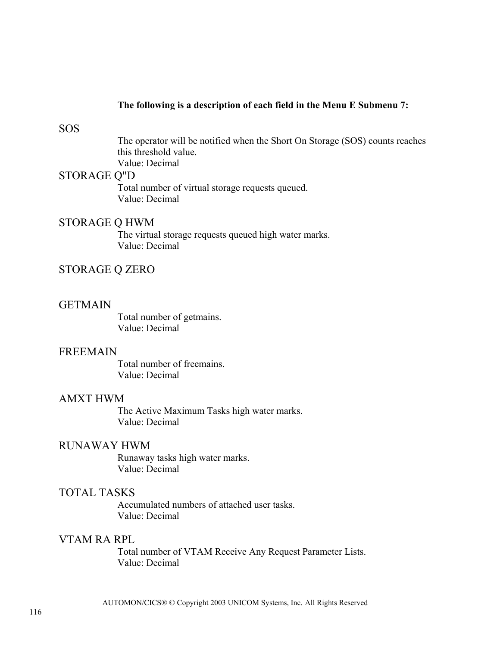#### **The following is a description of each field in the Menu E Submenu 7:**

#### SOS

The operator will be notified when the Short On Storage (SOS) counts reaches this threshold value. Value: Decimal

#### STORAGE Q"D

Total number of virtual storage requests queued. Value: Decimal

#### STORAGE Q HWM

The virtual storage requests queued high water marks. Value: Decimal

## STORAGE Q ZERO

#### GETMAIN

Total number of getmains. Value: Decimal

#### FREEMAIN

Total number of freemains. Value: Decimal

#### AMXT HWM

The Active Maximum Tasks high water marks. Value: Decimal

### RUNAWAY HWM

Runaway tasks high water marks. Value: Decimal

#### TOTAL TASKS

Accumulated numbers of attached user tasks. Value: Decimal

## VTAM RA RPL

Total number of VTAM Receive Any Request Parameter Lists. Value: Decimal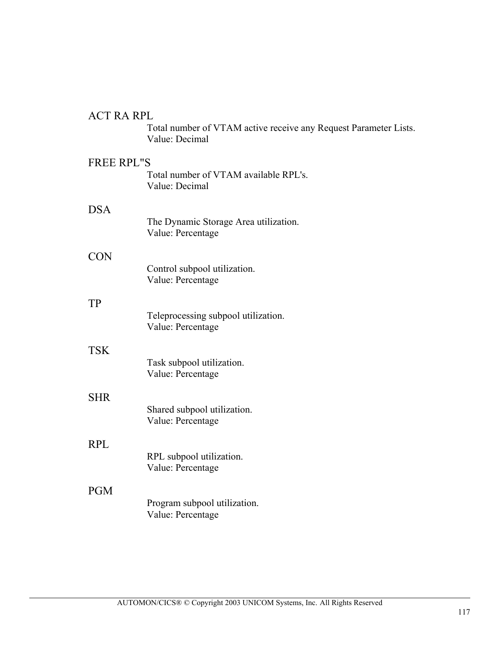## ACT RA RPL

Total number of VTAM active receive any Request Parameter Lists. Value: Decimal

## FREE RPL"S

Total number of VTAM available RPL's. Value: Decimal

## DSA

|            | The Dynamic Storage Area utilization.<br>Value: Percentage |
|------------|------------------------------------------------------------|
| CON        |                                                            |
|            | Control subpool utilization.<br>Value: Percentage          |
| TP         |                                                            |
|            | Teleprocessing subpool utilization.<br>Value: Percentage   |
| <b>TSK</b> |                                                            |
|            | Task subpool utilization.<br>Value: Percentage             |
| <b>SHR</b> |                                                            |
|            | Shared subpool utilization.<br>Value: Percentage           |
| <b>RPL</b> |                                                            |
|            | RPL subpool utilization.<br>Value: Percentage              |
| <b>PGM</b> |                                                            |
|            | Program subpool utilization.<br>Value: Percentage          |
|            |                                                            |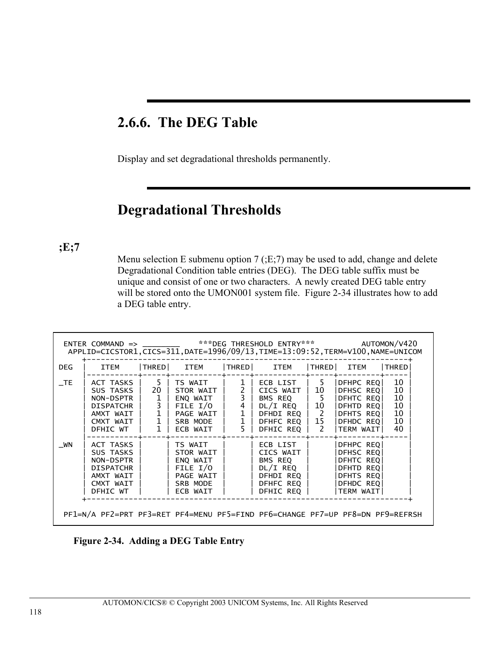## **2.6.6. The DEG Table**

Display and set degradational thresholds permanently.

## **Degradational Thresholds**

**;E;7**

Menu selection E submenu option 7 (;E;7) may be used to add, change and delete Degradational Condition table entries (DEG). The DEG table suffix must be unique and consist of one or two characters. A newly created DEG table entry will be stored onto the UMON001 system file. Figure 2-34 illustrates how to add a DEG table entry.

| DEG.   | ITEM                                                                                                         |                               | THRED  ITEM                                                                                                  |                                                       | THRED ITEM                                                                                                                                           | THRED ITEM                                                                               | <b>THRED</b>                           |
|--------|--------------------------------------------------------------------------------------------------------------|-------------------------------|--------------------------------------------------------------------------------------------------------------|-------------------------------------------------------|------------------------------------------------------------------------------------------------------------------------------------------------------|------------------------------------------------------------------------------------------|----------------------------------------|
| $\_TE$ | ACT TASKS   5   TS WAIT<br>SUS TASKS  <br>NON-DSPTR  <br>DISPATCHR  <br>AMXT WAIT  <br>CMXT WAIT<br>DFHIC WT | $\frac{1}{3}$<br>$\mathbf{1}$ | $20$   STOR WAIT  <br>  ENQ WAIT<br>  FILE I/O<br>1   PAGE WAIT  <br>$\overline{1}$   SRB MODE<br>  ECB WAIT | 1 <sup>1</sup><br>$2\overline{3}$<br>4<br>1<br>1<br>5 | ECB LIST   5<br>CICS WAIT   10<br>  BMS REQ   5<br>  DL/I REQ   10<br>DFHDIREQ   2<br>$ $ DFHFC REQ $ $ 15 $ $ DFHDC REQ<br>DFHIC REQ   2  TERM WAIT | DFHPC REQ<br>DFHSC REQ<br>DFHTC REOL<br>DFHTD REQ<br>DFHTS REQI                          | 10<br>10<br>10<br>10<br>10<br>10<br>40 |
| WN     | ACT TASKS<br>SUS TASKS<br>NON-DSPTR<br>DISPATCHR<br>AMXT WAIT<br>CMXT WAIT<br>DFHIC WT                       |                               | TS WAIT<br>STOR WAIT  <br>  ENQ WAIT<br>$\vert$ FILE I/O<br>  PAGE WAIT<br>SRB MODE<br>  ECB WAIT            |                                                       | ECB LIST  <br>CICS WAIT  <br>BMS REQ<br>DL/I REQ<br>DFHDI REQ  <br>DFHFC REQ  <br>DFHIC REQ                                                          | DFHPC REQ<br>DFHSC REQ<br>DFHTC REQ<br>DFHTD REQ<br>DFHTS REQ<br>DFHDC REQ<br> TERM WAIT |                                        |

**Figure 2-34. Adding a DEG Table Entry**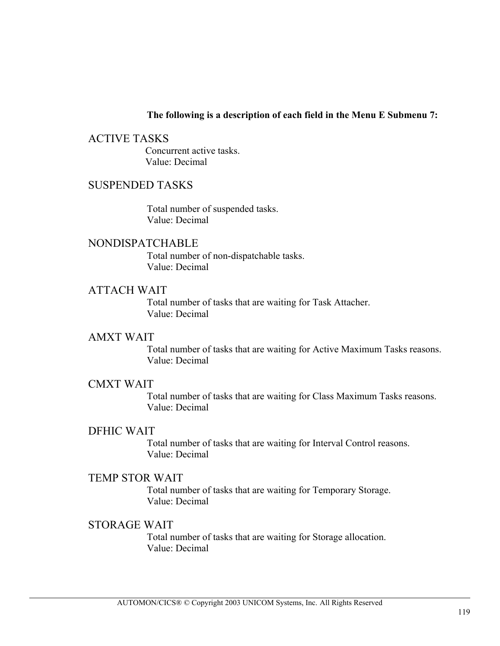#### **The following is a description of each field in the Menu E Submenu 7:**

ACTIVE TASKS Concurrent active tasks. Value: Decimal

## SUSPENDED TASKS

Total number of suspended tasks. Value: Decimal

## NONDISPATCHABLE

Total number of non-dispatchable tasks. Value: Decimal

#### ATTACH WAIT

Total number of tasks that are waiting for Task Attacher. Value: Decimal

#### AMXT WAIT

Total number of tasks that are waiting for Active Maximum Tasks reasons. Value: Decimal

#### CMXT WAIT

Total number of tasks that are waiting for Class Maximum Tasks reasons. Value: Decimal

## DFHIC WAIT

Total number of tasks that are waiting for Interval Control reasons. Value: Decimal

#### TEMP STOR WAIT

Total number of tasks that are waiting for Temporary Storage. Value: Decimal

#### STORAGE WAIT

Total number of tasks that are waiting for Storage allocation. Value: Decimal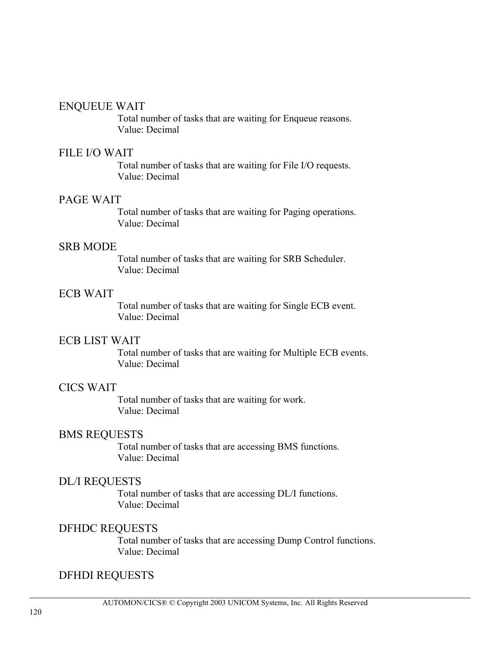## ENQUEUE WAIT

Total number of tasks that are waiting for Enqueue reasons. Value: Decimal

## FILE I/O WAIT

Total number of tasks that are waiting for File I/O requests. Value: Decimal

## PAGE WAIT

Total number of tasks that are waiting for Paging operations. Value: Decimal

## SRB MODE

Total number of tasks that are waiting for SRB Scheduler. Value: Decimal

## ECB WAIT

Total number of tasks that are waiting for Single ECB event. Value: Decimal

## ECB LIST WAIT

Total number of tasks that are waiting for Multiple ECB events. Value: Decimal

## CICS WAIT

Total number of tasks that are waiting for work. Value: Decimal

## BMS REQUESTS

Total number of tasks that are accessing BMS functions. Value: Decimal

## DL/I REQUESTS

Total number of tasks that are accessing DL/I functions. Value: Decimal

## DFHDC REQUESTS

Total number of tasks that are accessing Dump Control functions. Value: Decimal

## DFHDI REQUESTS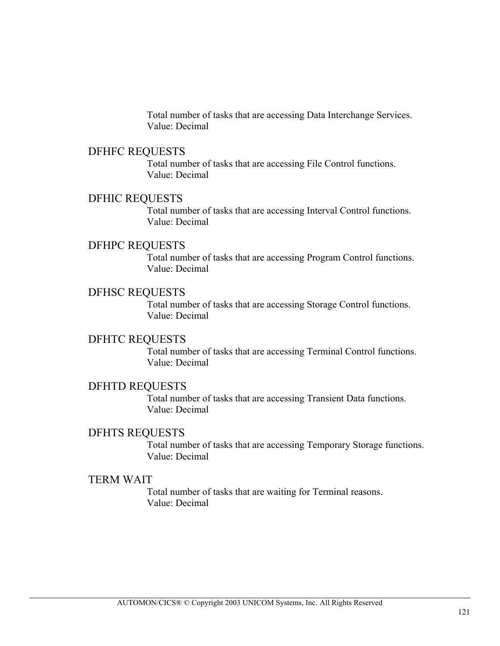Total number of tasks that are accessing Data Interchange Services. Value: Decimal

#### DFHFC REQUESTS

Total number of tasks that are accessing File Control functions. Value: Decimal

### DFHIC REQUESTS

Total number of tasks that are accessing Interval Control functions. Value: Decimal

## DFHPC REQUESTS

Total number of tasks that are accessing Program Control functions. Value: Decimal

## DFHSC REQUESTS

Total number of tasks that are accessing Storage Control functions. Value: Decimal

#### DFHTC REQUESTS

Total number of tasks that are accessing Terminal Control functions. Value: Decimal

### DFHTD REQUESTS

Total number of tasks that are accessing Transient Data functions. Value: Decimal

## DFHTS REQUESTS

Total number of tasks that are accessing Temporary Storage functions. Value: Decimal

## TERM WAIT

Total number of tasks that are waiting for Terminal reasons. Value: Decimal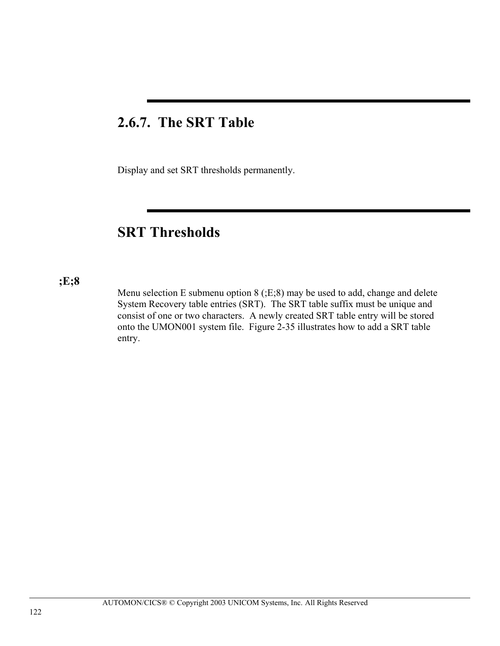## **2.6.7. The SRT Table**

Display and set SRT thresholds permanently.

## **SRT Thresholds**

## **;E;8**

Menu selection E submenu option 8 (;E;8) may be used to add, change and delete System Recovery table entries (SRT). The SRT table suffix must be unique and consist of one or two characters. A newly created SRT table entry will be stored onto the UMON001 system file. Figure 2-35 illustrates how to add a SRT table entry.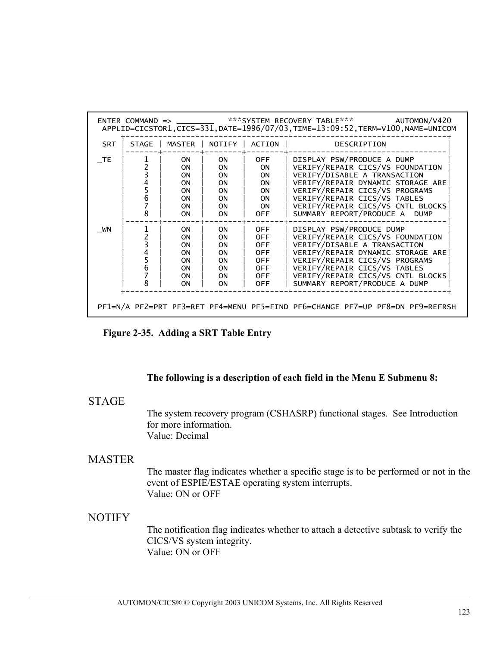|            |                                                     | $ENTER$ $COMMAND$ $\Rightarrow$                                                  |                                                                                        |                                                                                                              | ***SYSTEM RECOVERY TABLE*** AUTOMON/V420<br>APPLID=CICSTOR1,CICS=331,DATE=1996/07/03,TIME=13:09:52,TERM=V100,NAME=UNICOM                                                                                                                                                              |
|------------|-----------------------------------------------------|----------------------------------------------------------------------------------|----------------------------------------------------------------------------------------|--------------------------------------------------------------------------------------------------------------|---------------------------------------------------------------------------------------------------------------------------------------------------------------------------------------------------------------------------------------------------------------------------------------|
| <b>SRT</b> | STAGE                                               | MASTER                                                                           | NOTIFY                                                                                 | ACTION                                                                                                       | DESCRIPTION                                                                                                                                                                                                                                                                           |
| <b>TE</b>  | $\overline{c}$<br>3<br>4<br>5<br>$\frac{6}{7}$<br>8 | 0N.<br>0N<br><b>ON</b><br><b>ON</b><br><b>ON</b><br><b>ON</b><br>0N<br><b>ON</b> | <b>ON</b><br><b>ON</b><br><b>ON</b><br>0N<br><b>ON</b><br><b>ON</b><br>0N<br><b>ON</b> | OFF.<br><b>ON</b><br><b>ON</b><br><b>ON</b><br><b>ON</b><br><b>ON</b><br><b>ON</b><br><b>OFF</b>             | DISPLAY PSW/PRODUCE A DUMP<br>VERIFY/REPAIR CICS/VS FOUNDATION<br>VERIFY/DISABLE A TRANSACTION<br>VERIFY/REPAIR DYNAMIC STORAGE ARE<br>VERIFY/REPAIR CICS/VS PROGRAMS<br>VERIFY/REPAIR CICS/VS TABLES<br>VERIFY/REPAIR CICS/VS CNTL BLOCKS<br>SUMMARY REPORT/PRODUCE A<br><b>DUMP</b> |
| WN         | $\frac{2}{3}$<br>4<br>5<br>6<br>8                   | 0N.<br>0N<br><b>ON</b><br><b>ON</b><br>0N<br><b>ON</b><br><b>ON</b><br><b>ON</b> | <b>ON</b><br>0N<br>0N<br><b>ON</b><br><b>ON</b><br><b>ON</b><br>0N<br><b>ON</b>        | <b>OFF</b><br><b>OFF</b><br><b>OFF</b><br><b>OFF</b><br><b>OFF</b><br><b>OFF</b><br><b>OFF</b><br><b>OFF</b> | DISPLAY PSW/PRODUCE DUMP<br>VERIFY/REPAIR CICS/VS FOUNDATION<br>VERIFY/DISABLE A TRANSACTION<br>VERIFY/REPAIR DYNAMIC STORAGE ARE<br>VERIFY/REPAIR CICS/VS PROGRAMS<br>VERIFY/REPAIR CICS/VS TABLES<br>VERIFY/REPAIR CICS/VS CNTL BLOCKS<br>SUMMARY REPORT/PRODUCE A DUMP             |

**Figure 2-35. Adding a SRT Table Entry** 

#### **The following is a description of each field in the Menu E Submenu 8:**

## **STAGE**

The system recovery program (CSHASRP) functional stages. See Introduction for more information. Value: Decimal

## MASTER

The master flag indicates whether a specific stage is to be performed or not in the event of ESPIE/ESTAE operating system interrupts. Value: ON or OFF

## NOTIFY

The notification flag indicates whether to attach a detective subtask to verify the CICS/VS system integrity. Value: ON or OFF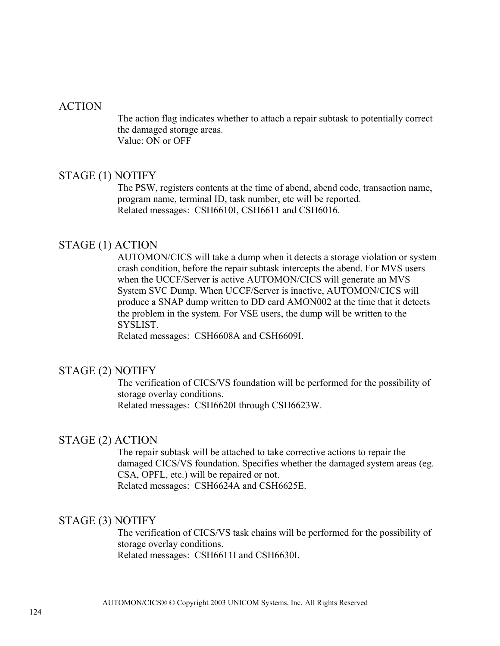## ACTION

The action flag indicates whether to attach a repair subtask to potentially correct the damaged storage areas. Value: ON or OFF

## STAGE (1) NOTIFY

The PSW, registers contents at the time of abend, abend code, transaction name, program name, terminal ID, task number, etc will be reported. Related messages: CSH6610I, CSH6611 and CSH6016.

## STAGE (1) ACTION

AUTOMON/CICS will take a dump when it detects a storage violation or system crash condition, before the repair subtask intercepts the abend. For MVS users when the UCCF/Server is active AUTOMON/CICS will generate an MVS System SVC Dump. When UCCF/Server is inactive, AUTOMON/CICS will produce a SNAP dump written to DD card AMON002 at the time that it detects the problem in the system. For VSE users, the dump will be written to the SYSLIST.

Related messages: CSH6608A and CSH6609I.

## STAGE (2) NOTIFY

The verification of CICS/VS foundation will be performed for the possibility of storage overlay conditions. Related messages: CSH6620I through CSH6623W.

## STAGE (2) ACTION

The repair subtask will be attached to take corrective actions to repair the damaged CICS/VS foundation. Specifies whether the damaged system areas (eg. CSA, OPFL, etc.) will be repaired or not. Related messages: CSH6624A and CSH6625E.

## STAGE (3) NOTIFY

The verification of CICS/VS task chains will be performed for the possibility of storage overlay conditions. Related messages: CSH6611I and CSH6630I.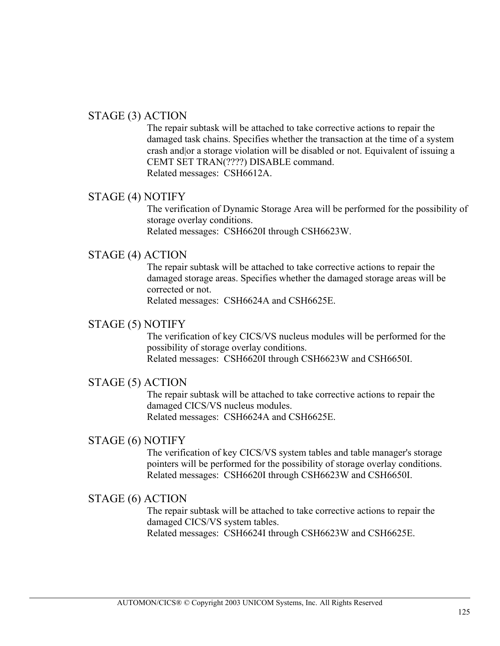## STAGE (3) ACTION

The repair subtask will be attached to take corrective actions to repair the damaged task chains. Specifies whether the transaction at the time of a system crash and|or a storage violation will be disabled or not. Equivalent of issuing a CEMT SET TRAN(????) DISABLE command. Related messages: CSH6612A.

## STAGE (4) NOTIFY

The verification of Dynamic Storage Area will be performed for the possibility of storage overlay conditions. Related messages: CSH6620I through CSH6623W.

## STAGE (4) ACTION

The repair subtask will be attached to take corrective actions to repair the damaged storage areas. Specifies whether the damaged storage areas will be corrected or not.

Related messages: CSH6624A and CSH6625E.

## STAGE (5) NOTIFY

The verification of key CICS/VS nucleus modules will be performed for the possibility of storage overlay conditions. Related messages: CSH6620I through CSH6623W and CSH6650I.

## STAGE (5) ACTION

The repair subtask will be attached to take corrective actions to repair the damaged CICS/VS nucleus modules. Related messages: CSH6624A and CSH6625E.

## STAGE (6) NOTIFY

The verification of key CICS/VS system tables and table manager's storage pointers will be performed for the possibility of storage overlay conditions. Related messages: CSH6620I through CSH6623W and CSH6650I.

## STAGE (6) ACTION

The repair subtask will be attached to take corrective actions to repair the damaged CICS/VS system tables. Related messages: CSH6624I through CSH6623W and CSH6625E.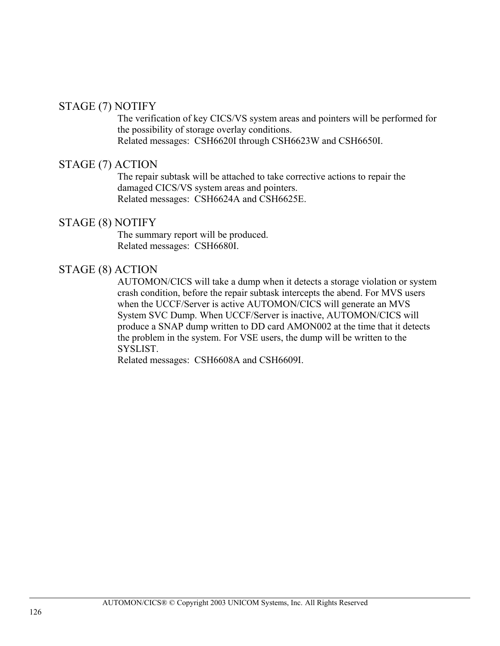## STAGE (7) NOTIFY

The verification of key CICS/VS system areas and pointers will be performed for the possibility of storage overlay conditions. Related messages: CSH6620I through CSH6623W and CSH6650I.

## STAGE (7) ACTION

The repair subtask will be attached to take corrective actions to repair the damaged CICS/VS system areas and pointers. Related messages: CSH6624A and CSH6625E.

#### STAGE (8) NOTIFY

The summary report will be produced. Related messages: CSH6680I.

## STAGE (8) ACTION

AUTOMON/CICS will take a dump when it detects a storage violation or system crash condition, before the repair subtask intercepts the abend. For MVS users when the UCCF/Server is active AUTOMON/CICS will generate an MVS System SVC Dump. When UCCF/Server is inactive, AUTOMON/CICS will produce a SNAP dump written to DD card AMON002 at the time that it detects the problem in the system. For VSE users, the dump will be written to the SYSLIST.

Related messages: CSH6608A and CSH6609I.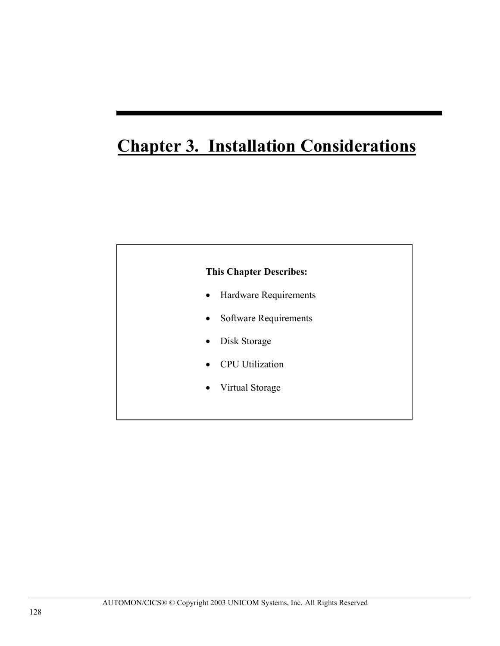# **Chapter 3. Installation Considerations**

## **This Chapter Describes:**

- Hardware Requirements
- Software Requirements
- Disk Storage
- CPU Utilization
- Virtual Storage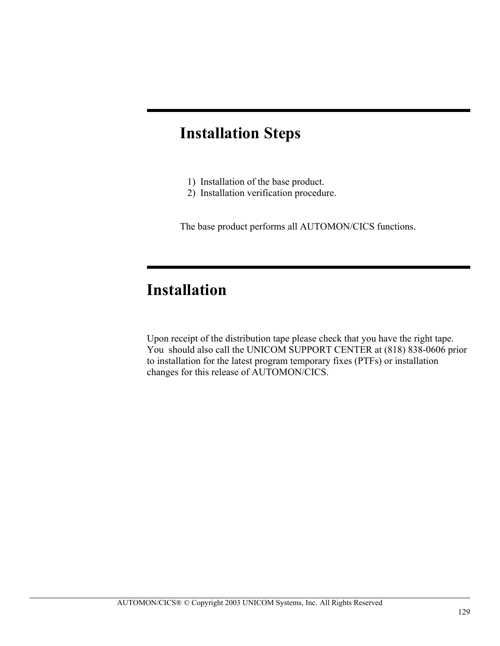# **Installation Steps**

- 1) Installation of the base product.
- 2) Installation verification procedure.

The base product performs all AUTOMON/CICS functions.

# **Installation**

Upon receipt of the distribution tape please check that you have the right tape. You should also call the UNICOM SUPPORT CENTER at (818) 838-0606 prior to installation for the latest program temporary fixes (PTFs) or installation changes for this release of AUTOMON/CICS.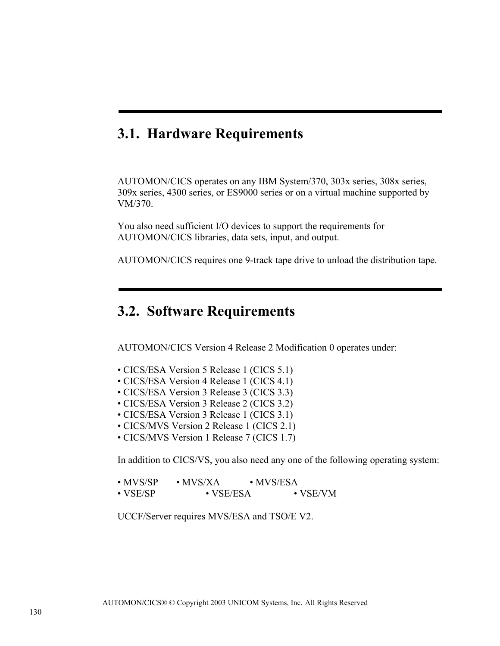## **3.1. Hardware Requirements**

AUTOMON/CICS operates on any IBM System/370, 303x series, 308x series, 309x series, 4300 series, or ES9000 series or on a virtual machine supported by VM/370.

You also need sufficient I/O devices to support the requirements for AUTOMON/CICS libraries, data sets, input, and output.

AUTOMON/CICS requires one 9-track tape drive to unload the distribution tape.

## **3.2. Software Requirements**

AUTOMON/CICS Version 4 Release 2 Modification 0 operates under:

- CICS/ESA Version 5 Release 1 (CICS 5.1)
- CICS/ESA Version 4 Release 1 (CICS 4.1)
- CICS/ESA Version 3 Release 3 (CICS 3.3)
- CICS/ESA Version 3 Release 2 (CICS 3.2)
- CICS/ESA Version 3 Release 1 (CICS 3.1)
- CICS/MVS Version 2 Release 1 (CICS 2.1)
- CICS/MVS Version 1 Release 7 (CICS 1.7)

In addition to CICS/VS, you also need any one of the following operating system:

| $\cdot$ MVS/SP   | $\cdot$ MVS/XA  | $\cdot$ MVS/ESA  |  |
|------------------|-----------------|------------------|--|
| $\bullet$ VSE/SP | $\cdot$ VSE/ESA | $\bullet$ VSE/VM |  |

UCCF/Server requires MVS/ESA and TSO/E V2.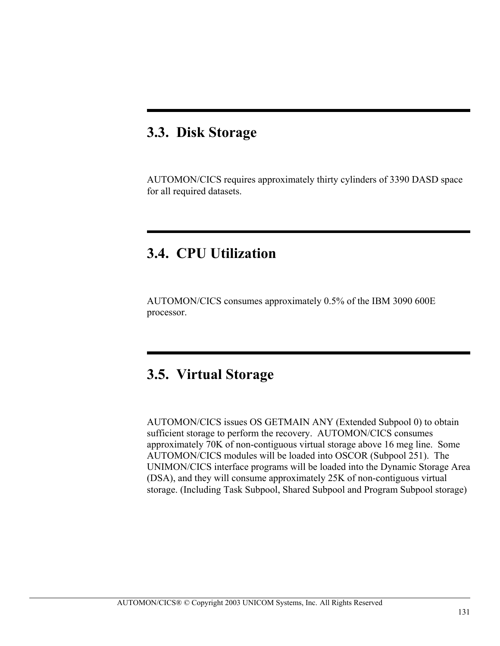## **3.3. Disk Storage**

AUTOMON/CICS requires approximately thirty cylinders of 3390 DASD space for all required datasets.

## **3.4. CPU Utilization**

AUTOMON/CICS consumes approximately 0.5% of the IBM 3090 600E processor.

## **3.5. Virtual Storage**

AUTOMON/CICS issues OS GETMAIN ANY (Extended Subpool 0) to obtain sufficient storage to perform the recovery. AUTOMON/CICS consumes approximately 70K of non-contiguous virtual storage above 16 meg line. Some AUTOMON/CICS modules will be loaded into OSCOR (Subpool 251). The UNIMON/CICS interface programs will be loaded into the Dynamic Storage Area (DSA), and they will consume approximately 25K of non-contiguous virtual storage. (Including Task Subpool, Shared Subpool and Program Subpool storage)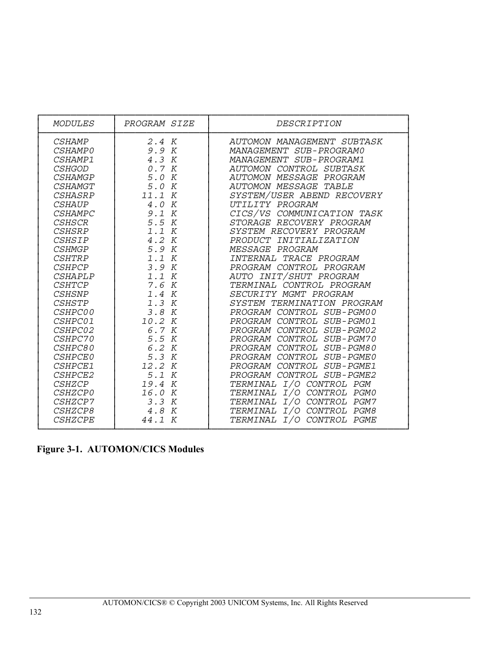| <b>MODULES</b> | PROGRAM SIZE | DESCRIPTION                  |
|----------------|--------------|------------------------------|
| <b>CSHAMP</b>  | 2.4 K        | AUTOMON MANAGEMENT SUBTASK   |
| <i>CSHAMP0</i> | 9.9 K        | MANAGEMENT SUB-PROGRAMO      |
| CSHAMP1        | 4.3 K        | MANAGEMENT SUB-PROGRAM1      |
| <b>CSHGOD</b>  | 0.7 K        | AUTOMON CONTROL SUBTASK      |
| <b>CSHAMGP</b> | 5.0 K        | AUTOMON MESSAGE PROGRAM      |
| <b>CSHAMGT</b> | 5.0 K        | <b>AUTOMON MESSAGE TABLE</b> |
| <i>CSHASRP</i> | 11.1 K       | SYSTEM/USER ABEND RECOVERY   |
| <b>CSHAUP</b>  | 4.0 K        | UTILITY PROGRAM              |
| <b>CSHAMPC</b> | 9.1 K        | CICS/VS COMMUNICATION TASK   |
| <b>CSHSCR</b>  | 5.5 K        | STORAGE RECOVERY PROGRAM     |
| <b>CSHSRP</b>  | 1.1 K        | SYSTEM RECOVERY PROGRAM      |
| <b>CSHSIP</b>  | 4.2 K        | PRODUCT INITIALIZATION       |
| <b>CSHMGP</b>  | 5.9 K        | MESSAGE PROGRAM              |
| <i>CSHTRP</i>  | 1.1 K        | INTERNAL TRACE PROGRAM       |
| <b>CSHPCP</b>  | 3.9 K        | PROGRAM CONTROL PROGRAM      |
| CSHAPLP        | 1.1 K        | AUTO INIT/SHUT PROGRAM       |
| <b>CSHTCP</b>  | 7.6 K        | TERMINAL CONTROL PROGRAM     |
| <b>CSHSNP</b>  | 1.4 K        | SECURITY MGMT PROGRAM        |
| <b>CSHSTP</b>  | 1.3 K        | SYSTEM TERMINATION PROGRAM   |
| CSHPC00        | 3.8 K        | PROGRAM CONTROL SUB-PGM00    |
| CSHPC01        | 10.2 K       | PROGRAM CONTROL SUB-PGM01    |
| CSHPC02        | 6.7 K        | PROGRAM CONTROL SUB-PGM02    |
| CSHPC70        | 5.5 K        | PROGRAM CONTROL SUB-PGM70    |
| CSHPC80        | 6.2 K        | PROGRAM CONTROL SUB-PGM80    |
| <b>CSHPCE0</b> | 5.3 K        | PROGRAM CONTROL SUB-PGME0    |
| CSHPCE1        | 12.2 K       | PROGRAM CONTROL SUB-PGME1    |
| CSHPCE2        | 5.1 K        | PROGRAM CONTROL SUB-PGME2    |
| <i>CSHZCP</i>  | 19.4 K       | TERMINAL I/O CONTROL PGM     |
| <i>CSHZCP0</i> | 16.0 K       | TERMINAL I/O CONTROL PGM0    |
| CSHZCP7        | 3.3 K        | TERMINAL I/O CONTROL PGM7    |
| CSHZCP8        | 4.8 K        | TERMINAL I/O CONTROL PGM8    |
| <b>CSHZCPE</b> | 44.1 K       | TERMINAL I/O CONTROL PGME    |

 **Figure 3-1. AUTOMON/CICS Modules**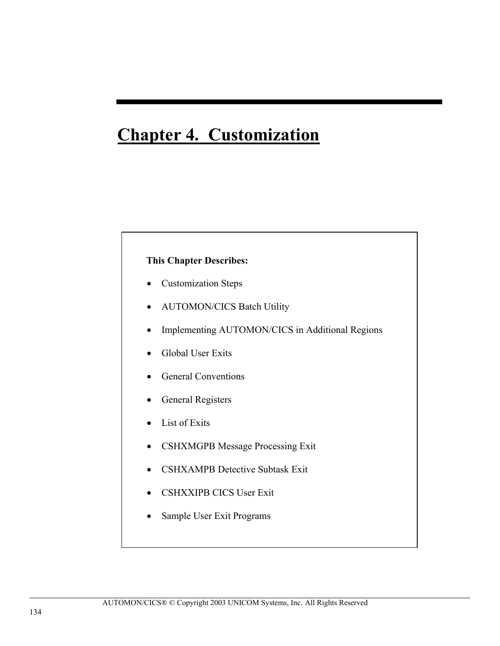# **Chapter 4. Customization**

## **This Chapter Describes:**

- Customization Steps
- AUTOMON/CICS Batch Utility
- Implementing AUTOMON/CICS in Additional Regions
- Global User Exits
- General Conventions
- General Registers
- List of Exits
- CSHXMGPB Message Processing Exit
- CSHXAMPB Detective Subtask Exit
- CSHXXIPB CICS User Exit
- Sample User Exit Programs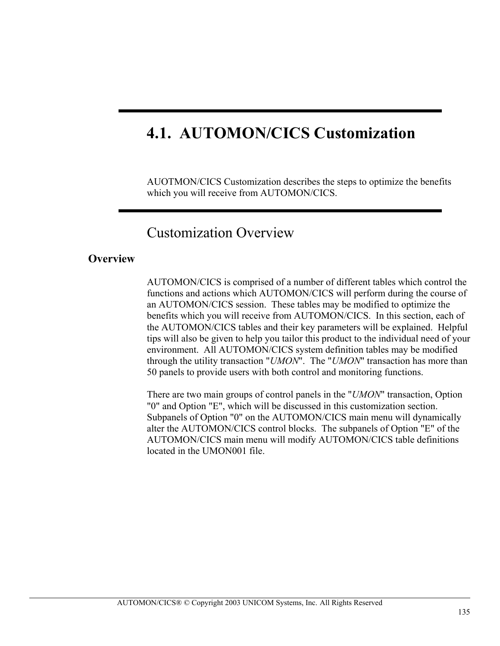# **4.1. AUTOMON/CICS Customization**

AUOTMON/CICS Customization describes the steps to optimize the benefits which you will receive from AUTOMON/CICS.

## Customization Overview

## **Overview**

AUTOMON/CICS is comprised of a number of different tables which control the functions and actions which AUTOMON/CICS will perform during the course of an AUTOMON/CICS session. These tables may be modified to optimize the benefits which you will receive from AUTOMON/CICS. In this section, each of the AUTOMON/CICS tables and their key parameters will be explained. Helpful tips will also be given to help you tailor this product to the individual need of your environment. All AUTOMON/CICS system definition tables may be modified through the utility transaction "*UMON*". The "*UMON*" transaction has more than 50 panels to provide users with both control and monitoring functions.

There are two main groups of control panels in the "*UMON*" transaction, Option "0" and Option "E", which will be discussed in this customization section. Subpanels of Option "0" on the AUTOMON/CICS main menu will dynamically alter the AUTOMON/CICS control blocks. The subpanels of Option "E" of the AUTOMON/CICS main menu will modify AUTOMON/CICS table definitions located in the UMON001 file.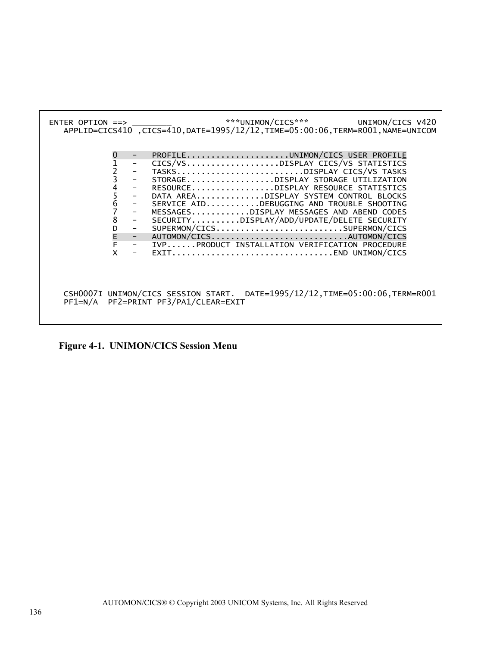

**Figure 4-1. UNIMON/CICS Session Menu**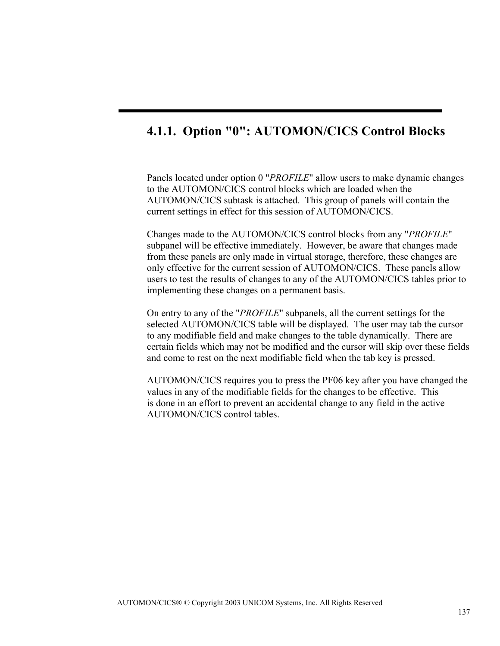## **4.1.1. Option "0": AUTOMON/CICS Control Blocks**

Panels located under option 0 "*PROFILE*" allow users to make dynamic changes to the AUTOMON/CICS control blocks which are loaded when the AUTOMON/CICS subtask is attached. This group of panels will contain the current settings in effect for this session of AUTOMON/CICS.

Changes made to the AUTOMON/CICS control blocks from any "*PROFILE*" subpanel will be effective immediately. However, be aware that changes made from these panels are only made in virtual storage, therefore, these changes are only effective for the current session of AUTOMON/CICS. These panels allow users to test the results of changes to any of the AUTOMON/CICS tables prior to implementing these changes on a permanent basis.

On entry to any of the "*PROFILE*" subpanels, all the current settings for the selected AUTOMON/CICS table will be displayed. The user may tab the cursor to any modifiable field and make changes to the table dynamically. There are certain fields which may not be modified and the cursor will skip over these fields and come to rest on the next modifiable field when the tab key is pressed.

AUTOMON/CICS requires you to press the PF06 key after you have changed the values in any of the modifiable fields for the changes to be effective. This is done in an effort to prevent an accidental change to any field in the active AUTOMON/CICS control tables.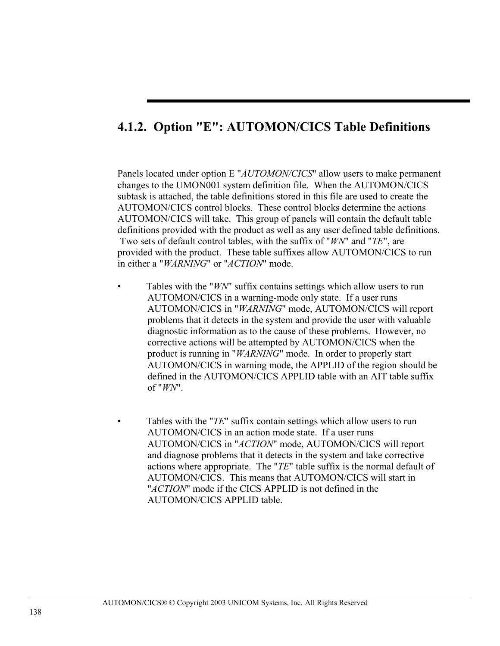## **4.1.2. Option "E": AUTOMON/CICS Table Definitions**

Panels located under option E "*AUTOMON/CICS*" allow users to make permanent changes to the UMON001 system definition file. When the AUTOMON/CICS subtask is attached, the table definitions stored in this file are used to create the AUTOMON/CICS control blocks. These control blocks determine the actions AUTOMON/CICS will take. This group of panels will contain the default table definitions provided with the product as well as any user defined table definitions. Two sets of default control tables, with the suffix of "*WN*" and "*TE*", are provided with the product. These table suffixes allow AUTOMON/CICS to run in either a "*WARNING*" or "*ACTION*" mode.

- Tables with the "*WN*" suffix contains settings which allow users to run AUTOMON/CICS in a warning-mode only state. If a user runs AUTOMON/CICS in "*WARNING*" mode, AUTOMON/CICS will report problems that it detects in the system and provide the user with valuable diagnostic information as to the cause of these problems. However, no corrective actions will be attempted by AUTOMON/CICS when the product is running in "*WARNING*" mode. In order to properly start AUTOMON/CICS in warning mode, the APPLID of the region should be defined in the AUTOMON/CICS APPLID table with an AIT table suffix of "*WN*".
- Tables with the "*TE*" suffix contain settings which allow users to run AUTOMON/CICS in an action mode state. If a user runs AUTOMON/CICS in "*ACTION*" mode, AUTOMON/CICS will report and diagnose problems that it detects in the system and take corrective actions where appropriate. The "*TE*" table suffix is the normal default of AUTOMON/CICS. This means that AUTOMON/CICS will start in "*ACTION*" mode if the CICS APPLID is not defined in the AUTOMON/CICS APPLID table.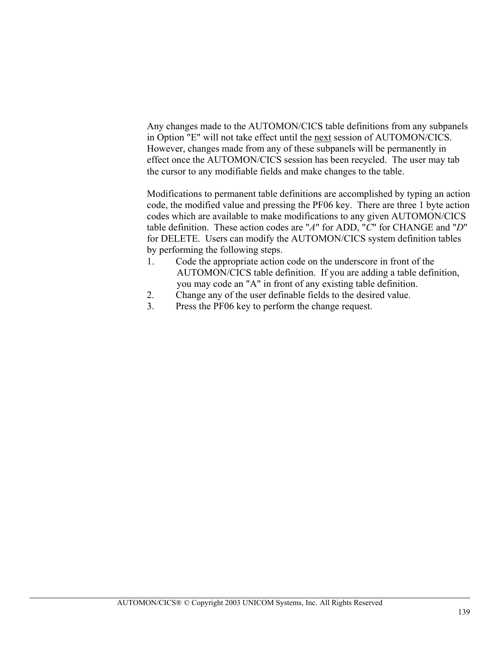Any changes made to the AUTOMON/CICS table definitions from any subpanels in Option "E" will not take effect until the next session of AUTOMON/CICS. However, changes made from any of these subpanels will be permanently in effect once the AUTOMON/CICS session has been recycled. The user may tab the cursor to any modifiable fields and make changes to the table.

Modifications to permanent table definitions are accomplished by typing an action code, the modified value and pressing the PF06 key. There are three 1 byte action codes which are available to make modifications to any given AUTOMON/CICS table definition. These action codes are "*A*" for ADD, "*C*" for CHANGE and "*D*" for DELETE. Users can modify the AUTOMON/CICS system definition tables by performing the following steps.

- 1. Code the appropriate action code on the underscore in front of the AUTOMON/CICS table definition. If you are adding a table definition, you may code an "A" in front of any existing table definition.
- 2. Change any of the user definable fields to the desired value.
- 3. Press the PF06 key to perform the change request.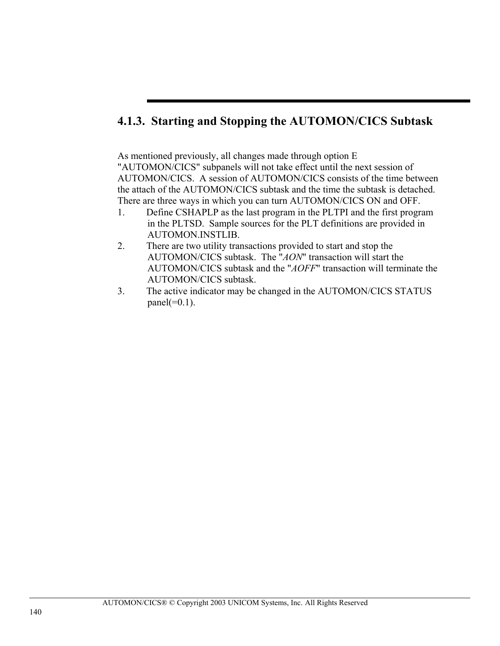## **4.1.3. Starting and Stopping the AUTOMON/CICS Subtask**

As mentioned previously, all changes made through option E "AUTOMON/CICS" subpanels will not take effect until the next session of AUTOMON/CICS. A session of AUTOMON/CICS consists of the time between the attach of the AUTOMON/CICS subtask and the time the subtask is detached. There are three ways in which you can turn AUTOMON/CICS ON and OFF.

- 1. Define CSHAPLP as the last program in the PLTPI and the first program in the PLTSD. Sample sources for the PLT definitions are provided in AUTOMON.INSTLIB.
- 2. There are two utility transactions provided to start and stop the AUTOMON/CICS subtask. The "*AON*" transaction will start the AUTOMON/CICS subtask and the "*AOFF*" transaction will terminate the AUTOMON/CICS subtask.
- 3. The active indicator may be changed in the AUTOMON/CICS STATUS panel $(=0.1)$ .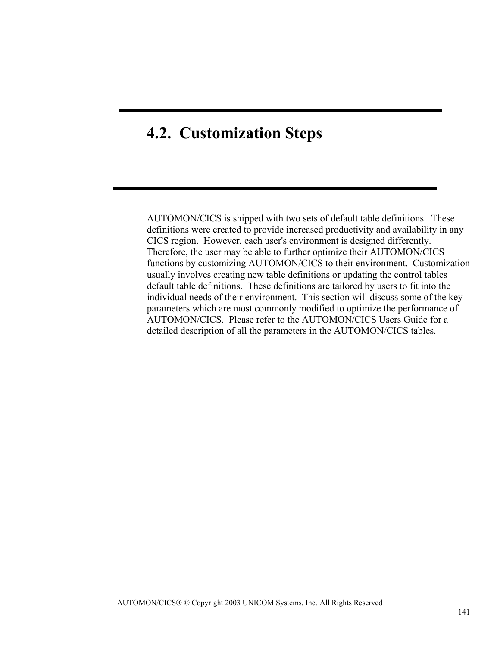# **4.2. Customization Steps**

AUTOMON/CICS is shipped with two sets of default table definitions. These definitions were created to provide increased productivity and availability in any CICS region. However, each user's environment is designed differently. Therefore, the user may be able to further optimize their AUTOMON/CICS functions by customizing AUTOMON/CICS to their environment. Customization usually involves creating new table definitions or updating the control tables default table definitions. These definitions are tailored by users to fit into the individual needs of their environment. This section will discuss some of the key parameters which are most commonly modified to optimize the performance of AUTOMON/CICS. Please refer to the AUTOMON/CICS Users Guide for a detailed description of all the parameters in the AUTOMON/CICS tables.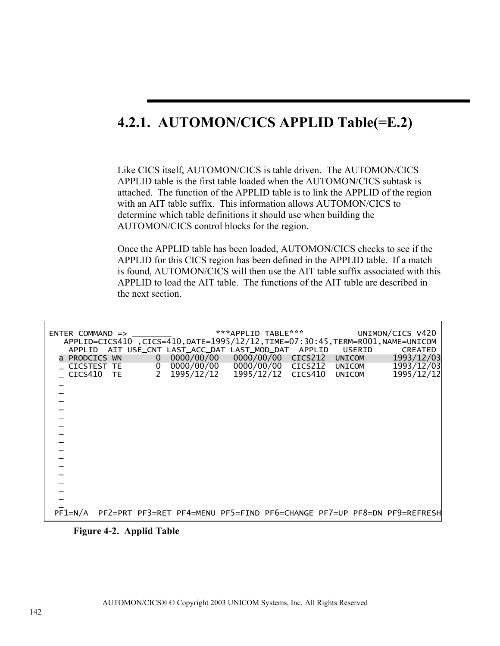# **4.2.1. AUTOMON/CICS APPLID Table(=E.2)**

Like CICS itself, AUTOMON/CICS is table driven. The AUTOMON/CICS APPLID table is the first table loaded when the AUTOMON/CICS subtask is attached. The function of the APPLID table is to link the APPLID of the region with an AIT table suffix. This information allows AUTOMON/CICS to determine which table definitions it should use when building the AUTOMON/CICS control blocks for the region.

Once the APPLID table has been loaded, AUTOMON/CICS checks to see if the APPLID for this CICS region has been defined in the APPLID table. If a match is found, AUTOMON/CICS will then use the AIT table suffix associated with this APPLID to load the AIT table. The functions of the AIT table are described in the next section.

|                 |  |                | APPLID=CICS410 ,CICS=410,DATE=1995/12/12,TIME=07:30:45,TERM=R001,NAME=UNICOM |                    |        |               |        | UNIMON/CICS V420 |
|-----------------|--|----------------|------------------------------------------------------------------------------|--------------------|--------|---------------|--------|------------------|
|                 |  |                | APPLID AIT USE_CNT LAST_ACC_DAT LAST_MOD_DAT                                 |                    | APPLID |               | USERID | <b>CREATED</b>   |
| a PRODCICS WN   |  | 0 <sup>1</sup> | 0000/00/00                                                                   | 0000/00/00 CICS212 |        |               | UNICOM | 1993/12/03       |
| CICSTEST TE     |  |                | $0$ 0000/00/00                                                               | 0000/00/00 CICS212 |        |               | UNICOM | 1993/12/03       |
| CICS410 TE      |  | $2^{\circ}$    | 1995/12/12                                                                   | 1995/12/12 CICS410 |        | <b>UNICOM</b> |        | 1995/12/12       |
|                 |  |                |                                                                              |                    |        |               |        |                  |
|                 |  |                |                                                                              |                    |        |               |        |                  |
|                 |  |                |                                                                              |                    |        |               |        |                  |
|                 |  |                |                                                                              |                    |        |               |        |                  |
|                 |  |                |                                                                              |                    |        |               |        |                  |
|                 |  |                |                                                                              |                    |        |               |        |                  |
|                 |  |                |                                                                              |                    |        |               |        |                  |
|                 |  |                |                                                                              |                    |        |               |        |                  |
|                 |  |                |                                                                              |                    |        |               |        |                  |
|                 |  |                |                                                                              |                    |        |               |        |                  |
|                 |  |                |                                                                              |                    |        |               |        |                  |
|                 |  |                |                                                                              |                    |        |               |        |                  |
|                 |  |                |                                                                              |                    |        |               |        |                  |
|                 |  |                |                                                                              |                    |        |               |        |                  |
|                 |  |                |                                                                              |                    |        |               |        |                  |
|                 |  |                |                                                                              |                    |        |               |        |                  |
|                 |  |                |                                                                              |                    |        |               |        |                  |
| $P$ F $1 = N/A$ |  |                | PF2=PRT PF3=RET PF4=MENU PF5=FIND PF6=CHANGE PF7=UP PF8=DN PF9=REFRESH       |                    |        |               |        |                  |

**Figure 4-2. Applid Table**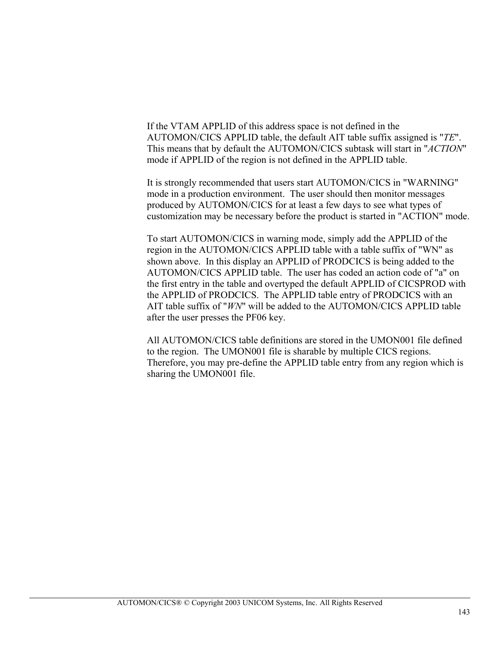If the VTAM APPLID of this address space is not defined in the AUTOMON/CICS APPLID table, the default AIT table suffix assigned is "*TE*". This means that by default the AUTOMON/CICS subtask will start in "*ACTION*" mode if APPLID of the region is not defined in the APPLID table.

It is strongly recommended that users start AUTOMON/CICS in "WARNING" mode in a production environment. The user should then monitor messages produced by AUTOMON/CICS for at least a few days to see what types of customization may be necessary before the product is started in "ACTION" mode.

To start AUTOMON/CICS in warning mode, simply add the APPLID of the region in the AUTOMON/CICS APPLID table with a table suffix of "WN" as shown above. In this display an APPLID of PRODCICS is being added to the AUTOMON/CICS APPLID table. The user has coded an action code of "a" on the first entry in the table and overtyped the default APPLID of CICSPROD with the APPLID of PRODCICS. The APPLID table entry of PRODCICS with an AIT table suffix of "*WN*" will be added to the AUTOMON/CICS APPLID table after the user presses the PF06 key.

All AUTOMON/CICS table definitions are stored in the UMON001 file defined to the region. The UMON001 file is sharable by multiple CICS regions. Therefore, you may pre-define the APPLID table entry from any region which is sharing the UMON001 file.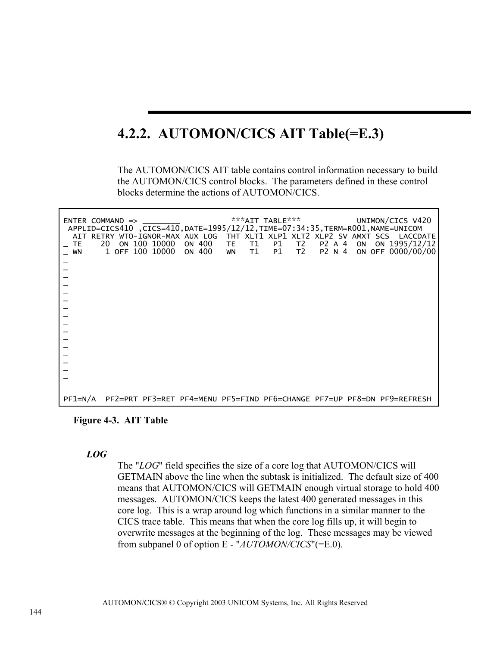# **4.2.2. AUTOMON/CICS AIT Table(=E.3)**

The AUTOMON/CICS AIT table contains control information necessary to build the AUTOMON/CICS control blocks. The parameters defined in these control blocks determine the actions of AUTOMON/CICS.

| $ENTER$ COMMAND $\Rightarrow$<br><b>TE</b> | 20 | ON 100 10000    | ON 400 TE | T1       | ***AIT TABLE***<br>APPLID=CICS410, CICS=410, DATE=1995/12/12, TIME=07:34:35, TERM=R001, NAME=UNICOM<br>P1<br>T2 | P2 A 4 | ON | UNIMON/CICS V420<br>AIT RETRY WTO-IGNOR-MAX AUX LOG THT XLT1 XLP1 XLT2 XLP2 SV AMXT SCS LACCDATE<br>ON 1995/12/12 |
|--------------------------------------------|----|-----------------|-----------|----------|-----------------------------------------------------------------------------------------------------------------|--------|----|-------------------------------------------------------------------------------------------------------------------|
| WN                                         |    | 1 OFF 100 10000 | ON 400    | T1<br>WN | T2<br>P1                                                                                                        | P2 N 4 |    | ON OFF 0000/00/00                                                                                                 |
|                                            |    |                 |           |          |                                                                                                                 |        |    |                                                                                                                   |
|                                            |    |                 |           |          |                                                                                                                 |        |    |                                                                                                                   |
|                                            |    |                 |           |          |                                                                                                                 |        |    |                                                                                                                   |
|                                            |    |                 |           |          |                                                                                                                 |        |    |                                                                                                                   |
|                                            |    |                 |           |          |                                                                                                                 |        |    |                                                                                                                   |
|                                            |    |                 |           |          |                                                                                                                 |        |    |                                                                                                                   |
|                                            |    |                 |           |          |                                                                                                                 |        |    |                                                                                                                   |
|                                            |    |                 |           |          |                                                                                                                 |        |    |                                                                                                                   |
|                                            |    |                 |           |          |                                                                                                                 |        |    |                                                                                                                   |
|                                            |    |                 |           |          |                                                                                                                 |        |    |                                                                                                                   |
|                                            |    |                 |           |          |                                                                                                                 |        |    |                                                                                                                   |
|                                            |    |                 |           |          |                                                                                                                 |        |    |                                                                                                                   |
|                                            |    |                 |           |          |                                                                                                                 |        |    |                                                                                                                   |
|                                            |    |                 |           |          |                                                                                                                 |        |    |                                                                                                                   |
| PF1=N/A                                    |    |                 |           |          |                                                                                                                 |        |    | PF2=PRT PF3=RET PF4=MENU PF5=FIND PF6=CHANGE PF7=UP PF8=DN PF9=REFRESH                                            |

**Figure 4-3. AIT Table** 

### *LOG*

The "*LOG*" field specifies the size of a core log that AUTOMON/CICS will GETMAIN above the line when the subtask is initialized. The default size of 400 means that AUTOMON/CICS will GETMAIN enough virtual storage to hold 400 messages. AUTOMON/CICS keeps the latest 400 generated messages in this core log. This is a wrap around log which functions in a similar manner to the CICS trace table. This means that when the core log fills up, it will begin to overwrite messages at the beginning of the log. These messages may be viewed from subpanel 0 of option E - "*AUTOMON/CICS*"(=E.0).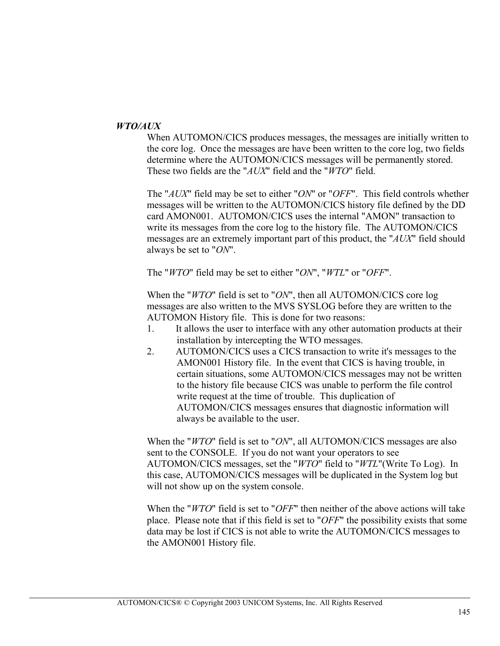### *WTO/AUX*

When AUTOMON/CICS produces messages, the messages are initially written to the core log. Once the messages are have been written to the core log, two fields determine where the AUTOMON/CICS messages will be permanently stored. These two fields are the "*AUX*" field and the "*WTO*" field.

The "*AUX*" field may be set to either "*ON*" or "*OFF*". This field controls whether messages will be written to the AUTOMON/CICS history file defined by the DD card AMON001. AUTOMON/CICS uses the internal "AMON" transaction to write its messages from the core log to the history file. The AUTOMON/CICS messages are an extremely important part of this product, the "*AUX*" field should always be set to "*ON*".

The "*WTO*" field may be set to either "*ON*", "*WTL*" or "*OFF*".

When the "*WTO*" field is set to "*ON*", then all AUTOMON/CICS core log messages are also written to the MVS SYSLOG before they are written to the AUTOMON History file. This is done for two reasons:

- 1. It allows the user to interface with any other automation products at their installation by intercepting the WTO messages.
- 2. AUTOMON/CICS uses a CICS transaction to write it's messages to the AMON001 History file. In the event that CICS is having trouble, in certain situations, some AUTOMON/CICS messages may not be written to the history file because CICS was unable to perform the file control write request at the time of trouble. This duplication of AUTOMON/CICS messages ensures that diagnostic information will always be available to the user.

When the "*WTO*" field is set to "*ON*", all AUTOMON/CICS messages are also sent to the CONSOLE. If you do not want your operators to see AUTOMON/CICS messages, set the "*WTO*" field to "*WTL*"(Write To Log). In this case, AUTOMON/CICS messages will be duplicated in the System log but will not show up on the system console.

When the "*WTO*" field is set to "*OFF*" then neither of the above actions will take place. Please note that if this field is set to "*OFF*" the possibility exists that some data may be lost if CICS is not able to write the AUTOMON/CICS messages to the AMON001 History file.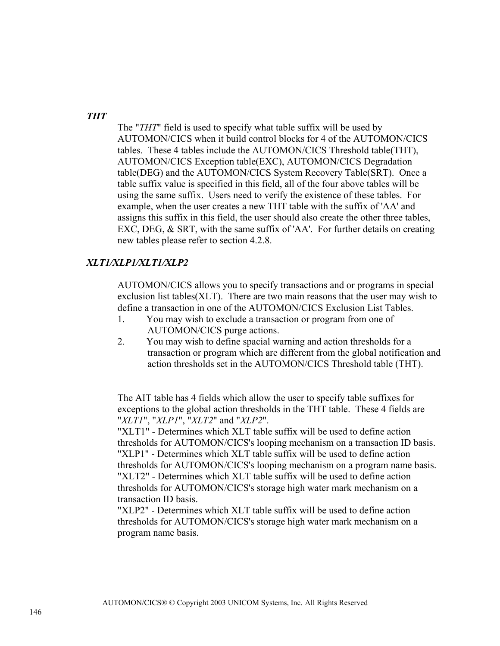## *THT*

The "*THT*" field is used to specify what table suffix will be used by AUTOMON/CICS when it build control blocks for 4 of the AUTOMON/CICS tables. These 4 tables include the AUTOMON/CICS Threshold table(THT), AUTOMON/CICS Exception table(EXC), AUTOMON/CICS Degradation table(DEG) and the AUTOMON/CICS System Recovery Table(SRT). Once a table suffix value is specified in this field, all of the four above tables will be using the same suffix. Users need to verify the existence of these tables. For example, when the user creates a new THT table with the suffix of 'AA' and assigns this suffix in this field, the user should also create the other three tables, EXC, DEG, & SRT, with the same suffix of 'AA'. For further details on creating new tables please refer to section 4.2.8.

## *XLT1/XLP1/XLT1/XLP2*

AUTOMON/CICS allows you to specify transactions and or programs in special exclusion list tables(XLT). There are two main reasons that the user may wish to define a transaction in one of the AUTOMON/CICS Exclusion List Tables.

- 1. You may wish to exclude a transaction or program from one of AUTOMON/CICS purge actions.
- 2. You may wish to define spacial warning and action thresholds for a transaction or program which are different from the global notification and action thresholds set in the AUTOMON/CICS Threshold table (THT).

The AIT table has 4 fields which allow the user to specify table suffixes for exceptions to the global action thresholds in the THT table. These 4 fields are "*XLT1*", "*XLP1*", "*XLT2*" and "*XLP2*".

"XLT1" - Determines which XLT table suffix will be used to define action thresholds for AUTOMON/CICS's looping mechanism on a transaction ID basis. "XLP1" - Determines which XLT table suffix will be used to define action thresholds for AUTOMON/CICS's looping mechanism on a program name basis. "XLT2" - Determines which XLT table suffix will be used to define action thresholds for AUTOMON/CICS's storage high water mark mechanism on a transaction ID basis.

"XLP2" - Determines which XLT table suffix will be used to define action thresholds for AUTOMON/CICS's storage high water mark mechanism on a program name basis.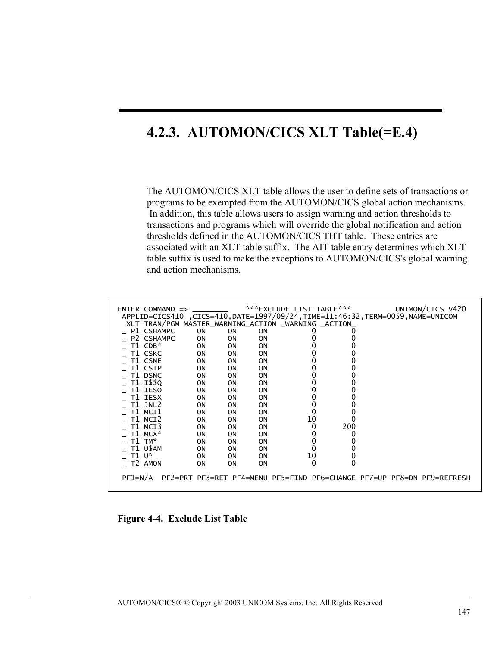# **4.2.3. AUTOMON/CICS XLT Table(=E.4)**

The AUTOMON/CICS XLT table allows the user to define sets of transactions or programs to be exempted from the AUTOMON/CICS global action mechanisms. In addition, this table allows users to assign warning and action thresholds to transactions and programs which will override the global notification and action thresholds defined in the AUTOMON/CICS THT table. These entries are associated with an XLT table suffix. The AIT table entry determines which XLT table suffix is used to make the exceptions to AUTOMON/CICS's global warning and action mechanisms.

| ***EXCLUDE LIST TABLE***<br>$ENTER$ COMMAND $\Rightarrow$<br>APPLID=CICS410, CICS=410, DATE=1997/09/24, TIME=11:46:32, TERM=0059, NAME=UNICOM<br>XLT TRAN/PGM MASTER_WARNING_ACTION _WARNING _ACTION_<br>P1 CSHAMPC<br><b>ON</b><br>0N<br><b>ON</b><br>0<br>P2 CSHAMPC<br>0N<br><b>ON</b><br>ΟN<br>T1 CDB*<br>ON<br><b>ON</b><br>OΝ<br>T1 CSKC<br>0N<br><b>ON</b><br><b>ON</b> | UNIMON/CICS V420 |
|--------------------------------------------------------------------------------------------------------------------------------------------------------------------------------------------------------------------------------------------------------------------------------------------------------------------------------------------------------------------------------|------------------|
|                                                                                                                                                                                                                                                                                                                                                                                |                  |
|                                                                                                                                                                                                                                                                                                                                                                                |                  |
|                                                                                                                                                                                                                                                                                                                                                                                |                  |
|                                                                                                                                                                                                                                                                                                                                                                                |                  |
|                                                                                                                                                                                                                                                                                                                                                                                |                  |
|                                                                                                                                                                                                                                                                                                                                                                                |                  |
| T1 CSNE<br><b>ON</b><br>0N<br><b>ON</b>                                                                                                                                                                                                                                                                                                                                        |                  |
| T1 CSTP<br><b>ON</b><br><b>ON</b><br><b>ON</b>                                                                                                                                                                                                                                                                                                                                 |                  |
| T1 DSNC<br>0<br><b>ON</b><br>OΝ<br><b>ON</b>                                                                                                                                                                                                                                                                                                                                   |                  |
| T1 I\$\$0<br><b>ON</b><br><b>ON</b><br>ΟN                                                                                                                                                                                                                                                                                                                                      |                  |
| T1 IESO<br>0N<br><b>ON</b><br><b>ON</b>                                                                                                                                                                                                                                                                                                                                        |                  |
| T1 IESX<br>ΟN<br>OΝ<br><b>ON</b>                                                                                                                                                                                                                                                                                                                                               |                  |
| T1 JNL2<br>ΟN<br>OΝ<br><b>ON</b>                                                                                                                                                                                                                                                                                                                                               |                  |
| 0<br>T1 MCI1                                                                                                                                                                                                                                                                                                                                                                   |                  |
| ΟN<br>OΝ<br>ON                                                                                                                                                                                                                                                                                                                                                                 |                  |
| 10<br>T1 MCI2<br>0N<br><b>ON</b><br><b>ON</b>                                                                                                                                                                                                                                                                                                                                  |                  |
| 200<br>0<br>T1 MCT3<br>0N<br><b>ON</b><br><b>ON</b>                                                                                                                                                                                                                                                                                                                            |                  |
| T1 MCX*<br>0<br>ΟN<br>OΝ<br><b>ON</b>                                                                                                                                                                                                                                                                                                                                          |                  |
| 0<br>T1 TM*<br>ΟN<br>0N<br>0<br><b>ON</b>                                                                                                                                                                                                                                                                                                                                      |                  |
| T1 USAM<br>0<br>0<br><b>ON</b><br>ΟN<br>OΝ                                                                                                                                                                                                                                                                                                                                     |                  |
| 10<br>0<br>T1 U*<br>ΟN<br>OΝ<br>ΟN                                                                                                                                                                                                                                                                                                                                             |                  |
| 0<br>$\Omega$<br>T <sub>2</sub> AMON<br>ΟN<br>OΝ<br>ΟN                                                                                                                                                                                                                                                                                                                         |                  |
| PF2=PRT PF3=RET PF4=MENU PF5=FIND PF6=CHANGE PF7=UP PF8=DN PF9=REFRESH<br>PF1=N/A                                                                                                                                                                                                                                                                                              |                  |
|                                                                                                                                                                                                                                                                                                                                                                                |                  |

**Figure 4-4. Exclude List Table**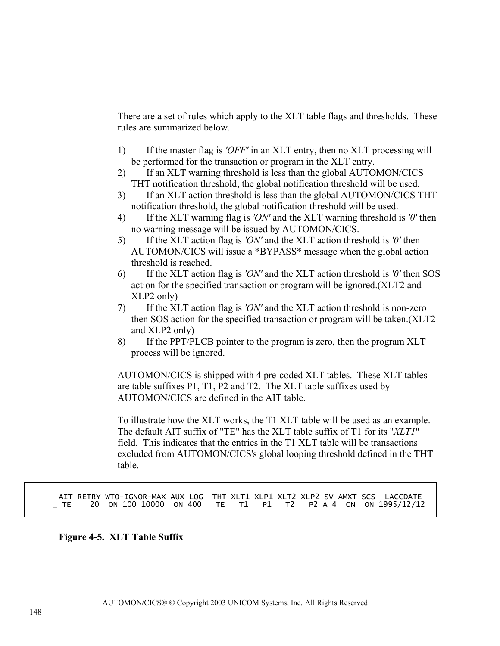There are a set of rules which apply to the XLT table flags and thresholds. These rules are summarized below.

- 1) If the master flag is *'OFF'* in an XLT entry, then no XLT processing will be performed for the transaction or program in the XLT entry.
- 2) If an XLT warning threshold is less than the global AUTOMON/CICS THT notification threshold, the global notification threshold will be used.
- 3) If an XLT action threshold is less than the global AUTOMON/CICS THT notification threshold, the global notification threshold will be used.
- 4) If the XLT warning flag is *'ON'* and the XLT warning threshold is *'0'* then no warning message will be issued by AUTOMON/CICS.
- 5) If the XLT action flag is *'ON'* and the XLT action threshold is *'0'* then AUTOMON/CICS will issue a \*BYPASS\* message when the global action threshold is reached.
- 6) If the XLT action flag is *'ON'* and the XLT action threshold is *'0'* then SOS action for the specified transaction or program will be ignored.(XLT2 and XLP2 only)
- 7) If the XLT action flag is *'ON'* and the XLT action threshold is non-zero then SOS action for the specified transaction or program will be taken.(XLT2 and XLP2 only)
- 8) If the PPT/PLCB pointer to the program is zero, then the program XLT process will be ignored.

AUTOMON/CICS is shipped with 4 pre-coded XLT tables. These XLT tables are table suffixes P1, T1, P2 and T2. The XLT table suffixes used by AUTOMON/CICS are defined in the AIT table.

To illustrate how the XLT works, the T1 XLT table will be used as an example. The default AIT suffix of "TE" has the XLT table suffix of T1 for its "*XLT1*" field. This indicates that the entries in the T1 XLT table will be transactions excluded from AUTOMON/CICS's global looping threshold defined in the THT table.

AIT RETRY WTO-IGNOR-MAX AUX LOG THT XLT1 XLP1 XLT2 XLP2 SV AMXT SCS LACCDATE<br>TE 20 ON 100 10000 ON 400 TE T1 P1 T2 P2 A 4 ON ON 1995/12/12 \_ TE 20 ON 100 10000 ON 400 TE T1 P1 T2 P2 A 4 ON ON 1995/12/12

### **Figure 4-5. XLT Table Suffix**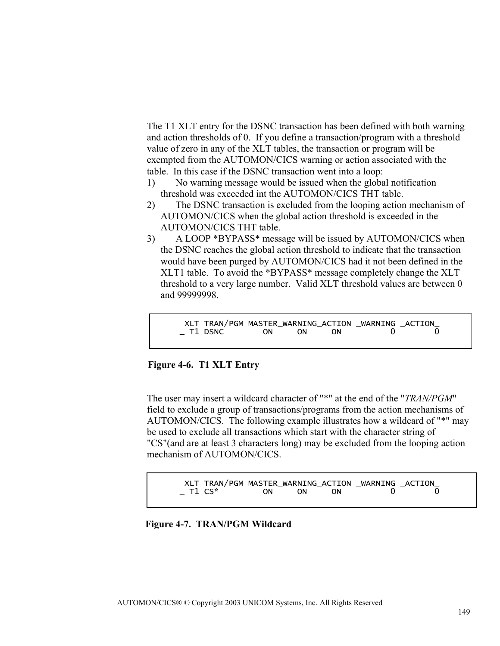The T1 XLT entry for the DSNC transaction has been defined with both warning and action thresholds of 0. If you define a transaction/program with a threshold value of zero in any of the XLT tables, the transaction or program will be exempted from the AUTOMON/CICS warning or action associated with the table. In this case if the DSNC transaction went into a loop:

- 1) No warning message would be issued when the global notification threshold was exceeded int the AUTOMON/CICS THT table.
- 2) The DSNC transaction is excluded from the looping action mechanism of AUTOMON/CICS when the global action threshold is exceeded in the AUTOMON/CICS THT table.
- 3) A LOOP \*BYPASS\* message will be issued by AUTOMON/CICS when the DSNC reaches the global action threshold to indicate that the transaction would have been purged by AUTOMON/CICS had it not been defined in the XLT1 table. To avoid the \*BYPASS\* message completely change the XLT threshold to a very large number. Valid XLT threshold values are between 0 and 99999998.

```
XLT TRAN/PGM MASTER_WARNING_ACTION _WARNING _ACTION_<br>T1 DSNC ON ON ON ON 0
- T1 DSNC
```
## **Figure 4-6. T1 XLT Entry**

The user may insert a wildcard character of "\*" at the end of the "*TRAN/PGM*" field to exclude a group of transactions/programs from the action mechanisms of AUTOMON/CICS. The following example illustrates how a wildcard of "\*" may be used to exclude all transactions which start with the character string of "CS"(and are at least 3 characters long) may be excluded from the looping action mechanism of AUTOMON/CICS.

| XLT TRAN/PGM MASTER_WARNING_ACTION _WARNING _ACTION_ |          |  |                                            |
|------------------------------------------------------|----------|--|--------------------------------------------|
| T1 CS*                                               | ON ON ON |  | $\begin{array}{ccc} & & & 0 & \end{array}$ |

**Figure 4-7. TRAN/PGM Wildcard**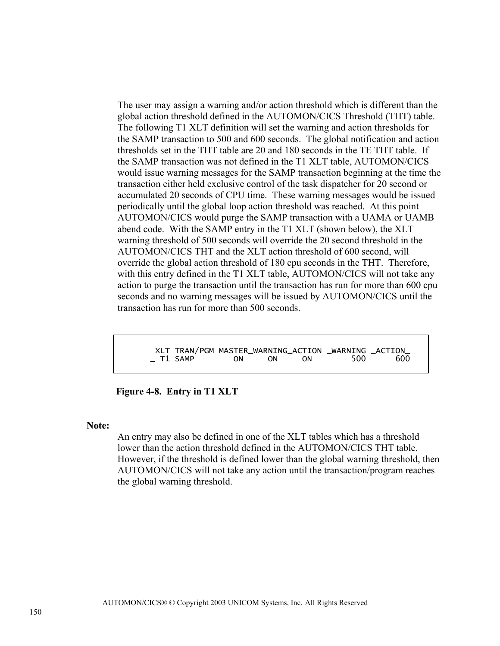The user may assign a warning and/or action threshold which is different than the global action threshold defined in the AUTOMON/CICS Threshold (THT) table. The following T1 XLT definition will set the warning and action thresholds for the SAMP transaction to 500 and 600 seconds. The global notification and action thresholds set in the THT table are 20 and 180 seconds in the TE THT table. If the SAMP transaction was not defined in the T1 XLT table, AUTOMON/CICS would issue warning messages for the SAMP transaction beginning at the time the transaction either held exclusive control of the task dispatcher for 20 second or accumulated 20 seconds of CPU time. These warning messages would be issued periodically until the global loop action threshold was reached. At this point AUTOMON/CICS would purge the SAMP transaction with a UAMA or UAMB abend code. With the SAMP entry in the T1 XLT (shown below), the XLT warning threshold of 500 seconds will override the 20 second threshold in the AUTOMON/CICS THT and the XLT action threshold of 600 second, will override the global action threshold of 180 cpu seconds in the THT. Therefore, with this entry defined in the T1 XLT table, AUTOMON/CICS will not take any action to purge the transaction until the transaction has run for more than 600 cpu seconds and no warning messages will be issued by AUTOMON/CICS until the transaction has run for more than 500 seconds.

 XLT TRAN/PGM MASTER\_WARNING\_ACTION \_WARNING \_ACTION\_ T1 SAMP ON ON ON

**Figure 4-8. Entry in T1 XLT** 

#### **Note:**

An entry may also be defined in one of the XLT tables which has a threshold lower than the action threshold defined in the AUTOMON/CICS THT table. However, if the threshold is defined lower than the global warning threshold, then AUTOMON/CICS will not take any action until the transaction/program reaches the global warning threshold.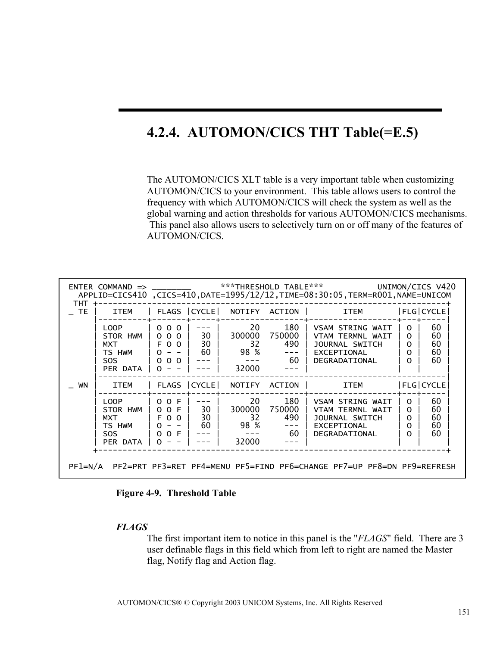# **4.2.4. AUTOMON/CICS THT Table(=E.5)**

The AUTOMON/CICS XLT table is a very important table when customizing AUTOMON/CICS to your environment. This table allows users to control the frequency with which AUTOMON/CICS will check the system as well as the global warning and action thresholds for various AUTOMON/CICS mechanisms. This panel also allows users to selectively turn on or off many of the features of AUTOMON/CICS.

| THT.                                                                                | $ENTER$ $\text{COMMAND}$ $\Rightarrow$ $\_\_\_\_\_\_\_\_\_\_\_\_\_\_\_\_$ |                                                          |                |                                     |                                                | ***THRESHOLD TABLE*** UNIMON/CICS V420<br>APPLID=CICS410 ,CICS=410,DATE=1995/12/12,TIME=08:30:05,TERM=R001,NAME=UNICOM |                                                          |                            |
|-------------------------------------------------------------------------------------|---------------------------------------------------------------------------|----------------------------------------------------------|----------------|-------------------------------------|------------------------------------------------|------------------------------------------------------------------------------------------------------------------------|----------------------------------------------------------|----------------------------|
| <b>TE</b>                                                                           | <b>ITEM</b>                                                               | FLAGS   CYCLE                                            |                |                                     | NOTIFY ACTION                                  | <b>ITEM</b>                                                                                                            |                                                          | $ FLG $ CYCLE              |
|                                                                                     | LOOP<br>STOR HWM<br>MXT<br>TS HWM<br><b>SOS</b><br>PER DATA               | 000<br>000<br>F O O<br>$\Omega$<br>$\Omega$<br>0 O       | 30<br>30<br>60 | 20<br>32<br>98 %<br>32000           | 180<br>300000 750000<br>490<br>60 <sub>1</sub> | VSAM STRING WAIT<br>VTAM TERMNI WATT<br>JOURNAL SWITCH<br>EXCEPTIONAL<br>DEGRADATIONAL                                 | $\Omega$<br>$\Omega$<br>$\Omega$<br>$\Omega$<br>$\Omega$ | 60<br>60<br>60<br>60<br>60 |
| WN                                                                                  | <b>ITEM</b>                                                               |                                                          | FLAGS CYCLE    | NOTIFY                              | ACTION                                         | ITEM                                                                                                                   |                                                          | FLG CYCLE                  |
|                                                                                     | LOOP<br>STOR HWM<br>MXT<br>TS HWM<br>SOS.<br>PER DATA                     | 0 O F<br>0 0 F<br>F O O<br>$\Omega$<br>$\Omega$<br>$O$ F | 30<br>30<br>60 | 20<br>300000<br>32<br>98 %<br>32000 | 180<br>750000<br>490<br>-60                    | VSAM STRING WAIT<br>VTAM TERMNL WAIT<br>JOURNAL SWITCH<br>EXCEPTIONAL<br>DEGRADATIONAL                                 | O.<br>$\Omega$<br>$\Omega$<br>$\Omega$<br>$\Omega$       | 60<br>60<br>60<br>60<br>60 |
| PF2=PRT PF3=RET PF4=MENU PF5=FIND PF6=CHANGE PF7=UP PF8=DN PF9=REFRESH<br>$PF1=N/A$ |                                                                           |                                                          |                |                                     |                                                |                                                                                                                        |                                                          |                            |

**Figure 4-9. Threshold Table** 

### *FLAGS*

The first important item to notice in this panel is the "*FLAGS*" field. There are 3 user definable flags in this field which from left to right are named the Master flag, Notify flag and Action flag.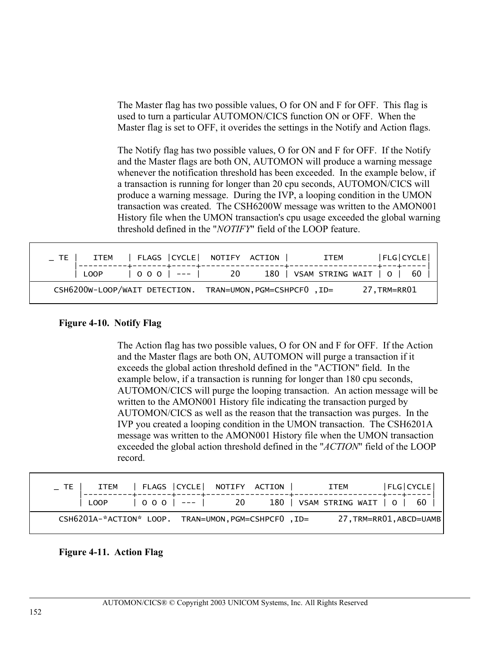The Master flag has two possible values, O for ON and F for OFF. This flag is used to turn a particular AUTOMON/CICS function ON or OFF. When the Master flag is set to OFF, it overides the settings in the Notify and Action flags.

The Notify flag has two possible values, O for ON and F for OFF. If the Notify and the Master flags are both ON, AUTOMON will produce a warning message whenever the notification threshold has been exceeded. In the example below, if a transaction is running for longer than 20 cpu seconds, AUTOMON/CICS will produce a warning message. During the IVP, a looping condition in the UMON transaction was created. The CSH6200W message was written to the AMON001 History file when the UMON transaction's cpu usage exceeded the global warning threshold defined in the "*NOTIFY*" field of the LOOP feature.

| $\_$ TE |                                                           |  | ITEM   FLAGS   CYCLE   NOTIFY ACTION |  | ITEM                            | FLG CYCLE   |  |
|---------|-----------------------------------------------------------|--|--------------------------------------|--|---------------------------------|-------------|--|
|         | LOOP                                                      |  | $ 000 $ --- $ 20$                    |  | 180   VSAM STRING WAIT   0   60 |             |  |
|         | CSH6200W-LOOP/WAIT DETECTION. TRAN=UMON, PGM=CSHPCF0, ID= |  |                                      |  |                                 | 27.TRM=RR01 |  |

### **Figure 4-10. Notify Flag**

The Action flag has two possible values, O for ON and F for OFF. If the Action and the Master flags are both ON, AUTOMON will purge a transaction if it exceeds the global action threshold defined in the "ACTION" field. In the example below, if a transaction is running for longer than 180 cpu seconds, AUTOMON/CICS will purge the looping transaction. An action message will be written to the AMON001 History file indicating the transaction purged by AUTOMON/CICS as well as the reason that the transaction was purges. In the IVP you created a looping condition in the UMON transaction. The CSH6201A message was written to the AMON001 History file when the UMON transaction exceeded the global action threshold defined in the "*ACTION*" field of the LOOP record.

| ITEM                                                |  | FLAGS   CYCLE   NOTIFY ACTION |  | <b>ITEM</b>                     |                         | FLG CYCLE |  |
|-----------------------------------------------------|--|-------------------------------|--|---------------------------------|-------------------------|-----------|--|
| LOOP                                                |  | $ 000 $ --- $ 20$             |  | 180   VSAM STRING WAIT   0   60 |                         |           |  |
| CSH6201A-*ACTION* LOOP. TRAN=UMON, PGM=CSHPCF0, ID= |  |                               |  |                                 | 27, TRM=RR01, ABCD=UAMB |           |  |

### **Figure 4-11. Action Flag**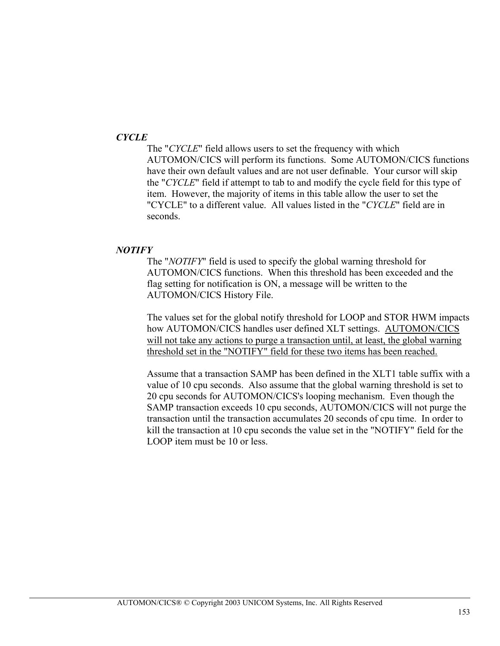## *CYCLE*

The "*CYCLE*" field allows users to set the frequency with which AUTOMON/CICS will perform its functions. Some AUTOMON/CICS functions have their own default values and are not user definable. Your cursor will skip the "*CYCLE*" field if attempt to tab to and modify the cycle field for this type of item. However, the majority of items in this table allow the user to set the "CYCLE" to a different value. All values listed in the "*CYCLE*" field are in seconds.

#### *NOTIFY*

The "*NOTIFY*" field is used to specify the global warning threshold for AUTOMON/CICS functions. When this threshold has been exceeded and the flag setting for notification is ON, a message will be written to the AUTOMON/CICS History File.

The values set for the global notify threshold for LOOP and STOR HWM impacts how AUTOMON/CICS handles user defined XLT settings. AUTOMON/CICS will not take any actions to purge a transaction until, at least, the global warning threshold set in the "NOTIFY" field for these two items has been reached.

Assume that a transaction SAMP has been defined in the XLT1 table suffix with a value of 10 cpu seconds. Also assume that the global warning threshold is set to 20 cpu seconds for AUTOMON/CICS's looping mechanism. Even though the SAMP transaction exceeds 10 cpu seconds, AUTOMON/CICS will not purge the transaction until the transaction accumulates 20 seconds of cpu time. In order to kill the transaction at 10 cpu seconds the value set in the "NOTIFY" field for the LOOP item must be 10 or less.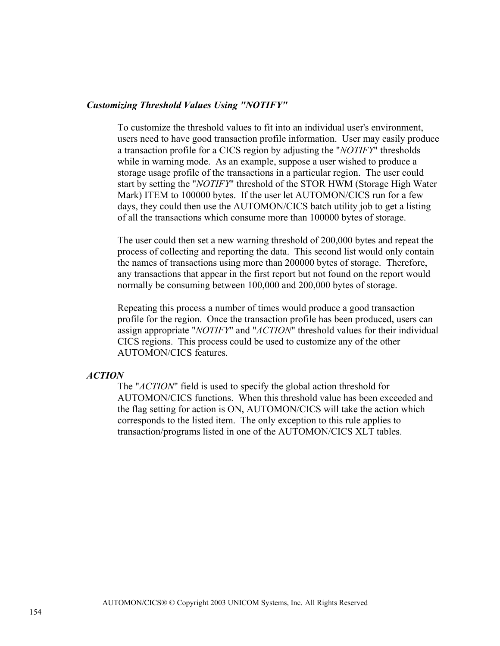### *Customizing Threshold Values Using "NOTIFY"*

To customize the threshold values to fit into an individual user's environment, users need to have good transaction profile information. User may easily produce a transaction profile for a CICS region by adjusting the "*NOTIFY*" thresholds while in warning mode. As an example, suppose a user wished to produce a storage usage profile of the transactions in a particular region. The user could start by setting the "*NOTIFY*" threshold of the STOR HWM (Storage High Water Mark) ITEM to 100000 bytes. If the user let AUTOMON/CICS run for a few days, they could then use the AUTOMON/CICS batch utility job to get a listing of all the transactions which consume more than 100000 bytes of storage.

The user could then set a new warning threshold of 200,000 bytes and repeat the process of collecting and reporting the data. This second list would only contain the names of transactions using more than 200000 bytes of storage. Therefore, any transactions that appear in the first report but not found on the report would normally be consuming between 100,000 and 200,000 bytes of storage.

Repeating this process a number of times would produce a good transaction profile for the region. Once the transaction profile has been produced, users can assign appropriate "*NOTIFY*" and "*ACTION*" threshold values for their individual CICS regions. This process could be used to customize any of the other AUTOMON/CICS features.

#### *ACTION*

The "*ACTION*" field is used to specify the global action threshold for AUTOMON/CICS functions. When this threshold value has been exceeded and the flag setting for action is ON, AUTOMON/CICS will take the action which corresponds to the listed item. The only exception to this rule applies to transaction/programs listed in one of the AUTOMON/CICS XLT tables.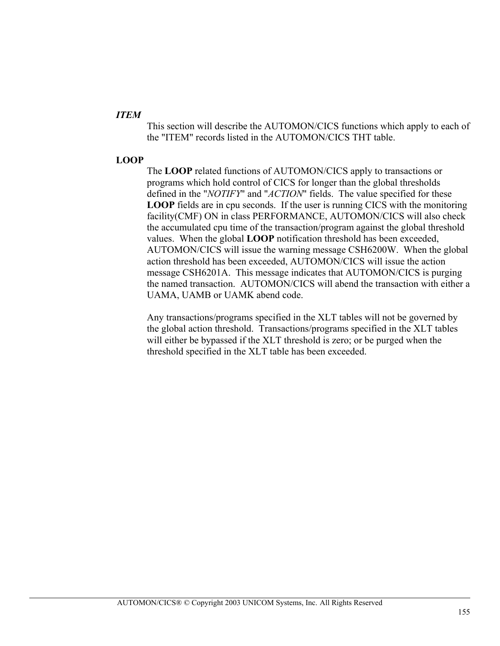### *ITEM*

This section will describe the AUTOMON/CICS functions which apply to each of the "ITEM" records listed in the AUTOMON/CICS THT table.

## **LOOP**

The **LOOP** related functions of AUTOMON/CICS apply to transactions or programs which hold control of CICS for longer than the global thresholds defined in the "*NOTIFY*" and "*ACTION*" fields. The value specified for these **LOOP** fields are in cpu seconds. If the user is running CICS with the monitoring facility(CMF) ON in class PERFORMANCE, AUTOMON/CICS will also check the accumulated cpu time of the transaction/program against the global threshold values. When the global **LOOP** notification threshold has been exceeded, AUTOMON/CICS will issue the warning message CSH6200W. When the global action threshold has been exceeded, AUTOMON/CICS will issue the action message CSH6201A. This message indicates that AUTOMON/CICS is purging the named transaction. AUTOMON/CICS will abend the transaction with either a UAMA, UAMB or UAMK abend code.

Any transactions/programs specified in the XLT tables will not be governed by the global action threshold. Transactions/programs specified in the XLT tables will either be bypassed if the XLT threshold is zero; or be purged when the threshold specified in the XLT table has been exceeded.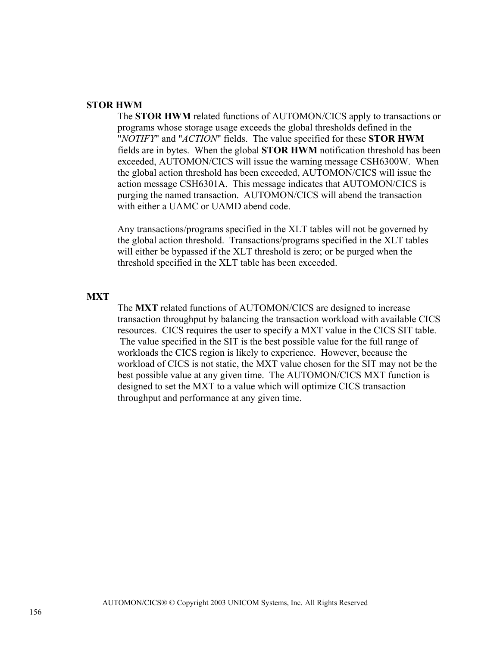### **STOR HWM**

The **STOR HWM** related functions of AUTOMON/CICS apply to transactions or programs whose storage usage exceeds the global thresholds defined in the "*NOTIFY*" and "*ACTION*" fields. The value specified for these **STOR HWM** fields are in bytes. When the global **STOR HWM** notification threshold has been exceeded, AUTOMON/CICS will issue the warning message CSH6300W. When the global action threshold has been exceeded, AUTOMON/CICS will issue the action message CSH6301A. This message indicates that AUTOMON/CICS is purging the named transaction. AUTOMON/CICS will abend the transaction with either a UAMC or UAMD abend code.

Any transactions/programs specified in the XLT tables will not be governed by the global action threshold. Transactions/programs specified in the XLT tables will either be bypassed if the XLT threshold is zero; or be purged when the threshold specified in the XLT table has been exceeded.

#### **MXT**

The **MXT** related functions of AUTOMON/CICS are designed to increase transaction throughput by balancing the transaction workload with available CICS resources. CICS requires the user to specify a MXT value in the CICS SIT table. The value specified in the SIT is the best possible value for the full range of workloads the CICS region is likely to experience. However, because the workload of CICS is not static, the MXT value chosen for the SIT may not be the best possible value at any given time. The AUTOMON/CICS MXT function is designed to set the MXT to a value which will optimize CICS transaction throughput and performance at any given time.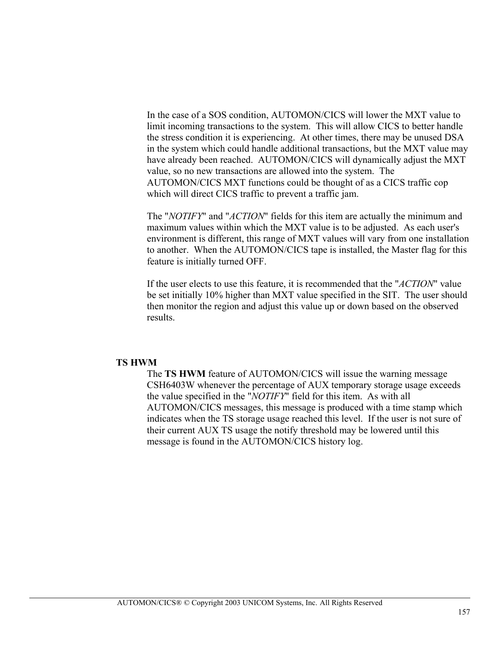In the case of a SOS condition, AUTOMON/CICS will lower the MXT value to limit incoming transactions to the system. This will allow CICS to better handle the stress condition it is experiencing. At other times, there may be unused DSA in the system which could handle additional transactions, but the MXT value may have already been reached. AUTOMON/CICS will dynamically adjust the MXT value, so no new transactions are allowed into the system. The AUTOMON/CICS MXT functions could be thought of as a CICS traffic cop which will direct CICS traffic to prevent a traffic jam.

The "*NOTIFY*" and "*ACTION*" fields for this item are actually the minimum and maximum values within which the MXT value is to be adjusted. As each user's environment is different, this range of MXT values will vary from one installation to another. When the AUTOMON/CICS tape is installed, the Master flag for this feature is initially turned OFF.

If the user elects to use this feature, it is recommended that the "*ACTION*" value be set initially 10% higher than MXT value specified in the SIT. The user should then monitor the region and adjust this value up or down based on the observed results.

#### **TS HWM**

The **TS HWM** feature of AUTOMON/CICS will issue the warning message CSH6403W whenever the percentage of AUX temporary storage usage exceeds the value specified in the "*NOTIFY*" field for this item. As with all AUTOMON/CICS messages, this message is produced with a time stamp which indicates when the TS storage usage reached this level. If the user is not sure of their current AUX TS usage the notify threshold may be lowered until this message is found in the AUTOMON/CICS history log.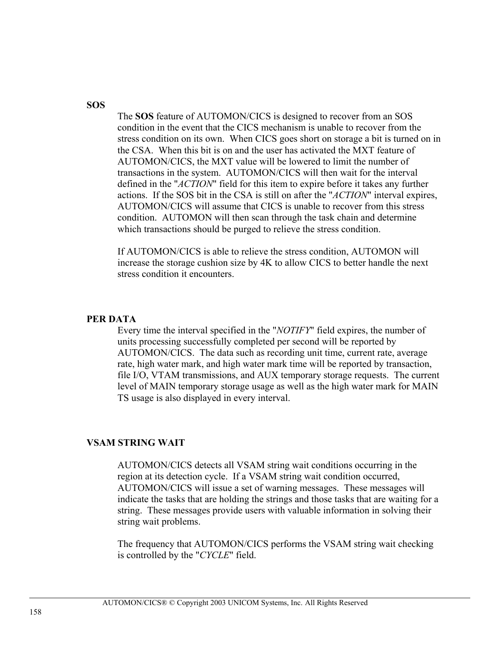### **SOS**

The **SOS** feature of AUTOMON/CICS is designed to recover from an SOS condition in the event that the CICS mechanism is unable to recover from the stress condition on its own. When CICS goes short on storage a bit is turned on in the CSA. When this bit is on and the user has activated the MXT feature of AUTOMON/CICS, the MXT value will be lowered to limit the number of transactions in the system. AUTOMON/CICS will then wait for the interval defined in the "*ACTION*" field for this item to expire before it takes any further actions. If the SOS bit in the CSA is still on after the "*ACTION*" interval expires, AUTOMON/CICS will assume that CICS is unable to recover from this stress condition. AUTOMON will then scan through the task chain and determine which transactions should be purged to relieve the stress condition.

If AUTOMON/CICS is able to relieve the stress condition, AUTOMON will increase the storage cushion size by 4K to allow CICS to better handle the next stress condition it encounters.

#### **PER DATA**

Every time the interval specified in the "*NOTIFY*" field expires, the number of units processing successfully completed per second will be reported by AUTOMON/CICS. The data such as recording unit time, current rate, average rate, high water mark, and high water mark time will be reported by transaction, file I/O, VTAM transmissions, and AUX temporary storage requests. The current level of MAIN temporary storage usage as well as the high water mark for MAIN TS usage is also displayed in every interval.

#### **VSAM STRING WAIT**

AUTOMON/CICS detects all VSAM string wait conditions occurring in the region at its detection cycle. If a VSAM string wait condition occurred, AUTOMON/CICS will issue a set of warning messages. These messages will indicate the tasks that are holding the strings and those tasks that are waiting for a string. These messages provide users with valuable information in solving their string wait problems.

The frequency that AUTOMON/CICS performs the VSAM string wait checking is controlled by the "*CYCLE*" field.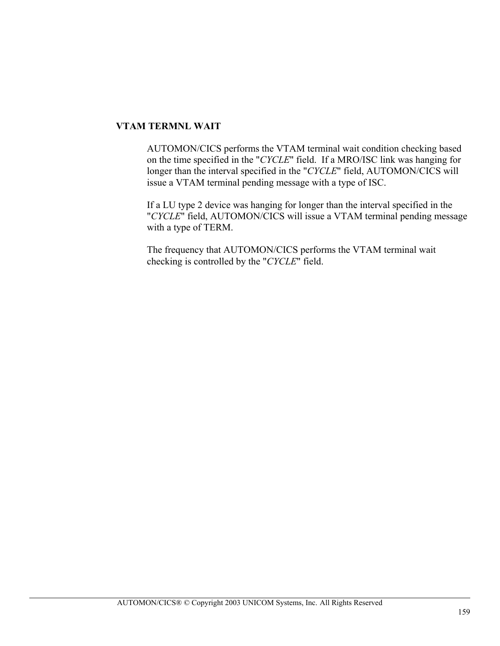## **VTAM TERMNL WAIT**

AUTOMON/CICS performs the VTAM terminal wait condition checking based on the time specified in the "*CYCLE*" field. If a MRO/ISC link was hanging for longer than the interval specified in the "*CYCLE*" field, AUTOMON/CICS will issue a VTAM terminal pending message with a type of ISC.

If a LU type 2 device was hanging for longer than the interval specified in the "*CYCLE*" field, AUTOMON/CICS will issue a VTAM terminal pending message with a type of TERM.

The frequency that AUTOMON/CICS performs the VTAM terminal wait checking is controlled by the "*CYCLE*" field.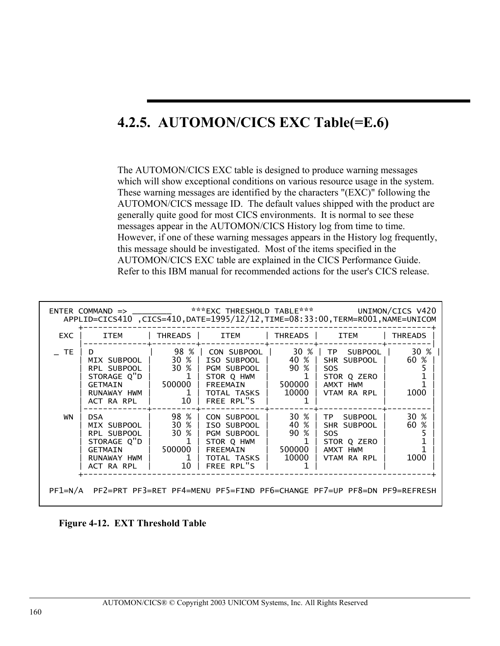# **4.2.5. AUTOMON/CICS EXC Table(=E.6)**

The AUTOMON/CICS EXC table is designed to produce warning messages which will show exceptional conditions on various resource usage in the system. These warning messages are identified by the characters "(EXC)" following the AUTOMON/CICS message ID. The default values shipped with the product are generally quite good for most CICS environments. It is normal to see these messages appear in the AUTOMON/CICS History log from time to time. However, if one of these warning messages appears in the History log frequently, this message should be investigated. Most of the items specified in the AUTOMON/CICS EXC table are explained in the CICS Performance Guide. Refer to this IBM manual for recommended actions for the user's CICS release.

| EXC     | ITEM                                                                                                      |                                                  | THREADS   ITEM                                                                                                                                  | THREADS                                 | ITEM                                                                                                | <b>THREADS</b>       |
|---------|-----------------------------------------------------------------------------------------------------------|--------------------------------------------------|-------------------------------------------------------------------------------------------------------------------------------------------------|-----------------------------------------|-----------------------------------------------------------------------------------------------------|----------------------|
| $\_$ TE | D.<br>MIX SUBPOOL   30 %  <br>STORAGE $Q''D$   1<br>GETMAIN<br>RUNAWAY HWM I<br>ACT RA RPL                | 500000  <br>10 <sup>1</sup>                      | 98 %   CON SUBPOOL  <br>ISO SUBPOOL   40 %  <br>RPL SUBPOOL   30 %   PGM SUBPOOL  <br>STOR Q HWM<br>FREEMAIN<br>1   TOTAL TASKS  <br>FREE RPL"S | 90 %<br>l 500000<br>10000               | 30 %   TP SUBPOOL  <br>SHR SUBPOOL  <br>SO <sub>S</sub><br>STOR Q ZERO  <br>AMXT HWM<br>VTAM RA RPL | 30 %<br>60 %<br>1000 |
| WN      | <b>DSA</b><br>MIX SUBPOOL I<br>RPL SUBPOOL  <br>STORAGE O"D  <br>GETMAIN<br>RUNAWAY HWM   1<br>ACT RA RPL | 98 % 1<br>30 % L<br>$1 \mid$<br>500000 1<br>10 I | CON SUBPOOL<br>30 %   ISO SUBPOOL  <br>PGM SUBPOOL  <br>STOR O HWM<br>FREEMAIN<br>TOTAL TASKS  <br>FREE RPL"S                                   | 30 %<br>40 %<br>90 %<br>500000<br>10000 | TP SUBPOOL<br>  SHR SUBPOOL  <br>SO <sub>S</sub><br>STOR Q ZERO<br>AMXT HWM<br>VTAM RA RPL          | 30 %<br>60 %<br>1000 |

**Figure 4-12. EXT Threshold Table**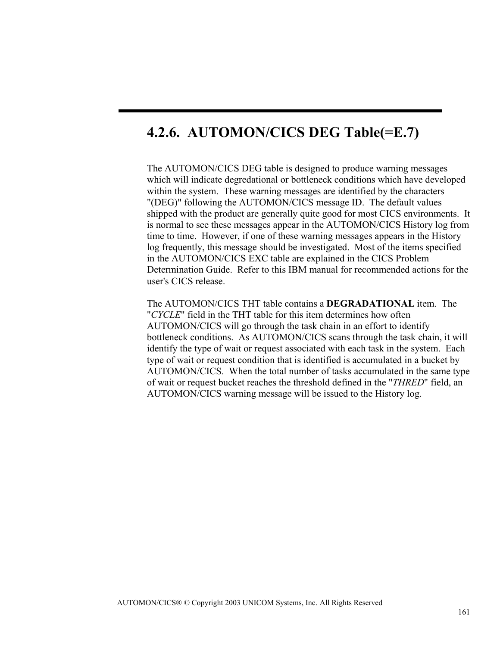# **4.2.6. AUTOMON/CICS DEG Table(=E.7)**

The AUTOMON/CICS DEG table is designed to produce warning messages which will indicate degredational or bottleneck conditions which have developed within the system. These warning messages are identified by the characters "(DEG)" following the AUTOMON/CICS message ID. The default values shipped with the product are generally quite good for most CICS environments. It is normal to see these messages appear in the AUTOMON/CICS History log from time to time. However, if one of these warning messages appears in the History log frequently, this message should be investigated. Most of the items specified in the AUTOMON/CICS EXC table are explained in the CICS Problem Determination Guide. Refer to this IBM manual for recommended actions for the user's CICS release.

The AUTOMON/CICS THT table contains a **DEGRADATIONAL** item. The "*CYCLE*" field in the THT table for this item determines how often AUTOMON/CICS will go through the task chain in an effort to identify bottleneck conditions. As AUTOMON/CICS scans through the task chain, it will identify the type of wait or request associated with each task in the system. Each type of wait or request condition that is identified is accumulated in a bucket by AUTOMON/CICS. When the total number of tasks accumulated in the same type of wait or request bucket reaches the threshold defined in the "*THRED*" field, an AUTOMON/CICS warning message will be issued to the History log.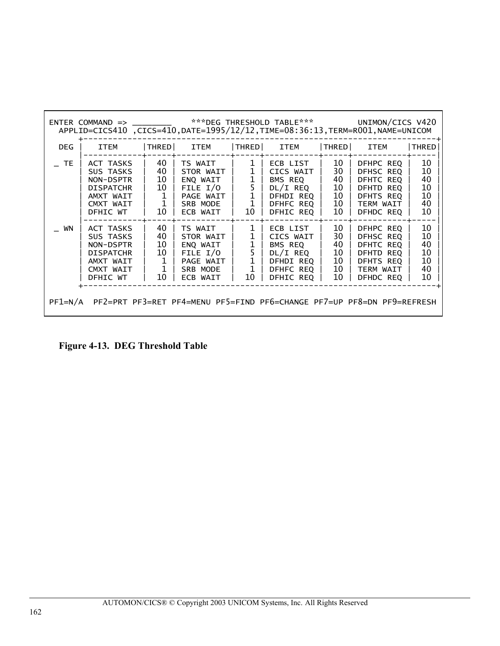| <b>DEG</b> | <b>ITEM</b>                                                                                   | THRED                                                      | ITEM                                                                                  | $ $ THRED $ $                                                          | ITEM                                                                                            | $ $ THRED $ $                                       | <b>ITEM</b>                                                                             | THRED                                  |
|------------|-----------------------------------------------------------------------------------------------|------------------------------------------------------------|---------------------------------------------------------------------------------------|------------------------------------------------------------------------|-------------------------------------------------------------------------------------------------|-----------------------------------------------------|-----------------------------------------------------------------------------------------|----------------------------------------|
| <b>TE</b>  | ACT TASKS<br>SUS TASKS<br>NON-DSPTR<br><b>DISPATCHR</b><br>AMXT WAIT<br>CMXT WAIT<br>DFHIC WT | 40<br>40<br>10<br>10<br>$\mathbf{1}$<br>$\mathbf{1}$<br>10 | TS WAIT<br>STOR WAIT I<br>ENQ WAIT<br>FILE $I/O$<br>PAGE WAIT<br>SRB MODE<br>ECB WAIT | $\mathbf{1}$<br>1<br>$\mathbf{1}$<br>$\tilde{1}$<br>$\mathbf{1}$<br>10 | ECB LIST<br>CICS WAIT  <br>BMS REQ<br>$DL/I$ REQ $ $<br>DFHDI REQ  <br>DFHFC REO  <br>DFHIC REQ | 10<br>30<br>40<br>10 <sup>°</sup><br>10<br>10<br>10 | DFHPC REQ<br>DFHSC REO<br>DFHTC REQ<br>DFHTD REO<br>DFHTS REO<br>TERM WAIT<br>DFHDC REQ | 10<br>10<br>40<br>10<br>10<br>40<br>10 |
| WN         | ACT TASKS<br>SUS TASKS<br>NON-DSPTR<br><b>DISPATCHR</b><br>AMXT WAIT<br>CMXT WAIT<br>DFHIC WT | 40<br>40<br>10<br>10<br>$\mathbf{1}$<br>$\mathbf{1}$<br>10 | TS WAIT<br>STOR WAIT  <br>ENQ WAIT<br>FILE $I/O$<br>PAGE WAIT<br>SRB MODE<br>ECB WAIT | $\mathbf{1}$<br>$\mathbf{1}$<br>$\mathbf{1}$<br>$\mathbf{1}$<br>10     | ECB LIST<br>CICS WAIT<br>BMS REQ<br>DL/I REQ<br>DFHDI REO  <br>DFHFC REQ  <br>DFHIC REQ         | 10<br>30<br>40<br>10<br>10<br>10<br>10              | DFHPC REQ<br>DFHSC REO<br>DFHTC REO<br>DFHTD REO<br>DFHTS REO<br>TERM WAIT<br>DFHDC REQ | 10<br>10<br>40<br>10<br>10<br>40<br>10 |

**Figure 4-13. DEG Threshold Table**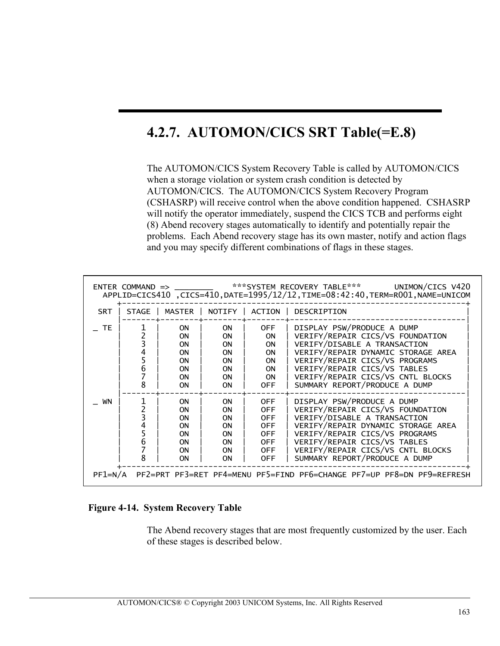# **4.2.7. AUTOMON/CICS SRT Table(=E.8)**

The AUTOMON/CICS System Recovery Table is called by AUTOMON/CICS when a storage violation or system crash condition is detected by AUTOMON/CICS. The AUTOMON/CICS System Recovery Program (CSHASRP) will receive control when the above condition happened. CSHASRP will notify the operator immediately, suspend the CICS TCB and performs eight (8) Abend recovery stages automatically to identify and potentially repair the problems. Each Abend recovery stage has its own master, notify and action flags and you may specify different combinations of flags in these stages.

|            | ENTER COMMAND => ***SYSTEM RECOVERY TABLE*** UNIMON/CICS V420<br>APPLID=CICS410, CICS=410, DATE=1995/12/12, TIME=08:42:40, TERM=R001, NAME=UNICOM |                                                                                        |                                                                                         |                                                                                                       |                                                                                                                                                                                                                                                                              |  |  |  |  |
|------------|---------------------------------------------------------------------------------------------------------------------------------------------------|----------------------------------------------------------------------------------------|-----------------------------------------------------------------------------------------|-------------------------------------------------------------------------------------------------------|------------------------------------------------------------------------------------------------------------------------------------------------------------------------------------------------------------------------------------------------------------------------------|--|--|--|--|
| <b>SRT</b> | STAGE                                                                                                                                             |                                                                                        | MASTER   NOTIFY   ACTION                                                                |                                                                                                       | DESCRIPTION                                                                                                                                                                                                                                                                  |  |  |  |  |
| <b>TE</b>  | 8                                                                                                                                                 | <b>ON</b><br><b>ON</b><br><b>ON</b><br>0N<br><b>ON</b><br>0N<br><b>ON</b><br><b>ON</b> | ON.<br><b>ON</b><br>ON<br>0N<br>ON<br>0N<br><b>ON</b><br><b>ON</b>                      | <b>OFF</b><br>ON.<br><b>ON</b><br><b>ON</b><br><b>ON</b><br><b>ON</b><br><b>ON</b><br>OFF.            | DISPLAY PSW/PRODUCE A DUMP<br>VERIFY/REPAIR CICS/VS FOUNDATION<br>VERIFY/DISABLE A TRANSACTION<br>VERIFY/REPAIR DYNAMIC STORAGE AREA<br>VERIFY/REPAIR CICS/VS PROGRAMS<br>VERIFY/REPAIR CICS/VS TABLES<br>VERIFY/REPAIR CICS/VS CNTL BLOCKS<br>SUMMARY REPORT/PRODUCE A DUMP |  |  |  |  |
| WN         | n                                                                                                                                                 | 0N.<br><b>ON</b><br><b>ON</b><br><b>ON</b><br><b>ON</b><br><b>ON</b><br>ON<br>0N       | 0N.<br><b>ON</b><br><b>ON</b><br><b>ON</b><br>ON<br><b>ON</b><br><b>ON</b><br><b>ON</b> | <b>OFF</b><br><b>OFF</b><br><b>OFF</b><br><b>OFF</b><br><b>OFF</b><br>0FF<br><b>OFF</b><br><b>OFF</b> | DISPLAY PSW/PRODUCE A DUMP<br>VERIFY/REPAIR CICS/VS FOUNDATION<br>VERIFY/DISABLE A TRANSACTION<br>VERIFY/REPAIR DYNAMIC STORAGE AREA<br>VERIFY/REPAIR CICS/VS PROGRAMS<br>VERIFY/REPAIR CICS/VS TABLES<br>VERIFY/REPAIR CICS/VS CNTL BLOCKS<br>SUMMARY REPORT/PRODUCE A DUMP |  |  |  |  |
| $PF1=N/A$  |                                                                                                                                                   |                                                                                        |                                                                                         |                                                                                                       | PF2=PRT PF3=RET PF4=MENU PF5=FIND PF6=CHANGE PF7=UP PF8=DN PF9=REFRESH                                                                                                                                                                                                       |  |  |  |  |

#### **Figure 4-14. System Recovery Table**

The Abend recovery stages that are most frequently customized by the user. Each of these stages is described below.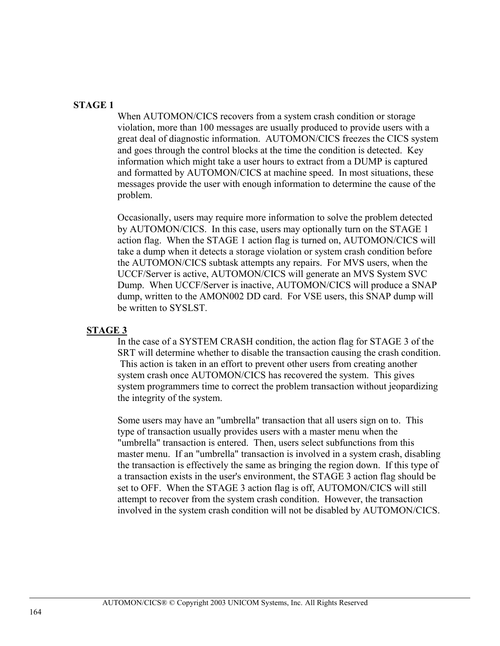## **STAGE 1**

When AUTOMON/CICS recovers from a system crash condition or storage violation, more than 100 messages are usually produced to provide users with a great deal of diagnostic information. AUTOMON/CICS freezes the CICS system and goes through the control blocks at the time the condition is detected. Key information which might take a user hours to extract from a DUMP is captured and formatted by AUTOMON/CICS at machine speed. In most situations, these messages provide the user with enough information to determine the cause of the problem.

Occasionally, users may require more information to solve the problem detected by AUTOMON/CICS. In this case, users may optionally turn on the STAGE 1 action flag. When the STAGE 1 action flag is turned on, AUTOMON/CICS will take a dump when it detects a storage violation or system crash condition before the AUTOMON/CICS subtask attempts any repairs. For MVS users, when the UCCF/Server is active, AUTOMON/CICS will generate an MVS System SVC Dump. When UCCF/Server is inactive, AUTOMON/CICS will produce a SNAP dump, written to the AMON002 DD card. For VSE users, this SNAP dump will be written to SYSLST.

### **STAGE 3**

In the case of a SYSTEM CRASH condition, the action flag for STAGE 3 of the SRT will determine whether to disable the transaction causing the crash condition. This action is taken in an effort to prevent other users from creating another system crash once AUTOMON/CICS has recovered the system. This gives system programmers time to correct the problem transaction without jeopardizing the integrity of the system.

Some users may have an "umbrella" transaction that all users sign on to. This type of transaction usually provides users with a master menu when the "umbrella" transaction is entered. Then, users select subfunctions from this master menu. If an "umbrella" transaction is involved in a system crash, disabling the transaction is effectively the same as bringing the region down. If this type of a transaction exists in the user's environment, the STAGE 3 action flag should be set to OFF. When the STAGE 3 action flag is off, AUTOMON/CICS will still attempt to recover from the system crash condition. However, the transaction involved in the system crash condition will not be disabled by AUTOMON/CICS.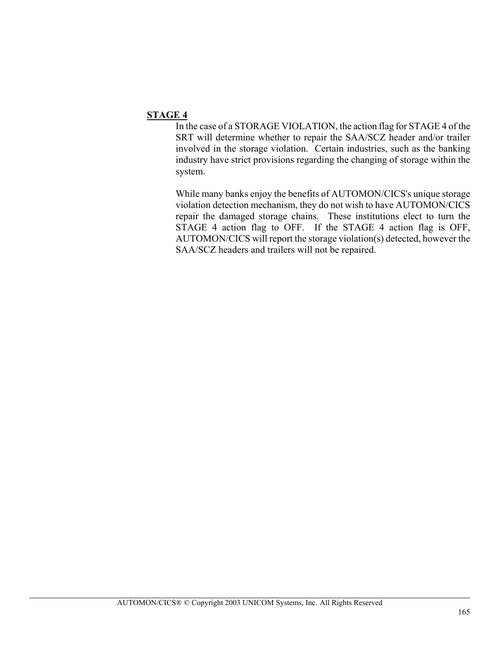## **STAGE 4**

In the case of a STORAGE VIOLATION, the action flag for STAGE 4 of the SRT will determine whether to repair the SAA/SCZ header and/or trailer involved in the storage violation. Certain industries, such as the banking industry have strict provisions regarding the changing of storage within the system.

While many banks enjoy the benefits of AUTOMON/CICS's unique storage violation detection mechanism, they do not wish to have AUTOMON/CICS repair the damaged storage chains. These institutions elect to turn the STAGE 4 action flag to OFF. If the STAGE 4 action flag is OFF, AUTOMON/CICS will report the storage violation(s) detected, however the SAA/SCZ headers and trailers will not be repaired.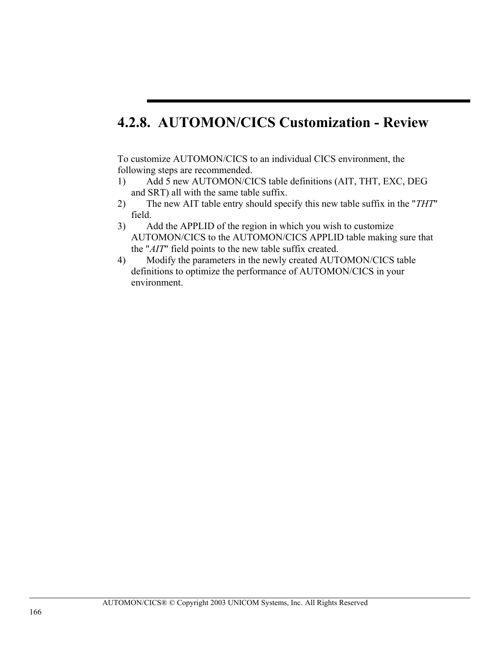# **4.2.8. AUTOMON/CICS Customization - Review**

To customize AUTOMON/CICS to an individual CICS environment, the following steps are recommended.

- 1) Add 5 new AUTOMON/CICS table definitions (AIT, THT, EXC, DEG and SRT) all with the same table suffix.
- 2) The new AIT table entry should specify this new table suffix in the "*THT*" field.
- 3) Add the APPLID of the region in which you wish to customize AUTOMON/CICS to the AUTOMON/CICS APPLID table making sure that the "*AIT*" field points to the new table suffix created.
- 4) Modify the parameters in the newly created AUTOMON/CICS table definitions to optimize the performance of AUTOMON/CICS in your environment.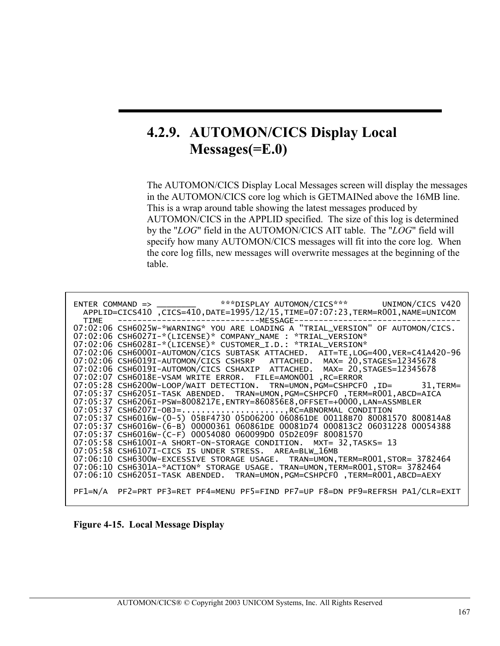# **4.2.9. AUTOMON/CICS Display Local Messages(=E.0)**

The AUTOMON/CICS Display Local Messages screen will display the messages in the AUTOMON/CICS core log which is GETMAINed above the 16MB line. This is a wrap around table showing the latest messages produced by AUTOMON/CICS in the APPLID specified. The size of this log is determined by the "*LOG*" field in the AUTOMON/CICS AIT table. The "*LOG*" field will specify how many AUTOMON/CICS messages will fit into the core log. When the core log fills, new messages will overwrite messages at the beginning of the table.

| ENTER COMMAND => ________ ****DISPLAY AUTOMON/CICS*** UNIMON/CICS V420<br>APPLID=CICS410 ,CICS=410,DATE=1995/12/15,TIME=07:07:23,TERM=R001,NAME=UNICOM<br>TIME                                                                                             |  |
|------------------------------------------------------------------------------------------------------------------------------------------------------------------------------------------------------------------------------------------------------------|--|
| --------------------------------MESSAGE-<br>07:02:06 CSH6025W-*WARNING* YOU ARE LOADING A "TRIAL_VERSION" OF AUTOMON/CICS.<br>07:02:06 CSH6027I-*(LICENSE)* COMPANY_NAME : *TRIAL_VERSION*<br>07:02:06 CSH6028I-*(LICENSE)* CUSTOMER_I.D.: *TRIAL_VERSION* |  |
| 07:02:06 CSH6000I-AUTOMON/CICS SUBTASK ATTACHED. AIT=TE, LOG=400, VER=C41A420-96<br>07:02:06 CSH6019I-AUTOMON/CICS CSHSRP ATTACHED. MAX= 20, STAGES=12345678<br>07:02:06 CSH6019I-AUTOMON/CICS CSHAXIP ATTACHED. MAX= 20, STAGES=12345678                  |  |
| 07:02:07 CSH6018E-VSAM WRITE ERROR. FILE=AMON001, RC=ERROR<br>07:05:28 CSH6200W-LOOP/WAIT DETECTION. TRN=UMON, PGM=CSHPCF0, ID= 31, TERM=<br>07:05:37 CSH6205I-TASK ABENDED. TRAN=UMON, PGM=CSHPCF0, TERM=R001, ABCD=AICA                                  |  |
| 07:05:37 CSH6206I-PSW=8008217E, ENTRY=860856E8, OFFSET=+0000, LAN=ASSMBLER<br>07:05:37 CSH6207I-OBJ=,RC=ABNORMAL CONDITION<br>07:05:37 CSH6016W-(0-5) 05BF4730 05D06200 060861DE 00118B70 80081570 800814A8                                                |  |
| 07:05:37 CSH6016W-(6-B) 00000361 060861DE 00081D74 000813C2 06031228 00054388<br>07:05:37 CSH6016W-(C-F) 00054080 060099D0 05D2E09F 80081570                                                                                                               |  |
| 07:05:58 CSH6100I-A SHORT-ON-STORAGE CONDITION. MXT= 32, TASKS= 13<br>07:05:58 CSH6107I-CICS IS UNDER STRESS. AREA=BLW 16MB<br>07:06:10 CSH6300W-EXCESSIVE STORAGE USAGE. TRAN=UMON, TERM=R001, STOR= 3782464                                              |  |
| 07:06:10 CSH6301A-*ACTION* STORAGE USAGE. TRAN=UMON, TERM=R001, STOR= 3782464<br>07:06:10 CSH6205I-TASK ABENDED. TRAN=UMON, PGM=CSHPCF0, TERM=R001, ABCD=AEXY                                                                                              |  |
| PF1=N/A PF2=PRT PF3=RET PF4=MENU PF5=FIND PF7=UP F8=DN PF9=REFRSH PA1/CLR=EXIT                                                                                                                                                                             |  |

**Figure 4-15. Local Message Display**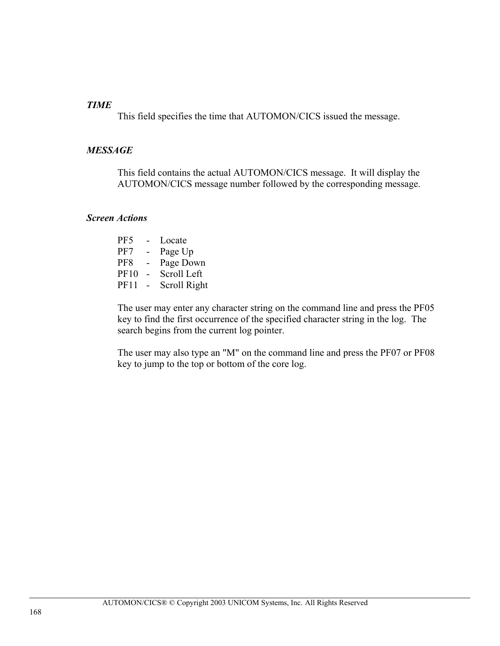## *TIME*

This field specifies the time that AUTOMON/CICS issued the message.

## *MESSAGE*

This field contains the actual AUTOMON/CICS message. It will display the AUTOMON/CICS message number followed by the corresponding message.

### *Screen Actions*

| PF <sub>5</sub> |        | Locate       |
|-----------------|--------|--------------|
| PF7             | $\sim$ | Page Up      |
| PF8             | ۰      | Page Down    |
| PF10            |        | Scroll Left  |
| <b>PF11</b>     |        | Scroll Right |

The user may enter any character string on the command line and press the PF05 key to find the first occurrence of the specified character string in the log. The search begins from the current log pointer.

The user may also type an "M" on the command line and press the PF07 or PF08 key to jump to the top or bottom of the core log.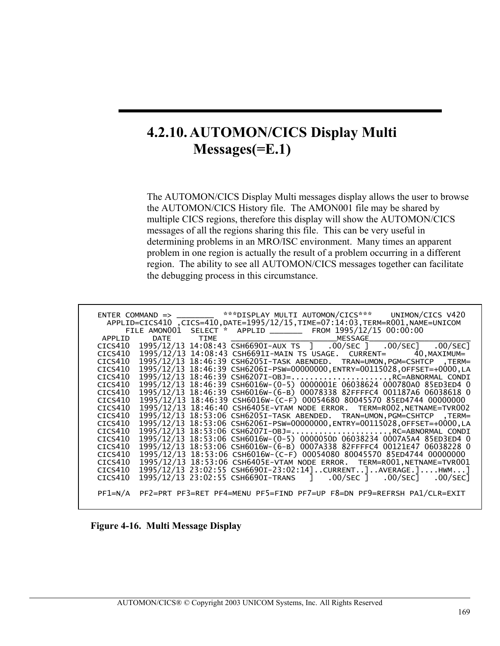# **4.2.10. AUTOMON/CICS Display Multi Messages(=E.1)**

The AUTOMON/CICS Display Multi messages display allows the user to browse the AUTOMON/CICS History file. The AMON001 file may be shared by multiple CICS regions, therefore this display will show the AUTOMON/CICS messages of all the regions sharing this file. This can be very useful in determining problems in an MRO/ISC environment. Many times an apparent problem in one region is actually the result of a problem occurring in a different region. The ability to see all AUTOMON/CICS messages together can facilitate the debugging process in this circumstance.

|         |  | ENTER COMMAND => ________ ***DISPLAY MULTI AUTOMON/CICS*** UNIMON/CICS V420                                    |
|---------|--|----------------------------------------------------------------------------------------------------------------|
|         |  | APPLID=CICS410 ,CICS=410,DATE=1995/12/15,TIME=07:14:03,TERM=R001,NAME=UNICOM                                   |
|         |  | FILE AMONOO1 SELECT * APPLID ________ FROM 1995/12/15 00:00:00                                                 |
| APPLID  |  |                                                                                                                |
| CICS410 |  | 1995/12/13 14:08:43 CSH6690I-AUX TS ] .00/SEC ] .00/SEC 3 .00/SEC                                              |
| CICS410 |  | 1995/12/13 14:08:43 CSH6691I-MAIN TS USAGE. CURRENT= 40, MAXIMUM=                                              |
| CICS410 |  | 1995/12/13 18:46:39 CSH6205I-TASK ABENDED. TRAN=UMON, PGM=CSHTCP, TERM=                                        |
| CICS410 |  | 1995/12/13 18:46:39 CSH6206I-PSW=00000000, ENTRY=00115028, OFFSET=+0000, LA                                    |
| CICS410 |  | 1995/12/13 18:46:39 CSH6207I-OBJ=, RC=ABNORMAL CONDI                                                           |
| CICS410 |  | 1995/12/13 18:46:39 CSH6016W-(0-5) 0000001E 06038624 000780A0 85ED3ED4 0                                       |
| CICS410 |  | 1995/12/13 18:46:39 CSH6016W-(6-B) 00078338 82FFFFC4 001187A6 06038618 0                                       |
| CICS410 |  | 1995/12/13 18:46:39 CSH6016W-(C-F) 00054680 80045570 85ED4744 00000000                                         |
| CICS410 |  | 1995/12/13 18:46:40 CSH6405E-VTAM NODE ERROR. TERM=R002, NETNAME=TVR002                                        |
| CICS410 |  | 1995/12/13 18:53:06 CSH6205I-TASK ABENDED. TRAN=UMON, PGM=CSHTCP, TERM=                                        |
| CICS410 |  | 1995/12/13 18:53:06 CSH6206I-PSW=00000000,ENTRY=00115028,OFFSET=+0000,LA                                       |
| CICS410 |  | 1995/12/13 18:53:06 CSH6207I-OBJ=, RC=ABNORMAL CONDI                                                           |
| CICS410 |  | 1995/12/13 18:53:06 CSH6016W-(0-5) 0000050D 06038234 0007A5A4 85ED3ED4 0                                       |
| CICS410 |  | 1995/12/13 18:53:06 CSH6016W-(6-B) 0007A338 82FFFFC4 00121E47 06038228 0                                       |
| CICS410 |  | 1995/12/13 18:53:06 CSH6016W-(C-F) 00054080 80045570 85ED4744 00000000                                         |
| CICS410 |  | 1995/12/13 18:53:06 CSH6405E-VTAM NODE ERROR. TERM=R001, NETNAME=TVR001                                        |
| CICS410 |  | 1995/12/13 23:02:55 CSH6690I-23:02:14]CURRENT]AVERAGE.]HWM]                                                    |
| CICS410 |  | 1995/12/13 23:02:55 CSH6690I-TRANS         ]               .00/SEC         ]             .00/SEC]            . |
|         |  |                                                                                                                |
|         |  | PF1=N/A PF2=PRT PF3=RET PF4=MENU PF5=FIND PF7=UP F8=DN PF9=REFRSH PA1/CLR=EXIT                                 |
|         |  |                                                                                                                |

 **Figure 4-16. Multi Message Display**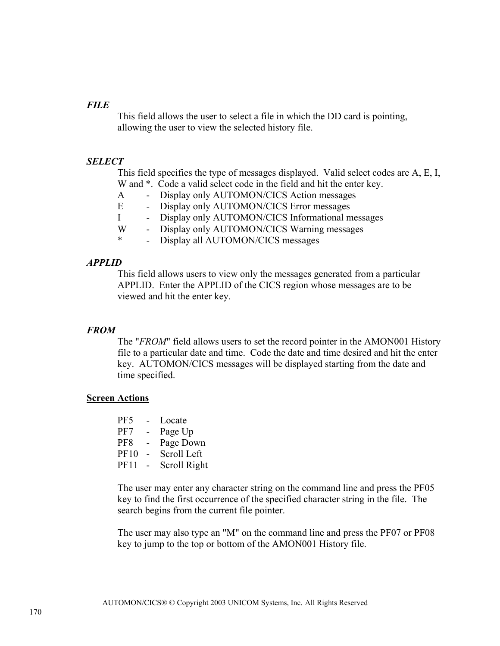## *FILE*

This field allows the user to select a file in which the DD card is pointing, allowing the user to view the selected history file.

## *SELECT*

This field specifies the type of messages displayed. Valid select codes are A, E, I, W and \*. Code a valid select code in the field and hit the enter key.

- A Display only AUTOMON/CICS Action messages
- E Display only AUTOMON/CICS Error messages
- I Display only AUTOMON/CICS Informational messages
- W Display only AUTOMON/CICS Warning messages
- \* Display all AUTOMON/CICS messages

## *APPLID*

This field allows users to view only the messages generated from a particular APPLID. Enter the APPLID of the CICS region whose messages are to be viewed and hit the enter key.

### *FROM*

The "*FROM*" field allows users to set the record pointer in the AMON001 History file to a particular date and time. Code the date and time desired and hit the enter key. AUTOMON/CICS messages will be displayed starting from the date and time specified.

### **Screen Actions**

| Locate       |
|--------------|
| Page Up      |
| Page Down    |
| Scroll Left  |
| Scroll Right |
|              |

The user may enter any character string on the command line and press the PF05 key to find the first occurrence of the specified character string in the file. The search begins from the current file pointer.

The user may also type an "M" on the command line and press the PF07 or PF08 key to jump to the top or bottom of the AMON001 History file.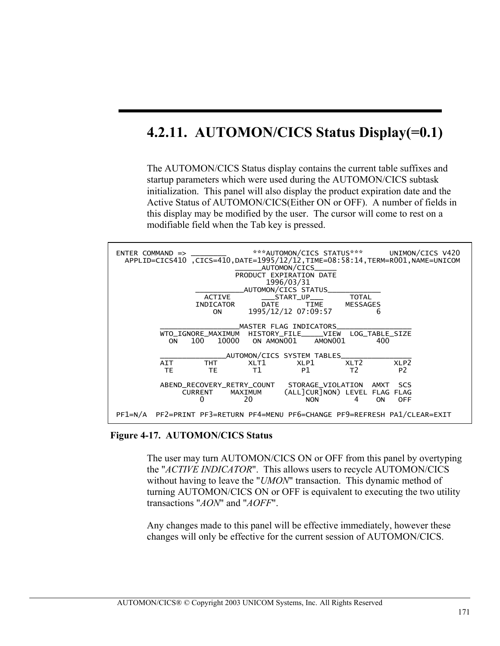# **4.2.11. AUTOMON/CICS Status Display(=0.1)**

The AUTOMON/CICS Status display contains the current table suffixes and startup parameters which were used during the AUTOMON/CICS subtask initialization. This panel will also display the product expiration date and the Active Status of AUTOMON/CICS(Either ON or OFF). A number of fields in this display may be modified by the user. The cursor will come to rest on a modifiable field when the Tab key is pressed.



 **Figure 4-17. AUTOMON/CICS Status** 

The user may turn AUTOMON/CICS ON or OFF from this panel by overtyping the "*ACTIVE INDICATOR*". This allows users to recycle AUTOMON/CICS without having to leave the "*UMON*" transaction. This dynamic method of turning AUTOMON/CICS ON or OFF is equivalent to executing the two utility transactions "*AON*" and "*AOFF*".

Any changes made to this panel will be effective immediately, however these changes will only be effective for the current session of AUTOMON/CICS.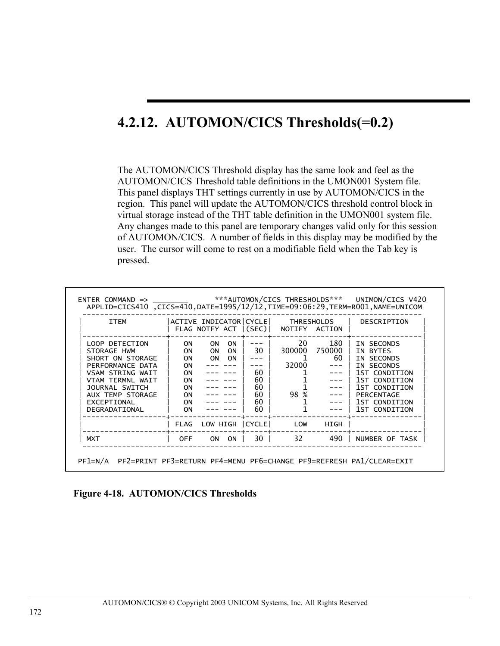# **4.2.12. AUTOMON/CICS Thresholds(=0.2)**

The AUTOMON/CICS Threshold display has the same look and feel as the AUTOMON/CICS Threshold table definitions in the UMON001 System file. This panel displays THT settings currently in use by AUTOMON/CICS in the region. This panel will update the AUTOMON/CICS threshold control block in virtual storage instead of the THT table definition in the UMON001 system file. Any changes made to this panel are temporary changes valid only for this session of AUTOMON/CICS. A number of fields in this display may be modified by the user. The cursor will come to rest on a modifiable field when the Tab key is pressed.

| <b>ITEM</b>                                                                                                                                                                                |                                                                                                     | ACTIVE INDICATOR CYCLE <br>FLAG NOTFY ACT   (SEC)   NOTIFY ACTION    |                                                     |                          | THRESHOLDS                                       | DESCRIPTION                                                                                                                                           |
|--------------------------------------------------------------------------------------------------------------------------------------------------------------------------------------------|-----------------------------------------------------------------------------------------------------|----------------------------------------------------------------------|-----------------------------------------------------|--------------------------|--------------------------------------------------|-------------------------------------------------------------------------------------------------------------------------------------------------------|
| LOOP DETECTION<br>STORAGE HWM<br>SHORT ON STORAGE<br>PERFORMANCE DATA<br><b>VSAM STRING WAIT</b><br>VTAM TFRMNI WATT<br>JOURNAL SWITCH<br>AUX TEMP STORAGE<br>EXCEPTIONAL<br>DEGRADATIONAL | ON.<br><b>ON</b><br>0N<br>0N<br><b>ON</b><br><b>ON</b><br><b>ON</b><br><b>ON</b><br><b>ON</b><br>0N | <b>ON</b><br>ON.<br><b>ON</b><br><b>ON</b><br><b>ON</b><br><b>ON</b> | 30 <sub>1</sub><br>60<br>60<br>60<br>60<br>60<br>60 | 20<br>1<br>32000<br>98 % | 180<br>300000 750000  <br>60<br>$--- 1$<br>--- 1 | IN SECONDS<br>IN BYTES<br>IN SECONDS<br>IN SECONDS<br>1ST CONDITION<br>1ST CONDITION<br>1ST CONDITION<br>PERCENTAGE<br>1ST CONDITION<br>1ST CONDITION |
|                                                                                                                                                                                            |                                                                                                     | FLAG LOW HIGH CYCLE LOW                                              |                                                     |                          | HIGH                                             |                                                                                                                                                       |
| <b>MXT</b>                                                                                                                                                                                 | <b>OFF</b>                                                                                          | ON I<br>ON                                                           |                                                     | 30 32                    | 490 l                                            | NUMBER OF TASK                                                                                                                                        |

**Figure 4-18. AUTOMON/CICS Thresholds**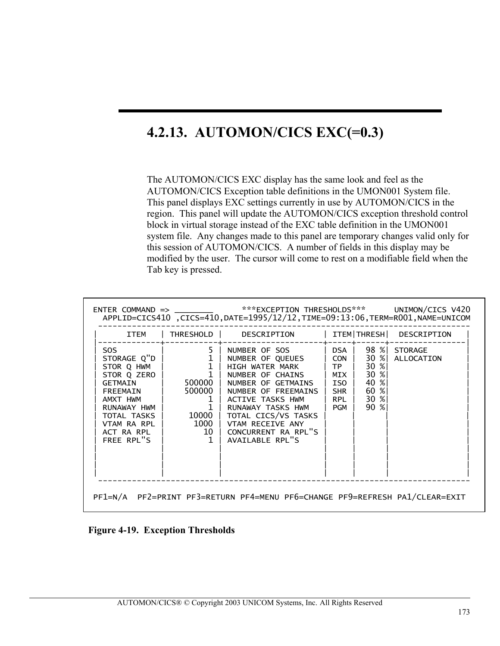# **4.2.13. AUTOMON/CICS EXC(=0.3)**

The AUTOMON/CICS EXC display has the same look and feel as the AUTOMON/CICS Exception table definitions in the UMON001 System file. This panel displays EXC settings currently in use by AUTOMON/CICS in the region. This panel will update the AUTOMON/CICS exception threshold control block in virtual storage instead of the EXC table definition in the UMON001 system file. Any changes made to this panel are temporary changes valid only for this session of AUTOMON/CICS. A number of fields in this display may be modified by the user. The cursor will come to rest on a modifiable field when the Tab key is pressed.

|                                                                                                                                                              |                                                                                                                                        | ENTER COMMAND => _________ ***EXCEPTION THRESHOLDS*** UNIMON/CICS V420<br>APPLID=CICS410 ,CICS=410,DATE=1995/12/12,TIME=09:13:06,TERM=R001,NAME=UNICOM                                                                                                                                                    |                                |                                                              |                                 |
|--------------------------------------------------------------------------------------------------------------------------------------------------------------|----------------------------------------------------------------------------------------------------------------------------------------|-----------------------------------------------------------------------------------------------------------------------------------------------------------------------------------------------------------------------------------------------------------------------------------------------------------|--------------------------------|--------------------------------------------------------------|---------------------------------|
| ITEM                                                                                                                                                         |                                                                                                                                        | THRESHOLD DESCRIPTION                                                                                                                                                                                                                                                                                     |                                | ITEM   THRESH                                                | DESCRIPTION                     |
| SOS.<br>STORAGE Q"D<br>STOR Q HWM<br>STOR Q ZERO<br>GETMAIN<br>FREEMAIN<br>AMXT HWM<br>RUNAWAY HWM<br>TOTAL TASKS<br>VTAM RA RPL<br>ACT RA RPL<br>FREE RPL"S | $\begin{array}{c c} & \mathbf{5} \\ \hline 1 &   \\ 1 &   \end{array}.$<br>$\mathbf{1}$<br>500000 l<br>$\mathbf{1}$<br>10000 l<br>1000 | 5   NUMBER OF SOS   DSA  <br>NUMBER OF QUEUES   CON  <br>HIGH WATER MARK<br>NUMBER OF CHAINS   MIX  <br>500000   NUMBER OF GETMAINS<br>NUMBER OF FREEMAINS   SHR  <br>ACTIVE TASKS HWM<br>RUNAWAY TASKS HWM<br>TOTAL CICS/VS TASKS<br>VTAM RECEIVE ANY<br>10   CONCURRENT RA RPL"S<br>1   AVAILABLE RPL"S | TP <br>  ISO  <br>RPL<br>l PGM | 30 %<br>$30 \; \%$<br>40 %<br>60 %<br>30 %<br>$90 \text{ %}$ | 98 % STORAGE<br>30 % ALLOCATION |

**Figure 4-19. Exception Thresholds**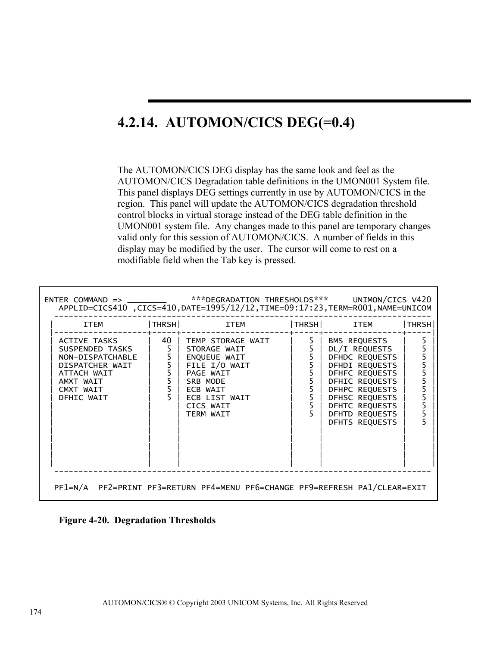# **4.2.14. AUTOMON/CICS DEG(=0.4)**

The AUTOMON/CICS DEG display has the same look and feel as the AUTOMON/CICS Degradation table definitions in the UMON001 System file. This panel displays DEG settings currently in use by AUTOMON/CICS in the region. This panel will update the AUTOMON/CICS degradation threshold control blocks in virtual storage instead of the DEG table definition in the UMON001 system file. Any changes made to this panel are temporary changes valid only for this session of AUTOMON/CICS. A number of fields in this display may be modified by the user. The cursor will come to rest on a modifiable field when the Tab key is pressed.

|  | ITEM  THRSH  ITEM  THRSH  ITEM                                                                                                                                                                                                                    |                                  | THRSH |
|--|---------------------------------------------------------------------------------------------------------------------------------------------------------------------------------------------------------------------------------------------------|----------------------------------|-------|
|  | ACTIVE TASKS   40   TEMP STORAGE WAIT   5   BMS REQUESTS  <br>SUSPENDED TASKS   5   STORAGE WAIT   5   DL/I REQUESTS  <br>NON-DISPATCHABLE   5   ENQUEUE WAIT   5   DFHDC REQUESTS  <br>DISPATCHER WAIT   5   FILE I/O WAIT   5   DF<br>TERM WAIT | DFHTD REQUESTS<br>DFHTS REQUESTS |       |

**Figure 4-20. Degradation Thresholds**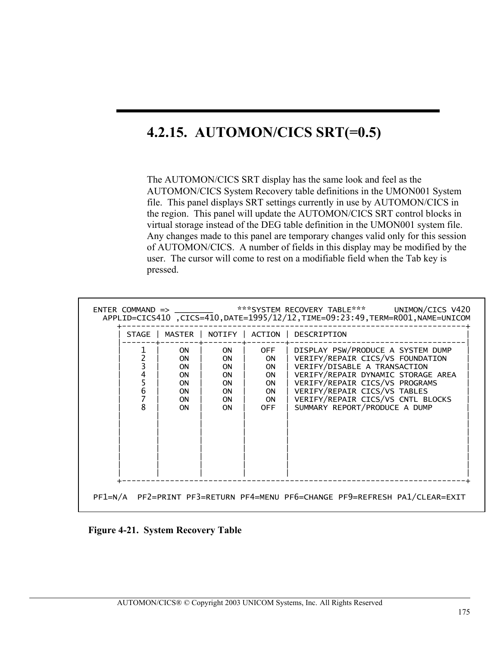# **4.2.15. AUTOMON/CICS SRT(=0.5)**

The AUTOMON/CICS SRT display has the same look and feel as the AUTOMON/CICS System Recovery table definitions in the UMON001 System file. This panel displays SRT settings currently in use by AUTOMON/CICS in the region. This panel will update the AUTOMON/CICS SRT control blocks in virtual storage instead of the DEG table definition in the UMON001 system file. Any changes made to this panel are temporary changes valid only for this session of AUTOMON/CICS. A number of fields in this display may be modified by the user. The cursor will come to rest on a modifiable field when the Tab key is pressed.

|                                         |                                                                                               |                                                                                 |                                                                                                        | APPLID=CICS410, CICS=410, DATE=1995/12/12, TIME=09:23:49, TERM=R001, NAME=UNICOM                                                                                                                                                                                                    |
|-----------------------------------------|-----------------------------------------------------------------------------------------------|---------------------------------------------------------------------------------|--------------------------------------------------------------------------------------------------------|-------------------------------------------------------------------------------------------------------------------------------------------------------------------------------------------------------------------------------------------------------------------------------------|
| <b>STAGE</b>                            | MASTER                                                                                        | <b>NOTIFY</b>                                                                   | ACTION                                                                                                 | DESCRIPTION                                                                                                                                                                                                                                                                         |
| 3<br>4<br>5<br>6<br>7<br>$\overline{8}$ | <b>ON</b><br><b>ON</b><br><b>ON</b><br><b>ON</b><br><b>ON</b><br>0N<br><b>ON</b><br><b>ON</b> | 0N<br><b>ON</b><br>ON<br>ON<br><b>ON</b><br><b>ON</b><br><b>ON</b><br><b>ON</b> | <b>OFF</b><br><b>ON</b><br><b>ON</b><br><b>ON</b><br><b>ON</b><br><b>ON</b><br><b>ON</b><br><b>OFF</b> | DISPLAY PSW/PRODUCE A SYSTEM DUMP<br>VERIFY/REPAIR CICS/VS FOUNDATION<br>VERIFY/DISABLE A TRANSACTION<br>VERIFY/REPAIR DYNAMIC STORAGE AREA<br>VERIFY/REPAIR CICS/VS PROGRAMS<br>VERIFY/REPAIR CICS/VS TABLES<br>VERIFY/REPAIR CICS/VS CNTL BLOCKS<br>SUMMARY REPORT/PRODUCE A DUMP |
|                                         |                                                                                               |                                                                                 |                                                                                                        |                                                                                                                                                                                                                                                                                     |

**Figure 4-21. System Recovery Table**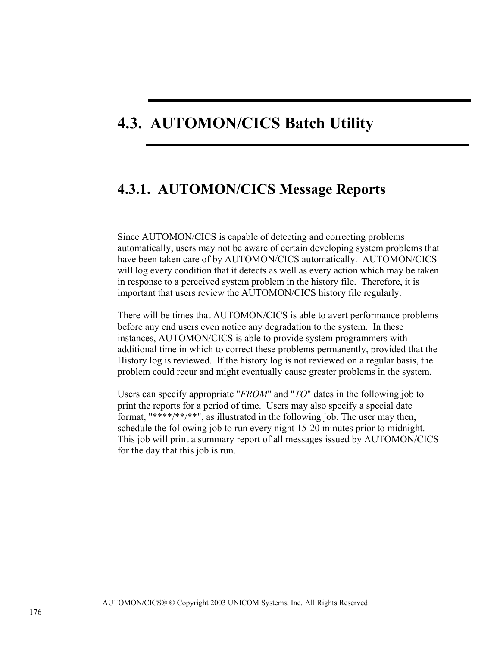# **4.3. AUTOMON/CICS Batch Utility**

### **4.3.1. AUTOMON/CICS Message Reports**

Since AUTOMON/CICS is capable of detecting and correcting problems automatically, users may not be aware of certain developing system problems that have been taken care of by AUTOMON/CICS automatically. AUTOMON/CICS will log every condition that it detects as well as every action which may be taken in response to a perceived system problem in the history file. Therefore, it is important that users review the AUTOMON/CICS history file regularly.

There will be times that AUTOMON/CICS is able to avert performance problems before any end users even notice any degradation to the system. In these instances, AUTOMON/CICS is able to provide system programmers with additional time in which to correct these problems permanently, provided that the History log is reviewed. If the history log is not reviewed on a regular basis, the problem could recur and might eventually cause greater problems in the system.

Users can specify appropriate "*FROM*" and "*TO*" dates in the following job to print the reports for a period of time. Users may also specify a special date format, "\*\*\*\*/\*\*/\*\*", as illustrated in the following job. The user may then, schedule the following job to run every night 15-20 minutes prior to midnight. This job will print a summary report of all messages issued by AUTOMON/CICS for the day that this job is run.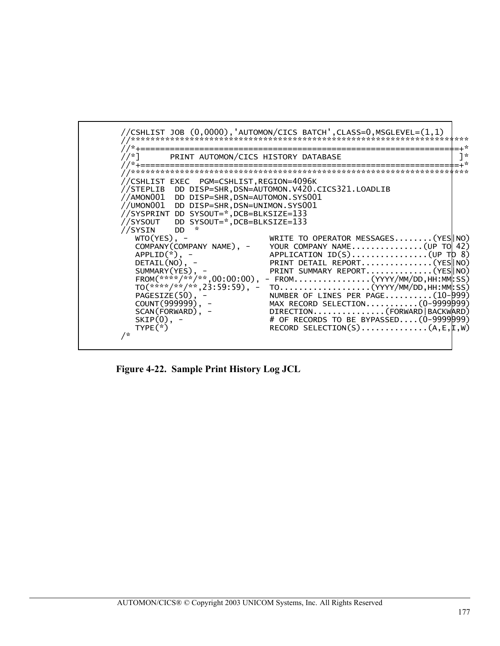

Figure 4-22. Sample Print History Log JCL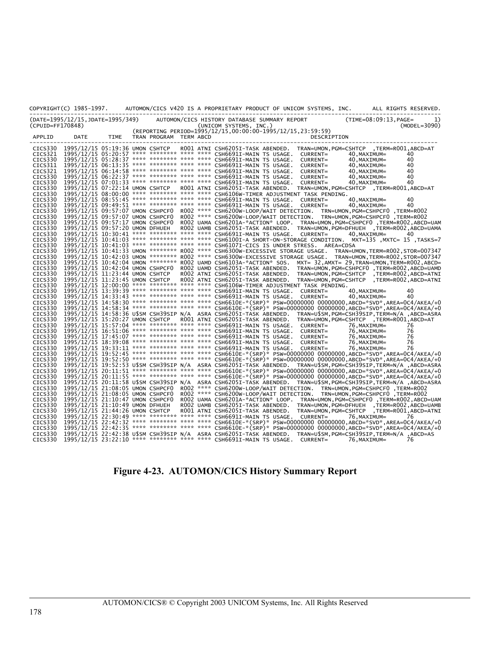|                    | COPYRIGHT(C) 1985-1997.          |      |                        |  | AUTOMON/CICS V420 IS A PROPRIETARY PRODUCT OF UNICOM SYSTEMS, INC.<br>ALL RIGHTS RESERVED.                                                                                                                           |
|--------------------|----------------------------------|------|------------------------|--|----------------------------------------------------------------------------------------------------------------------------------------------------------------------------------------------------------------------|
| (CPUID=FF170848)   | (DATE=1995/12/15,JDATE=1995/349) |      |                        |  | $(TIME = 08:09:13, PAGE =$<br>AUTOMON/CICS HISTORY DATABASE SUMMARY REPORT<br>1)<br>(UNICOM SYSTEMS, INC.)<br>$(MODEL=3090)$                                                                                         |
| APPLID             | DATE                             | TIME | TRAN PROGRAM TERM ABCD |  | (REPORTING PERIOD=1995/12/15,00:00:00-1995/12/15,23:59:59)<br>DESCRIPTION<br>---------------                                                                                                                         |
| CICS330            |                                  |      |                        |  | 1995/12/15 05:19:36 UMON CSHTCP ROO1 ATNI CSH6205I-TASK ABENDED. TRAN=UMON, PGM=CSHTCP , TERM=ROO1, ABCD=AT                                                                                                          |
| CICS321            |                                  |      |                        |  | 1995/12/15 05:20:57 **** ******** **** **** CSH6691I-MAIN TS USAGE.<br>CURRENT=<br>40, MAXIMUM=<br>40                                                                                                                |
| CICS330            |                                  |      |                        |  | 1995/12/15 05:28:37 **** ******** **** **** CSH6691I-MAIN TS USAGE.<br>40, MAXIMUM=<br>40<br>CURRENT=                                                                                                                |
| CICS311            |                                  |      |                        |  | 1995/12/15 06:13:35 **** ******** **** **** CSH6691I-MAIN TS USAGE.<br>CURRENT=<br>40, MAXIMUM=<br>40                                                                                                                |
| CICS321            |                                  |      |                        |  | 1995/12/15 06:14:58 **** ******** **** **** CSH6691I-MAIN TS USAGE.<br>40<br>CURRENT=<br>40, MAXIMUM=                                                                                                                |
| CICS330            |                                  |      |                        |  | 1995/12/15 06:22:37 **** ******** **** **** CSH6691I-MAIN TS USAGE.<br>CURRENT=<br>40, MAXIMUM=<br>40                                                                                                                |
| CICS330            |                                  |      |                        |  | 1995/12/15 07:01:33 **** ******** **** **** CSH6691I-MAIN TS USAGE.<br>40<br>CURRENT=<br>40, MAXIMUM=                                                                                                                |
| CICS330            |                                  |      |                        |  | 1995/12/15 07:22:14 UMON CSHTCP ROO1 ATNI CSH62051-TASK ABENDED. TRAN=UMON, PGM=CSHTCP , TERM=ROO1, ABCD=AT                                                                                                          |
| CICS330            |                                  |      |                        |  | 1995/12/15 08:00:00 **** ******** **** **** CSH6106W-TIMER ADJUSTMENT TASK PENDING.                                                                                                                                  |
| CICS330            |                                  |      |                        |  | 1995/12/15 08:55:45 **** ******** **** **** CSH6691I-MAIN TS USAGE. CURRENT=<br>40<br>40. MAXIMUM=                                                                                                                   |
| CICS330            |                                  |      |                        |  | 1995/12/15 09:49:51 **** ******** **** **** CSH6691I-MAIN TS USAGE. CURRENT=<br>40<br>40, MAXIMUM=                                                                                                                   |
| CICS330            |                                  |      |                        |  | 1995/12/15 09:57:07 UMON CSHPCF0 R002 **** CSH6200W-LOOP/WAIT DETECTION. TRN=UMON, PGM=CSHPCF0, TERM=R002                                                                                                            |
| CICS330            |                                  |      |                        |  | 1995/12/15 09:57:07 UMON CSHPCF0 R002 **** CSH6200W-LOOP/WAIT DETECTION. TRN=UMON, PGM=CSHPCF0, TERM=R002                                                                                                            |
| CICS330            |                                  |      |                        |  | 1995/12/15 09:57:17 UMON CSHPCFO ROO2 UAMA CSH6201A-*ACTION* LOOP. TRAN=UMON, PGM=CSHPCFO ,TERM=ROO2,ABCD=UAM                                                                                                        |
| CICS330            | 1995/12/15 09:57:20 UMON DFHUEH  |      |                        |  | R002 UAMB CSH6205I-TASK ABENDED. TRAN=UMON, PGM=DFHUEH , TERM=R002, ABCD=UAMA<br>1995/12/15 10:30:41 **** ******** **** **** CSH6691I-MAIN TS USAGE. CURRENT=                                                        |
| CICS330<br>CICS330 |                                  |      |                        |  | 40, MAXIMUM=<br>40<br>T995/T2/T5 10:41:03 **** ******** **** **** CSH6100I-A SHORT-ON-STORAGE CONDITION. MXT=135 ,MXTC= 15 ,TASKS=7                                                                                  |
| CICS330            |                                  |      |                        |  | 1995/12/15 10:41:03 **** ******** **** **** CSH6107I-CICS IS UNDER STRESS. AREA=CDSA                                                                                                                                 |
| CICS330            |                                  |      |                        |  | 1995/12/15 10:41:33 UMON ******** R002 **** CSH6300W-EXCESSIVE STORAGE USAGE. TRAN=UMON, TERM=R002, STOR=007347                                                                                                      |
| CICS330            |                                  |      |                        |  | 1995/12/15 10:42:03 UMON ******** R002 **** CSH6300W-EXCESSIVE STORAGE USAGE. TRAN=UMON, TERM=R002, STOR=007347                                                                                                      |
| CICS330            |                                  |      |                        |  | 1995/12/15 10:42:04 UMON ******** R002 UAMD CSH6103A-*ACTION* SOS. MXT= 32, AMXT= 29, TRAN=UMON, TERM=R002, ABCD=                                                                                                    |
| CICS330            |                                  |      |                        |  | 1995/12/15 10:42:04 UMON CSHPCF0 R002 UAMD CSH6205I-TASK ABENDED.<br>TRAN=UMON,PGM=CSHPCF0,TERM=R002,ABCD=UAMD                                                                                                       |
| CICS330            | 1995/12/15 11:23:44 UMON CSHTCP  |      |                        |  | ROO2 ATNI CSH6205I-TASK ABENDED.<br>TRAN=UMON, PGM=CSHTCP , TERM=R002, ABCD=ATNI                                                                                                                                     |
| CICS330            | 1995/12/15 11:23:45 UMON CSHTCP  |      |                        |  | R002 ATNI CSH6205I-TASK ABENDED. TRAN=UMON, PGM=CSHTCP , TERM=R002, ABCD=ATNI                                                                                                                                        |
| CICS330            |                                  |      |                        |  | 1995/12/15 12:00:00 **** ******** **** **** CSH6106W-TIMER ADJUSTMENT TASK PENDING.                                                                                                                                  |
| CICS330            |                                  |      |                        |  | 1995/12/15 13:39:39 **** ******** **** **** CSH66911-MAIN TS USAGE. CURRENT=<br>40<br>40, MAXIMUM=                                                                                                                   |
| CICS330            |                                  |      |                        |  | 1995/12/15 14:33:43 **** ******** **** **** CSH6691I-MAIN TS USAGE.<br>CURRENT=<br>40, MAXIMUM=<br>40                                                                                                                |
| CICS330            |                                  |      |                        |  | 1995/12/15 14:58:30 **** ******** **** **** CSH6610E-*(SRP)* PSW=00000000 00000000,ABCD=*SVD*,AREA=0C4/AKEA/+0                                                                                                       |
| CICS330            |                                  |      |                        |  | 1995/12/15 14:58:34 **** ******** **** **** CSH6610E-*(SRP)* PSW=00000000 00000000,ABCD=*SVD*,AREA=0C4/AKEA/+0                                                                                                       |
| CICS330            |                                  |      |                        |  | 1995/12/15 14:58:36 U\$SM CSH39SIP N/A ASRA CSH6205I-TASK ABENDED. TRAN=U\$SM, PGM=CSH39SIP, TERM=N/A ,ABCD=ASRA                                                                                                     |
| CICS330            |                                  |      |                        |  | 1995/12/15 15:20:27 UMON CSHTCP ROO1 ATNI CSH6205I-TASK ABENDED. TRAN=UMON, PGM=CSHTCP , TERM=ROO1, ABCD=AT                                                                                                          |
| CICS330            |                                  |      |                        |  | 1995/12/15 15:57:04 **** ******** **** **** CSH66911-MAIN TS USAGE. CURRENT=<br>76, MAXIMUM=<br>76                                                                                                                   |
| CICS330            |                                  |      |                        |  | 1995/12/15 16:51:06 **** ******** **** **** CSH6691I-MAIN TS USAGE.<br>76, MAXIMUM=<br>76<br>CURRENT=<br>1995/12/15 17:45:07 **** ******** **** **** CSH6691I-MAIN TS USAGE.                                         |
| CICS330<br>CICS330 |                                  |      |                        |  | 76<br>CURRENT=<br>76, MAXIMUM=<br>1995/12/15 18:39:08 **** ******** **** **** CSH6691I-MAIN TS USAGE. CURRENT=<br>76, MAXIMUM=<br>76                                                                                 |
| CICS330            |                                  |      |                        |  | 1995/12/15 19:33:11 **** ******** **** **** CSH6691I-MAIN TS USAGE.<br>CURRENT=<br>76, MAXIMUM=<br>76                                                                                                                |
| CICS330            |                                  |      |                        |  | 1995/12/15 19:52:45 **** ******** **** CSH6610E-*(SRP)* PSW=00000000 00000000,ABCD=*SVD*,AREA=0C4/AKEA/+0                                                                                                            |
| CICS330            |                                  |      |                        |  | 1995/12/15 19:52:50 **** ******** **** **** CSH6610E-*(SRP)* PSW=000000000 00000000,ABCD=*SVD*,AREA=0C4/AKEA/+0                                                                                                      |
| CICS330            |                                  |      |                        |  | 1995/12/15 19:52:53 U\$SM CSH39SIP N/A ASRA CSH6205I-TASK ABENDED. TRAN=U\$SM,PGM=CSH39SIP,TERM=N/A ,ABCD=ASRA                                                                                                       |
| CICS330            |                                  |      |                        |  | 1995/12/15 20:11:51 **** ******** **** CSH6610E-*(SRP)* PSW=00000000 00000000,ABCD=*SVD*,AREA=0C4/AKEA/+0                                                                                                            |
| CICS330            |                                  |      |                        |  | 1995/12/15 20:11:55 **** ******** **** **** CSH6610E-*(SRP)* PSW=00000000 00000000,ABCD=*SVD*,AREA=0C4/AKEA/+0                                                                                                       |
| CICS330            |                                  |      |                        |  | 1995/12/15 20:11:58 U\$SM CSH39SIP N/A ASRA CSH6205I-TASK ABENDED. TRAN=U\$SM, PGM=CSH39SIP, TERM=N/A ,ABCD=ASRA                                                                                                     |
| CICS330            |                                  |      |                        |  | TERM=ROO2 **** CSH6200W-LOOP/WAIT DETECTION. TRN=UMON,PGM=CSHPCF0,TERM=ROO2                                                                                                                                          |
| CICS330            |                                  |      |                        |  | 1995/12/15 21:08:05 UMON CSHPCF0 R002 **** CSH6200W-LOOP/WAIT DETECTION. TRN=UMON, PGM=CSHPCF0 ,TERM=R002                                                                                                            |
| CICS330            |                                  |      |                        |  | 1995/12/15 21:10:47 UMON CSHPCFO ROO2 UAMA CSH6201A-*ACTION* LOOP. TRAN=UMON, PGM=CSHPCFO ,TERM=ROO2, ABCD=UAM                                                                                                       |
| CICS330            | 1995/12/15 21:10:49 UMON DFHUEH  |      |                        |  | R002 UAMB CSH6205I-TASK ABENDED. TRAN=UMON, PGM=DFHUEH , TERM=R002, ABCD=UAMB                                                                                                                                        |
| CICS330            | 1995/12/15 21:44:26 UMON CSHTCP  |      |                        |  | R001 ATNI CSH6205I-TASK ABENDED. TRAN=UMON, PGM=CSHTCP , TERM=R001, ABCD=ATNI                                                                                                                                        |
| CICS330            |                                  |      |                        |  | 1995/12/15 22:30:49 **** ******** **** **** CSH6691I-MAIN TS USAGE. CURRENT=<br>76, MAXIMUM=<br>76                                                                                                                   |
| CICS330            |                                  |      |                        |  | 1995/12/15 22:42:32 **** ******** **** **** CSH6610E-*(SRP)* PSW=00000000 00000000,ABCD=*SVD*,AREA=0C4/AKEA/+0                                                                                                       |
| CICS330            |                                  |      |                        |  | 1995/12/15 22:42:35 **** ******** **** **** CSH6610E-*(SRP)* PSW=00000000 00000000,ABCD=*SVD*,AREA=0C4/AKEA/+0                                                                                                       |
| CICS330<br>CICS330 |                                  |      |                        |  | 1995/12/15 22:42:38 U\$SM CSH39SIP N/A ASRA CSH62051-TASK ABENDED. TRAN=U\$SM, PGM=CSH39SIP, TERM=N/A ,ABCD=AS<br>1995/12/15 23:22:10 **** ******** **** **** CSH6691I-MAIN TS USAGE. CURRENT=<br>76, MAXIMUM=<br>76 |
|                    |                                  |      |                        |  |                                                                                                                                                                                                                      |

#### **Figure 4-23. AUTOMON/CICS History Summary Report**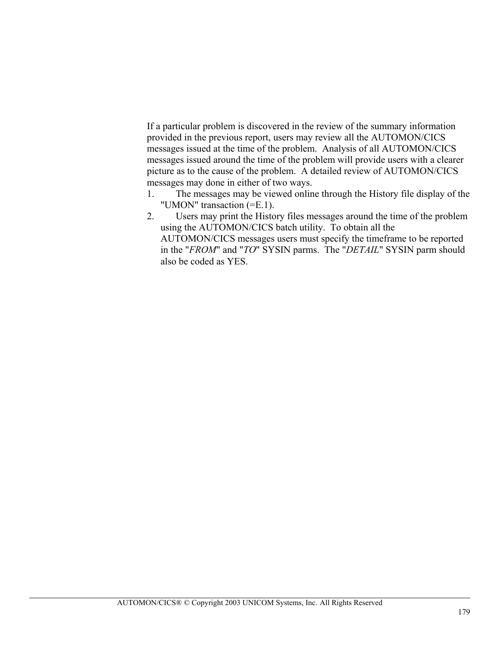If a particular problem is discovered in the review of the summary information provided in the previous report, users may review all the AUTOMON/CICS messages issued at the time of the problem. Analysis of all AUTOMON/CICS messages issued around the time of the problem will provide users with a clearer picture as to the cause of the problem. A detailed review of AUTOMON/CICS messages may done in either of two ways.

- 1. The messages may be viewed online through the History file display of the "UMON" transaction (=E.1).
- 2. Users may print the History files messages around the time of the problem using the AUTOMON/CICS batch utility. To obtain all the AUTOMON/CICS messages users must specify the timeframe to be reported in the "*FROM*" and "*TO*" SYSIN parms. The "*DETAIL*" SYSIN parm should also be coded as YES.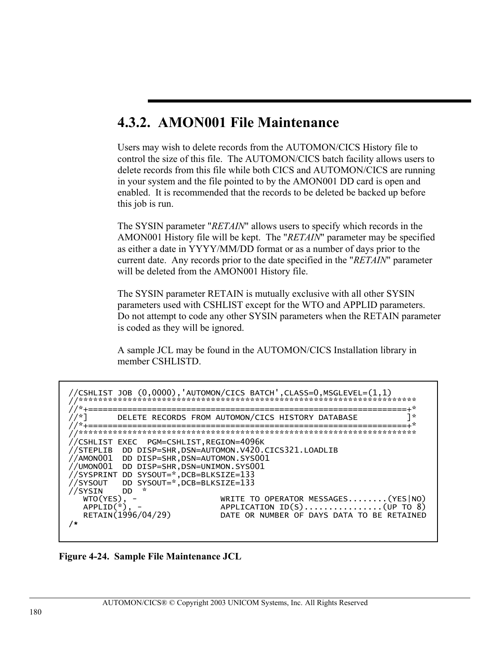### 4.3.2. AMON001 File Maintenance

Users may wish to delete records from the AUTOMON/CICS History file to control the size of this file. The AUTOMON/CICS batch facility allows users to delete records from this file while both CICS and AUTOMON/CICS are running in your system and the file pointed to by the AMON001 DD card is open and enabled. It is recommended that the records to be deleted be backed up before this job is run.

The SYSIN parameter "RETAIN" allows users to specify which records in the AMON001 History file will be kept. The "RETAIN" parameter may be specified as either a date in YYYY/MM/DD format or as a number of days prior to the current date. Any records prior to the date specified in the "RETAIN" parameter will be deleted from the AMON001 History file.

The SYSIN parameter RETAIN is mutually exclusive with all other SYSIN parameters used with CSHLIST except for the WTO and APPLID parameters. Do not attempt to code any other SYSIN parameters when the RETAIN parameter is coded as they will be ignored.

A sample JCL may be found in the AUTOMON/CICS Installation library in member CSHLISTD.

```
=+*
7 - 1J^*/*]
       DELETE RECORDS FROM AUTOMON/CICS HISTORY DATABASE
                                                    ==∔*
    //CSHLIST EXEC PGM=CSHLIST,REGION=4096K
//STEPLIB DD DISP=SHR, DSN=AUTOMON.V420.CICS321.LOADLIB
//AMON001 DD DISP=SHR, DSN=AUTOMON.SYS001
//UMON001 DD DISP=SHR, DSN=UNIMON.SYS001
//SYSPRINT DD SYSOUT=*,DCB=BLKSIZE=133<br>//SYSOUT DD SYSOUT=*,DCB=BLKSIZE=133
//SYSIN
        DD
  WTO(YES),
                       WRITE TO OPERATOR MESSAGES........(YES|NO)
                      APPLICATION ID(S)...............(UP TO 8)
  APPLID(*)RETAIN(1996/04/29)
                      DATE OR NUMBER OF DAYS DATA TO BE RETAINED
\lambda
```
Figure 4-24. Sample File Maintenance JCL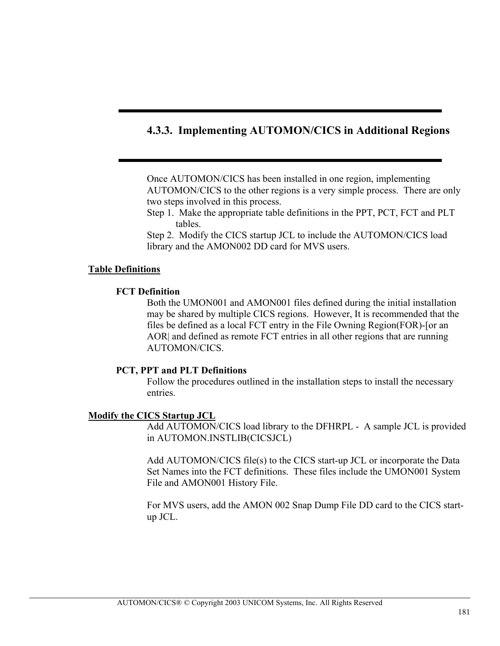#### **4.3.3. Implementing AUTOMON/CICS in Additional Regions**

Once AUTOMON/CICS has been installed in one region, implementing AUTOMON/CICS to the other regions is a very simple process. There are only two steps involved in this process.

Step 1. Make the appropriate table definitions in the PPT, PCT, FCT and PLT tables.

Step 2. Modify the CICS startup JCL to include the AUTOMON/CICS load library and the AMON002 DD card for MVS users.

#### **Table Definitions**

#### **FCT Definition**

Both the UMON001 and AMON001 files defined during the initial installation may be shared by multiple CICS regions. However, It is recommended that the files be defined as a local FCT entry in the File Owning Region(FOR)-[or an AOR| and defined as remote FCT entries in all other regions that are running AUTOMON/CICS.

#### **PCT, PPT and PLT Definitions**

Follow the procedures outlined in the installation steps to install the necessary entries.

#### **Modify the CICS Startup JCL**

Add AUTOMON/CICS load library to the DFHRPL - A sample JCL is provided in AUTOMON.INSTLIB(CICSJCL)

Add AUTOMON/CICS file(s) to the CICS start-up JCL or incorporate the Data Set Names into the FCT definitions. These files include the UMON001 System File and AMON001 History File.

For MVS users, add the AMON 002 Snap Dump File DD card to the CICS startup JCL.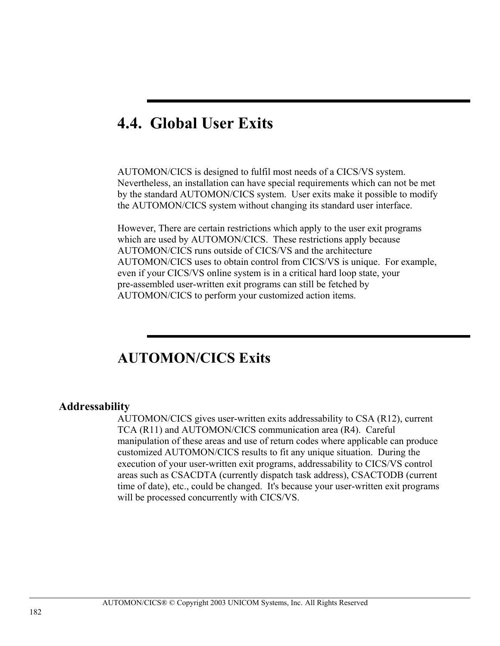# **4.4. Global User Exits**

AUTOMON/CICS is designed to fulfil most needs of a CICS/VS system. Nevertheless, an installation can have special requirements which can not be met by the standard AUTOMON/CICS system. User exits make it possible to modify the AUTOMON/CICS system without changing its standard user interface.

However, There are certain restrictions which apply to the user exit programs which are used by AUTOMON/CICS. These restrictions apply because AUTOMON/CICS runs outside of CICS/VS and the architecture AUTOMON/CICS uses to obtain control from CICS/VS is unique. For example, even if your CICS/VS online system is in a critical hard loop state, your pre-assembled user-written exit programs can still be fetched by AUTOMON/CICS to perform your customized action items.

### **AUTOMON/CICS Exits**

#### **Addressability**

AUTOMON/CICS gives user-written exits addressability to CSA (R12), current TCA (R11) and AUTOMON/CICS communication area (R4). Careful manipulation of these areas and use of return codes where applicable can produce customized AUTOMON/CICS results to fit any unique situation. During the execution of your user-written exit programs, addressability to CICS/VS control areas such as CSACDTA (currently dispatch task address), CSACTODB (current time of date), etc., could be changed. It's because your user-written exit programs will be processed concurrently with CICS/VS.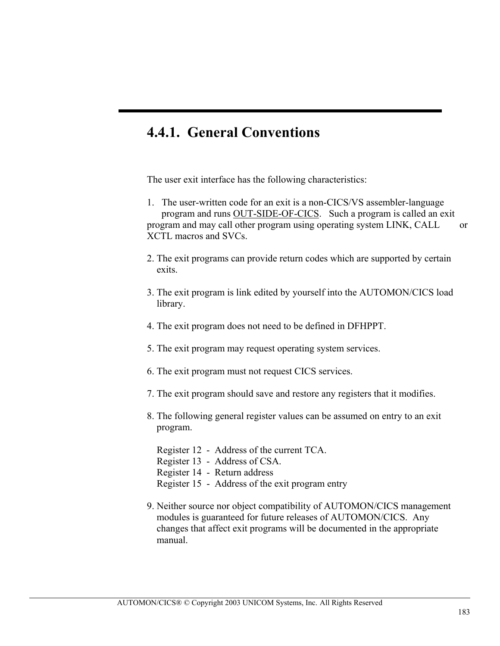### **4.4.1. General Conventions**

The user exit interface has the following characteristics:

1. The user-written code for an exit is a non-CICS/VS assembler-language program and runs OUT-SIDE-OF-CICS. Such a program is called an exit program and may call other program using operating system LINK, CALL or XCTL macros and SVCs.

- 2. The exit programs can provide return codes which are supported by certain exits.
- 3. The exit program is link edited by yourself into the AUTOMON/CICS load library.
- 4. The exit program does not need to be defined in DFHPPT.
- 5. The exit program may request operating system services.
- 6. The exit program must not request CICS services.
- 7. The exit program should save and restore any registers that it modifies.
- 8. The following general register values can be assumed on entry to an exit program.

 Register 12 - Address of the current TCA. Register 13 - Address of CSA. Register 14 - Return address Register 15 - Address of the exit program entry

9. Neither source nor object compatibility of AUTOMON/CICS management modules is guaranteed for future releases of AUTOMON/CICS. Any changes that affect exit programs will be documented in the appropriate manual.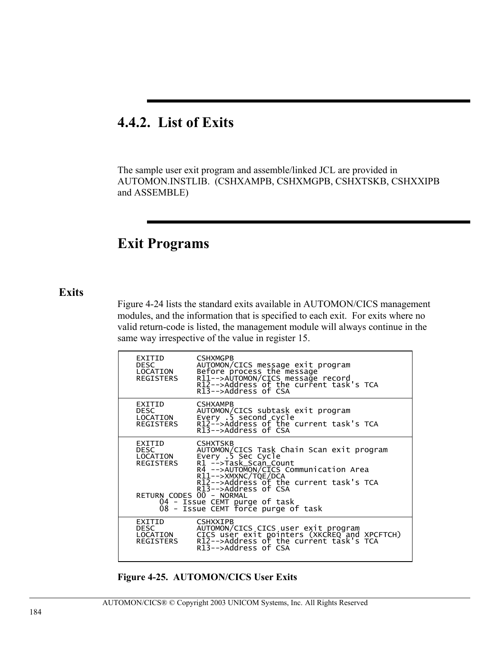### **4.4.2. List of Exits**

The sample user exit program and assemble/linked JCL are provided in AUTOMON.INSTLIB. (CSHXAMPB, CSHXMGPB, CSHXTSKB, CSHXXIPB and ASSEMBLE)

### **Exit Programs**

#### **Exits**

Figure 4-24 lists the standard exits available in AUTOMON/CICS management modules, and the information that is specified to each exit. For exits where no valid return-code is listed, the management module will always continue in the same way irrespective of the value in register 15.

| EXITID<br><b>DESC</b><br>LOCATION<br>REGISTERS | <b>CSHXMGPB</b><br>AUTOMON/CICS message exit program<br>Before process the message<br>R11-->AUTOMON/CICS message record<br>R12-->Address of the current task's TCA<br>R13-->Address of CSA                                                     |
|------------------------------------------------|------------------------------------------------------------------------------------------------------------------------------------------------------------------------------------------------------------------------------------------------|
| EXITID<br><b>DESC</b><br>LOCATION<br>REGISTERS | <b>CSHXAMPB</b><br>AUTOMON/CICS subtask exit program<br>Every .5 second cycle<br>R12-->Address of the current task's TCA<br>R13-->Address of CSA                                                                                               |
| EXITID<br><b>DESC</b><br>LOCATION<br>REGISTERS | <b>CSHXTSKB</b><br>AUTOMON/CICS Task Chain Scan exit program<br>Every .5 Sec Cycle<br>R1 -->Task_Scan_Count<br>R4 -->AUTOMON/CICS Communication Area<br>R11-->XMXNC/TQE/DCA<br>R12-->Address of the current task's TCA<br>R13-->Address of CSA |
| RETURN CODES 00 - NORMAL                       | 04 - Issue CEMT purge of task<br>08 - Issue CEMT force purge of task                                                                                                                                                                           |
| EXITID<br><b>DESC</b><br>LOCATION<br>REGISTERS | <b>CSHXXIPB</b><br>AUTOMON/CICS CICS user exit program<br>CICS user exit pointers (XKCREQ and XPCFTCH)<br>R12-->Address of the current task's TCA<br>R13-->Address of CSA                                                                      |

**Figure 4-25. AUTOMON/CICS User Exits**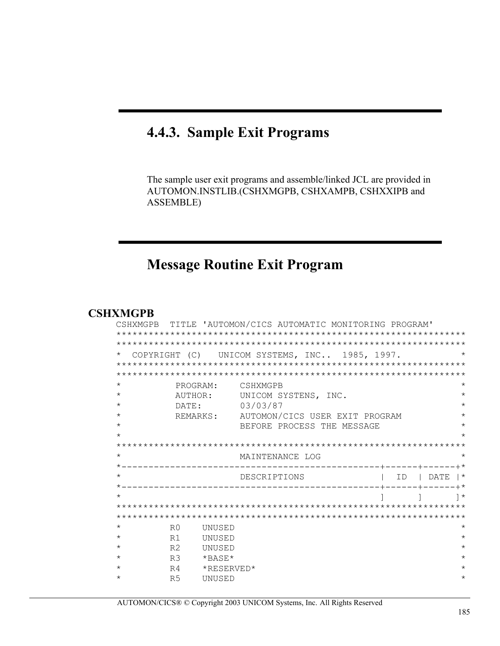### 4.4.3. Sample Exit Programs

The sample user exit programs and assemble/linked JCL are provided in AUTOMON.INSTLIB.(CSHXMGPB, CSHXAMPB, CSHXXIPB and ASSEMBLE)

### **Message Routine Exit Program**

#### **CSHXMGPB**

|                |              | CSHXMGPB TITLE 'AUTOMON/CICS AUTOMATIC MONITORING PROGRAM' |                                                                                 |                                                                                          |          |
|----------------|--------------|------------------------------------------------------------|---------------------------------------------------------------------------------|------------------------------------------------------------------------------------------|----------|
|                |              |                                                            |                                                                                 |                                                                                          |          |
|                |              |                                                            |                                                                                 |                                                                                          |          |
|                |              |                                                            |                                                                                 |                                                                                          |          |
|                |              |                                                            |                                                                                 |                                                                                          |          |
|                |              |                                                            |                                                                                 |                                                                                          |          |
|                |              |                                                            |                                                                                 |                                                                                          | $^\star$ |
|                |              |                                                            |                                                                                 |                                                                                          |          |
| DATE:          |              |                                                            |                                                                                 |                                                                                          | $\star$  |
|                |              |                                                            |                                                                                 |                                                                                          | $\star$  |
|                |              | BEFORE PROCESS THE MESSAGE                                 |                                                                                 |                                                                                          |          |
|                |              |                                                            |                                                                                 |                                                                                          |          |
|                |              |                                                            |                                                                                 |                                                                                          |          |
|                |              |                                                            |                                                                                 |                                                                                          |          |
|                |              |                                                            |                                                                                 |                                                                                          |          |
|                |              |                                                            |                                                                                 |                                                                                          |          |
|                |              |                                                            |                                                                                 | ID   DATE  *                                                                             |          |
|                |              |                                                            |                                                                                 |                                                                                          |          |
|                |              |                                                            |                                                                                 |                                                                                          | ∗ ך      |
|                |              |                                                            |                                                                                 |                                                                                          |          |
|                |              |                                                            |                                                                                 |                                                                                          |          |
| R <sub>0</sub> | UNUSED       |                                                            |                                                                                 |                                                                                          | $^\star$ |
| R1             | UNUSED       |                                                            |                                                                                 |                                                                                          | $\star$  |
| R <sub>2</sub> | UNUSED       |                                                            |                                                                                 |                                                                                          | $^\star$ |
| R <sub>3</sub> | $*$ BASE $*$ |                                                            |                                                                                 |                                                                                          | $\star$  |
| R4             | *RESERVED*   |                                                            |                                                                                 |                                                                                          | $\star$  |
|                |              | PROGRAM:<br>AUTHOR:                                        | CSHXMGPB<br>UNICOM SYSTENS, INC.<br>03/03/87<br>MAINTENANCE LOG<br>DESCRIPTIONS | COPYRIGHT (C) UNICOM SYSTEMS, INC 1985, 1997.<br>REMARKS: AUTOMON/CICS USER EXIT PROGRAM |          |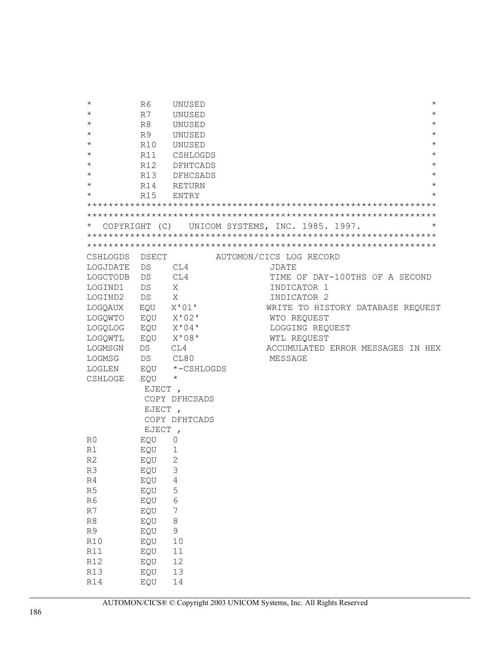| $^\star$             | R6             | UNUSED                 |                                                |                                   | $^\star$   |
|----------------------|----------------|------------------------|------------------------------------------------|-----------------------------------|------------|
| $^\star$             | R7             | UNUSED                 |                                                |                                   | $^\star$   |
| $^\star$             | R <sup>8</sup> | UNUSED                 |                                                |                                   | $^\star$   |
| $^\star$             | R9             | UNUSED                 |                                                |                                   | $^\star$   |
| $^\star$             | R10            | UNUSED                 |                                                |                                   | $^\star$   |
| $^\star$             | R11            | CSHLOGDS               |                                                |                                   | $^\star$   |
| $^\star$             | R12            | DFHTCADS               |                                                |                                   | $^\star$   |
| $^\star$             | R13            | <b>DFHCSADS</b>        |                                                |                                   | $^\star$   |
| $^\star$             | R14            | RETURN                 |                                                |                                   | $^\star$   |
| $^\star$             | R15            | ENTRY                  |                                                |                                   | $^{\star}$ |
|                      |                |                        |                                                |                                   |            |
|                      |                |                        |                                                |                                   |            |
|                      |                |                        | COPYRIGHT (C) UNICOM SYSTEMS, INC. 1985. 1997. |                                   | $\star$    |
|                      |                |                        |                                                |                                   |            |
|                      |                |                        |                                                |                                   |            |
| CSHLOGDS             | DSECT          |                        | AUTOMON/CICS LOG RECORD                        |                                   |            |
| LOGJDATE             | DS             | CL4                    | JDATE                                          |                                   |            |
| LOGCTODB             | DS             | CL4                    |                                                | TIME OF DAY-100THS OF A SECOND    |            |
| LOGIND1              | DS             | X                      | INDICATOR 1                                    |                                   |            |
| LOGIND2              | DS             | X                      | INDICATOR 2                                    |                                   |            |
| LOGQAUX EQU          |                | X'01'                  |                                                | WRITE TO HISTORY DATABASE REQUEST |            |
| LOGQWTO              | EQU            | X'02'                  | WTO REQUEST                                    |                                   |            |
| LOGQLOG              | EQU            | X'04'                  | LOGGING REQUEST                                |                                   |            |
| LOGQWTL              | EQU            | X'08'                  | WTL REQUEST                                    |                                   |            |
| LOGMSGN              | DS             | CL4                    |                                                | ACCUMULATED ERROR MESSAGES IN HEX |            |
| LOGMSG               | DS CL80        |                        | MESSAGE                                        |                                   |            |
| LOGLEN               | EQU            | *-CSHLOGDS             |                                                |                                   |            |
| CSHLOGE              | EQU            | $\star$                |                                                |                                   |            |
|                      | EJECT,         |                        |                                                |                                   |            |
|                      |                | COPY DFHCSADS          |                                                |                                   |            |
|                      | EJECT,         |                        |                                                |                                   |            |
|                      |                | COPY DFHTCADS          |                                                |                                   |            |
|                      | EJECT,         |                        |                                                |                                   |            |
| R0                   | EQU            | 0                      |                                                |                                   |            |
| R1<br>R <sub>2</sub> | EQU            | 1<br>$\overline{2}$    |                                                |                                   |            |
|                      | EQU            | 3                      |                                                |                                   |            |
| R3<br>R <sub>4</sub> | EQU            | $\overline{4}$         |                                                |                                   |            |
| R <sub>5</sub>       | EQU            | 5                      |                                                |                                   |            |
| R <sub>6</sub>       | EQU<br>EQU     | $\epsilon$             |                                                |                                   |            |
| R7                   | EQU            | 7                      |                                                |                                   |            |
| R8                   |                |                        |                                                |                                   |            |
| R9                   | EQU            | $\,8\,$<br>$\mathsf 9$ |                                                |                                   |            |
| R10                  | EQU            | 10                     |                                                |                                   |            |
| R11                  | EQU<br>EQU     | 11                     |                                                |                                   |            |
| R12                  | EQU            | 12                     |                                                |                                   |            |
| R13                  | EQU            | 13                     |                                                |                                   |            |
| R14                  | EQU            | 14                     |                                                |                                   |            |
|                      |                |                        |                                                |                                   |            |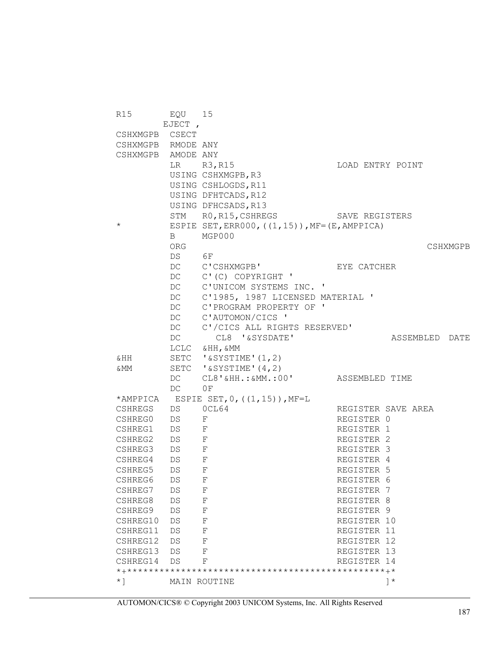R15 EQU 15 EJECT , CSHXMGPB CSECT CSHXMGPB RMODE ANY CSHXMGPB AMODE ANY LR R3,R15 LOAD ENTRY POINT USING CSHXMGPB,R3 USING CSHLOGDS, R11 USING DFHTCADS, R12 USING DFHCSADS, R13<br>STM R0, R15, CSHRE RO, R15, CSHREGS SAVE REGISTERS \* ESPIE SET, ERROOO,  $((1, 15))$ , MF= $(E, \text{AMPPICA})$ B MGP000<br>ORG ORG CSHXMGPB DS 6F DC C'CSHXMGPB' EYE CATCHER DC C'(C) COPYRIGHT ' DC C'UNICOM SYSTEMS INC. ' DC C'1985, 1987 LICENSED MATERIAL ' DC C'PROGRAM PROPERTY OF ' DC C'AUTOMON/CICS ' DC C'/CICS ALL RIGHTS RESERVED' DC CL8 '&SYSDATE' ASSEMBLED DATE LCLC &HH,&MM &HH SETC '&SYSTIME'(1,2) &MM SETC '&SYSTIME'(4,2) CL8'&HH.:&MM.:00' ASSEMBLED TIME DC 0F \*AMPPICA ESPIE SET,  $0$ , ((1,15)), MF=L CSHREGS DS 0CL64 REGISTER SAVE AREA CSHREGO DS F REGISTER 0 CSHREG1 DS F REGISTER 1 CSHREG2 DS F REGISTER 2<br>
CSHREG3 DS F REGISTER 3 CSHREG3 DS F REGISTER 3 CSHREG4 DS F REGISTER 4 CSHREG5 DS F REGISTER 5<br>
CSHREG6 DS F REGISTER 6 CSHREG6 DS F REGISTER 6 CSHREG7 DS F REGISTER 7 CSHREG8 DS F REGISTER 8 CSHREG9 DS F REGISTER 9 CSHREG10 DS F REGISTER 10 CSHREG11 DS F REGISTER 11 CSHREG12 DS F REGISTER 12 CSHREG13 DS F REGISTER 13<br>
CSHREG14 DS F REGISTER 14 CSHREG14 DS F \*+\*\*\*\*\*\*\*\*\*\*\*\*\*\*\*\*\*\*\*\*\*\*\*\*\*\*\*\*\*\*\*\*\*\*\*\*\*\*\*\*\*\*\*\*\*\*\*\*+\* \*] MAIN ROUTINE ]\*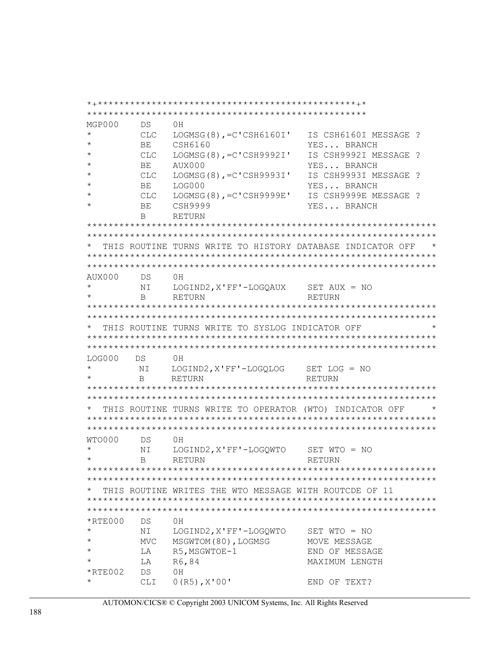MGP000 **DS**  $0H$ LOGMSG $(8)$ , =C'CSH6160I' **CLC** IS CSH6160I MESSAGE ? **BE** CSH6160 YES... BRANCH  $\star$  $CLC$  $LOGMSG(8)$ ,  $=C'CSH9992I'$ IS CSH9992I MESSAGE ? BE AUX000 YES... BRANCH LOGMSG $(8)$ , = C'CSH9993I' IS CSH9993I MESSAGE ? **CLC** YES... BRANCH BE LOG000 LOGMSG $(8)$ , = C'CSH9999E'  $CLC$ IS CSH9999E MESSAGE ? YES... BRANCH BE **CSH9999**  $\mathsf{R}$ **RETURN** THIS ROUTINE TURNS WRITE TO HISTORY DATABASE INDICATOR OFF  $\star$ AUX000  $DS$  $0H$ LOGIND2, X'FF'-LOGQAUX SET AUX = NO NT  $\mathbf{B}$ RETURN **RETURN** THIS ROUTINE TURNS WRITE TO SYSLOG INDICATOR OFF **LOG000**  $DS$  $0H$  $\ddot{\phantom{1}}$ NI LOGIND2, X'FF'-LOGQLOG SET LOG = NO RETURN  $\mathbf{B}$ RETURN THIS ROUTINE TURNS WRITE TO OPERATOR (WTO) INDICATOR OFF WTO000 **DS**  $0H$  $\star$ NI LOGIND2, X'FF'-LOGOWTO SET WTO = NO **RETURN**  $\mathsf{R}$ **RETURN** THIS ROUTINE WRITES THE WTO MESSAGE WITH ROUTCDE OF 11 DS  $*$ RTE000  $0H$ NI LOGIND2, X'FF'-LOGQWTO SET WTO = NO MVC. MSGWTOM(80), LOGMSG MOVE MESSAGE  $\star$ R5, MSGWTOE-1 LA END OF MESSAGE  $\star$ LA R6,84 MAXIMUM LENGTH  $*$ RTE $002$  $DS$  $0H$ CLI  $0(R5)$ ,  $X'00'$ END OF TEXT?

AUTOMON/CICS® © Copyright 2003 UNICOM Systems, Inc. All Rights Reserved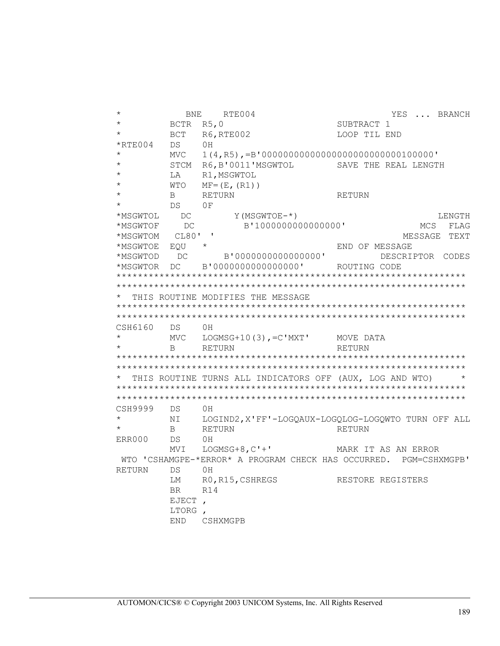| $^\star$      | BNE           | RTE004                                                   | YES<br>BRANCH<br>$\cdots$                                         |
|---------------|---------------|----------------------------------------------------------|-------------------------------------------------------------------|
| $^\star$      | BCTR          | R5,0                                                     | SUBTRACT 1                                                        |
|               | BCT           | R6, RTE002                                               | LOOP TIL END                                                      |
| $*$ RTE004    | DS            | ΟH                                                       |                                                                   |
| $^\star$      | <b>MVC</b>    | $1(4, R5)$ , =B'000000000000000000000000000100000'       |                                                                   |
|               | STCM          | R6, B'0011'MSGWTOL                                       | SAVE THE REAL LENGTH                                              |
| $\star$       | LA            | R1, MSGWTOL                                              |                                                                   |
| $\star$       | WTO           | $MF = (E, (R1))$                                         |                                                                   |
| $\star$       | B             | <b>RETURN</b>                                            | <b>RETURN</b>                                                     |
| $\star$       | DS            | 0F                                                       |                                                                   |
| *MSGWTOL      | DC            | Y (MSGWTOE-*)                                            | LENGTH                                                            |
| *MSGWTOF      | DC            | B'1000000000000000'                                      | MCS<br>FLAG                                                       |
| *MSGWTOM      | CL80' '       |                                                          | MESSAGE TEXT                                                      |
| *MSGWTOE      | EQU           | $^{\star}$                                               | END OF MESSAGE                                                    |
| *MSGWTOD      | DC            | B'0000000000000000'                                      | DESCRIPTOR CODES                                                  |
| *MSGWTOR      | DC            | B'00000000000000000' ROUTING CODE                        |                                                                   |
|               |               |                                                          |                                                                   |
|               |               |                                                          |                                                                   |
|               |               | THIS ROUTINE MODIFIES THE MESSAGE                        |                                                                   |
|               |               |                                                          |                                                                   |
|               |               |                                                          |                                                                   |
| CSH6160       | DS            | OН                                                       |                                                                   |
| $\star$       | MVC           | $LOGMSG+10(3)$ , =C'MXT'                                 | MOVE DATA                                                         |
|               | B             | RETURN                                                   | RETURN                                                            |
|               |               |                                                          |                                                                   |
|               |               |                                                          |                                                                   |
|               |               | THIS ROUTINE TURNS ALL INDICATORS OFF (AUX, LOG AND WTO) |                                                                   |
|               |               |                                                          |                                                                   |
|               |               |                                                          |                                                                   |
| CSH9999       | DS            | 0H                                                       |                                                                   |
| $\star$       |               |                                                          | LOGIND2, X'FF'-LOGQAUX-LOGQLOG-LOGQWTO TURN OFF ALL               |
| $\star$       |               |                                                          |                                                                   |
|               | ΝI            |                                                          |                                                                   |
|               | B             | RETURN                                                   | RETURN                                                            |
| ERR000        | DS            | 0H                                                       |                                                                   |
|               | MVI           | LOGMSG+8, $C'$ +'                                        | MARK IT AS AN ERROR                                               |
|               |               |                                                          | WTO 'CSHAMGPE-*ERROR* A PROGRAM CHECK HAS OCCURRED. PGM=CSHXMGPB' |
| <b>RETURN</b> | DS            | 0H                                                       |                                                                   |
|               | LM            | RO, R15, CSHREGS                                         | RESTORE REGISTERS                                                 |
|               | BR.           | R14                                                      |                                                                   |
|               | EJECT         |                                                          |                                                                   |
|               | LTORG,<br>END | CSHXMGPB                                                 |                                                                   |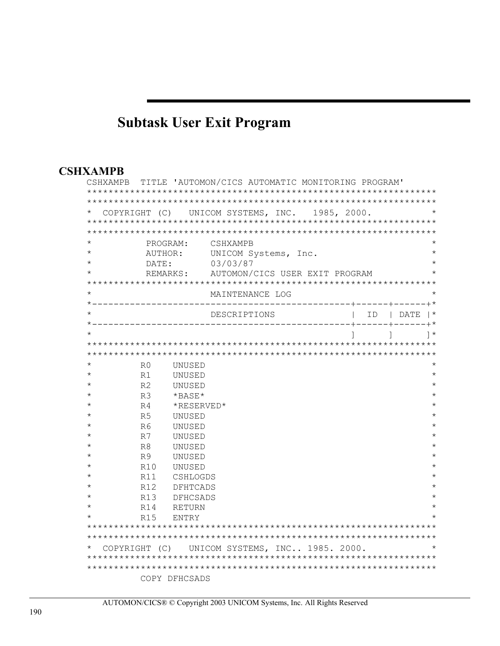# **Subtask User Exit Program**

#### **CSHXAMPB**

| CSHXAMPB      |                |                 | TITLE 'AUTOMON/CICS AUTOMATIC MONITORING PROGRAM' |  |              |              |
|---------------|----------------|-----------------|---------------------------------------------------|--|--------------|--------------|
|               |                |                 |                                                   |  |              |              |
|               |                |                 |                                                   |  |              |              |
|               |                |                 | COPYRIGHT (C) UNICOM SYSTEMS, INC. 1985, 2000.    |  |              |              |
|               |                |                 |                                                   |  |              |              |
|               |                |                 |                                                   |  |              |              |
|               | PROGRAM:       |                 | CSHXAMPB                                          |  |              |              |
|               | AUTHOR:        |                 | UNICOM Systems, Inc.                              |  |              |              |
|               | DATE:          |                 | 03/03/87                                          |  |              |              |
|               | REMARKS:       |                 | AUTOMON/CICS USER EXIT PROGRAM                    |  |              |              |
|               |                |                 |                                                   |  |              |              |
|               |                |                 | MAINTENANCE LOG                                   |  |              |              |
|               |                |                 |                                                   |  |              |              |
|               |                |                 | DESCRIPTIONS                                      |  | ID   DATE    |              |
|               |                |                 | ______________                                    |  | -----+------ |              |
|               |                |                 |                                                   |  |              | $\uparrow$ * |
|               |                |                 |                                                   |  |              |              |
|               |                |                 |                                                   |  |              |              |
|               | R0             | UNUSED          |                                                   |  |              |              |
| $^\star$      | R1             | UNUSED          |                                                   |  |              | $^\star$     |
|               | R <sub>2</sub> | UNUSED          |                                                   |  |              |              |
|               | R <sub>3</sub> | *BASE*          |                                                   |  |              |              |
|               | R <sub>4</sub> | *RESERVED*      |                                                   |  |              |              |
| $^\star$      | R <sub>5</sub> | UNUSED          |                                                   |  |              |              |
|               | R <sub>6</sub> | UNUSED          |                                                   |  |              |              |
|               | R7             | UNUSED          |                                                   |  |              |              |
|               | R8             | UNUSED          |                                                   |  |              |              |
| $^\star$      | R9             | UNUSED          |                                                   |  |              |              |
|               | R10            | UNUSED          |                                                   |  |              |              |
|               | R11            | CSHLOGDS        |                                                   |  |              |              |
|               | R12            | DFHTCADS        |                                                   |  |              |              |
|               | R13            | <b>DFHCSADS</b> |                                                   |  |              |              |
|               | R14            | <b>RETURN</b>   |                                                   |  |              |              |
|               | R15            | ENTRY           |                                                   |  |              |              |
|               |                |                 |                                                   |  |              |              |
|               |                |                 |                                                   |  |              |              |
| COPYRIGHT (C) |                |                 | UNICOM SYSTEMS, INC 1985. 2000.                   |  |              |              |
|               |                |                 |                                                   |  |              |              |
|               |                |                 |                                                   |  |              |              |
|               |                | COPY DFHCSADS   |                                                   |  |              |              |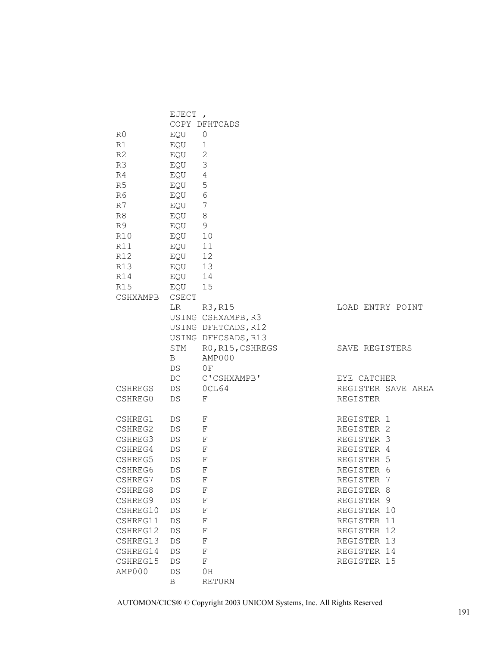|                | EJECT,            |                     |                    |
|----------------|-------------------|---------------------|--------------------|
|                |                   | COPY DFHTCADS       |                    |
| R0             | EQU               | 0                   |                    |
| R1             | EQU               | 1                   |                    |
| R <sub>2</sub> | EQU               | 2                   |                    |
| R3             | EQU               | $\mathfrak{Z}$      |                    |
| R4             | EQU               | $\overline{4}$      |                    |
| R5             | EQU               | 5                   |                    |
| R6             | EQU               | $\sqrt{6}$          |                    |
| R7             | EQU               | $\overline{7}$      |                    |
| R8             | EQU               | 8                   |                    |
| R9             | EQU               | 9                   |                    |
| R10            | EQU               | 10                  |                    |
| R11            | EQU               | 11                  |                    |
| R12            | EQU               | 12                  |                    |
| R13            | EQU               | 13                  |                    |
| R14            | EQU               | 14                  |                    |
| R15            | EQU               | 15                  |                    |
| CSHXAMPB       | CSECT             |                     |                    |
|                | LR.               | R3, R15             | LOAD ENTRY POINT   |
|                |                   | USING CSHXAMPB, R3  |                    |
|                |                   | USING DFHTCADS, R12 |                    |
|                |                   | USING DFHCSADS, R13 |                    |
|                | STM               | RO, R15, CSHREGS    | SAVE REGISTERS     |
|                | B                 | AMP000              |                    |
|                | DS                | 0 F                 |                    |
|                | DC                | C'CSHXAMPB'         | EYE CATCHER        |
| CSHREGS        | DS                | OCL64               | REGISTER SAVE AREA |
| CSHREG0        | DS                | F                   | REGISTER           |
| CSHREG1        | DS                | F                   | REGISTER 1         |
| CSHREG2        | DS                | $\mathbf F$         | REGISTER 2         |
| CSHREG3        | DS                | F                   | REGISTER 3         |
| CSHREG4        | DS                | F                   | REGISTER 4         |
| CSHREG5        | DS                | F                   | REGISTER 5         |
| CSHREG6        | DS                | F                   | REGISTER 6         |
| CSHREG7        | DS                | F                   | REGISTER 7         |
| CSHREG8        | $\mathop{\rm DS}$ | F                   | REGISTER 8         |
| CSHREG9        | $\mathop{\rm DS}$ | F                   | REGISTER 9         |
| CSHREG10       | $\mathop{\rm DS}$ | F                   | REGISTER 10        |
| CSHREG11       | $\mathop{\rm DS}$ | $\mathbf F$         | REGISTER 11        |
| CSHREG12       | $\mathop{\rm DS}$ | F                   | REGISTER 12        |
| CSHREG13       | DS                | F                   | REGISTER 13        |
| CSHREG14       | DS                | $\mathbf F$         | REGISTER 14        |
| CSHREG15       | DS                | $\mathbf F$         | REGISTER 15        |
| AMP000         | DS                | 0H                  |                    |
|                | B                 | <b>RETURN</b>       |                    |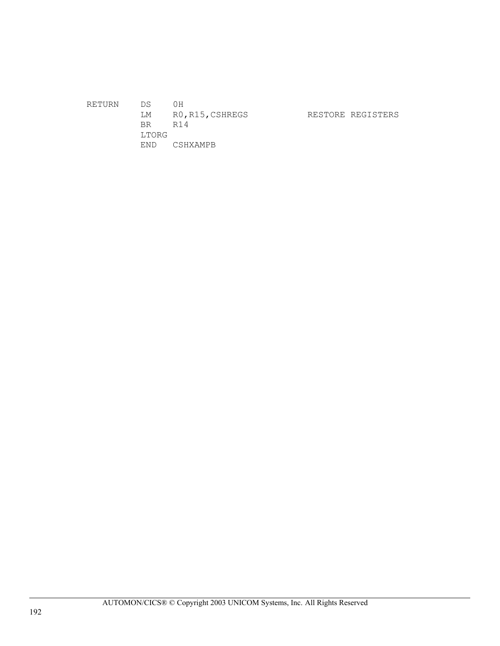RETURN DS 0H LM RO, R15, CSHREGS RESTORE REGISTERS BR R14 LTORG END CSHXAMPB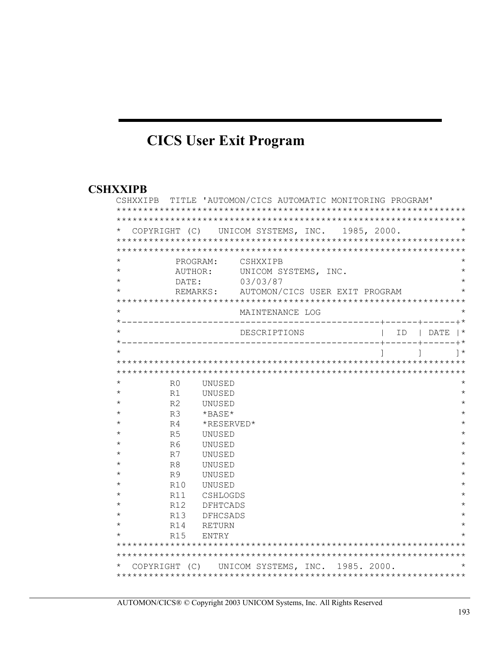# **CICS User Exit Program**

#### **CSHXXIPB**

|          |                 |              | CSHXXIPB TITLE 'AUTOMON/CICS AUTOMATIC MONITORING PROGRAM' |  |                                 |              |
|----------|-----------------|--------------|------------------------------------------------------------|--|---------------------------------|--------------|
|          |                 |              |                                                            |  |                                 |              |
| $^\star$ |                 |              | COPYRIGHT (C) UNICOM SYSTEMS, INC. 1985, 2000.             |  |                                 |              |
|          |                 |              |                                                            |  |                                 |              |
|          |                 |              |                                                            |  |                                 |              |
| $^\star$ |                 | PROGRAM:     | CSHXXIPB                                                   |  |                                 | $^\star$     |
| $^\star$ |                 | AUTHOR:      | UNICOM SYSTEMS, INC.                                       |  |                                 |              |
| $^\star$ | DATE:           |              | 03/03/87                                                   |  |                                 |              |
| $^\star$ |                 | REMARKS:     | AUTOMON/CICS USER EXIT PROGRAM                             |  |                                 |              |
|          |                 |              |                                                            |  |                                 |              |
| $^\star$ |                 |              | MAINTENANCE LOG                                            |  |                                 |              |
| $^\star$ |                 |              | ----------+---<br>DESCRIPTIONS                             |  | ------+*                        |              |
|          |                 |              |                                                            |  | $ID$   $DATA$   $*$<br>------+* |              |
| $\star$  |                 |              |                                                            |  |                                 | $\uparrow$ * |
|          |                 |              |                                                            |  |                                 |              |
|          |                 |              |                                                            |  |                                 |              |
| $^\star$ | R0              | UNUSED       |                                                            |  |                                 |              |
| $^\star$ | R1              | UNUSED       |                                                            |  |                                 | $^\star$     |
| $^\star$ | R <sub>2</sub>  | UNUSED       |                                                            |  |                                 |              |
| $^\star$ | R <sub>3</sub>  | $*$ BASE $*$ |                                                            |  |                                 |              |
| $^\star$ | R <sub>4</sub>  | *RESERVED*   |                                                            |  |                                 |              |
| $^\star$ | R <sub>5</sub>  | UNUSED       |                                                            |  |                                 | $^\star$     |
| $^\star$ | R6              | UNUSED       |                                                            |  |                                 |              |
| $^\star$ | R7              | UNUSED       |                                                            |  |                                 | $^\star$     |
| $^\star$ | R <sup>8</sup>  | UNUSED       |                                                            |  |                                 | $^\star$     |
| $^\star$ | R <sub>9</sub>  | UNUSED       |                                                            |  |                                 |              |
| $^\star$ | R10             | UNUSED       |                                                            |  |                                 |              |
| $^\star$ | R11             | CSHLOGDS     |                                                            |  |                                 |              |
| $^\star$ | R12             | DFHTCADS     |                                                            |  |                                 |              |
| $^\star$ | R13             | DFHCSADS     |                                                            |  |                                 |              |
| $\star$  | R14             | RETURN       |                                                            |  |                                 |              |
|          | R <sub>15</sub> | ENTRY        |                                                            |  |                                 |              |
|          |                 |              |                                                            |  |                                 |              |
|          |                 |              |                                                            |  |                                 |              |
| $^\star$ | COPYRIGHT (C)   |              | UNICOM SYSTEMS, INC. 1985. 2000.                           |  |                                 |              |
|          |                 |              |                                                            |  |                                 |              |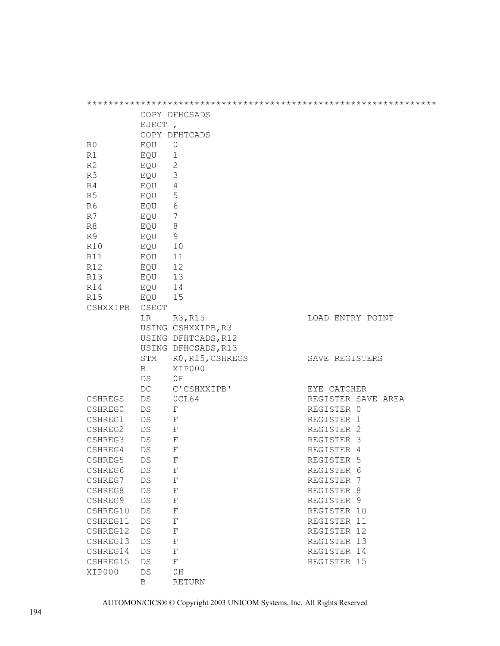|                |           | COPY DFHCSADS              |                    |
|----------------|-----------|----------------------------|--------------------|
|                | EJECT,    |                            |                    |
|                |           | COPY DFHTCADS              |                    |
| R0             | EQU       | 0                          |                    |
| R1             | EQU       | 1                          |                    |
| R <sub>2</sub> | EQU       | $\overline{\phantom{0}}^2$ |                    |
| R3             | EQU       | $\mathcal{S}$              |                    |
| R4             | EQU       | $\overline{4}$             |                    |
| R <sub>5</sub> | EQU       | 5                          |                    |
| R6             | EQU       | - 6                        |                    |
| R7             | EQU       | - 7                        |                    |
| R8             | EQU       | 8                          |                    |
| R9             | EQU       | 9                          |                    |
| R10            | EQU       | 10                         |                    |
| R11            | EQU       | 11                         |                    |
| R12            | EQU       | 12                         |                    |
| R13            | EQU 13    |                            |                    |
| R14            | EQU       | 14                         |                    |
| R15            | EQU       | 15                         |                    |
| CSHXXIPB       | CSECT     |                            |                    |
|                | LR        | R3, R15                    | LOAD ENTRY POINT   |
|                |           | USING CSHXXIPB, R3         |                    |
|                |           | USING DFHTCADS, R12        |                    |
|                |           |                            |                    |
|                |           | USING DFHCSADS, R13        |                    |
|                | STM       | RO, R15, CSHREGS           | SAVE REGISTERS     |
|                | B         | XIP000                     |                    |
|                | DS        | ΟF                         |                    |
|                | DC        | C'CSHXXIPB'                | EYE CATCHER        |
| <b>CSHREGS</b> | DS        | OCL64                      | REGISTER SAVE AREA |
| CSHREG0        | DS        | F                          | REGISTER 0         |
| CSHREG1        | DS        | F                          | REGISTER 1         |
| CSHREG2        | DS        | $\mathbf{F}$               | REGISTER 2         |
| CSHREG3        | DS        | F                          | REGISTER 3         |
| CSHREG4        | DS        | F                          | REGISTER 4         |
| CSHREG5        | <b>DS</b> | $_{\rm F}$                 | REGISTER 5         |
| CSHREG6        | DS        | F                          | REGISTER 6         |
| CSHREG7        | DS        | $\mathbf F$                | REGISTER 7         |
| CSHREG8        | DS        | $\mathbf F$                | REGISTER 8         |
| CSHREG9        | DS        | $\mathbf F$                | REGISTER 9         |
| CSHREG10       | DS        | $\mathbf F$                | REGISTER 10        |
| CSHREG11       | DS        | $\mathbf F$                | REGISTER 11        |
| CSHREG12       | DS        | $\mathbf F$                | REGISTER 12        |
| CSHREG13       | DS        | $\mathbf F$                | REGISTER 13        |
| CSHREG14       | DS        | $\mathbf F$                | REGISTER 14        |
| CSHREG15       | DS        | $\mathbf F$                | REGISTER 15        |
| XIP000         | DS        | 0H                         |                    |
|                | B         | RETURN                     |                    |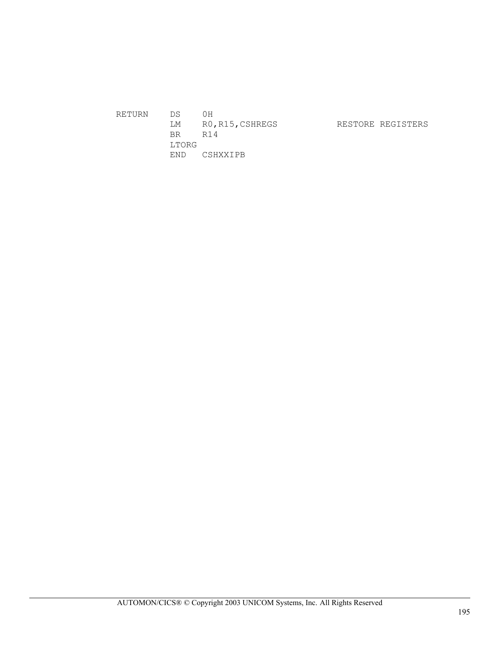| RETURN | D.S.  | ΟH               |                   |
|--------|-------|------------------|-------------------|
|        | LM    | RO, R15, CSHREGS | RESTORE REGISTERS |
|        | BR.   | R14              |                   |
|        | LTORG |                  |                   |
|        | END.  | CSHXXIPB         |                   |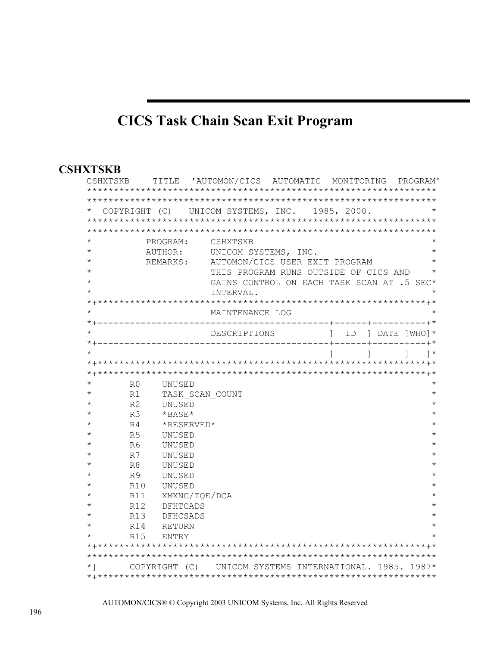# **CICS Task Chain Scan Exit Program**

#### **CSHXTSKB**

| CSHXTSKB  |                |                 | TITLE 'AUTOMON/CICS AUTOMATIC MONITORING                |                                            |  | PROGRAM' |
|-----------|----------------|-----------------|---------------------------------------------------------|--------------------------------------------|--|----------|
|           |                |                 |                                                         |                                            |  |          |
| $^\star$  |                |                 | COPYRIGHT (C) UNICOM SYSTEMS, INC. 1985, 2000.          |                                            |  |          |
|           |                |                 |                                                         |                                            |  |          |
|           |                |                 |                                                         |                                            |  |          |
|           |                | PROGRAM:        | CSHXTSKB                                                |                                            |  |          |
|           |                |                 | AUTHOR: UNICOM SYSTEMS, INC.                            |                                            |  | $\star$  |
|           |                | REMARKS:        | AUTOMON/CICS USER EXIT PROGRAM                          |                                            |  |          |
|           |                |                 |                                                         | THIS PROGRAM RUNS OUTSIDE OF CICS AND      |  |          |
| $\star$   |                |                 |                                                         | GAINS CONTROL ON EACH TASK SCAN AT .5 SEC* |  |          |
|           |                |                 | INTERVAL.                                               |                                            |  |          |
|           |                |                 |                                                         |                                            |  |          |
|           |                |                 | MAINTENANCE LOG                                         |                                            |  |          |
|           |                |                 |                                                         |                                            |  |          |
|           |                |                 | DESCRIPTIONS ] ID ] DATE ] WHO ] *                      |                                            |  |          |
|           |                |                 |                                                         |                                            |  |          |
|           |                |                 |                                                         |                                            |  |          |
|           |                |                 |                                                         |                                            |  |          |
|           |                |                 |                                                         |                                            |  |          |
|           | R <sub>0</sub> | UNUSED          |                                                         |                                            |  |          |
|           | R1             | TASK SCAN COUNT |                                                         |                                            |  | $\star$  |
|           | R <sub>2</sub> | UNUSED          |                                                         |                                            |  |          |
|           | R <sub>3</sub> | $*$ BASE $*$    |                                                         |                                            |  |          |
|           | R <sub>4</sub> | *RESERVED*      |                                                         |                                            |  |          |
|           | R <sub>5</sub> | UNUSED          |                                                         |                                            |  |          |
|           | R <sub>6</sub> | UNUSED          |                                                         |                                            |  |          |
|           | R7             | UNUSED          |                                                         |                                            |  |          |
|           | R8             | UNUSED          |                                                         |                                            |  |          |
|           | R <sub>9</sub> | UNUSED          |                                                         |                                            |  |          |
|           | R10            | UNUSED          |                                                         |                                            |  |          |
|           | R11            | XMXNC/TQE/DCA   |                                                         |                                            |  |          |
|           | R12            | DFHTCADS        |                                                         |                                            |  |          |
|           | R13            | <b>DFHCSADS</b> |                                                         |                                            |  |          |
| $^\star$  | R14            | <b>RETURN</b>   |                                                         |                                            |  |          |
|           | R15            | ENTRY           |                                                         |                                            |  |          |
|           |                |                 |                                                         |                                            |  |          |
|           |                |                 |                                                         |                                            |  |          |
| $\star$ ] |                |                 | COPYRIGHT (C) UNICOM SYSTEMS INTERNATIONAL. 1985. 1987* |                                            |  |          |
|           |                |                 |                                                         |                                            |  |          |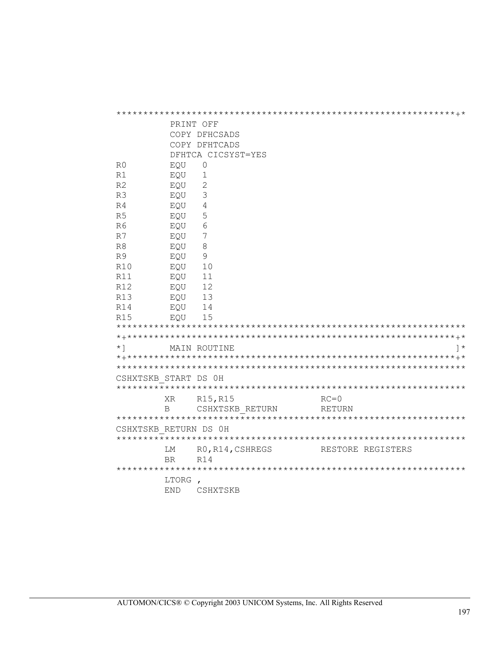|                       | PRINT OFF  |                    |                   |  |  |  |  |  |  |
|-----------------------|------------|--------------------|-------------------|--|--|--|--|--|--|
|                       |            | COPY DFHCSADS      |                   |  |  |  |  |  |  |
|                       |            | COPY DFHTCADS      |                   |  |  |  |  |  |  |
|                       |            | DFHTCA CICSYST=YES |                   |  |  |  |  |  |  |
| R0                    | EQU        | 0                  |                   |  |  |  |  |  |  |
| R1                    | EQU        | $\mathbf 1$        |                   |  |  |  |  |  |  |
| R <sub>2</sub>        | EQU        | 2                  |                   |  |  |  |  |  |  |
| R3                    | EQU        | $\mathcal{S}$      |                   |  |  |  |  |  |  |
| R <sub>4</sub>        | EQU        | 4                  |                   |  |  |  |  |  |  |
| R <sub>5</sub>        | EQU        | 5                  |                   |  |  |  |  |  |  |
| R6                    | EQU        | 6                  |                   |  |  |  |  |  |  |
| R7                    | EQU        | 7                  |                   |  |  |  |  |  |  |
| R <sub>8</sub>        | EQU        | $8\,$              |                   |  |  |  |  |  |  |
| R <sup>9</sup>        | EQU        | 9                  |                   |  |  |  |  |  |  |
| <b>R10</b>            | EQU        | 10                 |                   |  |  |  |  |  |  |
| <b>R11</b>            | EQU        | 11                 |                   |  |  |  |  |  |  |
| R12                   | EQU        | 12                 |                   |  |  |  |  |  |  |
| R13                   | EQU        | 13                 |                   |  |  |  |  |  |  |
| R14                   | EQU        | 14                 |                   |  |  |  |  |  |  |
| R15                   | EQU        | 15                 |                   |  |  |  |  |  |  |
|                       |            |                    |                   |  |  |  |  |  |  |
|                       |            |                    |                   |  |  |  |  |  |  |
| $\star$ ]             |            | MAIN ROUTINE       |                   |  |  |  |  |  |  |
|                       |            |                    |                   |  |  |  |  |  |  |
|                       |            |                    |                   |  |  |  |  |  |  |
| CSHXTSKB START DS 0H  |            |                    |                   |  |  |  |  |  |  |
|                       |            |                    |                   |  |  |  |  |  |  |
|                       | XR.        | R15, R15           | $RC = 0$          |  |  |  |  |  |  |
|                       | B          | CSHXTSKB RETURN    | RETURN            |  |  |  |  |  |  |
|                       |            |                    |                   |  |  |  |  |  |  |
| CSHXTSKB RETURN DS 0H |            |                    |                   |  |  |  |  |  |  |
|                       | LМ         | RO, R14, CSHREGS   | RESTORE REGISTERS |  |  |  |  |  |  |
|                       | <b>BR</b>  | R14                |                   |  |  |  |  |  |  |
|                       |            |                    |                   |  |  |  |  |  |  |
|                       | LTORG ,    |                    |                   |  |  |  |  |  |  |
|                       | <b>END</b> | CSHXTSKB           |                   |  |  |  |  |  |  |
|                       |            |                    |                   |  |  |  |  |  |  |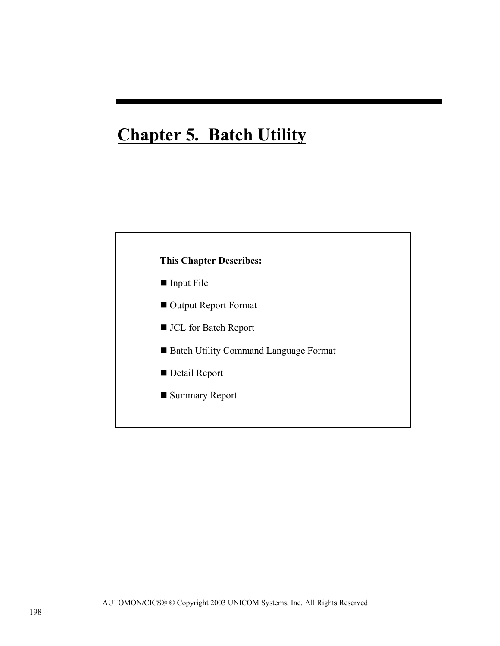# **Chapter 5. Batch Utility**

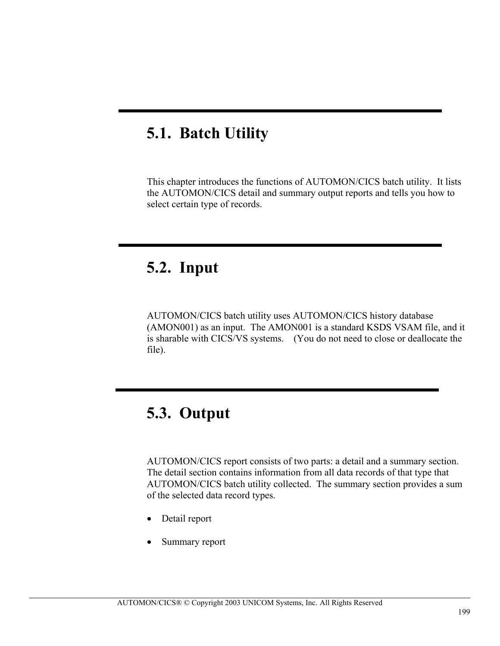# **5.1. Batch Utility**

This chapter introduces the functions of AUTOMON/CICS batch utility. It lists the AUTOMON/CICS detail and summary output reports and tells you how to select certain type of records.

### **5.2. Input**

AUTOMON/CICS batch utility uses AUTOMON/CICS history database (AMON001) as an input. The AMON001 is a standard KSDS VSAM file, and it is sharable with CICS/VS systems. (You do not need to close or deallocate the file).

### **5.3. Output**

AUTOMON/CICS report consists of two parts: a detail and a summary section. The detail section contains information from all data records of that type that AUTOMON/CICS batch utility collected. The summary section provides a sum of the selected data record types.

- Detail report
- Summary report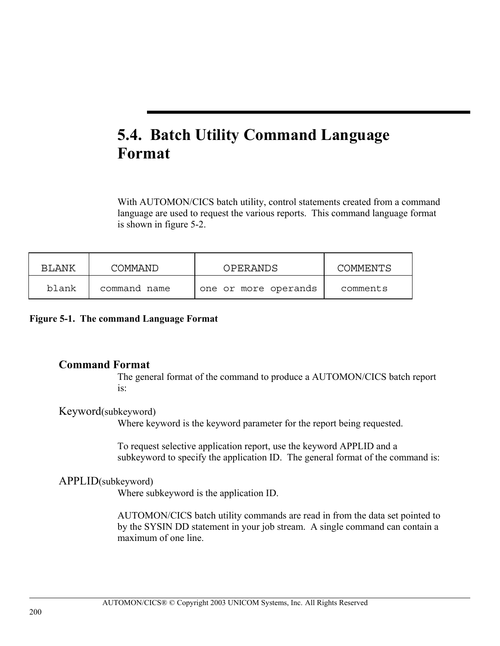# **5.4. Batch Utility Command Language Format**

With AUTOMON/CICS batch utility, control statements created from a command language are used to request the various reports. This command language format is shown in figure 5-2.

| BLANK | COMMAND      | <b>OPERANDS</b>      | <b>COMMENTS</b> |
|-------|--------------|----------------------|-----------------|
| blank | command name | one or more operands | comments        |

**Figure 5-1. The command Language Format** 

#### **Command Format**

The general format of the command to produce a AUTOMON/CICS batch report is:

#### Keyword(subkeyword)

Where keyword is the keyword parameter for the report being requested.

To request selective application report, use the keyword APPLID and a subkeyword to specify the application ID. The general format of the command is:

#### APPLID(subkeyword)

Where subkeyword is the application ID.

AUTOMON/CICS batch utility commands are read in from the data set pointed to by the SYSIN DD statement in your job stream. A single command can contain a maximum of one line.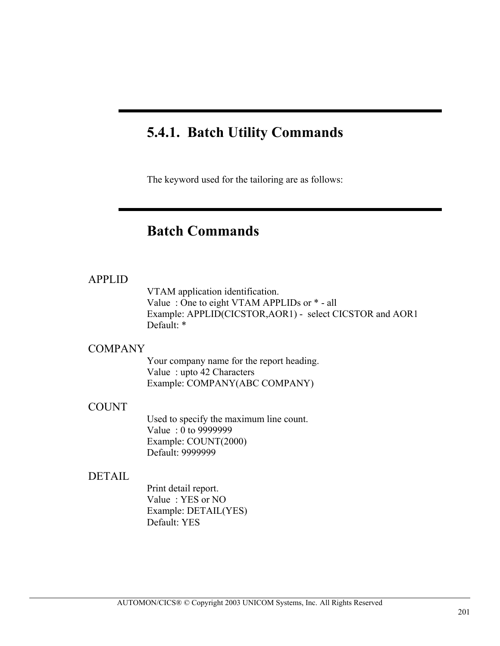### **5.4.1. Batch Utility Commands**

The keyword used for the tailoring are as follows:

### **Batch Commands**

#### APPLID

VTAM application identification. Value : One to eight VTAM APPLIDs or \* - all Example: APPLID(CICSTOR,AOR1) - select CICSTOR and AOR1 Default: \*

#### **COMPANY**

Your company name for the report heading. Value : upto 42 Characters Example: COMPANY(ABC COMPANY)

#### **COUNT**

Used to specify the maximum line count. Value : 0 to 9999999 Example: COUNT(2000) Default: 9999999

#### DETAIL

Print detail report. Value : YES or NO Example: DETAIL(YES) Default: YES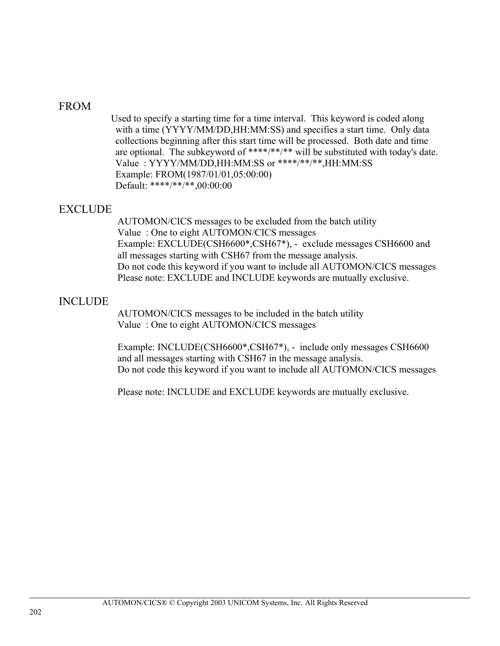#### FROM

 Used to specify a starting time for a time interval. This keyword is coded along with a time (YYYY/MM/DD,HH:MM:SS) and specifies a start time. Only data collections beginning after this start time will be processed. Both date and time are optional. The subkeyword of \*\*\*\*/\*\*/\*\* will be substituted with today's date. Value : YYYY/MM/DD,HH:MM:SS or \*\*\*\*/\*\*/\*\*,HH:MM:SS Example: FROM(1987/01/01,05:00:00) Default: \*\*\*\*/\*\*/\*\*,00:00:00

#### EXCLUDE

AUTOMON/CICS messages to be excluded from the batch utility Value : One to eight AUTOMON/CICS messages Example: EXCLUDE(CSH6600\*,CSH67\*), - exclude messages CSH6600 and all messages starting with CSH67 from the message analysis. Do not code this keyword if you want to include all AUTOMON/CICS messages Please note: EXCLUDE and INCLUDE keywords are mutually exclusive.

#### INCLUDE

AUTOMON/CICS messages to be included in the batch utility Value : One to eight AUTOMON/CICS messages

Example: INCLUDE(CSH6600\*,CSH67\*), - include only messages CSH6600 and all messages starting with CSH67 in the message analysis. Do not code this keyword if you want to include all AUTOMON/CICS messages

Please note: INCLUDE and EXCLUDE keywords are mutually exclusive.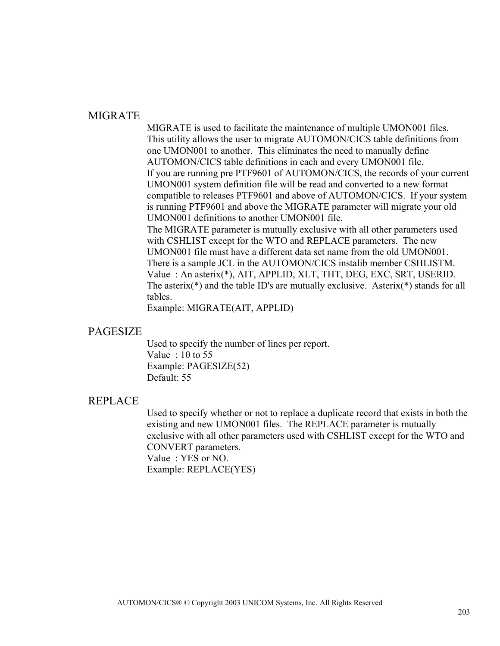#### MIGRATE

MIGRATE is used to facilitate the maintenance of multiple UMON001 files. This utility allows the user to migrate AUTOMON/CICS table definitions from one UMON001 to another. This eliminates the need to manually define AUTOMON/CICS table definitions in each and every UMON001 file. If you are running pre PTF9601 of AUTOMON/CICS, the records of your current UMON001 system definition file will be read and converted to a new format compatible to releases PTF9601 and above of AUTOMON/CICS. If your system is running PTF9601 and above the MIGRATE parameter will migrate your old UMON001 definitions to another UMON001 file. The MIGRATE parameter is mutually exclusive with all other parameters used with CSHLIST except for the WTO and REPLACE parameters. The new UMON001 file must have a different data set name from the old UMON001. There is a sample JCL in the AUTOMON/CICS instalib member CSHLISTM. Value : An asterix(\*), AIT, APPLID, XLT, THT, DEG, EXC, SRT, USERID. The asterix(\*) and the table ID's are mutually exclusive. Asterix(\*) stands for all tables.

Example: MIGRATE(AIT, APPLID)

#### PAGESIZE

Used to specify the number of lines per report. Value : 10 to 55 Example: PAGESIZE(52) Default: 55

#### REPLACE

Used to specify whether or not to replace a duplicate record that exists in both the existing and new UMON001 files. The REPLACE parameter is mutually exclusive with all other parameters used with CSHLIST except for the WTO and CONVERT parameters. Value : YES or NO. Example: REPLACE(YES)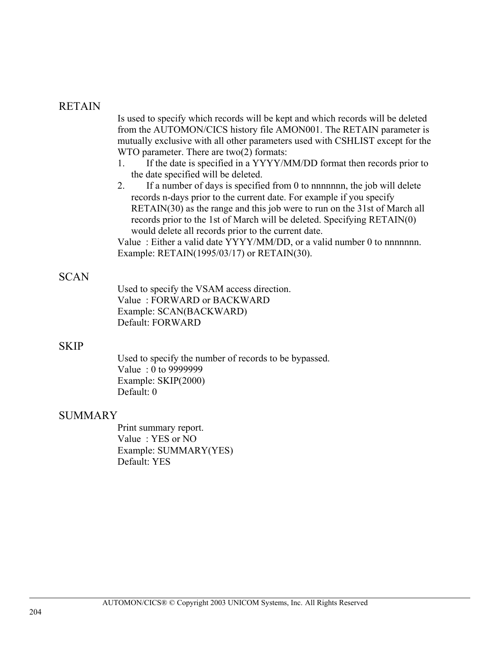#### RETAIN

Is used to specify which records will be kept and which records will be deleted from the AUTOMON/CICS history file AMON001. The RETAIN parameter is mutually exclusive with all other parameters used with CSHLIST except for the WTO parameter. There are two(2) formats:

- 1. If the date is specified in a YYYY/MM/DD format then records prior to the date specified will be deleted.
- 2. If a number of days is specified from 0 to nnnnnnn, the job will delete records n-days prior to the current date. For example if you specify RETAIN(30) as the range and this job were to run on the 31st of March all records prior to the 1st of March will be deleted. Specifying RETAIN(0) would delete all records prior to the current date.

Value: Either a valid date YYYY/MM/DD, or a valid number 0 to nnnnnnn. Example: RETAIN(1995/03/17) or RETAIN(30).

#### SCAN

Used to specify the VSAM access direction. Value : FORWARD or BACKWARD Example: SCAN(BACKWARD) Default: FORWARD

#### **SKIP**

Used to specify the number of records to be bypassed. Value : 0 to 9999999 Example: SKIP(2000) Default: 0

#### SUMMARY

Print summary report. Value : YES or NO Example: SUMMARY(YES) Default: YES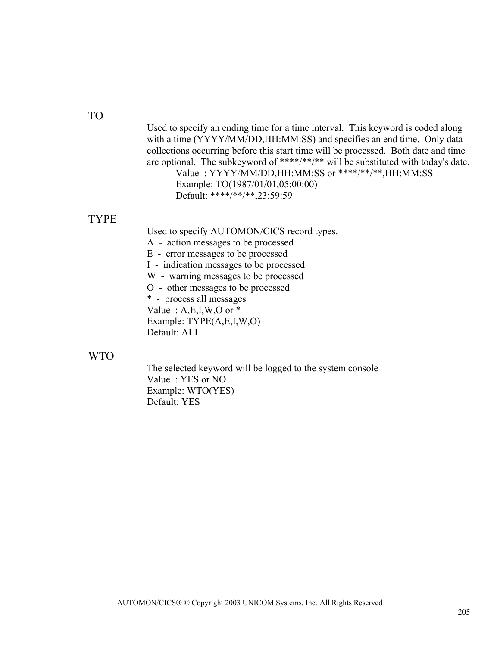#### TO

Used to specify an ending time for a time interval. This keyword is coded along with a time (YYYY/MM/DD,HH:MM:SS) and specifies an end time. Only data collections occurring before this start time will be processed. Both date and time are optional. The subkeyword of \*\*\*\*/\*\*/\*\* will be substituted with today's date.

Value : YYYY/MM/DD,HH:MM:SS or \*\*\*\*/\*\*/\*\*,HH:MM:SS Example: TO(1987/01/01,05:00:00) Default: \*\*\*\*/\*\*/\*\*,23:59:59

#### TYPE

Used to specify AUTOMON/CICS record types.

A - action messages to be processed

E - error messages to be processed

I - indication messages to be processed

W - warning messages to be processed

O - other messages to be processed

\* - process all messages

Value:  $A, E, I, W, O$  or  $*$ 

Example: TYPE(A,E,I,W,O) Default: ALL

#### WTO

The selected keyword will be logged to the system console Value : YES or NO Example: WTO(YES) Default: YES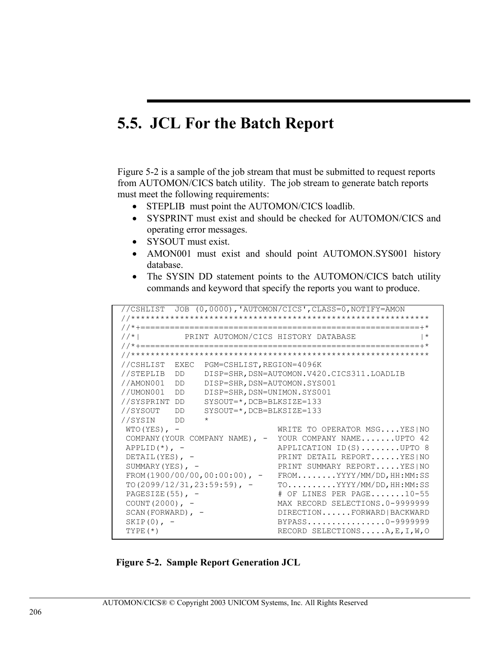### 5.5. JCL For the Batch Report

Figure 5-2 is a sample of the job stream that must be submitted to request reports from AUTOMON/CICS batch utility. The job stream to generate batch reports must meet the following requirements:

- STEPLIB must point the AUTOMON/CICS loadlib.
- SYSPRINT must exist and should be checked for AUTOMON/CICS and operating error messages.
- SYSOUT must exist.
- AMON001 must exist and should point AUTOMON.SYS001 history database.
- The SYSIN DD statement points to the AUTOMON/CICS batch utility commands and keyword that specify the reports you want to produce.

```
//CSHLIST JOB (0,0000),'AUTOMON/CICS',CLASS=0,NOTIFY=AMON
1/* 1
         PRINT AUTOMON/CICS HISTORY DATABASE
                                                   | *//CSHLIST EXEC PGM=CSHLIST, REGION=4096K
//STEPLIB DD DISP=SHR, DSN=AUTOMON.V420.CICS311.LOADLIB
//AMON001 DD DISP=SHR, DSN=AUTOMON.SYS001<br>//UMON001 DD DISP=SHR, DSN=AUTOMON.SYS001
//SYSPRINT DD SYSOUT=*, DCB=BLKSIZE=133
//SYSOUT DD SYSOUT=*, DCB=BLKSIZE=133
//SYSIN DD *
WTO(YES), -
                          WRITE TO OPERATOR MSG....YES | NO
COMPANY (YOUR COMPANY NAME), - YOUR COMPANY NAME.......UPTO 42
APPLID(*), -
                          APPLICATION ID(S).......UPTO 8
                         PRINT DETAIL REPORT......YES | NO
DETAIL (YES), -SUMMARY (YES), -
                         PRINT SUMMARY REPORT.....YES | NO
FROM(1900/00/00,00:00:00), - FROM........YYYY/MM/DD, HH:MM:SS
{\tt TO(2099/12/31,23:59:59), -} {\tt TO. . . . . . . . . YYYY/MM/DD, HH:MM:SS}PAGESIZE(55), -
                          # OF LINES PER PAGE.......10-55
                          MAX RECORD SELECTIONS.0-9999999
COUNT (2000), -
SCAN (FORWARD), -DIRECTION......FORWARD | BACKWARD
SKIP(0), -
                          BYPASS...............0-9999999
TYPE(*)RECORD SELECTIONS.....A, E, I, W, O
```
**Figure 5-2. Sample Report Generation JCL**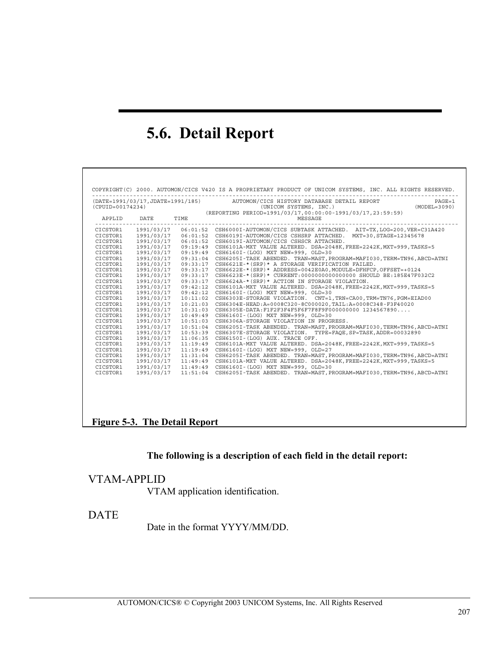# **5.6. Detail Report**

| $(CPUID=00174234)$ |             |          | (DATE=1991/03/17,JDATE=1991/185) AUTOMON/CICS HISTORY DATABASE DETAIL REPORT<br>$PAGE = 1$<br>$(MODEL = 3090)$<br>(UNICOM SYSTEMS, INC.)<br>(REPORTING PERIOD=1991/03/17,00:00:00-1991/03/17,23:59:59) |
|--------------------|-------------|----------|--------------------------------------------------------------------------------------------------------------------------------------------------------------------------------------------------------|
| APPLID             | <b>DATE</b> | TIME     | MESSAGE                                                                                                                                                                                                |
| CICSTOR1           | 1991/03/17  |          | 06:01:52 CSH6000I-AUTOMON/CICS SUBTASK ATTACHED. AIT=TX, LOG=200, VER=C31A420                                                                                                                          |
| CICSTOR1           | 1991/03/17  |          | 06:01:52 CSH6019I-AUTOMON/CICS CSHSRP ATTACHED. MXT=30, STAGE=12345678                                                                                                                                 |
| CICSTOR1           | 1991/03/17  |          | 06:01:52 CSH6019I-AUTOMON/CICS CSHSCR ATTACHED.                                                                                                                                                        |
| CICSTOR1           | 1991/03/17  |          | 09:19:49 CSH6101A-MXT VALUE ALTERED. DSA=2048K, FREE=2242K, MXT=999, TASKS=5                                                                                                                           |
| CICSTOR1           | 1991/03/17  |          | 09:19:49 CSH6160I-(LOG) MXT NEW=999, OLD=30                                                                                                                                                            |
| CICSTOR1           | 1991/03/17  |          | 09:31:04 CSH6205I-TASK ABENDED, TRAN=MAST, PROGRAM=MAFI030, TERM=TN96, ABCD=ATNI                                                                                                                       |
| CICSTOR1           | 1991/03/17  |          | 09:33:17 CSH6621E-*(SRP)* A STORAGE VERIFICATION FAILED.                                                                                                                                               |
| CICSTOR1           | 1991/03/17  |          | $09:33:17$ CSH6622E-*(SRP)* ADDRESS=0042E0A0, MODULE=DFHFCP, OFFSET=+0124                                                                                                                              |
| CICSTOR1           | 1991/03/17  |          | $0.9:33:17$ CSH6623E- $*($ SRP $)*$ CURRENT:00000000000000000 SHOULD BE:185E47F032C2                                                                                                                   |
| CICSTOR1           | 1991/03/17  |          | 09:33:17 CSH6624A-*(SRP)* ACTION IN STORAGE VIOLATION.                                                                                                                                                 |
| CICSTOR1           | 1991/03/17  | 09:42:12 | CSH6101A-MXT VALUE ALTERED. DSA=2048K, FREE=2242K, MXT=999, TASKS=5                                                                                                                                    |
| CICSTOR1           | 1991/03/17  |          | 09:42:12 CSH6160I-(LOG) MXT NEW=999, OLD=30                                                                                                                                                            |
| CICSTOR1           | 1991/03/17  | 10:11:02 | CSH6303E-STORAGE VIOLATION. CNT=1, TRN=CA00, TRM=TN76, PGM=EIAD00                                                                                                                                      |
| CICSTOR1           | 1991/03/17  |          | 10:21:03 CSH6304E-HEAD:A=0008C320-8C000020,TAIL:A=0008C348-F3F40020                                                                                                                                    |
| CICSTOR1           | 1991/03/17  |          | $10:31:03$ CSH6305E-DATA:F1F2F3F4F5F6F7F8F9F000000000 1234567890                                                                                                                                       |
| CICSTOR1           | 1991/03/17  |          | 10:49:49 CSH6160I-(LOG) MXT NEW=999, OLD=30                                                                                                                                                            |
| CICSTOR1           | 1991/03/17  | 10:51:03 | CSH6306A-STORAGE VIOLATION IN PROGRESS.                                                                                                                                                                |
| CICSTOR1           | 1991/03/17  |          | 10:51:04 CSH6205I-TASK ABENDED. TRAN=MAST, PROGRAM=MAFI030, TERM=TN96, ABCD=ATNI                                                                                                                       |
| CICSTOR1           | 1991/03/17  | 10:53:39 | CSH6307E-STORAGE VIOLATION. TYPE=FAOE, SP=TASK, ADDR=00032890                                                                                                                                          |
| CICSTOR1           | 1991/03/17  | 11:06:35 | CSH6150I-(LOG) AUX. TRACE OFF.                                                                                                                                                                         |
| CICSTOR1           | 1991/03/17  |          | 11:19:49 CSH6101A-MXT VALUE ALTERED. DSA=2048K, FREE=2242K, MXT=999, TASKS=5                                                                                                                           |
| CICSTOR1           | 1991/03/17  |          | 11:19:49 CSH6160I-(LOG) MXT NEW=999, OLD=27                                                                                                                                                            |
| CICSTOR1           | 1991/03/17  |          | 11:31:04 CSH6205I-TASK ABENDED. TRAN=MAST, PROGRAM=MAFI030, TERM=TN96, ABCD=ATNI                                                                                                                       |
| CICSTOR1           | 1991/03/17  | 11:49:49 | CSH6101A-MXT VALUE ALTERED. DSA=2048K, FREE=2242K, MXT=999, TASKS=5                                                                                                                                    |
| CICSTOR1           | 1991/03/17  | 11:49:49 | CSH6160I-(LOG) MXT NEW=999, OLD=30                                                                                                                                                                     |
| CICSTOR1           | 1991/03/17  |          | 11:51:04 CSH6205I-TASK ABENDED, TRAN=MAST, PROGRAM=MAFI030, TERM=TN96, ABCD=ATNI                                                                                                                       |

#### **Figure 5-3. The Detail Report**

#### **The following is a description of each field in the detail report:**

#### VTAM-APPLID

VTAM application identification.

#### DATE

Date in the format YYYY/MM/DD.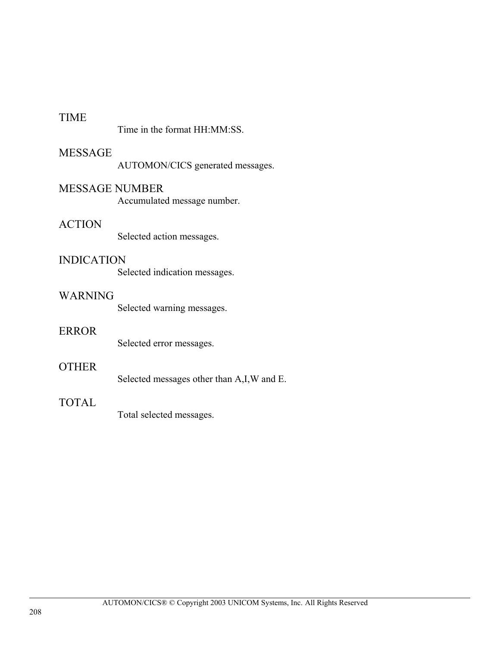#### TIME

Time in the format HH:MM:SS.

#### MESSAGE

AUTOMON/CICS generated messages.

#### MESSAGE NUMBER

Accumulated message number.

#### ACTION

Selected action messages.

#### INDICATION

Selected indication messages.

#### WARNING

Selected warning messages.

#### ERROR

Selected error messages.

#### OTHER

Selected messages other than A,I,W and E.

#### TOTAL

Total selected messages.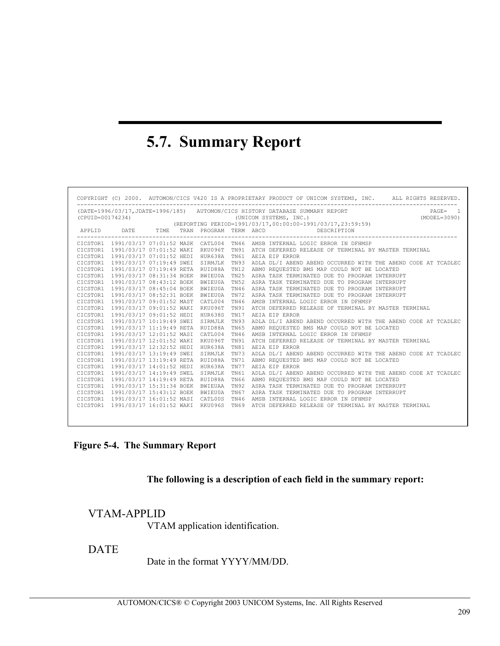# **5.7. Summary Report**

|                                                                                                                                                                                                          |  |                                                |  |             |  | COPYRIGHT (C) 2000. AUTOMON/CICS V420 IS A PROPRIETARY PRODUCT OF UNICOM SYSTEMS, INC. ALL RIGHTS RESERVED. |
|----------------------------------------------------------------------------------------------------------------------------------------------------------------------------------------------------------|--|------------------------------------------------|--|-------------|--|-------------------------------------------------------------------------------------------------------------|
| (DATE=1996/03/17, JDATE=1996/185) AUTOMON/CICS HISTORY DATABASE SUMMARY REPORT<br>$PAGE = 1$<br>(CPUID=00174234)<br>(UNICOM SYSTEMS, INC.)<br>(REPORTING PERIOD=1991/03/17,00:00:00-1991/03/17,23:59:59) |  |                                                |  |             |  |                                                                                                             |
|                                                                                                                                                                                                          |  |                                                |  |             |  | APPLID DATE TIME TRAN PROGRAM TERM ABCD DESCRIPTION                                                         |
|                                                                                                                                                                                                          |  |                                                |  |             |  | CICSTOR1 1991/03/17 07:01:52 MASK CATL004 TN46 AMSB INTERNAL LOGIC ERROR IN DFHMSP                          |
|                                                                                                                                                                                                          |  |                                                |  |             |  | CICSTOR1 1991/03/17 07:01:52 WAKI RKU096T TN91 ATCH DEFERRED RELEASE OF TERMINAL BY MASTER TERMINAL         |
|                                                                                                                                                                                                          |  | CICSTOR1 1991/03/17 07:01:52 HEDI HUR638A TN61 |  |             |  | AEIA EIP ERROR                                                                                              |
|                                                                                                                                                                                                          |  | CICSTOR1 1991/03/17 07:19:49 SWEI SIRMJLK TN93 |  |             |  | ADLA DL/I ABEND ABEND OCCURRED WITH THE ABEND CODE AT TCADLEC                                               |
|                                                                                                                                                                                                          |  | CICSTOR1 1991/03/17 07:19:49 RETA RUID88A TN12 |  |             |  | ABMO REOUESTED BMS MAP COULD NOT BE LOCATED                                                                 |
|                                                                                                                                                                                                          |  | CICSTOR1 1991/03/17 08:31:34 BOEK BWIEU0A TN25 |  |             |  | ASRA TASK TERMINATED DUE TO PROGRAM INTERRUPT                                                               |
|                                                                                                                                                                                                          |  | CICSTOR1 1991/03/17 08:43:12 BOEK BWIEU0A      |  | <b>TN52</b> |  | ASRA TASK TERMINATED DUE TO PROGRAM INTERRUPT                                                               |
|                                                                                                                                                                                                          |  | CICSTOR1 1991/03/17 08:45:04 BOEK BWIEU0A      |  | TN46        |  | ASRA TASK TERMINATED DUE TO PROGRAM INTERRUPT                                                               |
|                                                                                                                                                                                                          |  | CICSTOR1 1991/03/17 08:52:31 BOEK BWIEU0A TN72 |  |             |  | ASRA TASK TERMINATED DUE TO PROGRAM INTERRUPT                                                               |
|                                                                                                                                                                                                          |  | CICSTOR1 1991/03/17 09:01:52 MAST CATL004      |  | <b>TN46</b> |  | AMSB INTERNAL LOGIC ERROR IN DFHMSP                                                                         |
|                                                                                                                                                                                                          |  | CICSTOR1 1991/03/17 09:01:52 WAKI RKU096T      |  | TN91        |  | ATCH DEFERRED RELEASE OF TERMINAL BY MASTER TERMINAL                                                        |
|                                                                                                                                                                                                          |  | CICSTOR1 1991/03/17 09:01:52 HEDI HUR638S      |  | TN17        |  | AEIA EIP ERROR                                                                                              |
|                                                                                                                                                                                                          |  | CICSTOR1 1991/03/17 10:19:49 SWEI SIRMJLK      |  | TN 93       |  | ADLA DL/I ABEND ABEND OCCURRED WITH THE ABEND CODE AT TCADLEC                                               |
|                                                                                                                                                                                                          |  | CICSTOR1 1991/03/17 11:19:49 RETA RUID88A TN65 |  |             |  | ABMO REOUESTED BMS MAP COULD NOT BE LOCATED                                                                 |
|                                                                                                                                                                                                          |  | CICSTOR1 1991/03/17 12:01:52 MASI CATL004      |  | TN46        |  | AMSB INTERNAL LOGIC ERROR IN DFHMSP                                                                         |
|                                                                                                                                                                                                          |  | CICSTOR1 1991/03/17 12:01:52 WAKI RKU096T      |  | TN91        |  | ATCH DEFERRED RELEASE OF TERMINAL BY MASTER TERMINAL                                                        |
|                                                                                                                                                                                                          |  | CICSTOR1 1991/03/17 12:32:52 HEDI HUR638A      |  | TN81        |  | AEIA EIP ERROR                                                                                              |
|                                                                                                                                                                                                          |  | CICSTOR1 1991/03/17 13:19:49 SWEI SIRMJLK      |  | TN73        |  | ADLA DL/I ABEND ABEND OCCURRED WITH THE ABEND CODE AT TCADLEC                                               |
|                                                                                                                                                                                                          |  | CICSTOR1 1991/03/17 13:19:49 RETA RUID88A TN71 |  |             |  | ABMO REOUESTED BMS MAP COULD NOT BE LOCATED                                                                 |
|                                                                                                                                                                                                          |  | CICSTOR1 1991/03/17 14:01:52 HEDI HUR638A      |  | TN77        |  | AEIA EIP ERROR                                                                                              |
|                                                                                                                                                                                                          |  | CICSTOR1 1991/03/17 14:19:49 SWEL SIRMJLK      |  | TN61        |  | ADLA DL/I ABEND ABEND OCCURRED WITH THE ABEND CODE AT TCADLEC                                               |
|                                                                                                                                                                                                          |  | CICSTOR1 1991/03/17 14:19:49 RETA RUID88A TN66 |  |             |  | ABMO REOUESTED BMS MAP COULD NOT BE LOCATED                                                                 |
|                                                                                                                                                                                                          |  | CICSTOR1 1991/03/17 15:31:34 BOEK BWIEUAA TN92 |  |             |  | ASRA TASK TERMINATED DUE TO PROGRAM INTERRUPT                                                               |
|                                                                                                                                                                                                          |  | CICSTOR1 1991/03/17 15:43:12 BOEK BWIEU0A      |  | TN67        |  | ASRA TASK TERMINATED DUE TO PROGRAM INTERRUPT                                                               |
|                                                                                                                                                                                                          |  | CICSTOR1 1991/03/17 16:01:52 MASI CATL00S TN46 |  |             |  | AMSB INTERNAL LOGIC ERROR IN DFHMSP                                                                         |
|                                                                                                                                                                                                          |  |                                                |  |             |  | CICSTOR1 1991/03/17 16:01:52 WAKI RKU096S TN69 ATCH DEFERRED RELEASE OF TERMINAL BY MASTER TERMINAL         |
|                                                                                                                                                                                                          |  |                                                |  |             |  |                                                                                                             |

**Figure 5-4. The Summary Report** 

#### **The following is a description of each field in the summary report:**

#### VTAM-APPLID

VTAM application identification.

#### DATE

Date in the format YYYY/MM/DD.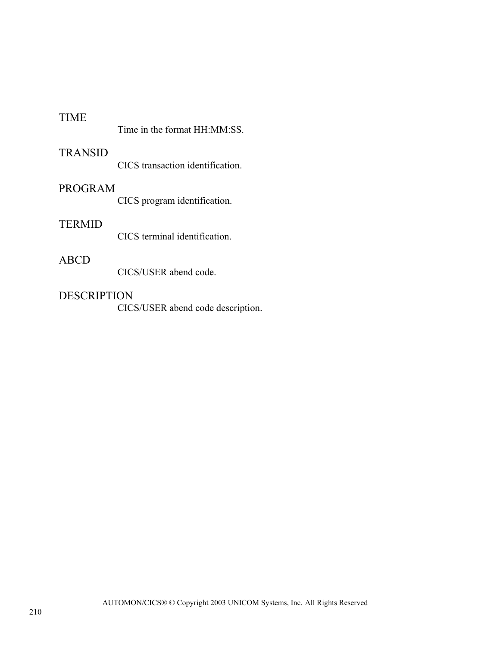#### TIME

|  |  | Time in the format HH:MM:SS. |
|--|--|------------------------------|
|  |  |                              |

#### TRANSID

CICS transaction identification.

#### PROGRAM

CICS program identification.

#### **TERMID**

CICS terminal identification.

#### ABCD

CICS/USER abend code.

#### DESCRIPTION

CICS/USER abend code description.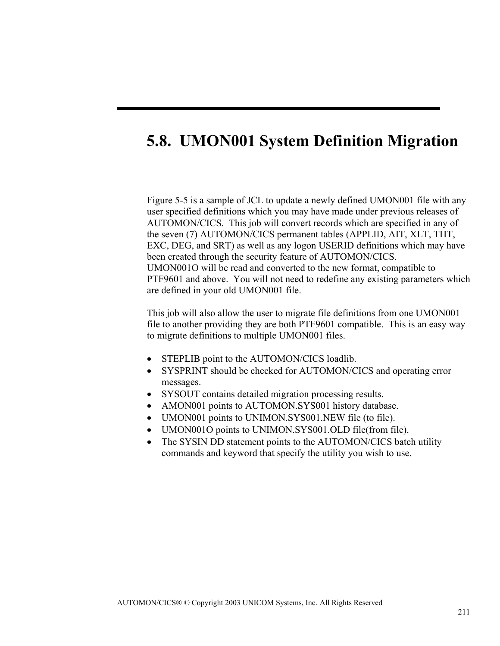# **5.8. UMON001 System Definition Migration**

ı

Figure 5-5 is a sample of JCL to update a newly defined UMON001 file with any user specified definitions which you may have made under previous releases of AUTOMON/CICS. This job will convert records which are specified in any of the seven (7) AUTOMON/CICS permanent tables (APPLID, AIT, XLT, THT, EXC, DEG, and SRT) as well as any logon USERID definitions which may have been created through the security feature of AUTOMON/CICS. UMON001O will be read and converted to the new format, compatible to PTF9601 and above. You will not need to redefine any existing parameters which are defined in your old UMON001 file.

This job will also allow the user to migrate file definitions from one UMON001 file to another providing they are both PTF9601 compatible. This is an easy way to migrate definitions to multiple UMON001 files.

- STEPLIB point to the AUTOMON/CICS loadlib.
- SYSPRINT should be checked for AUTOMON/CICS and operating error messages.
- SYSOUT contains detailed migration processing results.
- AMON001 points to AUTOMON.SYS001 history database.
- UMON001 points to UNIMON.SYS001.NEW file (to file).
- UMON0010 points to UNIMON.SYS001.OLD file (from file).
- The SYSIN DD statement points to the AUTOMON/CICS batch utility commands and keyword that specify the utility you wish to use.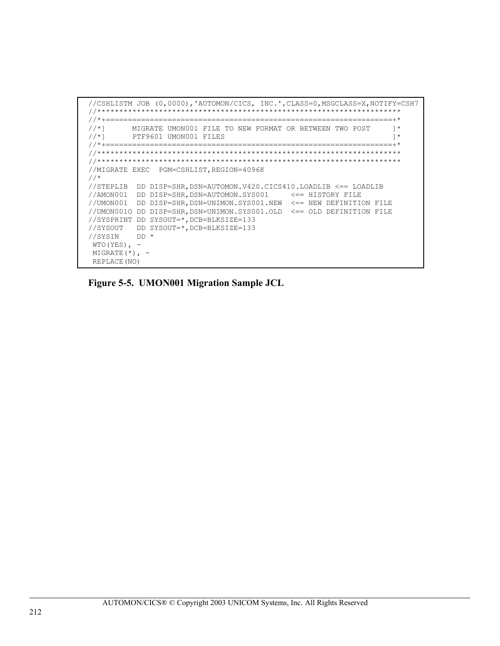```
//CSHLISTM JOB (0,0000),'AUTOMON/CICS, INC.',CLASS=0,MSGCLASS=X,NOTIFY=CSH7
//********************************************************************* 
//*+=================================================================+* 
//*] MIGRATE UMON001 FILE TO NEW FORMAT OR BETWEEN TWO POST 1 *<br>//*] PTF9601 UMON001 FILES
         PTF9601 UMON001 FILES
//*+=================================================================+* 
//********************************************************************* 
//********************************************************************* 
//MIGRATE EXEC PGM=CSHLIST,REGION=4096K 
//*//STEPLIB DD DISP=SHR,DSN=AUTOMON.V420.CICS410.LOADLIB <== LOADLIB 
//AMON001 DD DISP=SHR,DSN=AUTOMON.SYS001 <== HISTORY FILE 
//UMON001 DD DISP=SHR,DSN=UNIMON.SYS001.NEW <== NEW DEFINITION FILE 
//UMON001O DD DISP=SHR,DSN=UNIMON.SYS001.OLD <== OLD DEFINITION FILE 
//SYSPRINT DD SYSOUT=*,DCB=BLKSIZE=133 
//SYSOUT DD SYSOUT=*,DCB=BLKSIZE=133 
//SYSIN DD * 
 WTO(YES), -MIGRATE (*), -
  REPLACE(NO)
```
**Figure 5-5. UMON001 Migration Sample JCL**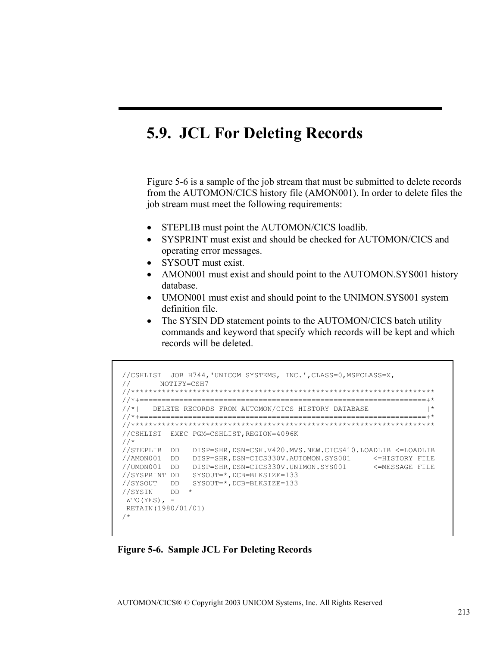# **5.9. JCL For Deleting Records**

ı

Figure 5-6 is a sample of the job stream that must be submitted to delete records from the AUTOMON/CICS history file (AMON001). In order to delete files the job stream must meet the following requirements:

- STEPLIB must point the AUTOMON/CICS loadlib.
- SYSPRINT must exist and should be checked for AUTOMON/CICS and operating error messages.
- SYSOUT must exist.
- AMON001 must exist and should point to the AUTOMON.SYS001 history database.
- UMON001 must exist and should point to the UNIMON.SYS001 system definition file.
- The SYSIN DD statement points to the AUTOMON/CICS batch utility commands and keyword that specify which records will be kept and which records will be deleted.

```
 //CSHLIST JOB H744,'UNICOM SYSTEMS, INC.',CLASS=0,MSFCLASS=X, 
 // NOTIFY=CSH7 
 //********************************************************************* 
 //*+=================================================================+* 
//*| DELETE RECORDS FROM AUTOMON/CICS HISTORY DATABASE
 //*+=================================================================+* 
 //********************************************************************* 
 //CSHLIST EXEC PGM=CSHLIST,REGION=4096K 
 //* 
 //STEPLIB DD DISP=SHR,DSN=CSH.V420.MVS.NEW.CICS410.LOADLIB <=LOADLIB 
 //AMON001 DD DISP=SHR,DSN=CICS330V.AUTOMON.SYS001 <=HISTORY FILE 
 //UMON001 DD DISP=SHR,DSN=CICS330V.UNIMON.SYS001 <=MESSAGE FILE 
 //SYSPRINT DD SYSOUT=*,DCB=BLKSIZE=133 
 //SYSOUT DD SYSOUT=*,DCB=BLKSIZE=133 
//SYSIN DD ^{\star}WTO(YES), -
 RETAIN(1980/01/01) 
 /*
```
**Figure 5-6. Sample JCL For Deleting Records**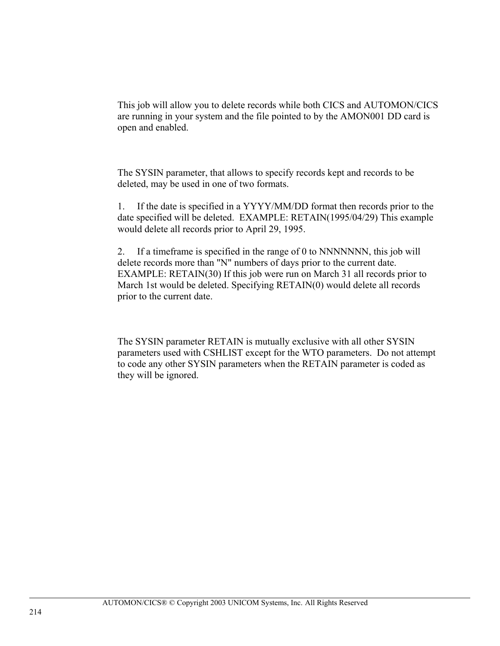This job will allow you to delete records while both CICS and AUTOMON/CICS are running in your system and the file pointed to by the AMON001 DD card is open and enabled.

The SYSIN parameter, that allows to specify records kept and records to be deleted, may be used in one of two formats.

1. If the date is specified in a YYYY/MM/DD format then records prior to the date specified will be deleted. EXAMPLE: RETAIN(1995/04/29) This example would delete all records prior to April 29, 1995.

2. If a timeframe is specified in the range of 0 to NNNNNNN, this job will delete records more than "N" numbers of days prior to the current date. EXAMPLE: RETAIN(30) If this job were run on March 31 all records prior to March 1st would be deleted. Specifying RETAIN(0) would delete all records prior to the current date.

The SYSIN parameter RETAIN is mutually exclusive with all other SYSIN parameters used with CSHLIST except for the WTO parameters. Do not attempt to code any other SYSIN parameters when the RETAIN parameter is coded as they will be ignored.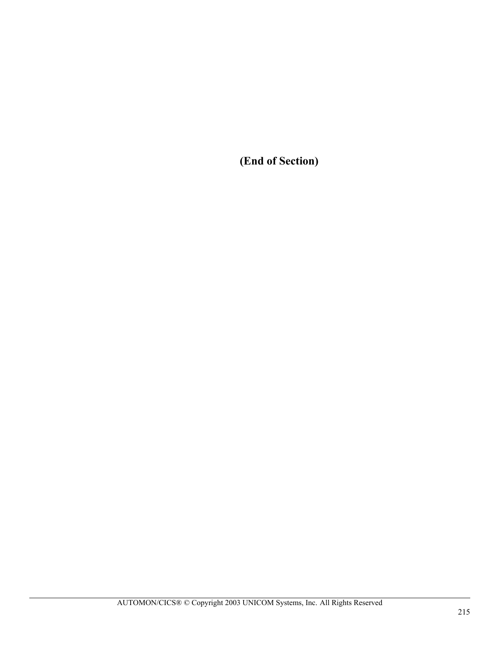**(End of Section)**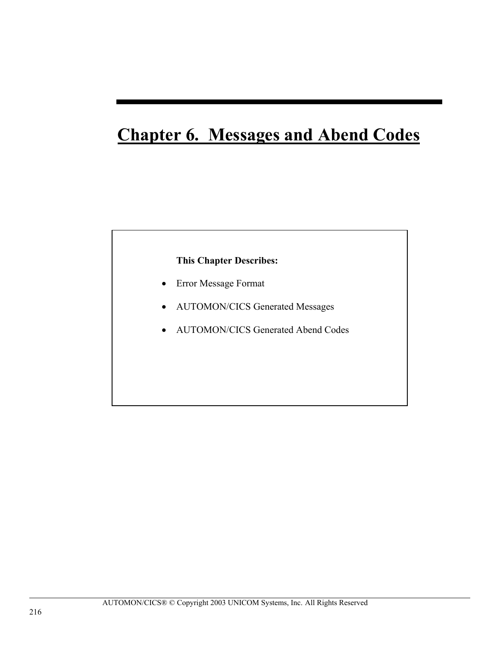# **Chapter 6. Messages and Abend Codes**

# **This Chapter Describes:**

- Error Message Format
- AUTOMON/CICS Generated Messages
- AUTOMON/CICS Generated Abend Codes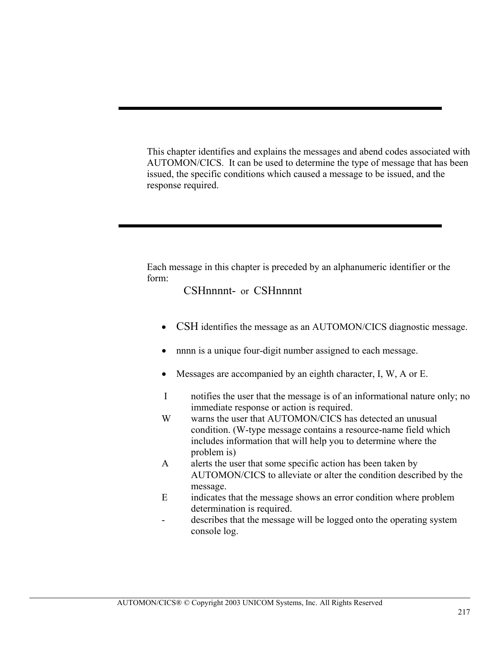This chapter identifies and explains the messages and abend codes associated with AUTOMON/CICS. It can be used to determine the type of message that has been issued, the specific conditions which caused a message to be issued, and the response required.

ı

Each message in this chapter is preceded by an alphanumeric identifier or the form:

# CSHnnnnt- or CSHnnnnt

- CSH identifies the message as an AUTOMON/CICS diagnostic message.
- nnnn is a unique four-digit number assigned to each message.
- Messages are accompanied by an eighth character, I, W, A or E.
- I notifies the user that the message is of an informational nature only; no immediate response or action is required.
- W warns the user that AUTOMON/CICS has detected an unusual condition. (W-type message contains a resource-name field which includes information that will help you to determine where the problem is)
- A alerts the user that some specific action has been taken by AUTOMON/CICS to alleviate or alter the condition described by the message.
- E indicates that the message shows an error condition where problem determination is required.
- describes that the message will be logged onto the operating system console log.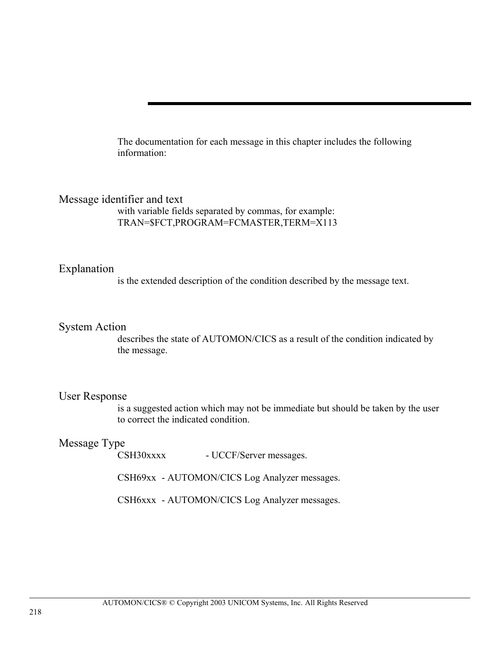The documentation for each message in this chapter includes the following information:

# Message identifier and text

with variable fields separated by commas, for example: TRAN=\$FCT,PROGRAM=FCMASTER,TERM=X113

# Explanation

is the extended description of the condition described by the message text.

#### System Action

describes the state of AUTOMON/CICS as a result of the condition indicated by the message.

# User Response

is a suggested action which may not be immediate but should be taken by the user to correct the indicated condition.

# Message Type

CSH30xxxx - UCCF/Server messages.

CSH69xx - AUTOMON/CICS Log Analyzer messages.

CSH6xxx - AUTOMON/CICS Log Analyzer messages.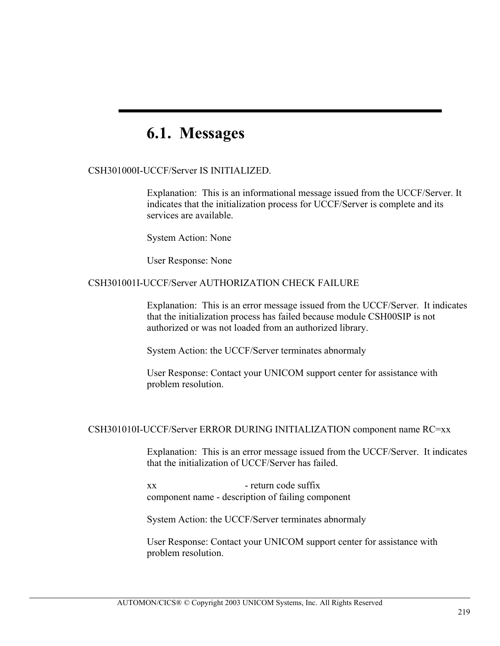# **6.1. Messages**

#### CSH301000I-UCCF/Server IS INITIALIZED.

Explanation: This is an informational message issued from the UCCF/Server. It indicates that the initialization process for UCCF/Server is complete and its services are available.

System Action: None

User Response: None

#### CSH301001I-UCCF/Server AUTHORIZATION CHECK FAILURE

Explanation: This is an error message issued from the UCCF/Server. It indicates that the initialization process has failed because module CSH00SIP is not authorized or was not loaded from an authorized library.

System Action: the UCCF/Server terminates abnormaly

User Response: Contact your UNICOM support center for assistance with problem resolution.

#### CSH301010I-UCCF/Server ERROR DURING INITIALIZATION component name RC=xx

Explanation: This is an error message issued from the UCCF/Server. It indicates that the initialization of UCCF/Server has failed.

xx - return code suffix component name - description of failing component

System Action: the UCCF/Server terminates abnormaly

User Response: Contact your UNICOM support center for assistance with problem resolution.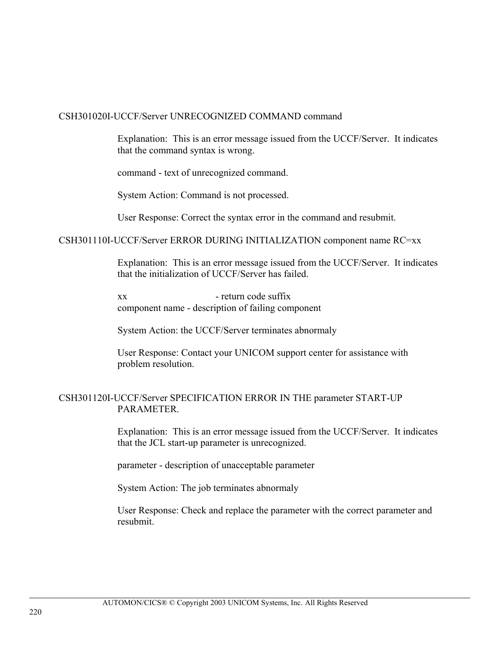#### CSH301020I-UCCF/Server UNRECOGNIZED COMMAND command

Explanation: This is an error message issued from the UCCF/Server. It indicates that the command syntax is wrong.

command - text of unrecognized command.

System Action: Command is not processed.

User Response: Correct the syntax error in the command and resubmit.

CSH301110I-UCCF/Server ERROR DURING INITIALIZATION component name RC=xx

Explanation: This is an error message issued from the UCCF/Server. It indicates that the initialization of UCCF/Server has failed.

xx - return code suffix component name - description of failing component

System Action: the UCCF/Server terminates abnormaly

User Response: Contact your UNICOM support center for assistance with problem resolution.

# CSH301120I-UCCF/Server SPECIFICATION ERROR IN THE parameter START-UP PARAMETER.

Explanation: This is an error message issued from the UCCF/Server. It indicates that the JCL start-up parameter is unrecognized.

parameter - description of unacceptable parameter

System Action: The job terminates abnormaly

User Response: Check and replace the parameter with the correct parameter and resubmit.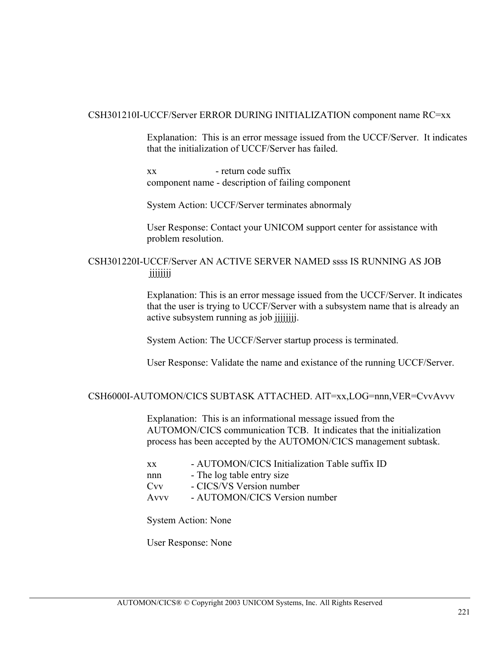#### CSH301210I-UCCF/Server ERROR DURING INITIALIZATION component name RC=xx

Explanation: This is an error message issued from the UCCF/Server. It indicates that the initialization of UCCF/Server has failed.

xx - return code suffix component name - description of failing component

System Action: UCCF/Server terminates abnormaly

User Response: Contact your UNICOM support center for assistance with problem resolution.

# CSH301220I-UCCF/Server AN ACTIVE SERVER NAMED ssss IS RUNNING AS JOB jjjjjjjj

Explanation: This is an error message issued from the UCCF/Server. It indicates that the user is trying to UCCF/Server with a subsystem name that is already an active subsystem running as job jjjjjjjj.

System Action: The UCCF/Server startup process is terminated.

User Response: Validate the name and existance of the running UCCF/Server.

#### CSH6000I-AUTOMON/CICS SUBTASK ATTACHED. AIT=xx,LOG=nnn,VER=CvvAvvv

Explanation: This is an informational message issued from the AUTOMON/CICS communication TCB. It indicates that the initialization process has been accepted by the AUTOMON/CICS management subtask.

xx - AUTOMON/CICS Initialization Table suffix ID nnn - The log table entry size Cvv - CICS/VS Version number Avvv - AUTOMON/CICS Version number

System Action: None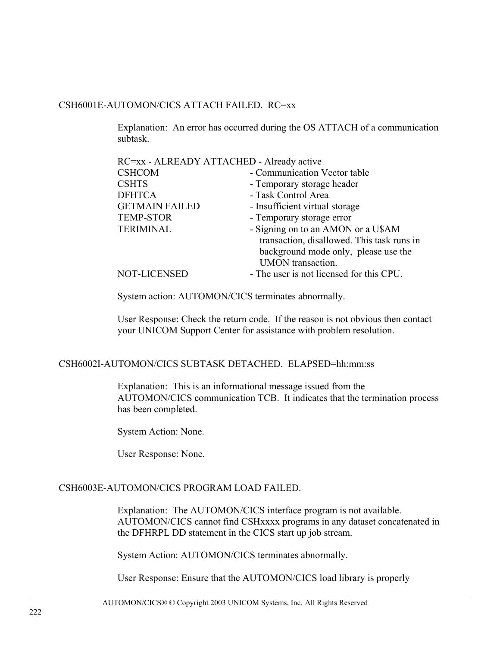#### CSH6001E-AUTOMON/CICS ATTACH FAILED. RC=xx

Explanation: An error has occurred during the OS ATTACH of a communication subtask.

| RC=xx - ALREADY ATTACHED - Already active |                                                                                                                                                      |
|-------------------------------------------|------------------------------------------------------------------------------------------------------------------------------------------------------|
| <b>CSHCOM</b>                             | - Communication Vector table                                                                                                                         |
| <b>CSHTS</b>                              | - Temporary storage header                                                                                                                           |
| <b>DFHTCA</b>                             | - Task Control Area                                                                                                                                  |
| <b>GETMAIN FAILED</b>                     | - Insufficient virtual storage                                                                                                                       |
| <b>TEMP-STOR</b>                          | - Temporary storage error                                                                                                                            |
| <b>TERIMINAL</b>                          | - Signing on to an AMON or a U\$AM<br>transaction, disallowed. This task runs in<br>background mode only, please use the<br><b>UMON</b> transaction. |
| NOT-LICENSED                              | - The user is not licensed for this CPU.                                                                                                             |

System action: AUTOMON/CICS terminates abnormally.

User Response: Check the return code. If the reason is not obvious then contact your UNICOM Support Center for assistance with problem resolution.

#### CSH6002I-AUTOMON/CICS SUBTASK DETACHED. ELAPSED=hh:mm:ss

Explanation: This is an informational message issued from the AUTOMON/CICS communication TCB. It indicates that the termination process has been completed.

System Action: None.

User Response: None.

#### CSH6003E-AUTOMON/CICS PROGRAM LOAD FAILED.

Explanation: The AUTOMON/CICS interface program is not available. AUTOMON/CICS cannot find CSHxxxx programs in any dataset concatenated in the DFHRPL DD statement in the CICS start up job stream.

System Action: AUTOMON/CICS terminates abnormally.

User Response: Ensure that the AUTOMON/CICS load library is properly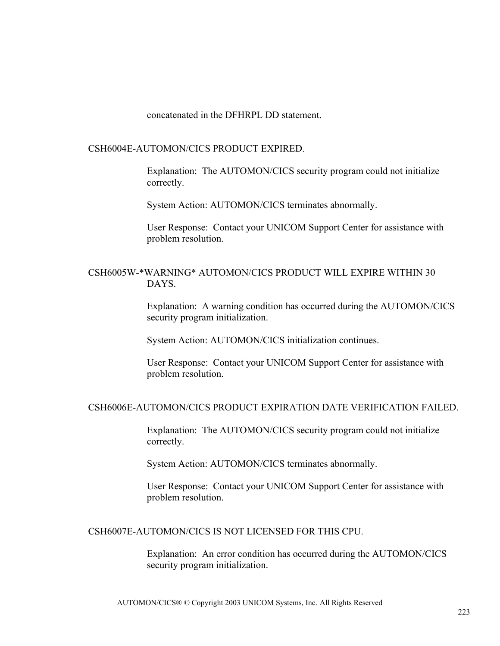concatenated in the DFHRPL DD statement.

#### CSH6004E-AUTOMON/CICS PRODUCT EXPIRED.

Explanation: The AUTOMON/CICS security program could not initialize correctly.

System Action: AUTOMON/CICS terminates abnormally.

User Response: Contact your UNICOM Support Center for assistance with problem resolution.

# CSH6005W-\*WARNING\* AUTOMON/CICS PRODUCT WILL EXPIRE WITHIN 30 DAYS.

Explanation: A warning condition has occurred during the AUTOMON/CICS security program initialization.

System Action: AUTOMON/CICS initialization continues.

User Response: Contact your UNICOM Support Center for assistance with problem resolution.

#### CSH6006E-AUTOMON/CICS PRODUCT EXPIRATION DATE VERIFICATION FAILED.

Explanation: The AUTOMON/CICS security program could not initialize correctly.

System Action: AUTOMON/CICS terminates abnormally.

User Response: Contact your UNICOM Support Center for assistance with problem resolution.

## CSH6007E-AUTOMON/CICS IS NOT LICENSED FOR THIS CPU.

Explanation: An error condition has occurred during the AUTOMON/CICS security program initialization.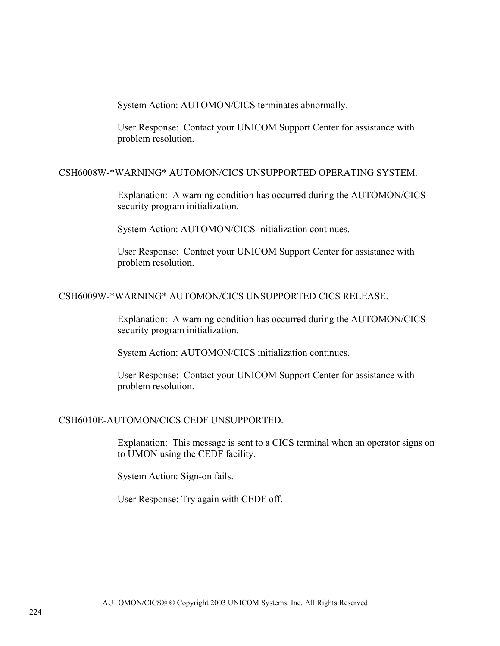System Action: AUTOMON/CICS terminates abnormally.

User Response: Contact your UNICOM Support Center for assistance with problem resolution.

#### CSH6008W-\*WARNING\* AUTOMON/CICS UNSUPPORTED OPERATING SYSTEM.

Explanation: A warning condition has occurred during the AUTOMON/CICS security program initialization.

System Action: AUTOMON/CICS initialization continues.

User Response: Contact your UNICOM Support Center for assistance with problem resolution.

#### CSH6009W-\*WARNING\* AUTOMON/CICS UNSUPPORTED CICS RELEASE.

Explanation: A warning condition has occurred during the AUTOMON/CICS security program initialization.

System Action: AUTOMON/CICS initialization continues.

User Response: Contact your UNICOM Support Center for assistance with problem resolution.

#### CSH6010E-AUTOMON/CICS CEDF UNSUPPORTED.

Explanation: This message is sent to a CICS terminal when an operator signs on to UMON using the CEDF facility.

System Action: Sign-on fails.

User Response: Try again with CEDF off.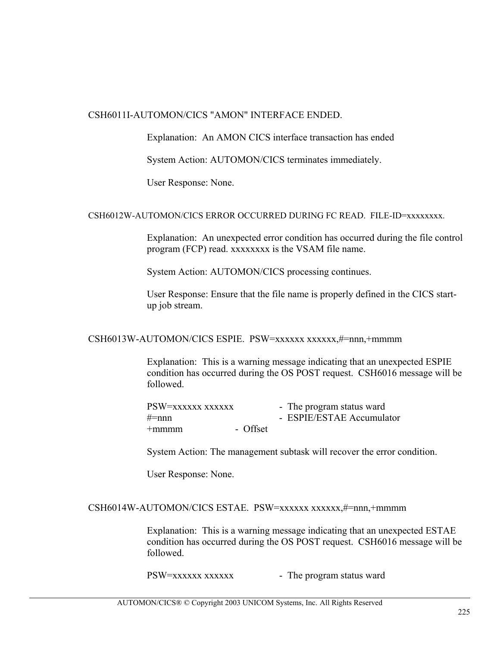#### CSH6011I-AUTOMON/CICS "AMON" INTERFACE ENDED.

Explanation: An AMON CICS interface transaction has ended

System Action: AUTOMON/CICS terminates immediately.

User Response: None.

#### CSH6012W-AUTOMON/CICS ERROR OCCURRED DURING FC READ. FILE-ID=xxxxxxxx.

Explanation: An unexpected error condition has occurred during the file control program (FCP) read. xxxxxxxx is the VSAM file name.

System Action: AUTOMON/CICS processing continues.

User Response: Ensure that the file name is properly defined in the CICS startup job stream.

#### CSH6013W-AUTOMON/CICS ESPIE. PSW=xxxxxx xxxxxx,#=nnn,+mmmm

Explanation: This is a warning message indicating that an unexpected ESPIE condition has occurred during the OS POST request. CSH6016 message will be followed.

| PSW=xxxxxx xxxxxx |          | - The program status ward |
|-------------------|----------|---------------------------|
| $\#=$ nnn         |          | - ESPIE/ESTAE Accumulator |
| $+$ mmmm          | - Offset |                           |

System Action: The management subtask will recover the error condition.

User Response: None.

#### CSH6014W-AUTOMON/CICS ESTAE. PSW=xxxxxx xxxxxx,#=nnn,+mmmm

Explanation: This is a warning message indicating that an unexpected ESTAE condition has occurred during the OS POST request. CSH6016 message will be followed.

PSW=xxxxxx xxxxxx - The program status ward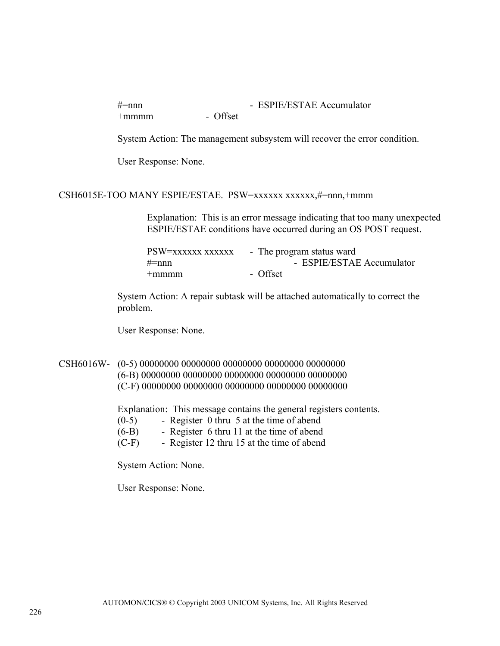#=nnn - ESPIE/ESTAE Accumulator +mmmm - Offset

System Action: The management subsystem will recover the error condition.

User Response: None.

#### CSH6015E-TOO MANY ESPIE/ESTAE. PSW=xxxxxx xxxxxx,#=nnn,+mmm

Explanation: This is an error message indicating that too many unexpected ESPIE/ESTAE conditions have occurred during an OS POST request.

| PSW=xxxxxx xxxxxx | - The program status ward |
|-------------------|---------------------------|
| $\#=$ nnn         | - ESPIE/ESTAE Accumulator |
| $+$ mmmm          | - Offset                  |

System Action: A repair subtask will be attached automatically to correct the problem.

User Response: None.

# CSH6016W- (0-5) 00000000 00000000 00000000 00000000 00000000 (6-B) 00000000 00000000 00000000 00000000 00000000 (C-F) 00000000 00000000 00000000 00000000 00000000

Explanation: This message contains the general registers contents.

- (0-5) Register 0 thru 5 at the time of abend
- (6-B) Register 6 thru 11 at the time of abend
- (C-F) Register 12 thru 15 at the time of abend

System Action: None.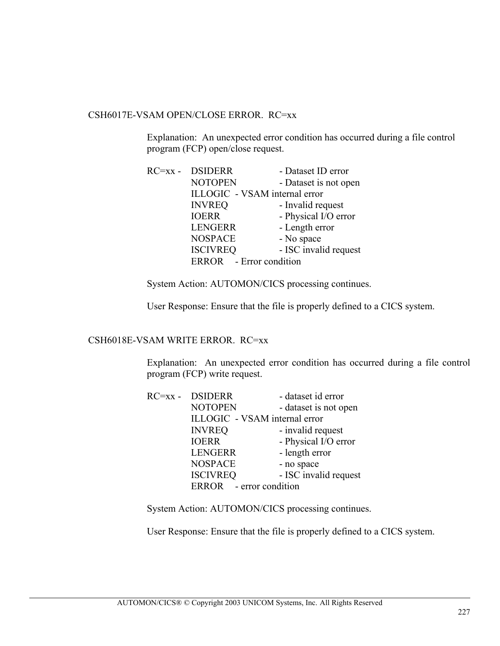# CSH6017E-VSAM OPEN/CLOSE ERROR. RC=xx

Explanation: An unexpected error condition has occurred during a file control program (FCP) open/close request.

| RC=xx - DSIDERR               | - Dataset ID error    |
|-------------------------------|-----------------------|
| <b>NOTOPEN</b>                | - Dataset is not open |
| ILLOGIC - VSAM internal error |                       |
| <b>INVREQ</b>                 | - Invalid request     |
| <b>IOERR</b>                  | - Physical I/O error  |
| <b>LENGERR</b>                | - Length error        |
| <b>NOSPACE</b>                | - No space            |
| <b>ISCIVREQ</b>               | - ISC invalid request |
| ERROR - Error condition       |                       |

System Action: AUTOMON/CICS processing continues.

User Response: Ensure that the file is properly defined to a CICS system.

#### CSH6018E-VSAM WRITE ERROR. RC=xx

Explanation: An unexpected error condition has occurred during a file control program (FCP) write request.

| RC=xx - DSIDERR               | - dataset id error    |
|-------------------------------|-----------------------|
| <b>NOTOPEN</b>                | - dataset is not open |
| ILLOGIC - VSAM internal error |                       |
| <b>INVREQ</b>                 | - invalid request     |
| <b>IOERR</b>                  | - Physical I/O error  |
| <b>LENGERR</b>                | - length error        |
| <b>NOSPACE</b>                | - no space            |
| <b>ISCIVREQ</b>               | - ISC invalid request |
| ERROR - error condition       |                       |

System Action: AUTOMON/CICS processing continues.

User Response: Ensure that the file is properly defined to a CICS system.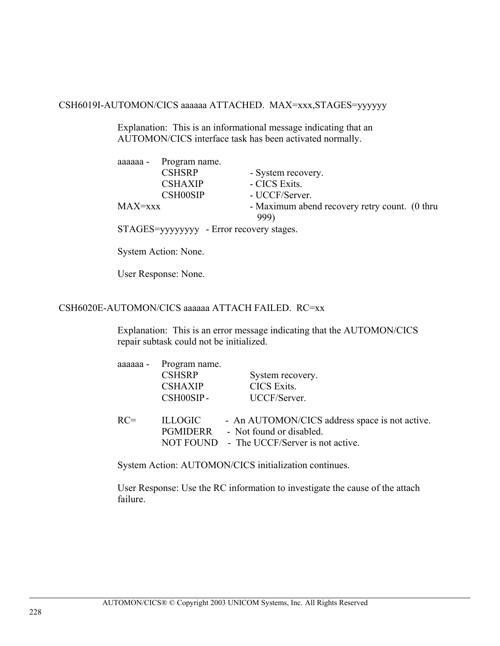CSH6019I-AUTOMON/CICS aaaaaa ATTACHED. MAX=xxx,STAGES=yyyyyy

Explanation: This is an informational message indicating that an AUTOMON/CICS interface task has been activated normally.

|         | aaaaaa - Program name.                                                                                                                     |                                                       |
|---------|--------------------------------------------------------------------------------------------------------------------------------------------|-------------------------------------------------------|
|         | <b>CSHSRP</b>                                                                                                                              | - System recovery.                                    |
|         | <b>CSHAXIP</b>                                                                                                                             | - CICS Exits.                                         |
|         | <b>CSH00SIP</b>                                                                                                                            | - UCCF/Server.                                        |
| MAX=xxx |                                                                                                                                            | - Maximum abend recovery retry count. (0 thru<br>999) |
|         | $STAGFS =$ $\frac{1}{100}$ $\frac{1}{100}$ $\frac{1}{100}$ $\frac{1}{100}$ $\frac{1}{100}$ $\frac{1}{100}$ $\frac{1}{100}$ $\frac{1}{100}$ |                                                       |

STAGES=yyyyyyyy - Error recovery stages.

System Action: None.

User Response: None.

## CSH6020E-AUTOMON/CICS aaaaaa ATTACH FAILED. RC=xx

Explanation: This is an error message indicating that the AUTOMON/CICS repair subtask could not be initialized.

| aaaaaa - | Program name.<br><b>CSHSRP</b><br><b>CSHAXIP</b><br>CSH00SIP- | System recovery.<br>CICS Exits.<br>UCCF/Server.                                                                          |
|----------|---------------------------------------------------------------|--------------------------------------------------------------------------------------------------------------------------|
| $RC=$    | <b>ILLOGIC</b><br>PGMIDERR                                    | - An AUTOMON/CICS address space is not active.<br>- Not found or disabled.<br>NOT FOUND - The UCCF/Server is not active. |

System Action: AUTOMON/CICS initialization continues.

User Response: Use the RC information to investigate the cause of the attach failure.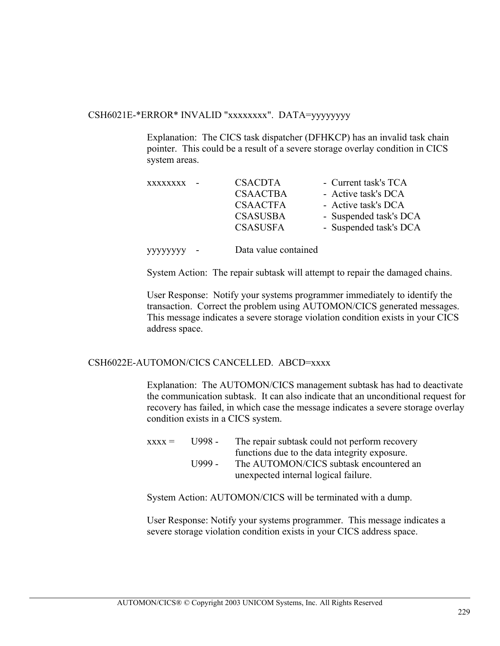#### CSH6021E-\*ERROR\* INVALID "xxxxxxxx". DATA=yyyyyyyy

Explanation: The CICS task dispatcher (DFHKCP) has an invalid task chain pointer. This could be a result of a severe storage overlay condition in CICS system areas.

| <b>XXXXXXXX</b><br>$\sim$ | <b>CSACDTA</b>  | - Current task's TCA   |
|---------------------------|-----------------|------------------------|
|                           | <b>CSAACTBA</b> | - Active task's DCA    |
|                           | <b>CSAACTFA</b> | - Active task's DCA    |
|                           | <b>CSASUSBA</b> | - Suspended task's DCA |
|                           | <b>CSASUSFA</b> | - Suspended task's DCA |
|                           |                 |                        |

yyyyyyyy - Data value contained

System Action: The repair subtask will attempt to repair the damaged chains.

User Response: Notify your systems programmer immediately to identify the transaction. Correct the problem using AUTOMON/CICS generated messages. This message indicates a severe storage violation condition exists in your CICS address space.

#### CSH6022E-AUTOMON/CICS CANCELLED. ABCD=xxxx

Explanation: The AUTOMON/CICS management subtask has had to deactivate the communication subtask. It can also indicate that an unconditional request for recovery has failed, in which case the message indicates a severe storage overlay condition exists in a CICS system.

 $xxxx =$  U998 - The repair subtask could not perform recovery functions due to the data integrity exposure. U999 - The AUTOMON/CICS subtask encountered an unexpected internal logical failure.

System Action: AUTOMON/CICS will be terminated with a dump.

User Response: Notify your systems programmer. This message indicates a severe storage violation condition exists in your CICS address space.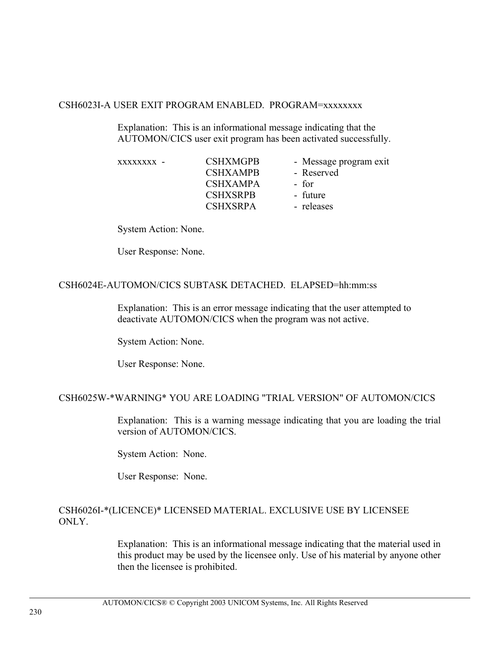#### CSH6023I-A USER EXIT PROGRAM ENABLED. PROGRAM=xxxxxxxx

Explanation: This is an informational message indicating that the AUTOMON/CICS user exit program has been activated successfully.

| <b>CSHXMGPB</b> | - Message program exit |
|-----------------|------------------------|
| <b>CSHXAMPB</b> | - Reserved             |
| <b>CSHXAMPA</b> | - for                  |
| <b>CSHXSRPB</b> | - future               |
| <b>CSHXSRPA</b> | - releases             |
|                 |                        |

System Action: None.

User Response: None.

#### CSH6024E-AUTOMON/CICS SUBTASK DETACHED. ELAPSED=hh:mm:ss

Explanation: This is an error message indicating that the user attempted to deactivate AUTOMON/CICS when the program was not active.

System Action: None.

User Response: None.

#### CSH6025W-\*WARNING\* YOU ARE LOADING "TRIAL VERSION" OF AUTOMON/CICS

Explanation: This is a warning message indicating that you are loading the trial version of AUTOMON/CICS.

System Action: None.

User Response: None.

## CSH6026I-\*(LICENCE)\* LICENSED MATERIAL. EXCLUSIVE USE BY LICENSEE ONLY.

Explanation: This is an informational message indicating that the material used in this product may be used by the licensee only. Use of his material by anyone other then the licensee is prohibited.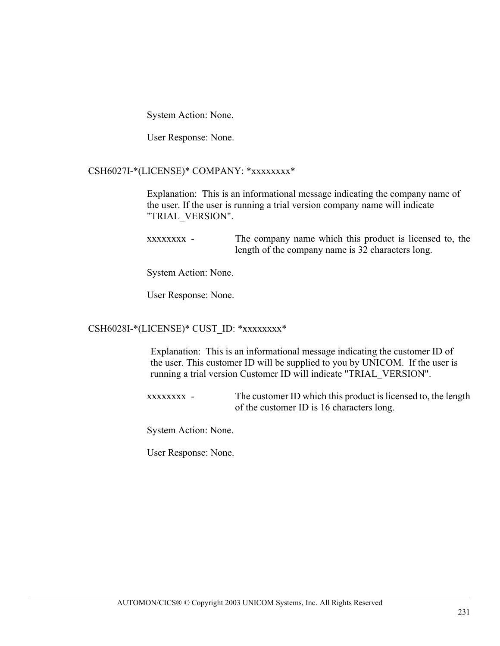System Action: None.

User Response: None.

#### CSH6027I-\*(LICENSE)\* COMPANY: \*xxxxxxxx\*

Explanation: This is an informational message indicating the company name of the user. If the user is running a trial version company name will indicate "TRIAL\_VERSION".

xxxxxxxx - The company name which this product is licensed to, the length of the company name is 32 characters long.

System Action: None.

User Response: None.

#### CSH6028I-\*(LICENSE)\* CUST\_ID: \*xxxxxxxx\*

Explanation: This is an informational message indicating the customer ID of the user. This customer ID will be supplied to you by UNICOM. If the user is running a trial version Customer ID will indicate "TRIAL\_VERSION".

xxxxxxxx - The customer ID which this product is licensed to, the length of the customer ID is 16 characters long.

System Action: None.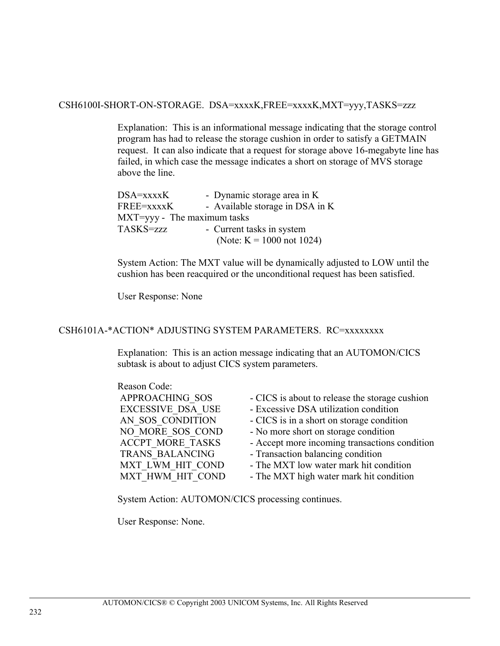CSH6100I-SHORT-ON-STORAGE. DSA=xxxxK,FREE=xxxxK,MXT=yyy,TASKS=zzz

Explanation: This is an informational message indicating that the storage control program has had to release the storage cushion in order to satisfy a GETMAIN request. It can also indicate that a request for storage above 16-megabyte line has failed, in which case the message indicates a short on storage of MVS storage above the line.

| $DSA=xxxxK$                 | - Dynamic storage area in K     |
|-----------------------------|---------------------------------|
| FREE=xxxxK                  | - Available storage in DSA in K |
| MXT=yyy - The maximum tasks |                                 |
| TASKS=zzz                   | - Current tasks in system       |
|                             | (Note: $K = 1000$ not 1024)     |

System Action: The MXT value will be dynamically adjusted to LOW until the cushion has been reacquired or the unconditional request has been satisfied.

User Response: None

#### CSH6101A-\*ACTION\* ADJUSTING SYSTEM PARAMETERS. RC=xxxxxxxx

Explanation: This is an action message indicating that an AUTOMON/CICS subtask is about to adjust CICS system parameters.

| Reason Code:             |                                                |
|--------------------------|------------------------------------------------|
| APPROACHING SOS          | - CICS is about to release the storage cushion |
| <b>EXCESSIVE DSA USE</b> | - Excessive DSA utilization condition          |
| AN SOS CONDITION         | - CICS is in a short on storage condition      |
| NO MORE SOS COND         | - No more short on storage condition           |
| <b>ACCPT MORE TASKS</b>  | - Accept more incoming transactions condition  |
| TRANS BALANCING          | - Transaction balancing condition              |
| MXT LWM HIT COND         | - The MXT low water mark hit condition         |
| MXT HWM HIT COND         | - The MXT high water mark hit condition        |

System Action: AUTOMON/CICS processing continues.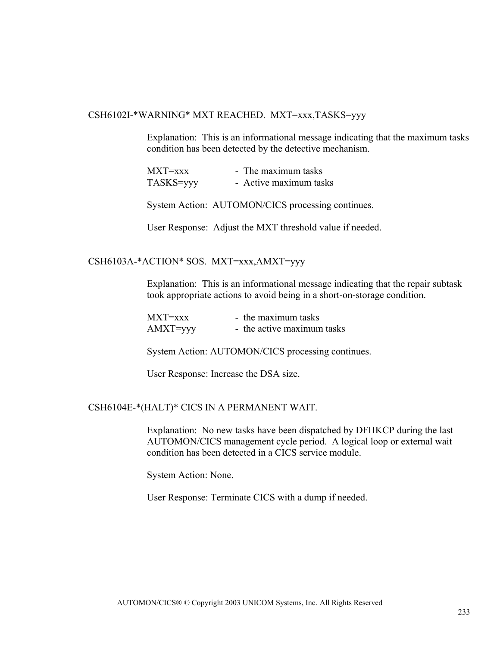#### CSH6102I-\*WARNING\* MXT REACHED. MXT=xxx,TASKS=yyy

Explanation: This is an informational message indicating that the maximum tasks condition has been detected by the detective mechanism.

| $MXT=xxx$ | - The maximum tasks    |
|-----------|------------------------|
| TASKS=yyy | - Active maximum tasks |

System Action: AUTOMON/CICS processing continues.

User Response: Adjust the MXT threshold value if needed.

#### CSH6103A-\*ACTION\* SOS. MXT=xxx,AMXT=yyy

Explanation: This is an informational message indicating that the repair subtask took appropriate actions to avoid being in a short-on-storage condition.

| $MXT=xxx$ | - the maximum tasks        |
|-----------|----------------------------|
| AMXT=yyy  | - the active maximum tasks |

System Action: AUTOMON/CICS processing continues.

User Response: Increase the DSA size.

#### CSH6104E-\*(HALT)\* CICS IN A PERMANENT WAIT.

Explanation: No new tasks have been dispatched by DFHKCP during the last AUTOMON/CICS management cycle period. A logical loop or external wait condition has been detected in a CICS service module.

System Action: None.

User Response: Terminate CICS with a dump if needed.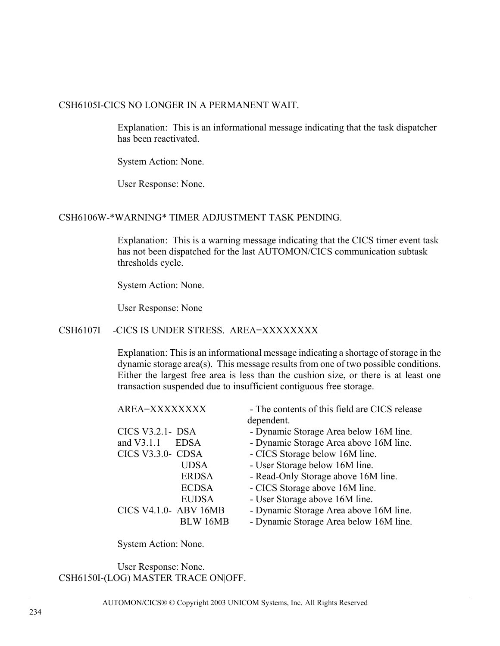#### CSH6105I-CICS NO LONGER IN A PERMANENT WAIT.

Explanation: This is an informational message indicating that the task dispatcher has been reactivated.

System Action: None.

User Response: None.

## CSH6106W-\*WARNING\* TIMER ADJUSTMENT TASK PENDING.

Explanation: This is a warning message indicating that the CICS timer event task has not been dispatched for the last AUTOMON/CICS communication subtask thresholds cycle.

System Action: None.

User Response: None

# CSH6107I -CICS IS UNDER STRESS. AREA=XXXXXXXX

Explanation: This is an informational message indicating a shortage of storage in the dynamic storage area(s). This message results from one of two possible conditions. Either the largest free area is less than the cushion size, or there is at least one transaction suspended due to insufficient contiguous free storage.

| AREA=XXXXXXXX         | - The contents of this field are CICS release |
|-----------------------|-----------------------------------------------|
|                       | dependent.                                    |
| CICS V3.2.1- DSA      | - Dynamic Storage Area below 16M line.        |
| and V3.1.1<br>EDSA    | - Dynamic Storage Area above 16M line.        |
| CICS V3.3.0- CDSA     | - CICS Storage below 16M line.                |
| <b>UDSA</b>           | - User Storage below 16M line.                |
| <b>ERDSA</b>          | - Read-Only Storage above 16M line.           |
| <b>ECDSA</b>          | - CICS Storage above 16M line.                |
| <b>EUDSA</b>          | - User Storage above 16M line.                |
| CICS V4.1.0- ABV 16MB | - Dynamic Storage Area above 16M line.        |
| BLW 16MB              | - Dynamic Storage Area below 16M line.        |

System Action: None.

User Response: None. CSH6150I-(LOG) MASTER TRACE ON|OFF.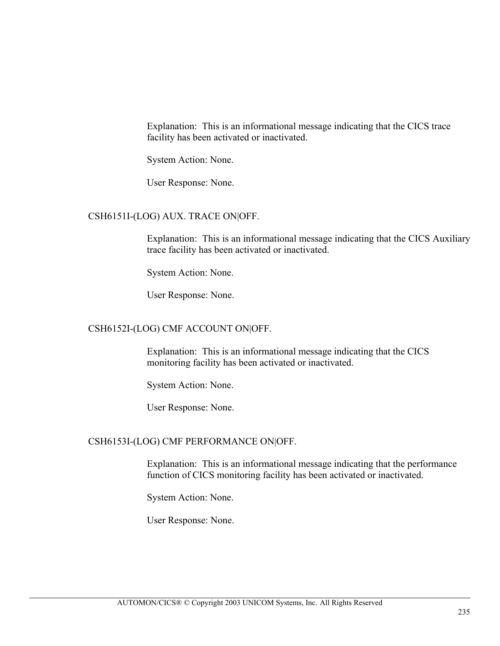Explanation: This is an informational message indicating that the CICS trace facility has been activated or inactivated.

System Action: None.

User Response: None.

## CSH6151I-(LOG) AUX. TRACE ON|OFF.

Explanation: This is an informational message indicating that the CICS Auxiliary trace facility has been activated or inactivated.

System Action: None.

User Response: None.

#### CSH6152I-(LOG) CMF ACCOUNT ON|OFF.

Explanation: This is an informational message indicating that the CICS monitoring facility has been activated or inactivated.

System Action: None.

User Response: None.

#### CSH6153I-(LOG) CMF PERFORMANCE ON|OFF.

Explanation: This is an informational message indicating that the performance function of CICS monitoring facility has been activated or inactivated.

System Action: None.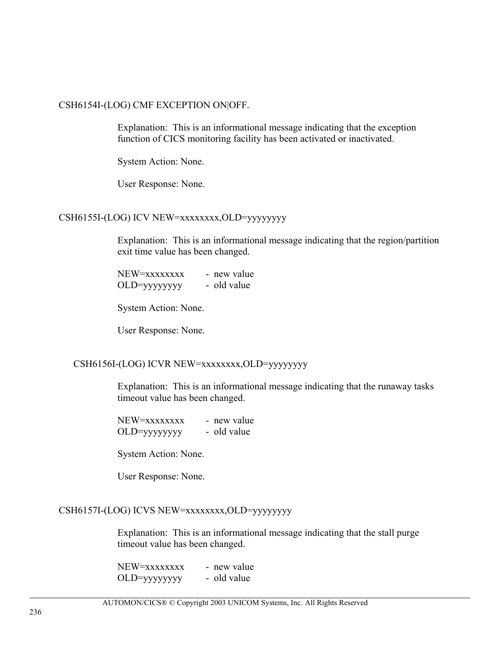#### CSH6154I-(LOG) CMF EXCEPTION ON|OFF.

Explanation: This is an informational message indicating that the exception function of CICS monitoring facility has been activated or inactivated.

System Action: None.

User Response: None.

## CSH6155I-(LOG) ICV NEW=xxxxxxxx,OLD=yyyyyyyy

Explanation: This is an informational message indicating that the region/partition exit time value has been changed.

 $NEW=xxxxxxxx$  - new value OLD=yyyyyyyy - old value

System Action: None.

User Response: None.

#### CSH6156I-(LOG) ICVR NEW=xxxxxxxx,OLD=yyyyyyyy

Explanation: This is an informational message indicating that the runaway tasks timeout value has been changed.

| NEW=xxxxxxxx | - new value |
|--------------|-------------|
|              | - old value |

System Action: None.

User Response: None.

#### CSH6157I-(LOG) ICVS NEW=xxxxxxxx,OLD=yyyyyyyy

Explanation: This is an informational message indicating that the stall purge timeout value has been changed.

| NEW=xxxxxxxx | - new value |
|--------------|-------------|
|              | - old value |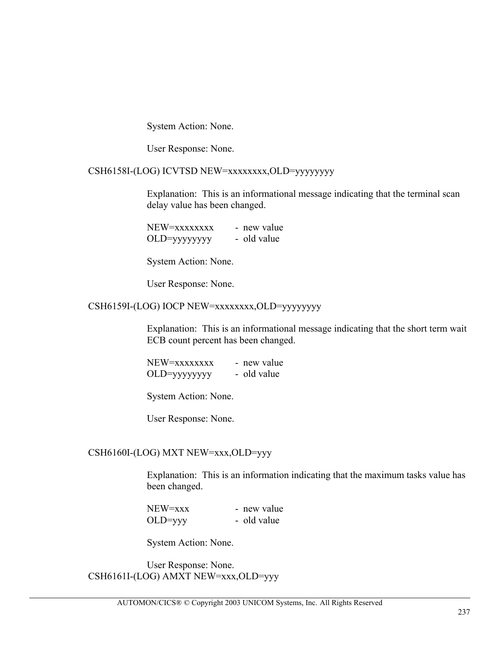System Action: None.

User Response: None.

#### CSH6158I-(LOG) ICVTSD NEW=xxxxxxxx,OLD=yyyyyyyy

Explanation: This is an informational message indicating that the terminal scan delay value has been changed.

| NEW=xxxxxxxx | - new value |
|--------------|-------------|
|              | - old value |

System Action: None.

User Response: None.

#### CSH6159I-(LOG) IOCP NEW=xxxxxxxx,OLD=yyyyyyyy

Explanation: This is an informational message indicating that the short term wait ECB count percent has been changed.

| NEW=xxxxxxxx | - new value |
|--------------|-------------|
|              | - old value |

System Action: None.

User Response: None.

#### CSH6160I-(LOG) MXT NEW=xxx,OLD=yyy

Explanation: This is an information indicating that the maximum tasks value has been changed.

| NEW=xxx   | - new value |
|-----------|-------------|
| $OLD=yyy$ | - old value |

System Action: None.

User Response: None. CSH6161I-(LOG) AMXT NEW=xxx,OLD=yyy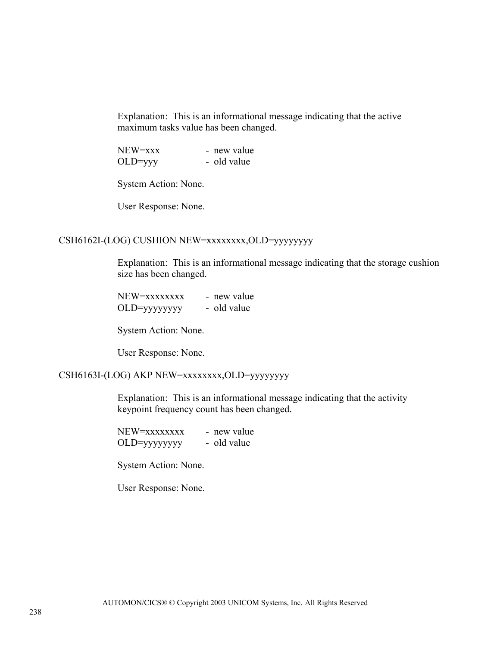Explanation: This is an informational message indicating that the active maximum tasks value has been changed.

| NEW=xxx   | - new value |
|-----------|-------------|
| $OLD=yyy$ | - old value |

System Action: None.

User Response: None.

# CSH6162I-(LOG) CUSHION NEW=xxxxxxxx,OLD=yyyyyyyy

Explanation: This is an informational message indicating that the storage cushion size has been changed.

| NEW=xxxxxxxx | - new value |
|--------------|-------------|
|              | - old value |

System Action: None.

User Response: None.

#### CSH6163I-(LOG) AKP NEW=xxxxxxxx,OLD=yyyyyyyy

Explanation: This is an informational message indicating that the activity keypoint frequency count has been changed.

| NEW=xxxxxxxx | - new value |
|--------------|-------------|
|              | - old value |

System Action: None.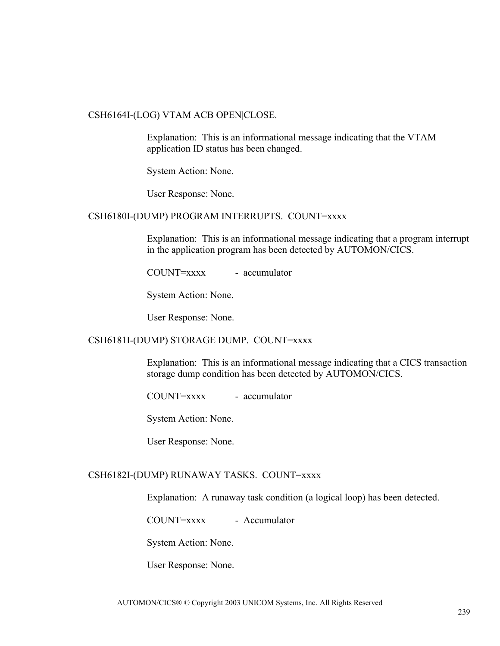#### CSH6164I-(LOG) VTAM ACB OPEN|CLOSE.

Explanation: This is an informational message indicating that the VTAM application ID status has been changed.

System Action: None.

User Response: None.

#### CSH6180I-(DUMP) PROGRAM INTERRUPTS. COUNT=xxxx

Explanation: This is an informational message indicating that a program interrupt in the application program has been detected by AUTOMON/CICS.

COUNT=xxxx - accumulator

System Action: None.

User Response: None.

#### CSH6181I-(DUMP) STORAGE DUMP. COUNT=xxxx

Explanation: This is an informational message indicating that a CICS transaction storage dump condition has been detected by AUTOMON/CICS.

 $C<sup>OUNT=xxxx</sup> - accumulator$ 

System Action: None.

User Response: None.

#### CSH6182I-(DUMP) RUNAWAY TASKS. COUNT=xxxx

Explanation: A runaway task condition (a logical loop) has been detected.

COUNT=xxxx - Accumulator

System Action: None.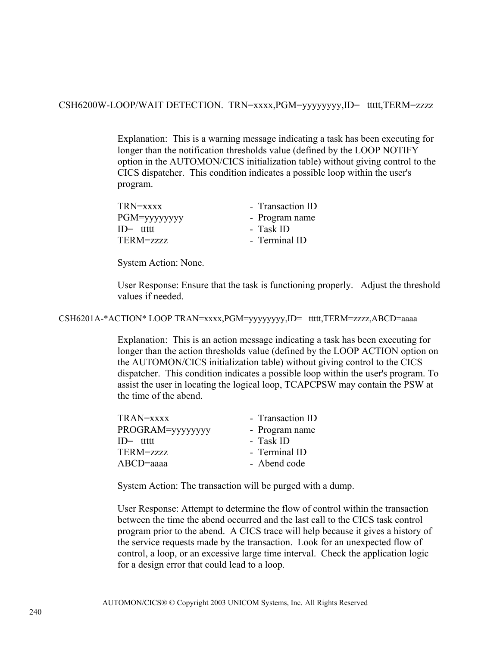CSH6200W-LOOP/WAIT DETECTION. TRN=xxxx,PGM=yyyyyyyy,ID= ttttt,TERM=zzzz

Explanation: This is a warning message indicating a task has been executing for longer than the notification thresholds value (defined by the LOOP NOTIFY option in the AUTOMON/CICS initialization table) without giving control to the CICS dispatcher. This condition indicates a possible loop within the user's program.

| TRN=xxxx      | - Transaction ID |
|---------------|------------------|
| PGM=yyyyyyyy  | - Program name   |
| $ID = t$ tttt | - Task ID        |
| $TERM = zzzz$ | - Terminal ID    |

System Action: None.

User Response: Ensure that the task is functioning properly. Adjust the threshold values if needed.

CSH6201A-\*ACTION\* LOOP TRAN=xxxx,PGM=yyyyyyyy,ID= ttttt,TERM=zzzz,ABCD=aaaa

Explanation: This is an action message indicating a task has been executing for longer than the action thresholds value (defined by the LOOP ACTION option on the AUTOMON/CICS initialization table) without giving control to the CICS dispatcher. This condition indicates a possible loop within the user's program. To assist the user in locating the logical loop, TCAPCPSW may contain the PSW at the time of the abend.

| TRAN=xxxx        | - Transaction ID |
|------------------|------------------|
| PROGRAM=yyyyyyyy | - Program name   |
| $ID = t$ tttt    | - Task ID        |
| $TERM = zzzz$    | - Terminal ID    |
| $ABCD = aaa$     | - Abend code     |

System Action: The transaction will be purged with a dump.

User Response: Attempt to determine the flow of control within the transaction between the time the abend occurred and the last call to the CICS task control program prior to the abend. A CICS trace will help because it gives a history of the service requests made by the transaction. Look for an unexpected flow of control, a loop, or an excessive large time interval. Check the application logic for a design error that could lead to a loop.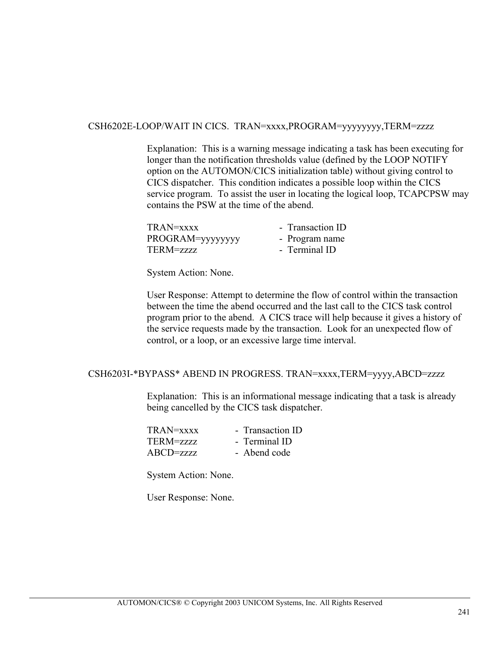# CSH6202E-LOOP/WAIT IN CICS. TRAN=xxxx,PROGRAM=yyyyyyyy,TERM=zzzz

Explanation: This is a warning message indicating a task has been executing for longer than the notification thresholds value (defined by the LOOP NOTIFY option on the AUTOMON/CICS initialization table) without giving control to CICS dispatcher. This condition indicates a possible loop within the CICS service program. To assist the user in locating the logical loop, TCAPCPSW may contains the PSW at the time of the abend.

TRAN=xxxx Transaction ID PROGRAM=yyyyyyyyyyyyy - Program name TERM=zzzz - Terminal ID

System Action: None.

User Response: Attempt to determine the flow of control within the transaction between the time the abend occurred and the last call to the CICS task control program prior to the abend. A CICS trace will help because it gives a history of the service requests made by the transaction. Look for an unexpected flow of control, or a loop, or an excessive large time interval.

#### CSH6203I-\*BYPASS\* ABEND IN PROGRESS. TRAN=xxxx,TERM=yyyy,ABCD=zzzz

Explanation: This is an informational message indicating that a task is already being cancelled by the CICS task dispatcher.

| - Transaction ID |
|------------------|
| - Terminal ID    |
| - Abend code     |
|                  |

System Action: None.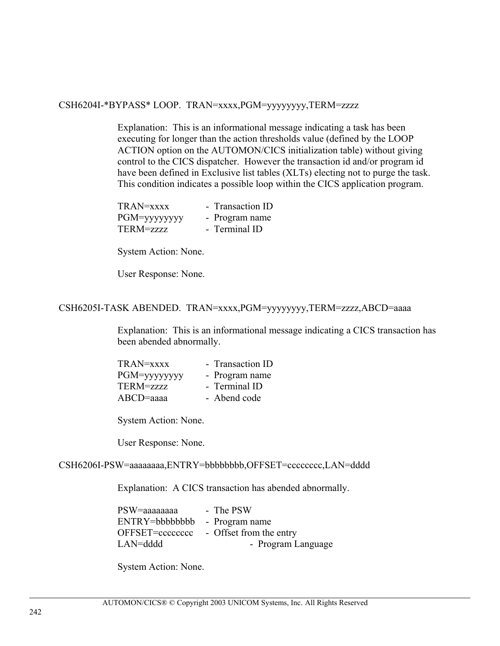#### CSH6204I-\*BYPASS\* LOOP. TRAN=xxxx,PGM=yyyyyyyy,TERM=zzzz

Explanation: This is an informational message indicating a task has been executing for longer than the action thresholds value (defined by the LOOP ACTION option on the AUTOMON/CICS initialization table) without giving control to the CICS dispatcher. However the transaction id and/or program id have been defined in Exclusive list tables (XLTs) electing not to purge the task. This condition indicates a possible loop within the CICS application program.

| TRAN=xxxx     | - Transaction ID |
|---------------|------------------|
| PGM=yyyyyyyy  | - Program name   |
| $TERM = 7777$ | - Terminal ID    |

System Action: None.

User Response: None.

#### CSH6205I-TASK ABENDED. TRAN=xxxx,PGM=yyyyyyyy,TERM=zzzz,ABCD=aaaa

Explanation: This is an informational message indicating a CICS transaction has been abended abnormally.

| TRAN=xxxx    | - Transaction ID |
|--------------|------------------|
| PGM=yyyyyyyy | - Program name   |
| TERM=zzzz    | - Terminal ID    |
| $ABCD$ =aaaa | - Abend code     |

System Action: None.

User Response: None.

#### CSH6206I-PSW=aaaaaaaa,ENTRY=bbbbbbbb,OFFSET=cccccccc,LAN=dddd

Explanation: A CICS transaction has abended abnormally.

| PSW=aaaaaaaa    | - The PSW               |
|-----------------|-------------------------|
| ENTRY=bbbbbbbb  | - Program name          |
| OFFSET=cccccccc | - Offset from the entry |
| LAN=dddd        | - Program Language      |

System Action: None.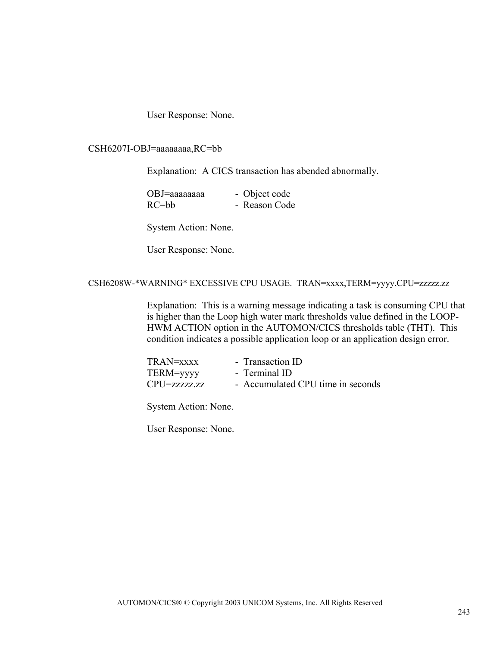User Response: None.

CSH6207I-OBJ=aaaaaaaa,RC=bb

Explanation: A CICS transaction has abended abnormally.

| OBJ=aaaaaaaa | - Object code |
|--------------|---------------|
| $RC = bb$    | - Reason Code |

System Action: None.

User Response: None.

#### CSH6208W-\*WARNING\* EXCESSIVE CPU USAGE. TRAN=xxxx,TERM=yyyy,CPU=zzzzz.zz

Explanation: This is a warning message indicating a task is consuming CPU that is higher than the Loop high water mark thresholds value defined in the LOOP-HWM ACTION option in the AUTOMON/CICS thresholds table (THT). This condition indicates a possible application loop or an application design error.

| TRAN=xxxx       | - Transaction ID                  |
|-----------------|-----------------------------------|
| TERM=yyyy       | - Terminal ID                     |
| $CPU$ =zzzzzzzz | - Accumulated CPU time in seconds |

System Action: None.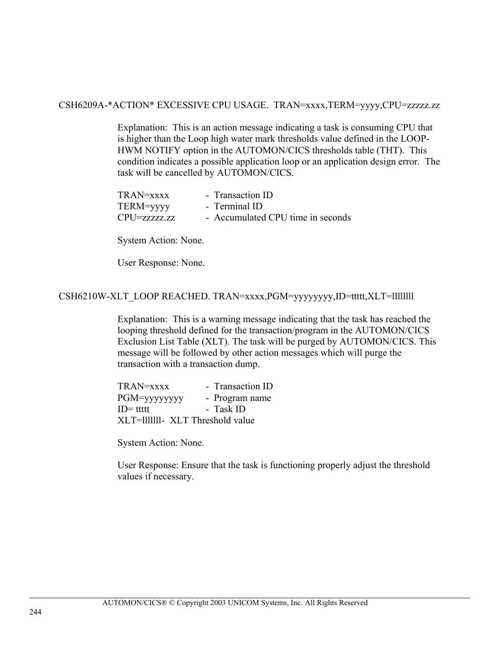#### CSH6209A-\*ACTION\* EXCESSIVE CPU USAGE. TRAN=xxxx,TERM=yyyy,CPU=zzzzz.zz

Explanation: This is an action message indicating a task is consuming CPU that is higher than the Loop high water mark thresholds value defined in the LOOP-HWM NOTIFY option in the AUTOMON/CICS thresholds table (THT). This condition indicates a possible application loop or an application design error. The task will be cancelled by AUTOMON/CICS.

| TRAN=xxxx       | - Transaction ID                  |
|-----------------|-----------------------------------|
| TERM=yyyy       | - Terminal ID                     |
| $CPU$ =zzzzzzzz | - Accumulated CPU time in seconds |

System Action: None.

User Response: None.

## CSH6210W-XLT\_LOOP REACHED. TRAN=xxxx,PGM=yyyyyyyy,ID=ttttt,XLT=llllllll

Explanation: This is a warning message indicating that the task has reached the looping threshold defined for the transaction/program in the AUTOMON/CICS Exclusion List Table (XLT). The task will be purged by AUTOMON/CICS. This message will be followed by other action messages which will purge the transaction with a transaction dump.

TRAN=xxxx - Transaction ID PGM=yyyyyyyy - Program name ID= ttttt - Task ID XLT=lllllll - XLT Threshold value

System Action: None.

User Response: Ensure that the task is functioning properly adjust the threshold values if necessary.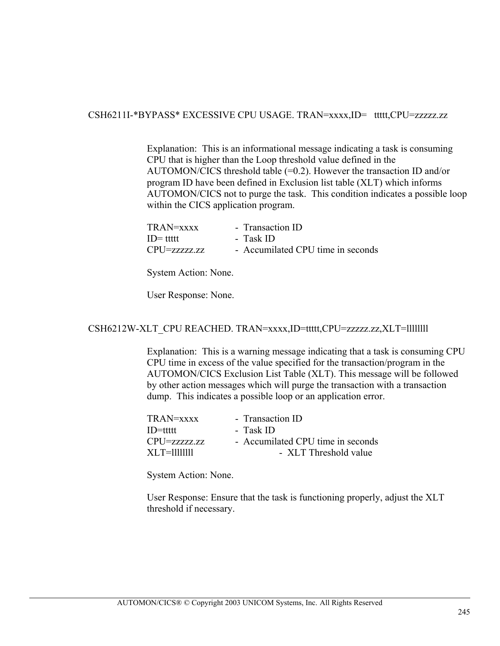## CSH6211I-\*BYPASS\* EXCESSIVE CPU USAGE. TRAN=xxxx,ID= ttttt,CPU=zzzzz.zz

Explanation: This is an informational message indicating a task is consuming CPU that is higher than the Loop threshold value defined in the AUTOMON/CICS threshold table (=0.2). However the transaction ID and/or program ID have been defined in Exclusion list table (XLT) which informs AUTOMON/CICS not to purge the task. This condition indicates a possible loop within the CICS application program.

| TRAN=xxxx    | - Transaction ID                  |
|--------------|-----------------------------------|
| ID= ttttt    | - Task ID                         |
| CPU=zzzzz.zz | - Accumilated CPU time in seconds |

System Action: None.

User Response: None.

# CSH6212W-XLT\_CPU REACHED. TRAN=xxxx,ID=ttttt,CPU=zzzzz.zz,XLT=llllllll

Explanation: This is a warning message indicating that a task is consuming CPU CPU time in excess of the value specified for the transaction/program in the AUTOMON/CICS Exclusion List Table (XLT). This message will be followed by other action messages which will purge the transaction with a transaction dump. This indicates a possible loop or an application error.

| TRAN=xxxx       | - Transaction ID                  |
|-----------------|-----------------------------------|
| $ID=$ tttt      | - Task ID                         |
| $CPU$ =zzzzz.zz | - Accumilated CPU time in seconds |
| XI T=1111111    | - XLT Threshold value             |
|                 |                                   |

System Action: None.

User Response: Ensure that the task is functioning properly, adjust the XLT threshold if necessary.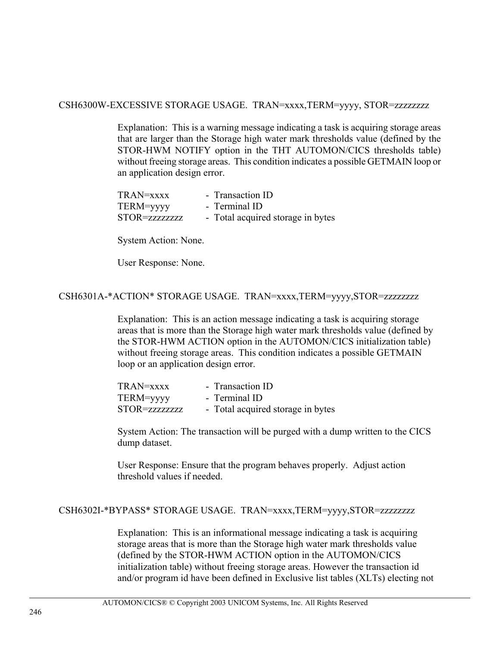## CSH6300W-EXCESSIVE STORAGE USAGE. TRAN=xxxx,TERM=yyyy, STOR=zzzzzzzz

Explanation: This is a warning message indicating a task is acquiring storage areas that are larger than the Storage high water mark thresholds value (defined by the STOR-HWM NOTIFY option in the THT AUTOMON/CICS thresholds table) without freeing storage areas. This condition indicates a possible GETMAIN loop or an application design error.

| TRAN=xxxx      | - Transaction ID                  |
|----------------|-----------------------------------|
| TERM=yyyy      | - Terminal ID                     |
| STOR=zzzzzzzzz | - Total acquired storage in bytes |

System Action: None.

User Response: None.

# CSH6301A-\*ACTION\* STORAGE USAGE. TRAN=xxxx,TERM=yyyy,STOR=zzzzzzzz

Explanation: This is an action message indicating a task is acquiring storage areas that is more than the Storage high water mark thresholds value (defined by the STOR-HWM ACTION option in the AUTOMON/CICS initialization table) without freeing storage areas. This condition indicates a possible GETMAIN loop or an application design error.

| TRAN=xxxx      | - Transaction ID                  |
|----------------|-----------------------------------|
| TERM=yyyy      | - Terminal ID                     |
| STOR=zzzzzzzzz | - Total acquired storage in bytes |

System Action: The transaction will be purged with a dump written to the CICS dump dataset.

User Response: Ensure that the program behaves properly. Adjust action threshold values if needed.

#### CSH6302I-\*BYPASS\* STORAGE USAGE. TRAN=xxxx,TERM=yyyy,STOR=zzzzzzzz

Explanation: This is an informational message indicating a task is acquiring storage areas that is more than the Storage high water mark thresholds value (defined by the STOR-HWM ACTION option in the AUTOMON/CICS initialization table) without freeing storage areas. However the transaction id and/or program id have been defined in Exclusive list tables (XLTs) electing not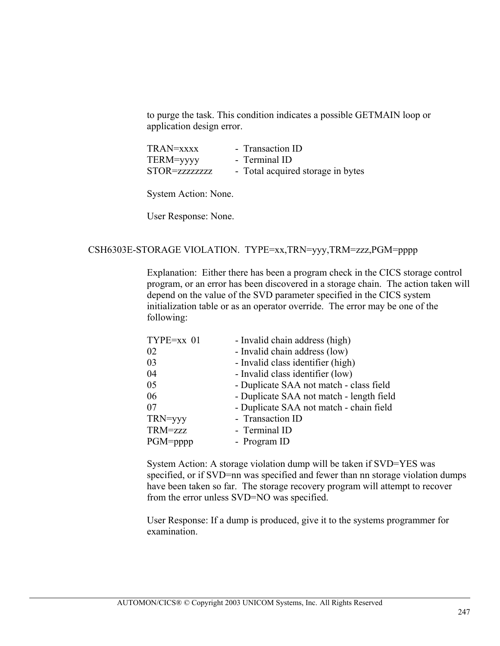to purge the task. This condition indicates a possible GETMAIN loop or application design error.

| TRAN=xxxx     | - Transaction ID                  |
|---------------|-----------------------------------|
| TERM=yyyy     | - Terminal ID                     |
| STOR=zzzzzzzz | - Total acquired storage in bytes |

System Action: None.

User Response: None.

### CSH6303E-STORAGE VIOLATION. TYPE=xx,TRN=yyy,TRM=zzz,PGM=pppp

Explanation: Either there has been a program check in the CICS storage control program, or an error has been discovered in a storage chain. The action taken will depend on the value of the SVD parameter specified in the CICS system initialization table or as an operator override. The error may be one of the following:

| TYPE=xx 01  | - Invalid chain address (high)           |
|-------------|------------------------------------------|
| 02          | - Invalid chain address (low)            |
| 03          | - Invalid class identifier (high)        |
| 04          | - Invalid class identifier (low)         |
| 05          | - Duplicate SAA not match - class field  |
| 06          | - Duplicate SAA not match - length field |
| 07          | - Duplicate SAA not match - chain field  |
| TRN=yyy     | - Transaction ID                         |
| TRM=zzz     | - Terminal ID                            |
| $PGM$ =pppp | - Program ID                             |

System Action: A storage violation dump will be taken if SVD=YES was specified, or if SVD=nn was specified and fewer than nn storage violation dumps have been taken so far. The storage recovery program will attempt to recover from the error unless SVD=NO was specified.

User Response: If a dump is produced, give it to the systems programmer for examination.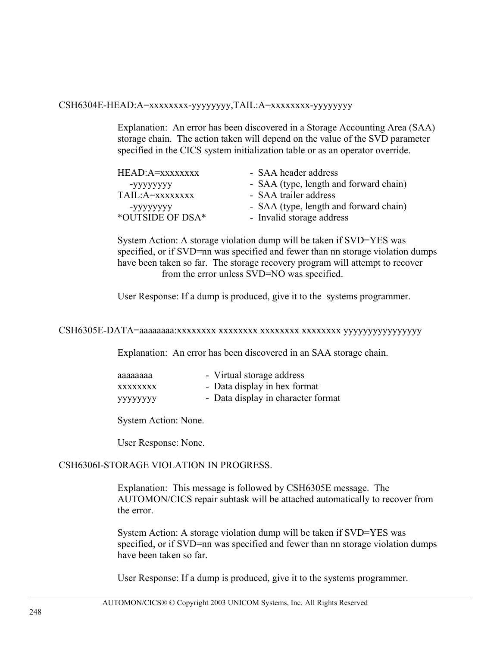#### CSH6304E-HEAD:A=xxxxxxxx-yyyyyyyy,TAIL:A=xxxxxxxx-yyyyyyyy

Explanation: An error has been discovered in a Storage Accounting Area (SAA) storage chain. The action taken will depend on the value of the SVD parameter specified in the CICS system initialization table or as an operator override.

| HEAD: A=xxxxxxxx | - SAA header address                   |
|------------------|----------------------------------------|
| -уууууууу        | - SAA (type, length and forward chain) |
| TAIL:A=xxxxxxxx  | - SAA trailer address                  |
| -yyyyyyyy        | - SAA (type, length and forward chain) |
| *OUTSIDE OF DSA* | - Invalid storage address              |

System Action: A storage violation dump will be taken if SVD=YES was specified, or if SVD=nn was specified and fewer than nn storage violation dumps have been taken so far. The storage recovery program will attempt to recover from the error unless SVD=NO was specified.

User Response: If a dump is produced, give it to the systems programmer.

#### CSH6305E-DATA=aaaaaaaa:xxxxxxxx xxxxxxxx xxxxxxxx xxxxxxxx yyyyyyyyyyyyyyyy

Explanation: An error has been discovered in an SAA storage chain.

| аааааааа        | - Virtual storage address          |
|-----------------|------------------------------------|
| <b>XXXXXXXX</b> | - Data display in hex format       |
| уууууууу        | - Data display in character format |

System Action: None.

User Response: None.

#### CSH6306I-STORAGE VIOLATION IN PROGRESS.

Explanation: This message is followed by CSH6305E message. The AUTOMON/CICS repair subtask will be attached automatically to recover from the error.

System Action: A storage violation dump will be taken if SVD=YES was specified, or if SVD=nn was specified and fewer than nn storage violation dumps have been taken so far.

User Response: If a dump is produced, give it to the systems programmer.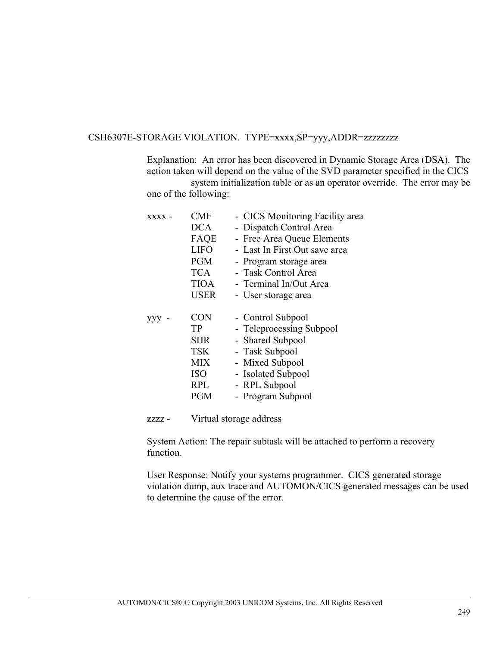### CSH6307E-STORAGE VIOLATION. TYPE=xxxx,SP=yyy,ADDR=zzzzzzzz

Explanation: An error has been discovered in Dynamic Storage Area (DSA). The action taken will depend on the value of the SVD parameter specified in the CICS system initialization table or as an operator override. The error may be

one of the following:

| $XXXX -$ | <b>CMF</b>  | - CICS Monitoring Facility area |
|----------|-------------|---------------------------------|
|          | <b>DCA</b>  | - Dispatch Control Area         |
|          | FAQE        | - Free Area Queue Elements      |
|          | <b>LIFO</b> | - Last In First Out save area   |
|          | <b>PGM</b>  | - Program storage area          |
|          | TCA.        | - Task Control Area             |
|          | <b>TIOA</b> | - Terminal In/Out Area          |
|          | <b>USER</b> | - User storage area             |
|          |             |                                 |
|          |             |                                 |
| YYY.     | <b>CON</b>  | - Control Subpool               |
|          | TP          | - Teleprocessing Subpool        |
|          | <b>SHR</b>  | - Shared Subpool                |
|          | <b>TSK</b>  | - Task Subpool                  |
|          | MIX         | - Mixed Subpool                 |
|          | <b>ISO</b>  | - Isolated Subpool              |
|          | <b>RPL</b>  | - RPL Subpool                   |
|          | PGM         | - Program Subpool               |

zzzz - Virtual storage address

System Action: The repair subtask will be attached to perform a recovery function.

User Response: Notify your systems programmer. CICS generated storage violation dump, aux trace and AUTOMON/CICS generated messages can be used to determine the cause of the error.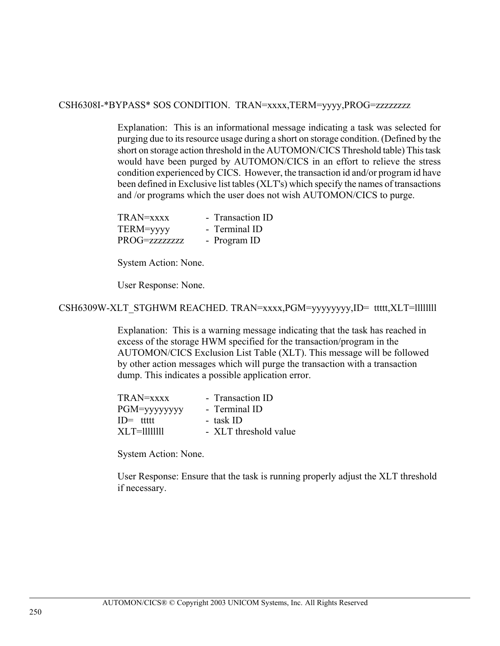CSH6308I-\*BYPASS\* SOS CONDITION. TRAN=xxxx,TERM=yyyy,PROG=zzzzzzzz

Explanation: This is an informational message indicating a task was selected for purging due to its resource usage during a short on storage condition. (Defined by the short on storage action threshold in the AUTOMON/CICS Threshold table) This task would have been purged by AUTOMON/CICS in an effort to relieve the stress condition experienced by CICS. However, the transaction id and/or program id have been defined in Exclusive list tables (XLT's) which specify the names of transactions and /or programs which the user does not wish AUTOMON/CICS to purge.

| $TRAN=xxxx$   | - Transaction ID |
|---------------|------------------|
| TERM=yyyy     | - Terminal ID    |
| PROG=zzzzzzzz | - Program ID     |

System Action: None.

User Response: None.

CSH6309W-XLT\_STGHWM REACHED. TRAN=xxxx,PGM=yyyyyyyy,ID= ttttt,XLT=llllllll

Explanation: This is a warning message indicating that the task has reached in excess of the storage HWM specified for the transaction/program in the AUTOMON/CICS Exclusion List Table (XLT). This message will be followed by other action messages which will purge the transaction with a transaction dump. This indicates a possible application error.

| $TRAN=xxxx$    | - Transaction ID      |
|----------------|-----------------------|
| PGM=yyyyyyyy   | - Terminal ID         |
| $ID = t$ tttt  | - task ID             |
| $XL$ T=1111111 | - XLT threshold value |

System Action: None.

User Response: Ensure that the task is running properly adjust the XLT threshold if necessary.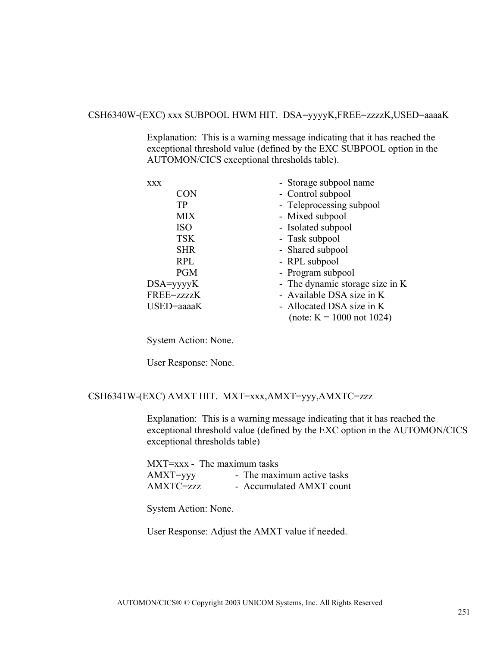#### CSH6340W-(EXC) xxx SUBPOOL HWM HIT. DSA=yyyyK,FREE=zzzzK,USED=aaaaK

Explanation: This is a warning message indicating that it has reached the exceptional threshold value (defined by the EXC SUBPOOL option in the AUTOMON/CICS exceptional thresholds table).

| <b>XXX</b>  | - Storage subpool name          |
|-------------|---------------------------------|
| CON         | - Control subpool               |
| TP          | - Teleprocessing subpool        |
| <b>MIX</b>  | - Mixed subpool                 |
| <b>ISO</b>  | - Isolated subpool              |
| <b>TSK</b>  | - Task subpool                  |
| <b>SHR</b>  | - Shared subpool                |
| <b>RPL</b>  | - RPL subpool                   |
| <b>PGM</b>  | - Program subpool               |
| $DSA=yyyyK$ | - The dynamic storage size in K |
| FREE=zzzzK  | - Available DSA size in K       |
| USED=aaaaK  | - Allocated DSA size in K       |
|             | (note: $K = 1000$ not 1024)     |

System Action: None.

User Response: None.

## CSH6341W-(EXC) AMXT HIT. MXT=xxx,AMXT=yyy,AMXTC=zzz

Explanation: This is a warning message indicating that it has reached the exceptional threshold value (defined by the EXC option in the AUTOMON/CICS exceptional thresholds table)

|             | $MXT=xxx$ - The maximum tasks |
|-------------|-------------------------------|
| $AMXT=$ yyy | - The maximum active tasks    |
| AMXTC=zzz   | - Accumulated AMXT count      |

System Action: None.

User Response: Adjust the AMXT value if needed.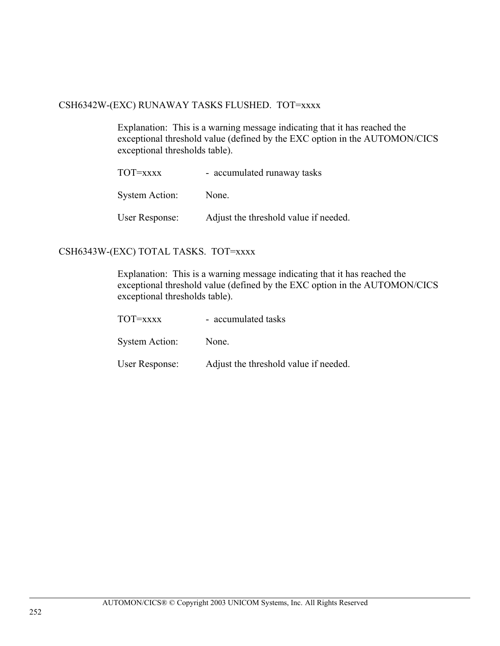## CSH6342W-(EXC) RUNAWAY TASKS FLUSHED. TOT=xxxx

Explanation: This is a warning message indicating that it has reached the exceptional threshold value (defined by the EXC option in the AUTOMON/CICS exceptional thresholds table).

| TOT=xxxx       | - accumulated runaway tasks           |
|----------------|---------------------------------------|
| System Action: | None.                                 |
| User Response: | Adjust the threshold value if needed. |

## CSH6343W-(EXC) TOTAL TASKS. TOT=xxxx

Explanation: This is a warning message indicating that it has reached the exceptional threshold value (defined by the EXC option in the AUTOMON/CICS exceptional thresholds table).

| ТОТ=хххх       | - accumulated tasks                   |
|----------------|---------------------------------------|
| System Action: | None.                                 |
| User Response: | Adjust the threshold value if needed. |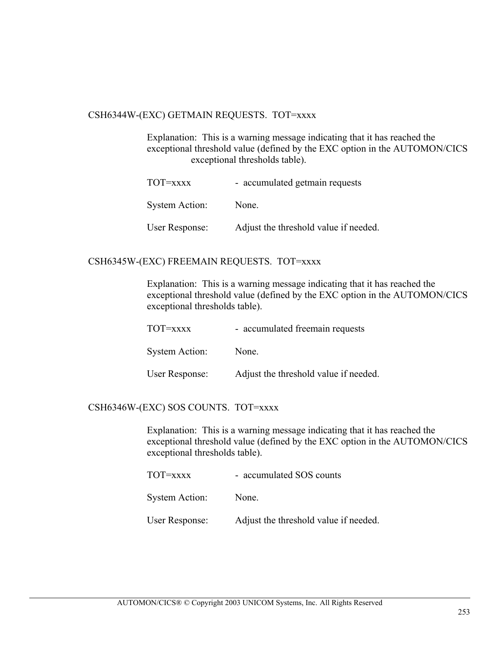#### CSH6344W-(EXC) GETMAIN REQUESTS. TOT=xxxx

Explanation: This is a warning message indicating that it has reached the exceptional threshold value (defined by the EXC option in the AUTOMON/CICS exceptional thresholds table).

| ТОТ=хххх              | - accumulated getmain requests        |
|-----------------------|---------------------------------------|
| <b>System Action:</b> | None.                                 |
| User Response:        | Adjust the threshold value if needed. |

## CSH6345W-(EXC) FREEMAIN REQUESTS. TOT=xxxx

Explanation: This is a warning message indicating that it has reached the exceptional threshold value (defined by the EXC option in the AUTOMON/CICS exceptional thresholds table).

| TOT=xxxx       | - accumulated freemain requests       |
|----------------|---------------------------------------|
| System Action: | None.                                 |
| User Response: | Adjust the threshold value if needed. |

## CSH6346W-(EXC) SOS COUNTS. TOT=xxxx

Explanation: This is a warning message indicating that it has reached the exceptional threshold value (defined by the EXC option in the AUTOMON/CICS exceptional thresholds table).

| TOT=xxxx              | - accumulated SOS counts              |  |
|-----------------------|---------------------------------------|--|
| <b>System Action:</b> | None.                                 |  |
| User Response:        | Adjust the threshold value if needed. |  |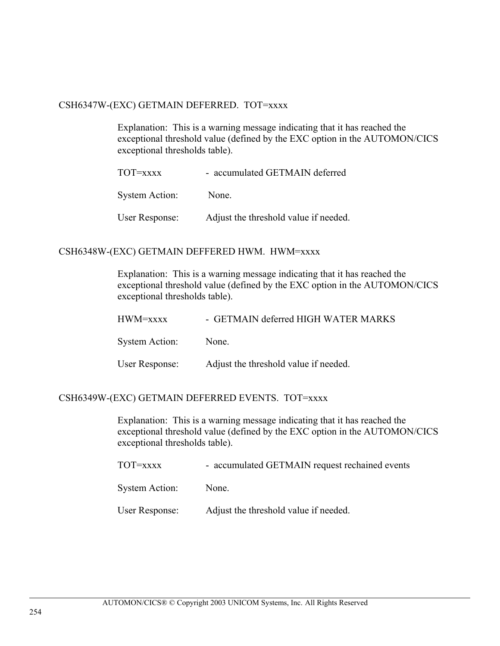### CSH6347W-(EXC) GETMAIN DEFERRED. TOT=xxxx

Explanation: This is a warning message indicating that it has reached the exceptional threshold value (defined by the EXC option in the AUTOMON/CICS exceptional thresholds table).

| ТОТ=хххх              | - accumulated GETMAIN deferred        |
|-----------------------|---------------------------------------|
| <b>System Action:</b> | None.                                 |
| User Response:        | Adjust the threshold value if needed. |

### CSH6348W-(EXC) GETMAIN DEFFERED HWM. HWM=xxxx

Explanation: This is a warning message indicating that it has reached the exceptional threshold value (defined by the EXC option in the AUTOMON/CICS exceptional thresholds table).

| HWM=xxxx       | - GETMAIN deferred HIGH WATER MARKS   |
|----------------|---------------------------------------|
| System Action: | None.                                 |
| User Response: | Adjust the threshold value if needed. |

#### CSH6349W-(EXC) GETMAIN DEFERRED EVENTS. TOT=xxxx

Explanation: This is a warning message indicating that it has reached the exceptional threshold value (defined by the EXC option in the AUTOMON/CICS exceptional thresholds table).

| TOT=xxxx       | - accumulated GETMAIN request rechained events |
|----------------|------------------------------------------------|
| System Action: | None.                                          |
| User Response: | Adjust the threshold value if needed.          |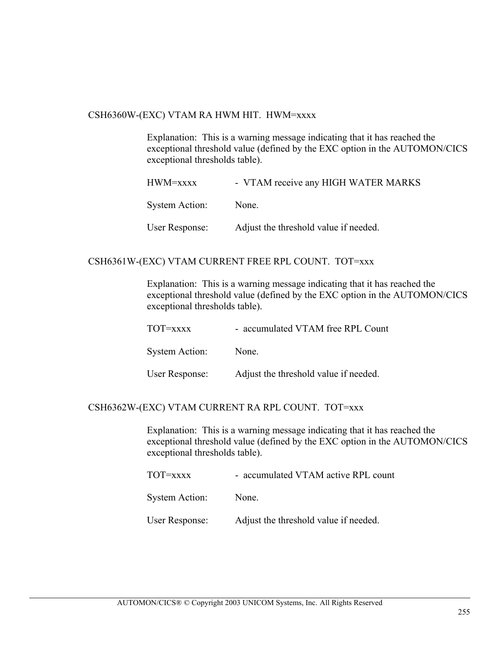#### CSH6360W-(EXC) VTAM RA HWM HIT. HWM=xxxx

Explanation: This is a warning message indicating that it has reached the exceptional threshold value (defined by the EXC option in the AUTOMON/CICS exceptional thresholds table).

| HWM=xxxx       | - VTAM receive any HIGH WATER MARKS   |
|----------------|---------------------------------------|
| System Action: | None.                                 |
| User Response: | Adjust the threshold value if needed. |

#### CSH6361W-(EXC) VTAM CURRENT FREE RPL COUNT. TOT=xxx

Explanation: This is a warning message indicating that it has reached the exceptional threshold value (defined by the EXC option in the AUTOMON/CICS exceptional thresholds table).

| TOT=xxxx       | - accumulated VTAM free RPL Count     |
|----------------|---------------------------------------|
| System Action: | None.                                 |
| User Response: | Adjust the threshold value if needed. |

#### CSH6362W-(EXC) VTAM CURRENT RA RPL COUNT. TOT=xxx

Explanation: This is a warning message indicating that it has reached the exceptional threshold value (defined by the EXC option in the AUTOMON/CICS exceptional thresholds table).

| TOT=xxxx | - accumulated VTAM active RPL count |  |
|----------|-------------------------------------|--|
|          |                                     |  |

System Action: None.

User Response: Adjust the threshold value if needed.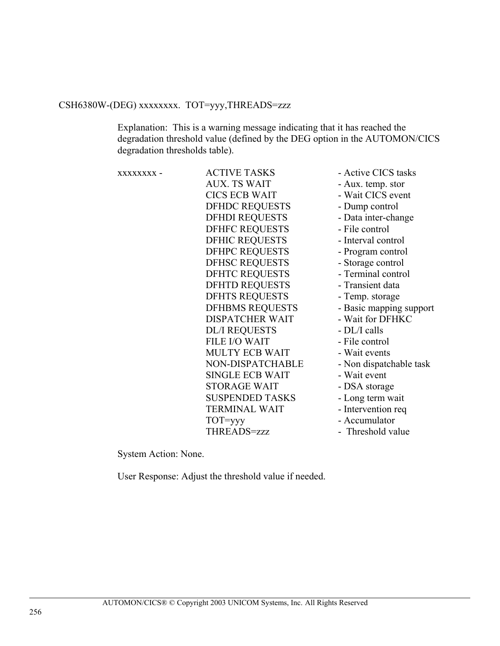# CSH6380W-(DEG) xxxxxxxx. TOT=yyy,THREADS=zzz

Explanation: This is a warning message indicating that it has reached the degradation threshold value (defined by the DEG option in the AUTOMON/CICS degradation thresholds table).

| XXXXXXXX - | <b>ACTIVE TASKS</b>    | - Active CICS tasks     |
|------------|------------------------|-------------------------|
|            | <b>AUX. TS WAIT</b>    | - Aux. temp. stor       |
|            | <b>CICS ECB WAIT</b>   | - Wait CICS event       |
|            | <b>DFHDC REQUESTS</b>  | - Dump control          |
|            | <b>DFHDI REQUESTS</b>  | - Data inter-change     |
|            | <b>DFHFC REQUESTS</b>  | - File control          |
|            | <b>DFHIC REQUESTS</b>  | - Interval control      |
|            | <b>DFHPC REQUESTS</b>  | - Program control       |
|            | <b>DFHSC REQUESTS</b>  | - Storage control       |
|            | <b>DFHTC REQUESTS</b>  | - Terminal control      |
|            | <b>DFHTD REQUESTS</b>  | - Transient data        |
|            | <b>DFHTS REQUESTS</b>  | - Temp. storage         |
|            | <b>DFHBMS REQUESTS</b> | - Basic mapping support |
|            | <b>DISPATCHER WAIT</b> | - Wait for DFHKC        |
|            | <b>DL/I REQUESTS</b>   | - DL/I calls            |
|            | <b>FILE I/O WAIT</b>   | - File control          |
|            | <b>MULTY ECB WAIT</b>  | - Wait events           |
|            | NON-DISPATCHABLE       | - Non dispatchable task |
|            | <b>SINGLE ECB WAIT</b> | - Wait event            |
|            | <b>STORAGE WAIT</b>    | - DSA storage           |
|            | <b>SUSPENDED TASKS</b> | - Long term wait        |
|            | <b>TERMINAL WAIT</b>   | - Intervention req      |
|            | TOT=yyy                | - Accumulator           |
|            | THREADS=zzz            | - Threshold value       |
|            |                        |                         |

System Action: None.

User Response: Adjust the threshold value if needed.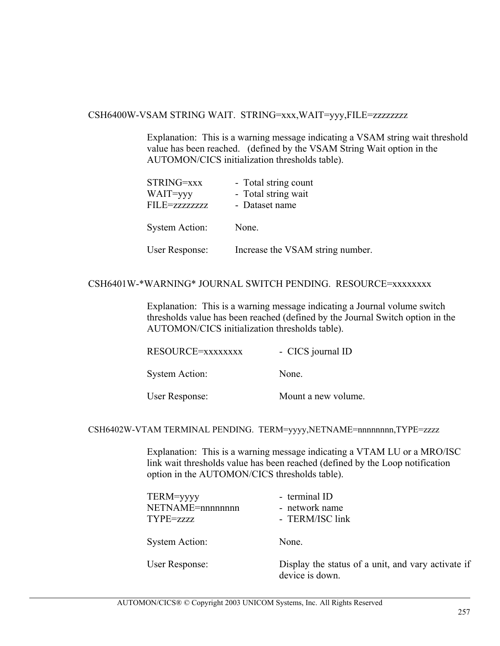#### CSH6400W-VSAM STRING WAIT. STRING=xxx,WAIT=yyy,FILE=zzzzzzzz

Explanation: This is a warning message indicating a VSAM string wait threshold value has been reached. (defined by the VSAM String Wait option in the AUTOMON/CICS initialization thresholds table).

| STRING=xxx<br>WAIT=yyy<br>FILE=zzzzzzzz | - Total string count<br>- Total string wait<br>- Dataset name |
|-----------------------------------------|---------------------------------------------------------------|
| <b>System Action:</b>                   | None.                                                         |
| <b>User Response:</b>                   | Increase the VSAM string number.                              |

## CSH6401W-\*WARNING\* JOURNAL SWITCH PENDING. RESOURCE=xxxxxxxx

Explanation: This is a warning message indicating a Journal volume switch thresholds value has been reached (defined by the Journal Switch option in the AUTOMON/CICS initialization thresholds table).

| RESOURCE=xxxxxxxx     | - CICS journal ID |
|-----------------------|-------------------|
| <b>System Action:</b> | None.             |

User Response: Mount a new volume.

CSH6402W-VTAM TERMINAL PENDING. TERM=yyyy,NETNAME=nnnnnnnn,TYPE=zzzz

Explanation: This is a warning message indicating a VTAM LU or a MRO/ISC link wait thresholds value has been reached (defined by the Loop notification option in the AUTOMON/CICS thresholds table).

| TERM=yyyy<br>NETNAME=nnnnnnnn<br>TYPE=zzzz | - terminal ID<br>- network name<br>- TERM/ISC link |
|--------------------------------------------|----------------------------------------------------|
| <b>System Action:</b>                      | None.                                              |
|                                            |                                                    |

User Response: Display the status of a unit, and vary activate if device is down.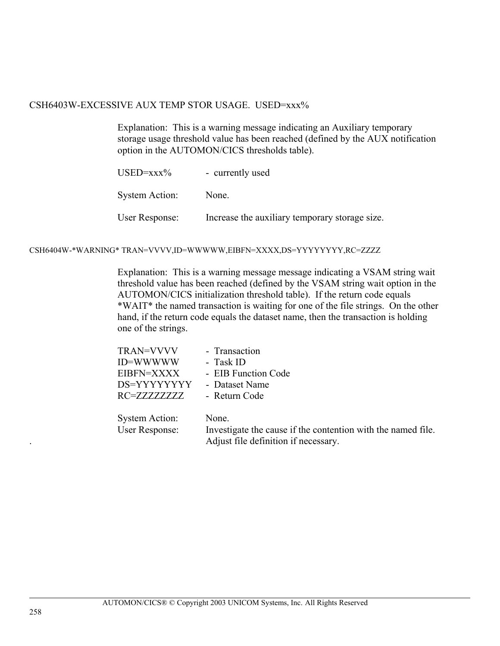### CSH6403W-EXCESSIVE AUX TEMP STOR USAGE. USED=xxx%

Explanation: This is a warning message indicating an Auxiliary temporary storage usage threshold value has been reached (defined by the AUX notification option in the AUTOMON/CICS thresholds table).

| USED=xxx%      | - currently used                               |
|----------------|------------------------------------------------|
| System Action: | None.                                          |
| User Response: | Increase the auxiliary temporary storage size. |

#### CSH6404W-\*WARNING\* TRAN=VVVV,ID=WWWWW,EIBFN=XXXX,DS=YYYYYYYY,RC=ZZZZ

Explanation: This is a warning message message indicating a VSAM string wait threshold value has been reached (defined by the VSAM string wait option in the AUTOMON/CICS initialization threshold table). If the return code equals \*WAIT\* the named transaction is waiting for one of the file strings. On the other hand, if the return code equals the dataset name, then the transaction is holding one of the strings.

| TRAN=VVVV                                      | - Transaction                                                                                                 |
|------------------------------------------------|---------------------------------------------------------------------------------------------------------------|
| ID=WWWWW                                       | - Task ID                                                                                                     |
| EIBFN=XXXX                                     | - EIB Function Code                                                                                           |
| DS=YYYYYYYY                                    | - Dataset Name                                                                                                |
| RC=ZZZZZZZZZ                                   | - Return Code                                                                                                 |
| <b>System Action:</b><br><b>User Response:</b> | None.<br>Investigate the cause if the contention with the named file.<br>Adjust file definition if necessary. |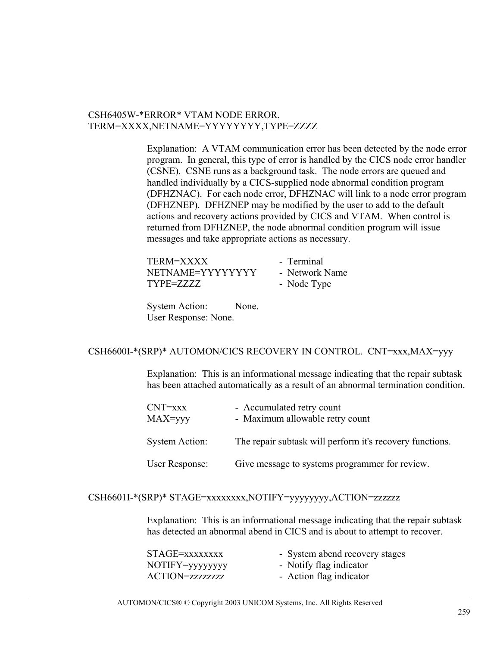## CSH6405W-\*ERROR\* VTAM NODE ERROR. TERM=XXXX,NETNAME=YYYYYYYY,TYPE=ZZZZ

Explanation: A VTAM communication error has been detected by the node error program. In general, this type of error is handled by the CICS node error handler (CSNE). CSNE runs as a background task. The node errors are queued and handled individually by a CICS-supplied node abnormal condition program (DFHZNAC). For each node error, DFHZNAC will link to a node error program (DFHZNEP). DFHZNEP may be modified by the user to add to the default actions and recovery actions provided by CICS and VTAM. When control is returned from DFHZNEP, the node abnormal condition program will issue messages and take appropriate actions as necessary.

| TERM=XXXX        | - Terminal     |
|------------------|----------------|
| NETNAME=YYYYYYYY | - Network Name |
| TYPE=ZZZZ        | - Node Type    |

System Action: None. User Response: None.

#### CSH6600I-\*(SRP)\* AUTOMON/CICS RECOVERY IN CONTROL. CNT=xxx,MAX=yyy

Explanation: This is an informational message indicating that the repair subtask has been attached automatically as a result of an abnormal termination condition.

| CNT=xxx<br>MAX=yyy    | - Accumulated retry count<br>- Maximum allowable retry count |
|-----------------------|--------------------------------------------------------------|
| <b>System Action:</b> | The repair subtask will perform it's recovery functions.     |
| User Response:        | Give message to systems programmer for review.               |

# CSH6601I-\*(SRP)\* STAGE=xxxxxxxx,NOTIFY=yyyyyyyy,ACTION=zzzzzz

Explanation: This is an informational message indicating that the repair subtask has detected an abnormal abend in CICS and is about to attempt to recover.

| STAGE=xxxxxxxx   | - System abend recovery stages |
|------------------|--------------------------------|
| NOTIFY=yyyyyyy   | - Notify flag indicator        |
| ACTION=zzzzzzzzz | - Action flag indicator        |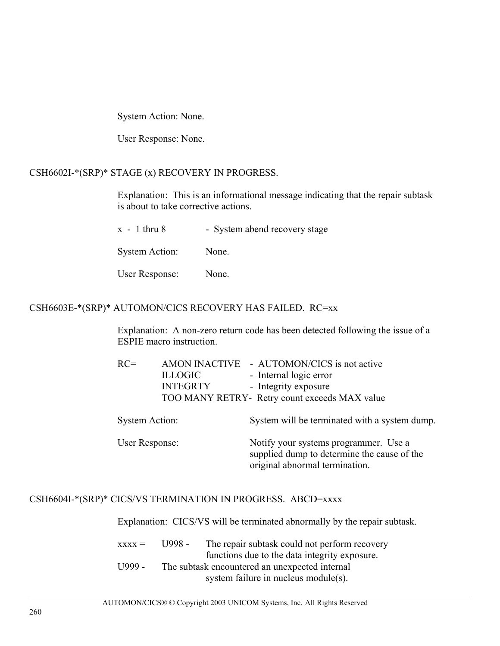System Action: None.

User Response: None.

## CSH6602I-\*(SRP)\* STAGE (x) RECOVERY IN PROGRESS.

Explanation: This is an informational message indicating that the repair subtask is about to take corrective actions.

| $x - 1$ thru 8        | - System abend recovery stage |
|-----------------------|-------------------------------|
| <b>System Action:</b> | None.                         |
| User Response:        | None.                         |

## CSH6603E-\*(SRP)\* AUTOMON/CICS RECOVERY HAS FAILED. RC=xx

Explanation: A non-zero return code has been detected following the issue of a ESPIE macro instruction.

| $RC =$                | <b>ILLOGIC</b><br><b>INTEGRTY</b> | AMON INACTIVE - AUTOMON/CICS is not active<br>- Internal logic error<br>- Integrity exposure<br>TOO MANY RETRY- Retry count exceeds MAX value |
|-----------------------|-----------------------------------|-----------------------------------------------------------------------------------------------------------------------------------------------|
| <b>System Action:</b> |                                   | System will be terminated with a system dump.                                                                                                 |
| User Response:        |                                   | Notify your systems programmer. Use a<br>supplied dump to determine the cause of the<br>original abnormal termination.                        |

## CSH6604I-\*(SRP)\* CICS/VS TERMINATION IN PROGRESS. ABCD=xxxx

Explanation: CICS/VS will be terminated abnormally by the repair subtask.

| $\bf$ xxx $\bf$ = | U998 - | The repair subtask could not perform recovery  |
|-------------------|--------|------------------------------------------------|
|                   |        | functions due to the data integrity exposure.  |
| $U$ 999 -         |        | The subtask encountered an unexpected internal |
|                   |        | system failure in nucleus module(s).           |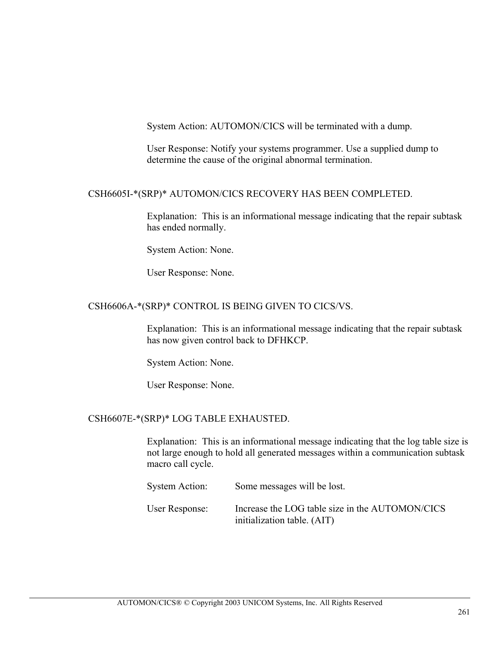System Action: AUTOMON/CICS will be terminated with a dump.

User Response: Notify your systems programmer. Use a supplied dump to determine the cause of the original abnormal termination.

### CSH6605I-\*(SRP)\* AUTOMON/CICS RECOVERY HAS BEEN COMPLETED.

Explanation: This is an informational message indicating that the repair subtask has ended normally.

System Action: None.

User Response: None.

#### CSH6606A-\*(SRP)\* CONTROL IS BEING GIVEN TO CICS/VS.

Explanation: This is an informational message indicating that the repair subtask has now given control back to DFHKCP.

System Action: None.

User Response: None.

## CSH6607E-\*(SRP)\* LOG TABLE EXHAUSTED.

Explanation: This is an informational message indicating that the log table size is not large enough to hold all generated messages within a communication subtask macro call cycle.

| System Action: | Some messages will be lost.                                                    |
|----------------|--------------------------------------------------------------------------------|
| User Response: | Increase the LOG table size in the AUTOMON/CICS<br>initialization table. (AIT) |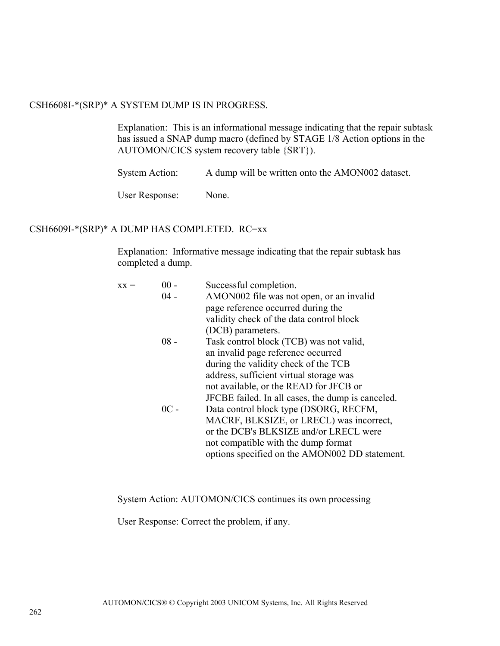## CSH6608I-\*(SRP)\* A SYSTEM DUMP IS IN PROGRESS.

Explanation: This is an informational message indicating that the repair subtask has issued a SNAP dump macro (defined by STAGE 1/8 Action options in the AUTOMON/CICS system recovery table {SRT}).

System Action: A dump will be written onto the AMON002 dataset.

User Response: None.

### CSH6609I-\*(SRP)\* A DUMP HAS COMPLETED. RC=xx

Explanation: Informative message indicating that the repair subtask has completed a dump.

| $xx =$ | $00 -$<br>$04 -$ | Successful completion.<br>AMON002 file was not open, or an invalid<br>page reference occurred during the<br>validity check of the data control block                                                                  |
|--------|------------------|-----------------------------------------------------------------------------------------------------------------------------------------------------------------------------------------------------------------------|
|        | $08 -$           | (DCB) parameters.<br>Task control block (TCB) was not valid,<br>an invalid page reference occurred<br>during the validity check of the TCB                                                                            |
|        |                  | address, sufficient virtual storage was<br>not available, or the READ for JFCB or<br>JFCBE failed. In all cases, the dump is canceled.                                                                                |
|        | $0C -$           | Data control block type (DSORG, RECFM,<br>MACRF, BLKSIZE, or LRECL) was incorrect,<br>or the DCB's BLKSIZE and/or LRECL were<br>not compatible with the dump format<br>options specified on the AMON002 DD statement. |
|        |                  |                                                                                                                                                                                                                       |

System Action: AUTOMON/CICS continues its own processing

User Response: Correct the problem, if any.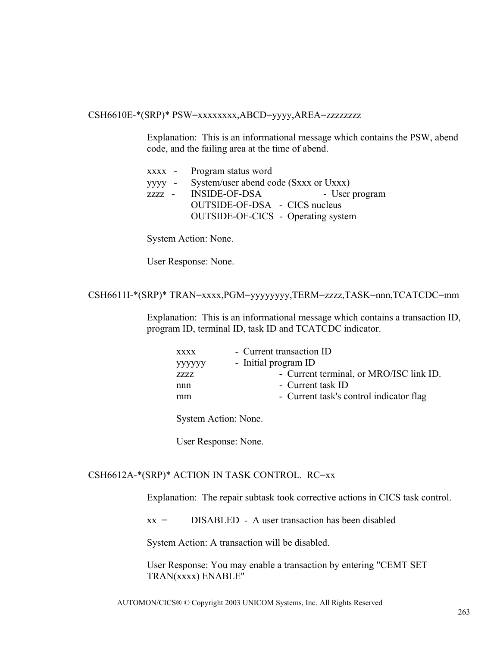#### CSH6610E-\*(SRP)\* PSW=xxxxxxxx,ABCD=yyyy,AREA=zzzzzzzz

Explanation: This is an informational message which contains the PSW, abend code, and the failing area at the time of abend.

| xxxx - Program status word                   |                |
|----------------------------------------------|----------------|
| yyyy - System/user abend code (Sxxx or Uxxx) |                |
| zzzz - INSIDE-OF-DSA                         | - User program |
| OUTSIDE-OF-DSA - CICS nucleus                |                |
| <b>OUTSIDE-OF-CICS</b> - Operating system    |                |

System Action: None.

User Response: None.

CSH6611I-\*(SRP)\* TRAN=xxxx,PGM=yyyyyyyy,TERM=zzzz,TASK=nnn,TCATCDC=mm

Explanation: This is an informational message which contains a transaction ID, program ID, terminal ID, task ID and TCATCDC indicator.

| <b>XXXX</b> | - Current transaction ID                |
|-------------|-----------------------------------------|
| уууууу      | - Initial program ID                    |
| <b>ZZZZ</b> | - Current terminal, or MRO/ISC link ID. |
| nnn         | - Current task ID                       |
| mm          | - Current task's control indicator flag |
|             |                                         |

System Action: None.

User Response: None.

#### CSH6612A-\*(SRP)\* ACTION IN TASK CONTROL. RC=xx

Explanation: The repair subtask took corrective actions in CICS task control.

 $xx =$  DISABLED - A user transaction has been disabled

System Action: A transaction will be disabled.

User Response: You may enable a transaction by entering "CEMT SET TRAN(xxxx) ENABLE"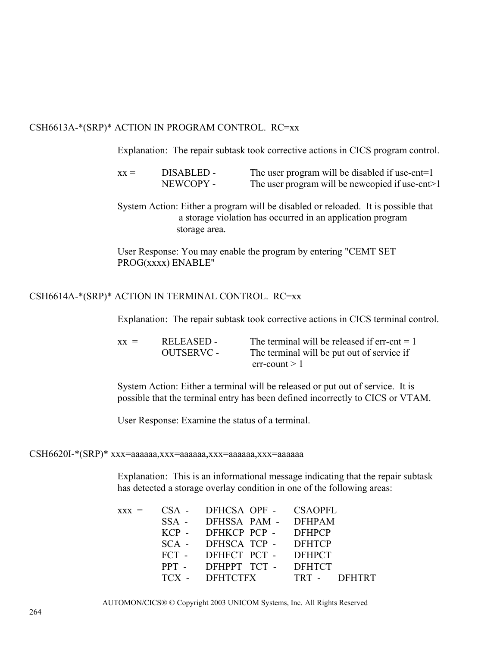## CSH6613A-\*(SRP)\* ACTION IN PROGRAM CONTROL. RC=xx

Explanation: The repair subtask took corrective actions in CICS program control.

- $xx =$  DISABLED The user program will be disabled if use-cnt=1 NEWCOPY - The user program will be newcopied if use-cnt>1
- System Action: Either a program will be disabled or reloaded. It is possible that a storage violation has occurred in an application program storage area.

User Response: You may enable the program by entering "CEMT SET PROG(xxxx) ENABLE"

### CSH6614A-\*(SRP)\* ACTION IN TERMINAL CONTROL. RC=xx

Explanation: The repair subtask took corrective actions in CICS terminal control.

| $\mathbf{x} \mathbf{x} =$ | RELEASED -        | The terminal will be released if $err-cnt = 1$ |
|---------------------------|-------------------|------------------------------------------------|
|                           | <b>OUTSERVC -</b> | The terminal will be put out of service if     |
|                           |                   | $err$ -count $>1$                              |

System Action: Either a terminal will be released or put out of service. It is possible that the terminal entry has been defined incorrectly to CICS or VTAM.

User Response: Examine the status of a terminal.

CSH6620I-\*(SRP)\* xxx=aaaaaa,xxx=aaaaaa,xxx=aaaaaa,xxx=aaaaaa

Explanation: This is an informational message indicating that the repair subtask has detected a storage overlay condition in one of the following areas:

|  | $XXX = \text{CSA}$ - DFHCSA OPF - CSAOPFL |              |
|--|-------------------------------------------|--------------|
|  | SSA - DFHSSA PAM - DFHPAM                 |              |
|  | KCP - DFHKCP PCP - DFHPCP                 |              |
|  | SCA - DFHSCA TCP - DFHTCP                 |              |
|  | FCT - DFHFCT PCT - DFHPCT                 |              |
|  | PPT - DEHPPT TCT - DEHTCT                 |              |
|  | TCX - DFHTCTFX                            | TRT - DFHTRT |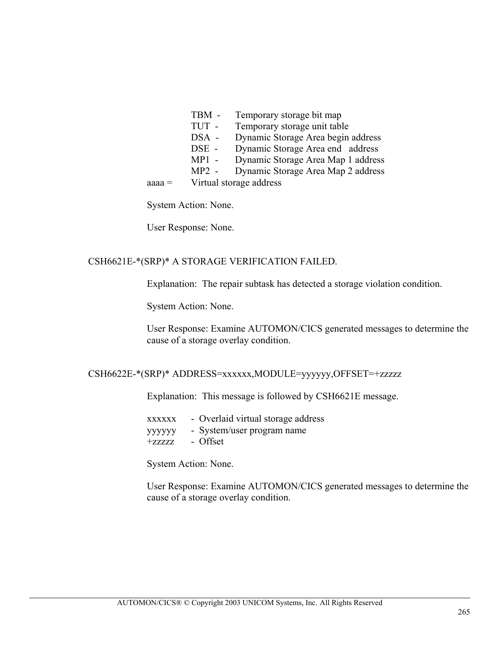- TBM Temporary storage bit map
- TUT Temporary storage unit table
- DSA Dynamic Storage Area begin address<br>DSE Dynamic Storage Area end address
- Dynamic Storage Area end address
- MP1 Dynamic Storage Area Map 1 address
- MP2 Dynamic Storage Area Map 2 address

aaaa = Virtual storage address

System Action: None.

User Response: None.

### CSH6621E-\*(SRP)\* A STORAGE VERIFICATION FAILED.

Explanation: The repair subtask has detected a storage violation condition.

System Action: None.

User Response: Examine AUTOMON/CICS generated messages to determine the cause of a storage overlay condition.

#### CSH6622E-\*(SRP)\* ADDRESS=xxxxxx,MODULE=yyyyyy,OFFSET=+zzzzz

Explanation: This message is followed by CSH6621E message.

- xxxxxx Overlaid virtual storage address
- yyyyyy System/user program name
- +zzzzz Offset

System Action: None.

User Response: Examine AUTOMON/CICS generated messages to determine the cause of a storage overlay condition.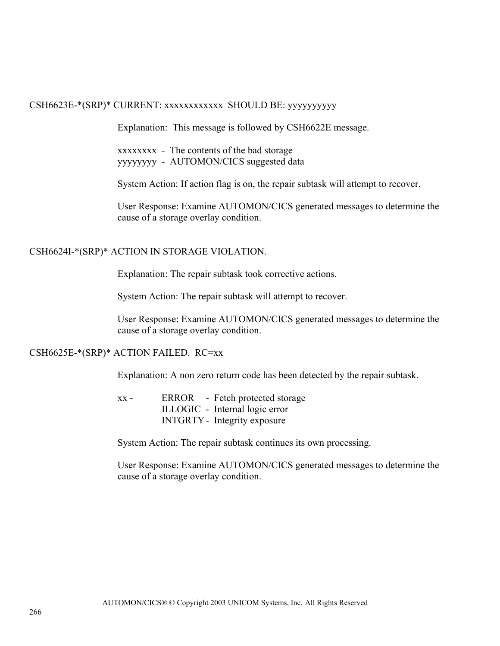#### CSH6623E-\*(SRP)\* CURRENT: xxxxxxxxxxxx SHOULD BE: yyyyyyyyyy

Explanation: This message is followed by CSH6622E message.

xxxxxxxx - The contents of the bad storage yyyyyyyy - AUTOMON/CICS suggested data

System Action: If action flag is on, the repair subtask will attempt to recover.

User Response: Examine AUTOMON/CICS generated messages to determine the cause of a storage overlay condition.

### CSH6624I-\*(SRP)\* ACTION IN STORAGE VIOLATION.

Explanation: The repair subtask took corrective actions.

System Action: The repair subtask will attempt to recover.

User Response: Examine AUTOMON/CICS generated messages to determine the cause of a storage overlay condition.

CSH6625E-\*(SRP)\* ACTION FAILED. RC=xx

Explanation: A non zero return code has been detected by the repair subtask.

xx - ERROR - Fetch protected storage ILLOGIC - Internal logic error INTGRTY - Integrity exposure

System Action: The repair subtask continues its own processing.

User Response: Examine AUTOMON/CICS generated messages to determine the cause of a storage overlay condition.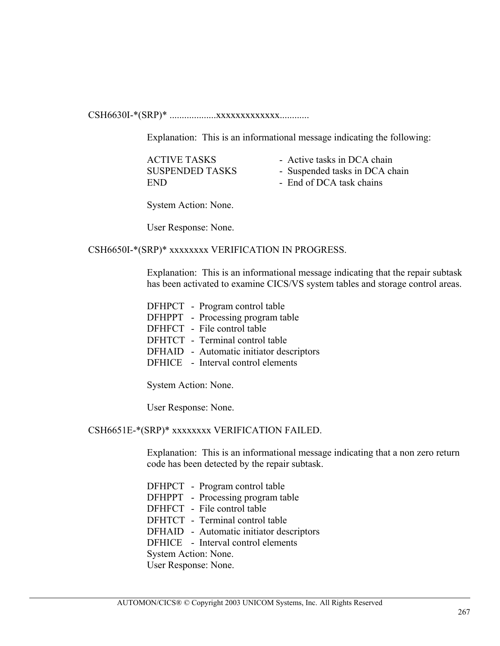CSH6630I-\*(SRP)\* ...................xxxxxxxxxxxxx............

Explanation: This is an informational message indicating the following:

| <b>ACTIVE TASKS</b>    | - Active tasks in DCA chain    |
|------------------------|--------------------------------|
| <b>SUSPENDED TASKS</b> | - Suspended tasks in DCA chain |
| END.                   | - End of DCA task chains       |

System Action: None.

User Response: None.

CSH6650I-\*(SRP)\* xxxxxxxx VERIFICATION IN PROGRESS.

Explanation: This is an informational message indicating that the repair subtask has been activated to examine CICS/VS system tables and storage control areas.

| DFHPCT - Program control table           |
|------------------------------------------|
| DFHPPT - Processing program table        |
| DFHFCT - File control table              |
| DFHTCT - Terminal control table          |
| DFHAID - Automatic initiator descriptors |
| DFHICE - Interval control elements       |
|                                          |

System Action: None.

User Response: None.

CSH6651E-\*(SRP)\* xxxxxxxx VERIFICATION FAILED.

Explanation: This is an informational message indicating that a non zero return code has been detected by the repair subtask.

- DFHPCT Program control table
- DFHPPT Processing program table
- DFHFCT File control table
- DFHTCT Terminal control table
- DFHAID Automatic initiator descriptors
- DFHICE Interval control elements

System Action: None.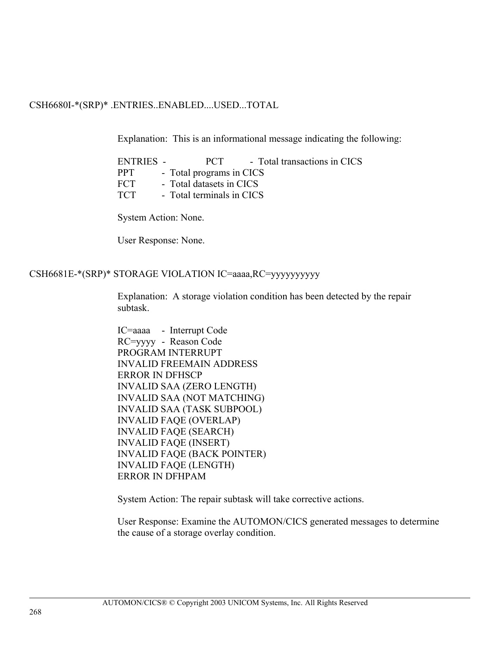#### CSH6680I-\*(SRP)\* .ENTRIES..ENABLED....USED...TOTAL

Explanation: This is an informational message indicating the following:

ENTRIES - PCT - Total transactions in CICS PPT - Total programs in CICS FCT - Total datasets in CICS TCT - Total terminals in CICS

System Action: None.

User Response: None.

#### CSH6681E-\*(SRP)\* STORAGE VIOLATION IC=aaaa,RC=yyyyyyyyyy

Explanation: A storage violation condition has been detected by the repair subtask.

IC=aaaa - Interrupt Code RC=yyyy - Reason Code PROGRAM INTERRUPT INVALID FREEMAIN ADDRESS ERROR IN DFHSCP INVALID SAA (ZERO LENGTH) INVALID SAA (NOT MATCHING) INVALID SAA (TASK SUBPOOL) INVALID FAQE (OVERLAP) INVALID FAQE (SEARCH) INVALID FAQE (INSERT) INVALID FAQE (BACK POINTER) INVALID FAQE (LENGTH) ERROR IN DFHPAM

System Action: The repair subtask will take corrective actions.

User Response: Examine the AUTOMON/CICS generated messages to determine the cause of a storage overlay condition.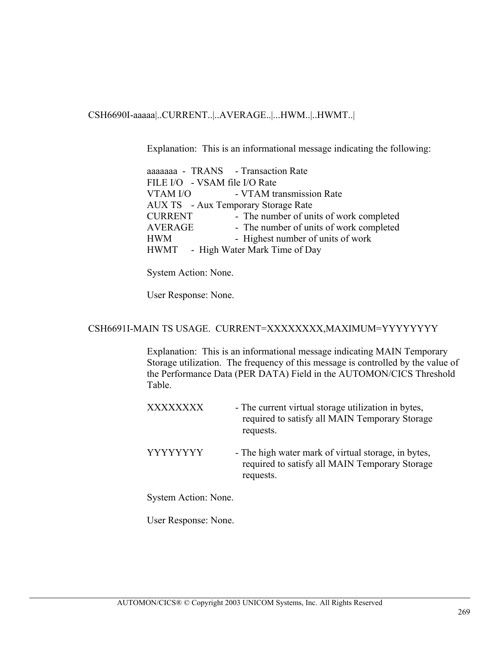CSH6690I-aaaaa|..CURRENT..|..AVERAGE..|...HWM..|..HWMT..|

Explanation: This is an informational message indicating the following:

|          | aaaaaaa - TRANS - Transaction Rate         |
|----------|--------------------------------------------|
|          | FILE I/O - VSAM file I/O Rate              |
| VTAM I/O | - VTAM transmission Rate                   |
|          | <b>AUX TS</b> - Aux Temporary Storage Rate |
| CURRENT  | - The number of units of work completed    |
| AVERAGE  | - The number of units of work completed    |
| HWM      | - Highest number of units of work          |
|          | HWMT - High Water Mark Time of Day         |

System Action: None.

User Response: None.

#### CSH6691I-MAIN TS USAGE. CURRENT=XXXXXXXX,MAXIMUM=YYYYYYYY

Explanation: This is an informational message indicating MAIN Temporary Storage utilization. The frequency of this message is controlled by the value of the Performance Data (PER DATA) Field in the AUTOMON/CICS Threshold Table.

| XXXXXXXX | - The current virtual storage utilization in bytes,<br>required to satisfy all MAIN Temporary Storage<br>requests. |
|----------|--------------------------------------------------------------------------------------------------------------------|
| YYYYYYYY | - The high water mark of virtual storage, in bytes,<br>required to satisfy all MAIN Temporary Storage<br>requests. |

System Action: None.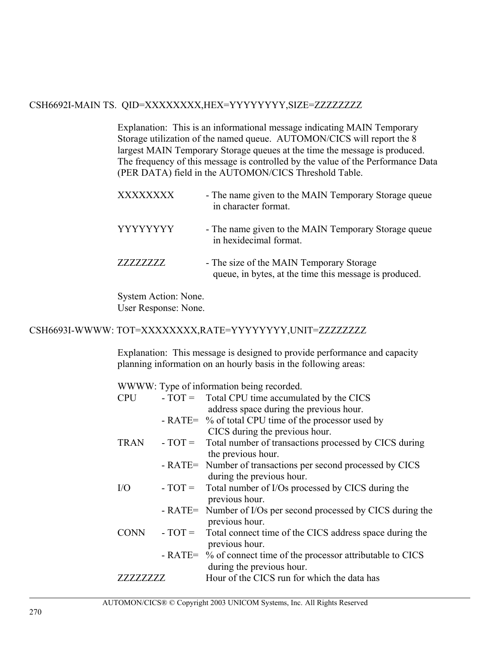## CSH6692I-MAIN TS. QID=XXXXXXXX,HEX=YYYYYYYY,SIZE=ZZZZZZZZ

Explanation: This is an informational message indicating MAIN Temporary Storage utilization of the named queue. AUTOMON/CICS will report the 8 largest MAIN Temporary Storage queues at the time the message is produced. The frequency of this message is controlled by the value of the Performance Data (PER DATA) field in the AUTOMON/CICS Threshold Table.

| <b>XXXXXXXX</b> | - The name given to the MAIN Temporary Storage queue<br>in character format.                       |
|-----------------|----------------------------------------------------------------------------------------------------|
| <b>YYYYYYYY</b> | - The name given to the MAIN Temporary Storage queue<br>in hexidecimal format.                     |
| 77777777.       | - The size of the MAIN Temporary Storage<br>queue, in bytes, at the time this message is produced. |

System Action: None. User Response: None.

## CSH6693I-WWWW: TOT=XXXXXXXX,RATE=YYYYYYYY,UNIT=ZZZZZZZZ

Explanation: This message is designed to provide performance and capacity planning information on an hourly basis in the following areas:

WWWW: Type of information being recorded.

| <b>CPU</b>  | $-TOT =$ Total CPU time accumulated by the CICS                                  |
|-------------|----------------------------------------------------------------------------------|
|             | address space during the previous hour.                                          |
|             | - RATE= % of total CPU time of the processor used by                             |
|             | CICS during the previous hour.                                                   |
| <b>TRAN</b> | $-TOT =$ Total number of transactions processed by CICS during                   |
|             | the previous hour.                                                               |
|             | - RATE= Number of transactions per second processed by CICS                      |
|             | during the previous hour.                                                        |
| $\rm I/O$   | $-TOT =$ Total number of I/Os processed by CICS during the                       |
|             | previous hour.                                                                   |
|             | - RATE= Number of I/Os per second processed by CICS during the<br>previous hour. |
| <b>CONN</b> | $-TOT =$ Total connect time of the CICS address space during the                 |
|             | previous hour.                                                                   |
|             | - RATE= % of connect time of the processor attributable to CICS                  |
|             | during the previous hour.                                                        |
| ZZZZZZZZZ   | Hour of the CICS run for which the data has                                      |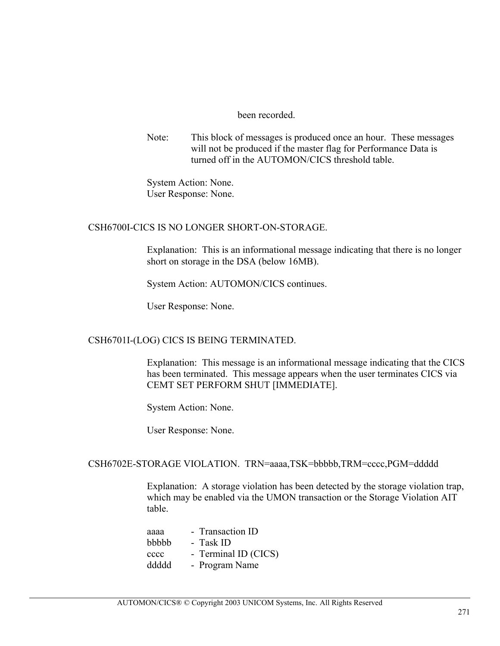#### been recorded.

Note: This block of messages is produced once an hour. These messages will not be produced if the master flag for Performance Data is turned off in the AUTOMON/CICS threshold table.

System Action: None. User Response: None.

#### CSH6700I-CICS IS NO LONGER SHORT-ON-STORAGE.

Explanation: This is an informational message indicating that there is no longer short on storage in the DSA (below 16MB).

System Action: AUTOMON/CICS continues.

User Response: None.

#### CSH6701I-(LOG) CICS IS BEING TERMINATED.

Explanation: This message is an informational message indicating that the CICS has been terminated. This message appears when the user terminates CICS via CEMT SET PERFORM SHUT [IMMEDIATE].

System Action: None.

User Response: None.

#### CSH6702E-STORAGE VIOLATION. TRN=aaaa,TSK=bbbbb,TRM=cccc,PGM=ddddd

Explanation: A storage violation has been detected by the storage violation trap, which may be enabled via the UMON transaction or the Storage Violation AIT table.

| - Transaction ID     |
|----------------------|
| - Task ID            |
| - Terminal ID (CICS) |
| - Program Name       |
|                      |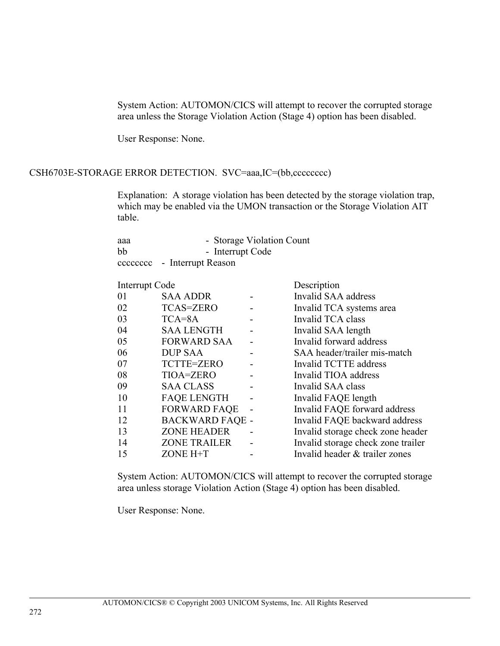System Action: AUTOMON/CICS will attempt to recover the corrupted storage area unless the Storage Violation Action (Stage 4) option has been disabled.

User Response: None.

#### CSH6703E-STORAGE ERROR DETECTION. SVC=aaa,IC=(bb,cccccccc)

Explanation: A storage violation has been detected by the storage violation trap, which may be enabled via the UMON transaction or the Storage Violation AIT table.

| aaa | - Storage Violation Count   |
|-----|-----------------------------|
| bb  | - Interrupt Code            |
|     | cccccccc - Interrupt Reason |

| Interrupt Code |                        |                | Description                        |
|----------------|------------------------|----------------|------------------------------------|
| 01             | <b>SAA ADDR</b>        |                | Invalid SAA address                |
| 02             | <b>TCAS=ZERO</b>       |                | Invalid TCA systems area           |
| 03             | $TCA = 8A$             |                | Invalid TCA class                  |
| 04             | <b>SAA LENGTH</b>      |                | Invalid SAA length                 |
| 05             | <b>FORWARD SAA</b>     |                | Invalid forward address            |
| 06             | <b>DUP SAA</b>         |                | SAA header/trailer mis-match       |
| 07             | TCTTE=ZERO             |                | Invalid TCTTE address              |
| 08             | TIOA=ZERO              |                | Invalid TIOA address               |
| 09             | <b>SAA CLASS</b>       |                | Invalid SAA class                  |
| 10             | <b>FAQE LENGTH</b>     |                | Invalid FAQE length                |
| 11             | <b>FORWARD FAQE</b>    | $\blacksquare$ | Invalid FAQE forward address       |
| 12             | <b>BACKWARD FAQE -</b> |                | Invalid FAQE backward address      |
| 13             | <b>ZONE HEADER</b>     |                | Invalid storage check zone header  |
| 14             | <b>ZONE TRAILER</b>    |                | Invalid storage check zone trailer |
| 15             | ZONE H+T               |                | Invalid header & trailer zones     |

System Action: AUTOMON/CICS will attempt to recover the corrupted storage area unless storage Violation Action (Stage 4) option has been disabled.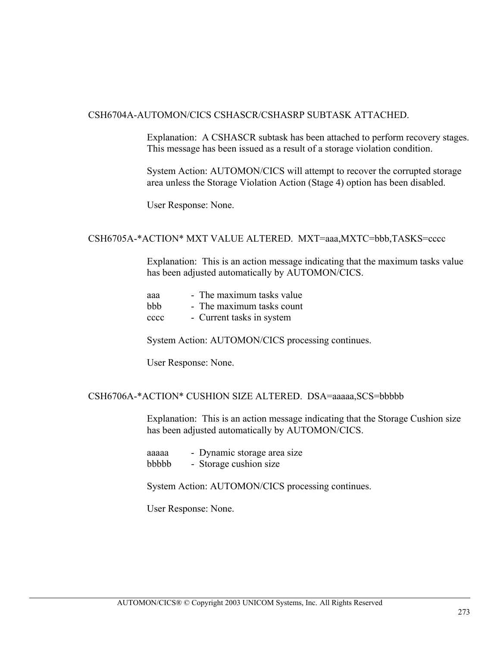#### CSH6704A-AUTOMON/CICS CSHASCR/CSHASRP SUBTASK ATTACHED.

Explanation: A CSHASCR subtask has been attached to perform recovery stages. This message has been issued as a result of a storage violation condition.

System Action: AUTOMON/CICS will attempt to recover the corrupted storage area unless the Storage Violation Action (Stage 4) option has been disabled.

User Response: None.

#### CSH6705A-\*ACTION\* MXT VALUE ALTERED. MXT=aaa,MXTC=bbb,TASKS=cccc

Explanation: This is an action message indicating that the maximum tasks value has been adjusted automatically by AUTOMON/CICS.

| ааа        | - The maximum tasks value |
|------------|---------------------------|
| <b>bbb</b> | - The maximum tasks count |
| cccc       | - Current tasks in system |

System Action: AUTOMON/CICS processing continues.

User Response: None.

#### CSH6706A-\*ACTION\* CUSHION SIZE ALTERED. DSA=aaaaa,SCS=bbbbb

Explanation: This is an action message indicating that the Storage Cushion size has been adjusted automatically by AUTOMON/CICS.

aaaaa - Dynamic storage area size

bbbbb - Storage cushion size

System Action: AUTOMON/CICS processing continues.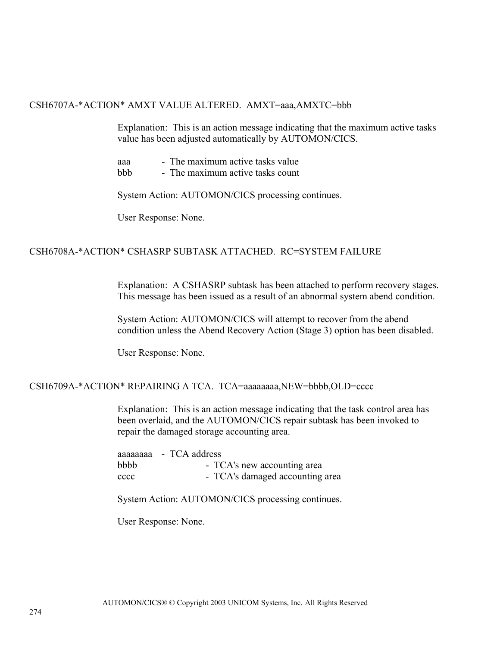#### CSH6707A-\*ACTION\* AMXT VALUE ALTERED. AMXT=aaa,AMXTC=bbb

Explanation: This is an action message indicating that the maximum active tasks value has been adjusted automatically by AUTOMON/CICS.

| - The maximum active tasks value<br>aaa |
|-----------------------------------------|
|-----------------------------------------|

bbb - The maximum active tasks count

System Action: AUTOMON/CICS processing continues.

User Response: None.

### CSH6708A-\*ACTION\* CSHASRP SUBTASK ATTACHED. RC=SYSTEM FAILURE

Explanation: A CSHASRP subtask has been attached to perform recovery stages. This message has been issued as a result of an abnormal system abend condition.

System Action: AUTOMON/CICS will attempt to recover from the abend condition unless the Abend Recovery Action (Stage 3) option has been disabled.

User Response: None.

#### CSH6709A-\*ACTION\* REPAIRING A TCA. TCA=aaaaaaaa,NEW=bbbb,OLD=cccc

Explanation: This is an action message indicating that the task control area has been overlaid, and the AUTOMON/CICS repair subtask has been invoked to repair the damaged storage accounting area.

|      | aaaaaaaa - TCA address          |
|------|---------------------------------|
| bbbb | - TCA's new accounting area     |
| cccc | - TCA's damaged accounting area |

System Action: AUTOMON/CICS processing continues.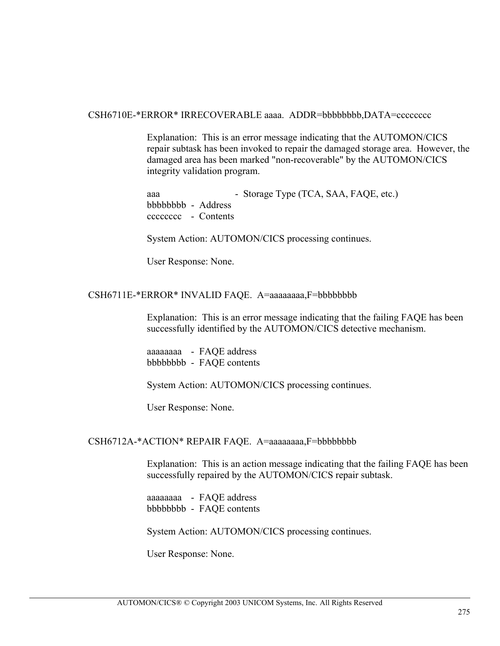#### CSH6710E-\*ERROR\* IRRECOVERABLE aaaa. ADDR=bbbbbbbb,DATA=cccccccc

Explanation: This is an error message indicating that the AUTOMON/CICS repair subtask has been invoked to repair the damaged storage area. However, the damaged area has been marked "non-recoverable" by the AUTOMON/CICS integrity validation program.

aaa - Storage Type (TCA, SAA, FAQE, etc.) bbbbbbbb - Address cccccccc - Contents

System Action: AUTOMON/CICS processing continues.

User Response: None.

#### CSH6711E-\*ERROR\* INVALID FAQE. A=aaaaaaaa,F=bbbbbbbb

Explanation: This is an error message indicating that the failing FAQE has been successfully identified by the AUTOMON/CICS detective mechanism.

aaaaaaaa - FAQE address bbbbbbbb - FAQE contents

System Action: AUTOMON/CICS processing continues.

User Response: None.

#### CSH6712A-\*ACTION\* REPAIR FAQE. A=aaaaaaaa,F=bbbbbbbb

Explanation: This is an action message indicating that the failing FAQE has been successfully repaired by the AUTOMON/CICS repair subtask.

aaaaaaaa - FAQE address bbbbbbbb - FAQE contents

System Action: AUTOMON/CICS processing continues.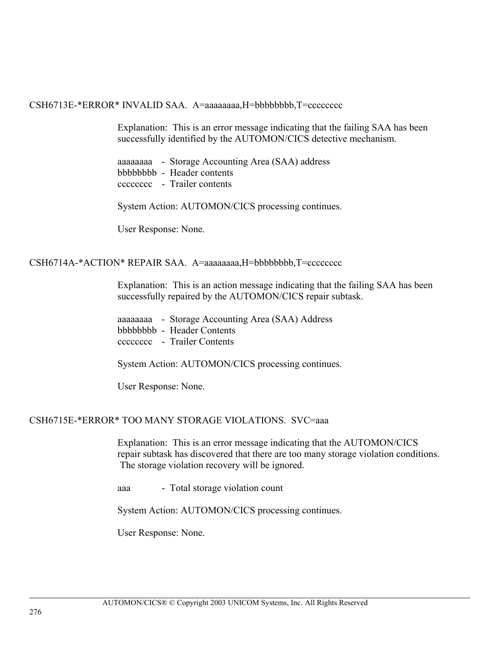#### CSH6713E-\*ERROR\* INVALID SAA. A=aaaaaaaa,H=bbbbbbbb,T=cccccccc

Explanation: This is an error message indicating that the failing SAA has been successfully identified by the AUTOMON/CICS detective mechanism.

aaaaaaaa - Storage Accounting Area (SAA) address bbbbbbbb - Header contents cccccccc - Trailer contents

System Action: AUTOMON/CICS processing continues.

User Response: None.

#### CSH6714A-\*ACTION\* REPAIR SAA. A=aaaaaaaaa,H=bbbbbbbb,T=cccccccc

Explanation: This is an action message indicating that the failing SAA has been successfully repaired by the AUTOMON/CICS repair subtask.

aaaaaaaa - Storage Accounting Area (SAA) Address bbbbbbbb - Header Contents cccccccc - Trailer Contents

System Action: AUTOMON/CICS processing continues.

User Response: None.

#### CSH6715E-\*ERROR\* TOO MANY STORAGE VIOLATIONS. SVC=aaa

Explanation: This is an error message indicating that the AUTOMON/CICS repair subtask has discovered that there are too many storage violation conditions. The storage violation recovery will be ignored.

aaa - Total storage violation count

System Action: AUTOMON/CICS processing continues.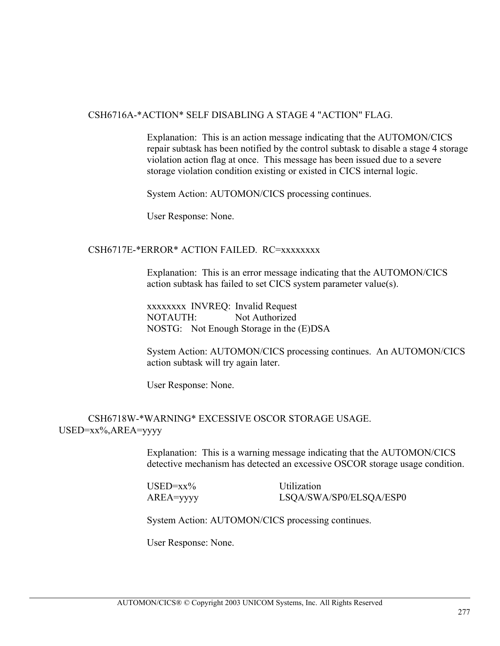#### CSH6716A-\*ACTION\* SELF DISABLING A STAGE 4 "ACTION" FLAG.

Explanation: This is an action message indicating that the AUTOMON/CICS repair subtask has been notified by the control subtask to disable a stage 4 storage violation action flag at once. This message has been issued due to a severe storage violation condition existing or existed in CICS internal logic.

System Action: AUTOMON/CICS processing continues.

User Response: None.

#### CSH6717E-\*ERROR\* ACTION FAILED. RC=xxxxxxxx

Explanation: This is an error message indicating that the AUTOMON/CICS action subtask has failed to set CICS system parameter value(s).

xxxxxxxx INVREQ: Invalid Request NOTAUTH: Not Authorized NOSTG: Not Enough Storage in the (E)DSA

System Action: AUTOMON/CICS processing continues. An AUTOMON/CICS action subtask will try again later.

User Response: None.

#### CSH6718W-\*WARNING\* EXCESSIVE OSCOR STORAGE USAGE. USED=xx%,AREA=yyyy

Explanation: This is a warning message indicating that the AUTOMON/CICS detective mechanism has detected an excessive OSCOR storage usage condition.

USED=xx% Utilization AREA=yyyy LSQA/SWA/SP0/ELSQA/ESP0

System Action: AUTOMON/CICS processing continues.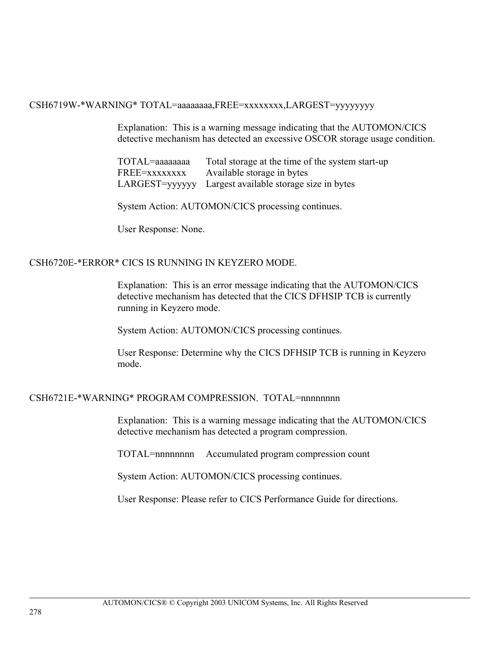#### CSH6719W-\*WARNING\* TOTAL=aaaaaaaa,FREE=xxxxxxxx,LARGEST=yyyyyyyy

Explanation: This is a warning message indicating that the AUTOMON/CICS detective mechanism has detected an excessive OSCOR storage usage condition.

TOTAL=aaaaaaaa Total storage at the time of the system start-up FREE=xxxxxxxx Available storage in bytes LARGEST=yyyyyy Largest available storage size in bytes

System Action: AUTOMON/CICS processing continues.

User Response: None.

#### CSH6720E-\*ERROR\* CICS IS RUNNING IN KEYZERO MODE.

Explanation: This is an error message indicating that the AUTOMON/CICS detective mechanism has detected that the CICS DFHSIP TCB is currently running in Keyzero mode.

System Action: AUTOMON/CICS processing continues.

User Response: Determine why the CICS DFHSIP TCB is running in Keyzero mode.

#### CSH6721E-\*WARNING\* PROGRAM COMPRESSION. TOTAL=nnnnnnnn

Explanation: This is a warning message indicating that the AUTOMON/CICS detective mechanism has detected a program compression.

TOTAL=nnnnnnnn Accumulated program compression count

System Action: AUTOMON/CICS processing continues.

User Response: Please refer to CICS Performance Guide for directions.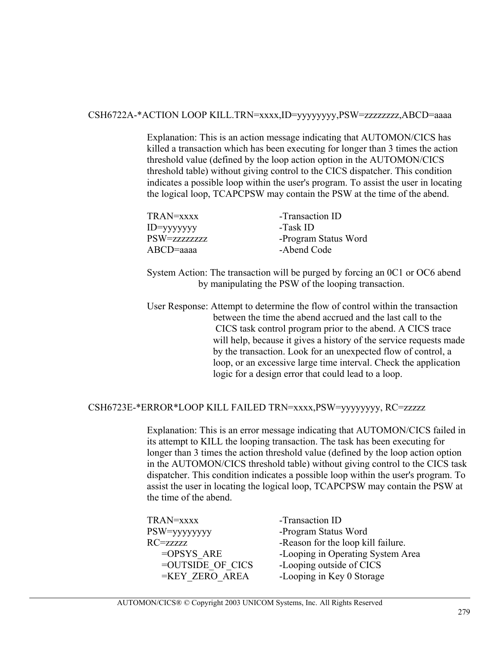### CSH6722A-\*ACTION LOOP KILL.TRN=xxxx,ID=yyyyyyyy,PSW=zzzzzzzz,ABCD=aaaa

Explanation: This is an action message indicating that AUTOMON/CICS has killed a transaction which has been executing for longer than 3 times the action threshold value (defined by the loop action option in the AUTOMON/CICS threshold table) without giving control to the CICS dispatcher. This condition indicates a possible loop within the user's program. To assist the user in locating the logical loop, TCAPCPSW may contain the PSW at the time of the abend.

| TRAN=xxxx      | -Transaction ID      |
|----------------|----------------------|
| $ID = yyyyyyy$ | -Task ID             |
| PSW=zzzzzzzzz  | -Program Status Word |
| $ABCD$ =aaaa   | -Abend Code          |
|                |                      |

System Action: The transaction will be purged by forcing an 0C1 or OC6 abend by manipulating the PSW of the looping transaction.

User Response: Attempt to determine the flow of control within the transaction between the time the abend accrued and the last call to the CICS task control program prior to the abend. A CICS trace will help, because it gives a history of the service requests made by the transaction. Look for an unexpected flow of control, a loop, or an excessive large time interval. Check the application logic for a design error that could lead to a loop.

#### CSH6723E-\*ERROR\*LOOP KILL FAILED TRN=xxxx,PSW=yyyyyyyy, RC=zzzzz

Explanation: This is an error message indicating that AUTOMON/CICS failed in its attempt to KILL the looping transaction. The task has been executing for longer than 3 times the action threshold value (defined by the loop action option in the AUTOMON/CICS threshold table) without giving control to the CICS task dispatcher. This condition indicates a possible loop within the user's program. To assist the user in locating the logical loop, TCAPCPSW may contain the PSW at the time of the abend.

| TRAN=xxxx        | -Transaction ID                    |
|------------------|------------------------------------|
| PSW=yyyyyyyy     | -Program Status Word               |
| RC=zzzzz         | -Reason for the loop kill failure. |
| $=$ OPSYS ARE    | -Looping in Operating System Area  |
| =OUTSIDE OF CICS | -Looping outside of CICS           |
| =KEY ZERO AREA   | -Looping in Key 0 Storage          |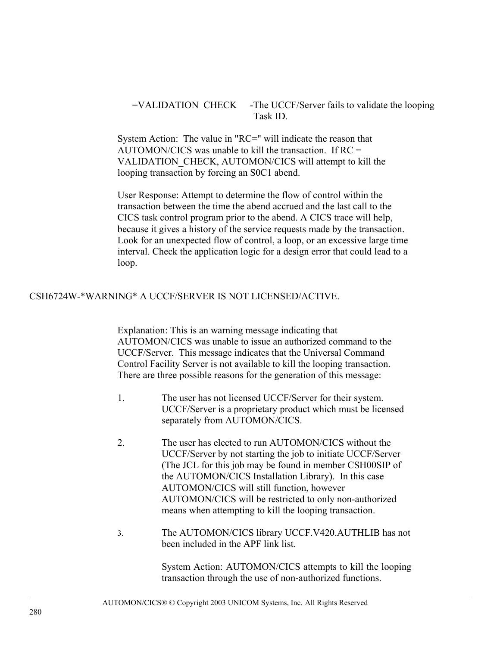# =VALIDATION\_CHECK -The UCCF/Server fails to validate the looping Task ID.

System Action: The value in "RC=" will indicate the reason that AUTOMON/CICS was unable to kill the transaction. If RC = VALIDATION\_CHECK, AUTOMON/CICS will attempt to kill the looping transaction by forcing an S0C1 abend.

User Response: Attempt to determine the flow of control within the transaction between the time the abend accrued and the last call to the CICS task control program prior to the abend. A CICS trace will help, because it gives a history of the service requests made by the transaction. Look for an unexpected flow of control, a loop, or an excessive large time interval. Check the application logic for a design error that could lead to a loop.

### CSH6724W-\*WARNING\* A UCCF/SERVER IS NOT LICENSED/ACTIVE.

Explanation: This is an warning message indicating that AUTOMON/CICS was unable to issue an authorized command to the UCCF/Server. This message indicates that the Universal Command Control Facility Server is not available to kill the looping transaction. There are three possible reasons for the generation of this message:

- 1. The user has not licensed UCCF/Server for their system. UCCF/Server is a proprietary product which must be licensed separately from AUTOMON/CICS.
- 2. The user has elected to run AUTOMON/CICS without the UCCF/Server by not starting the job to initiate UCCF/Server (The JCL for this job may be found in member CSH00SIP of the AUTOMON/CICS Installation Library). In this case AUTOMON/CICS will still function, however AUTOMON/CICS will be restricted to only non-authorized means when attempting to kill the looping transaction.
- 3. The AUTOMON/CICS library UCCF.V420.AUTHLIB has not been included in the APF link list.

System Action: AUTOMON/CICS attempts to kill the looping transaction through the use of non-authorized functions.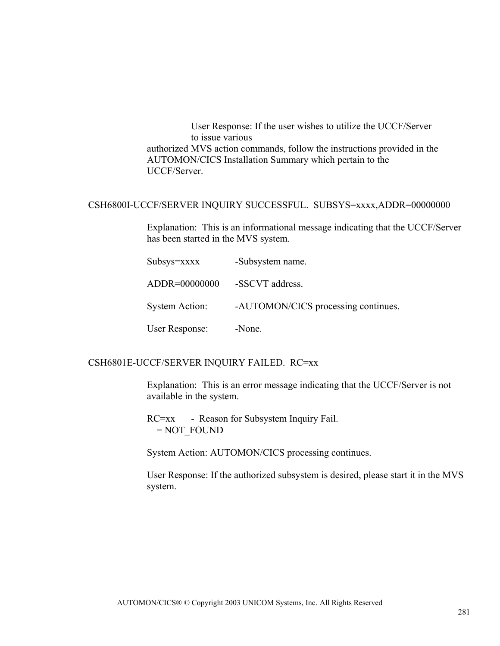User Response: If the user wishes to utilize the UCCF/Server to issue various authorized MVS action commands, follow the instructions provided in the AUTOMON/CICS Installation Summary which pertain to the UCCF/Server.

#### CSH6800I-UCCF/SERVER INQUIRY SUCCESSFUL. SUBSYS=xxxx,ADDR=00000000

Explanation: This is an informational message indicating that the UCCF/Server has been started in the MVS system.

Subsys=xxxx -Subsystem name. ADDR=00000000 -SSCVT address. System Action: - -AUTOMON/CICS processing continues. User Response: -None.

#### CSH6801E-UCCF/SERVER INQUIRY FAILED. RC=xx

Explanation: This is an error message indicating that the UCCF/Server is not available in the system.

RC=xx - Reason for Subsystem Inquiry Fail. = NOT\_FOUND

System Action: AUTOMON/CICS processing continues.

User Response: If the authorized subsystem is desired, please start it in the MVS system.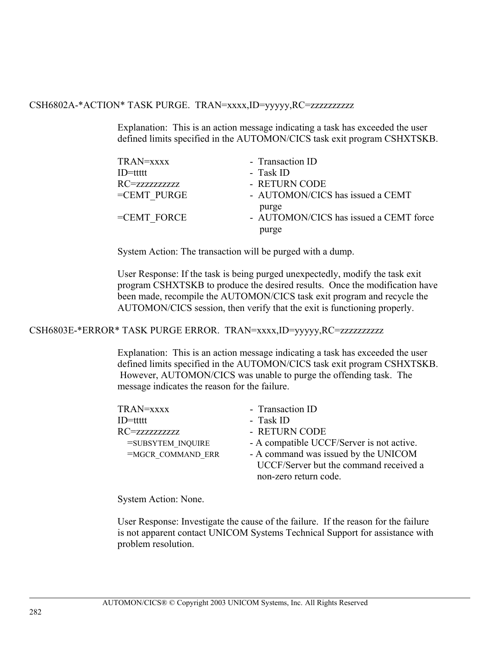### CSH6802A-\*ACTION\* TASK PURGE. TRAN=xxxx,ID=yyyyy,RC=zzzzzzzzzz

Explanation: This is an action message indicating a task has exceeded the user defined limits specified in the AUTOMON/CICS task exit program CSHXTSKB.

| TRAN=xxxx      | - Transaction ID                       |
|----------------|----------------------------------------|
| $ID=$ ttttt    | - Task ID                              |
| RC=zzzzzzzzzzz | - RETURN CODE                          |
| $=$ CEMT PURGE | - AUTOMON/CICS has issued a CEMT       |
|                | purge                                  |
| $=$ CEMT FORCE | - AUTOMON/CICS has issued a CEMT force |
|                | purge                                  |
|                |                                        |

System Action: The transaction will be purged with a dump.

User Response: If the task is being purged unexpectedly, modify the task exit program CSHXTSKB to produce the desired results. Once the modification have been made, recompile the AUTOMON/CICS task exit program and recycle the AUTOMON/CICS session, then verify that the exit is functioning properly.

#### CSH6803E-\*ERROR\* TASK PURGE ERROR. TRAN=xxxx,ID=yyyyy,RC=zzzzzzzzzz

Explanation: This is an action message indicating a task has exceeded the user defined limits specified in the AUTOMON/CICS task exit program CSHXTSKB. However, AUTOMON/CICS was unable to purge the offending task. The message indicates the reason for the failure.

| TRAN=xxxx         | - Transaction ID                          |
|-------------------|-------------------------------------------|
| ID=ttttt          | - Task ID                                 |
| RC=zzzzzzzzzz     | - RETURN CODE                             |
| =SUBSYTEM INQUIRE | - A compatible UCCF/Server is not active. |
| =MGCR COMMAND ERR | - A command was issued by the UNICOM      |
|                   | UCCF/Server but the command received a    |
|                   | non-zero return code.                     |
|                   |                                           |

System Action: None.

User Response: Investigate the cause of the failure. If the reason for the failure is not apparent contact UNICOM Systems Technical Support for assistance with problem resolution.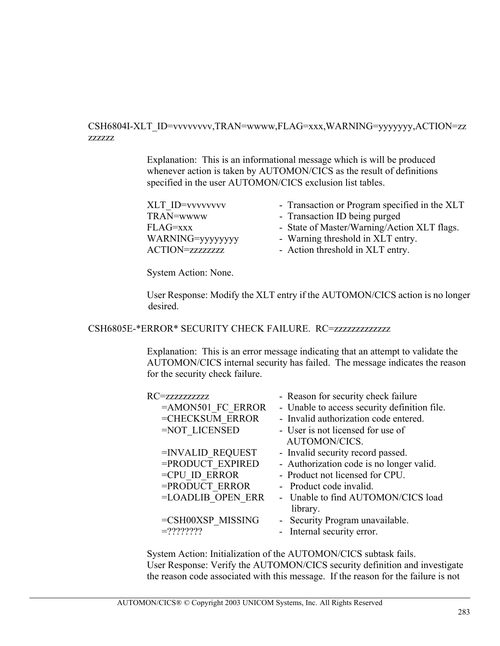#### CSH6804I-XLT\_ID=vvvvvvvv,TRAN=wwww,FLAG=xxx,WARNING=yyyyyyy,ACTION=zz zzzzzz

Explanation: This is an informational message which is will be produced whenever action is taken by AUTOMON/CICS as the result of definitions specified in the user AUTOMON/CICS exclusion list tables.

| <b>XLT ID=vvvvvvvv</b>  | - Transaction or Program specified in the XLT |
|-------------------------|-----------------------------------------------|
| TRAN=wwww               | - Transaction ID being purged                 |
| FLAG=xxx                | - State of Master/Warning/Action XLT flags.   |
| WARNING=yyyyyyyy        | - Warning threshold in XLT entry.             |
| <b>ACTION=zzzzzzzzz</b> | - Action threshold in XLT entry.              |

System Action: None.

User Response: Modify the XLT entry if the AUTOMON/CICS action is no longer desired.

CSH6805E-\*ERROR\* SECURITY CHECK FAILURE. RC=zzzzzzzzzzzzz

Explanation: This is an error message indicating that an attempt to validate the AUTOMON/CICS internal security has failed. The message indicates the reason for the security check failure.

| RC=zzzzzzzzzz       | - Reason for security check failure          |
|---------------------|----------------------------------------------|
| $=AMON501$ FC ERROR | - Unable to access security definition file. |
| =CHECKSUM ERROR     | - Invalid authorization code entered.        |
| =NOT LICENSED       | - User is not licensed for use of            |
|                     | <b>AUTOMON/CICS.</b>                         |
| =INVALID REQUEST    | - Invalid security record passed.            |
| =PRODUCT EXPIRED    | - Authorization code is no longer valid.     |
| $=$ CPU ID ERROR    | - Product not licensed for CPU.              |
| =PRODUCT ERROR      | - Product code invalid.                      |
| =LOADLIB OPEN ERR   | - Unable to find AUTOMON/CICS load           |
|                     | library.                                     |
| =CSH00XSP MISSING   | - Security Program unavailable.              |
| $=22222222$         | - Internal security error.                   |
|                     |                                              |

System Action: Initialization of the AUTOMON/CICS subtask fails. User Response: Verify the AUTOMON/CICS security definition and investigate the reason code associated with this message. If the reason for the failure is not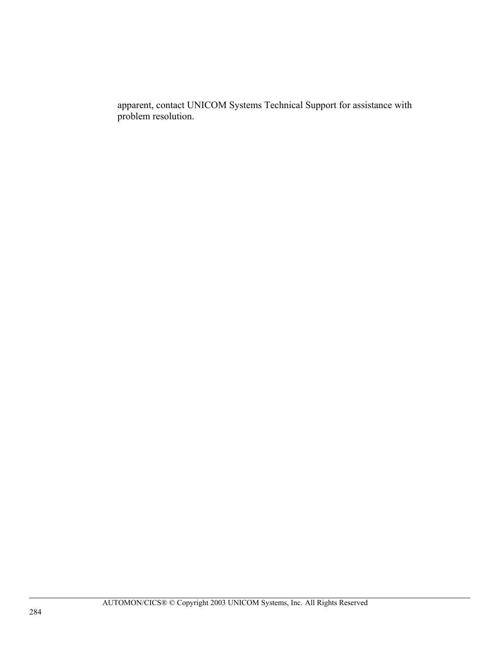apparent, contact UNICOM Systems Technical Support for assistance with problem resolution.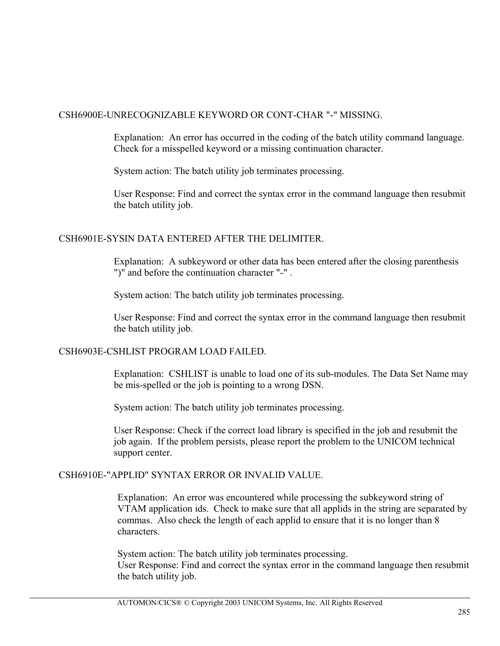#### CSH6900E-UNRECOGNIZABLE KEYWORD OR CONT-CHAR "-" MISSING.

Explanation: An error has occurred in the coding of the batch utility command language. Check for a misspelled keyword or a missing continuation character.

System action: The batch utility job terminates processing.

User Response: Find and correct the syntax error in the command language then resubmit the batch utility job.

#### CSH6901E-SYSIN DATA ENTERED AFTER THE DELIMITER.

Explanation: A subkeyword or other data has been entered after the closing parenthesis ")" and before the continuation character "-" .

System action: The batch utility job terminates processing.

User Response: Find and correct the syntax error in the command language then resubmit the batch utility job.

#### CSH6903E-CSHLIST PROGRAM LOAD FAILED.

Explanation: CSHLIST is unable to load one of its sub-modules. The Data Set Name may be mis-spelled or the job is pointing to a wrong DSN.

System action: The batch utility job terminates processing.

User Response: Check if the correct load library is specified in the job and resubmit the job again. If the problem persists, please report the problem to the UNICOM technical support center.

#### CSH6910E-"APPLID" SYNTAX ERROR OR INVALID VALUE.

Explanation: An error was encountered while processing the subkeyword string of VTAM application ids. Check to make sure that all applids in the string are separated by commas. Also check the length of each applid to ensure that it is no longer than 8 characters.

System action: The batch utility job terminates processing. User Response: Find and correct the syntax error in the command language then resubmit the batch utility job.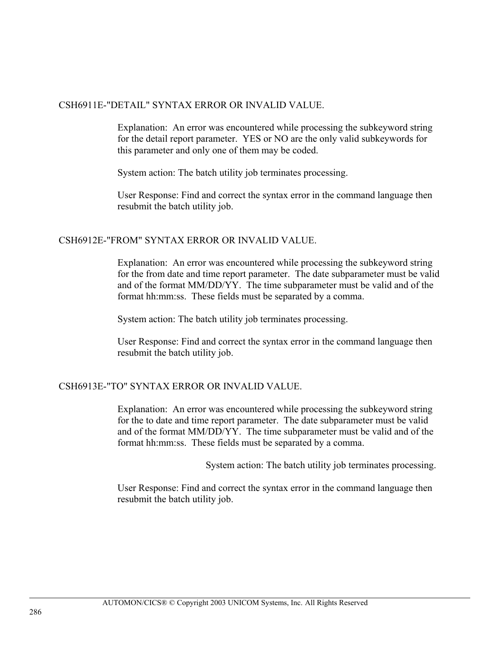#### CSH6911E-"DETAIL" SYNTAX ERROR OR INVALID VALUE.

Explanation: An error was encountered while processing the subkeyword string for the detail report parameter. YES or NO are the only valid subkeywords for this parameter and only one of them may be coded.

System action: The batch utility job terminates processing.

User Response: Find and correct the syntax error in the command language then resubmit the batch utility job.

#### CSH6912E-"FROM" SYNTAX ERROR OR INVALID VALUE.

Explanation: An error was encountered while processing the subkeyword string for the from date and time report parameter. The date subparameter must be valid and of the format MM/DD/YY. The time subparameter must be valid and of the format hh:mm:ss. These fields must be separated by a comma.

System action: The batch utility job terminates processing.

User Response: Find and correct the syntax error in the command language then resubmit the batch utility job.

#### CSH6913E-"TO" SYNTAX ERROR OR INVALID VALUE.

Explanation: An error was encountered while processing the subkeyword string for the to date and time report parameter. The date subparameter must be valid and of the format MM/DD/YY. The time subparameter must be valid and of the format hh:mm:ss. These fields must be separated by a comma.

System action: The batch utility job terminates processing.

User Response: Find and correct the syntax error in the command language then resubmit the batch utility job.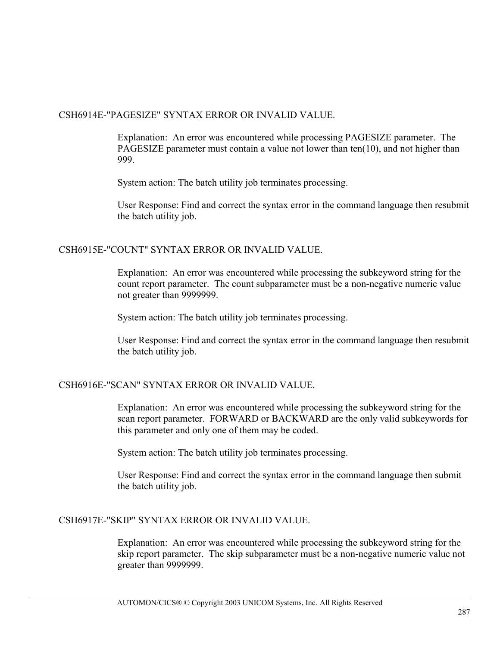#### CSH6914E-"PAGESIZE" SYNTAX ERROR OR INVALID VALUE.

Explanation: An error was encountered while processing PAGESIZE parameter. The PAGESIZE parameter must contain a value not lower than ten(10), and not higher than 999.

System action: The batch utility job terminates processing.

User Response: Find and correct the syntax error in the command language then resubmit the batch utility job.

#### CSH6915E-"COUNT" SYNTAX ERROR OR INVALID VALUE.

Explanation: An error was encountered while processing the subkeyword string for the count report parameter. The count subparameter must be a non-negative numeric value not greater than 9999999.

System action: The batch utility job terminates processing.

User Response: Find and correct the syntax error in the command language then resubmit the batch utility job.

#### CSH6916E-"SCAN" SYNTAX ERROR OR INVALID VALUE.

Explanation: An error was encountered while processing the subkeyword string for the scan report parameter. FORWARD or BACKWARD are the only valid subkeywords for this parameter and only one of them may be coded.

System action: The batch utility job terminates processing.

User Response: Find and correct the syntax error in the command language then submit the batch utility job.

#### CSH6917E-"SKIP" SYNTAX ERROR OR INVALID VALUE.

Explanation: An error was encountered while processing the subkeyword string for the skip report parameter. The skip subparameter must be a non-negative numeric value not greater than 9999999.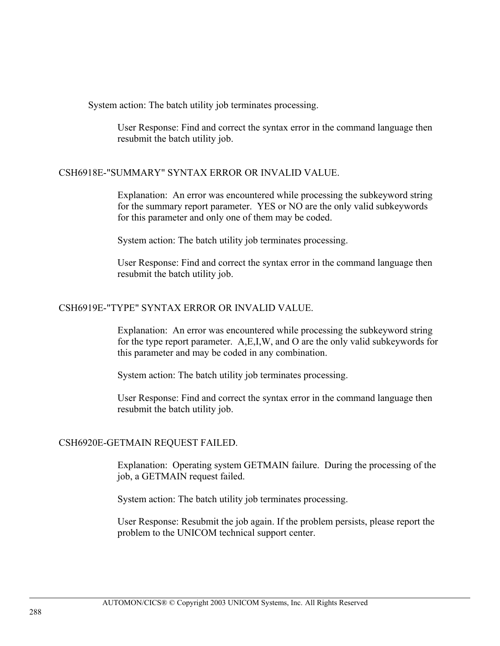System action: The batch utility job terminates processing.

User Response: Find and correct the syntax error in the command language then resubmit the batch utility job.

#### CSH6918E-"SUMMARY" SYNTAX ERROR OR INVALID VALUE.

Explanation: An error was encountered while processing the subkeyword string for the summary report parameter. YES or NO are the only valid subkeywords for this parameter and only one of them may be coded.

System action: The batch utility job terminates processing.

User Response: Find and correct the syntax error in the command language then resubmit the batch utility job.

#### CSH6919E-"TYPE" SYNTAX ERROR OR INVALID VALUE.

Explanation: An error was encountered while processing the subkeyword string for the type report parameter. A,E,I,W, and O are the only valid subkeywords for this parameter and may be coded in any combination.

System action: The batch utility job terminates processing.

User Response: Find and correct the syntax error in the command language then resubmit the batch utility job.

#### CSH6920E-GETMAIN REQUEST FAILED.

Explanation: Operating system GETMAIN failure. During the processing of the job, a GETMAIN request failed.

System action: The batch utility job terminates processing.

User Response: Resubmit the job again. If the problem persists, please report the problem to the UNICOM technical support center.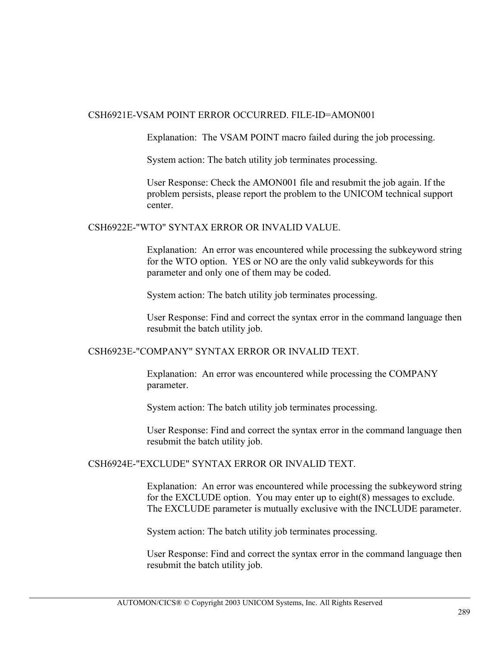#### CSH6921E-VSAM POINT ERROR OCCURRED. FILE-ID=AMON001

Explanation: The VSAM POINT macro failed during the job processing.

System action: The batch utility job terminates processing.

User Response: Check the AMON001 file and resubmit the job again. If the problem persists, please report the problem to the UNICOM technical support center.

#### CSH6922E-"WTO" SYNTAX ERROR OR INVALID VALUE.

Explanation: An error was encountered while processing the subkeyword string for the WTO option. YES or NO are the only valid subkeywords for this parameter and only one of them may be coded.

System action: The batch utility job terminates processing.

User Response: Find and correct the syntax error in the command language then resubmit the batch utility job.

#### CSH6923E-"COMPANY" SYNTAX ERROR OR INVALID TEXT.

Explanation: An error was encountered while processing the COMPANY parameter.

System action: The batch utility job terminates processing.

User Response: Find and correct the syntax error in the command language then resubmit the batch utility job.

#### CSH6924E-"EXCLUDE" SYNTAX ERROR OR INVALID TEXT.

Explanation: An error was encountered while processing the subkeyword string for the EXCLUDE option. You may enter up to eight(8) messages to exclude. The EXCLUDE parameter is mutually exclusive with the INCLUDE parameter.

System action: The batch utility job terminates processing.

User Response: Find and correct the syntax error in the command language then resubmit the batch utility job.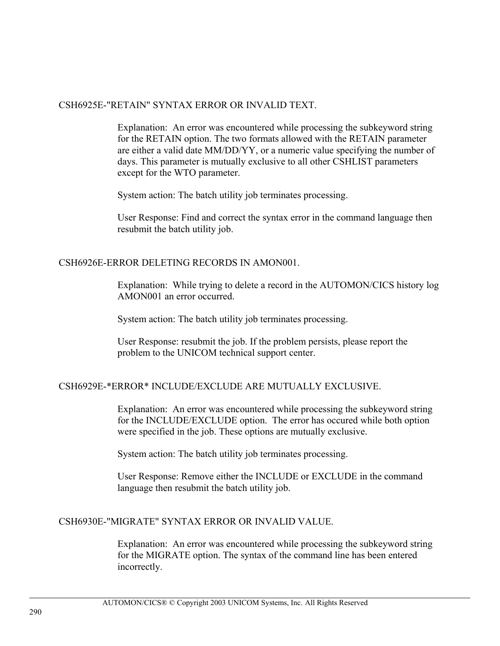#### CSH6925E-"RETAIN" SYNTAX ERROR OR INVALID TEXT.

Explanation: An error was encountered while processing the subkeyword string for the RETAIN option. The two formats allowed with the RETAIN parameter are either a valid date MM/DD/YY, or a numeric value specifying the number of days. This parameter is mutually exclusive to all other CSHLIST parameters except for the WTO parameter.

System action: The batch utility job terminates processing.

User Response: Find and correct the syntax error in the command language then resubmit the batch utility job.

#### CSH6926E-ERROR DELETING RECORDS IN AMON001.

Explanation: While trying to delete a record in the AUTOMON/CICS history log AMON001 an error occurred.

System action: The batch utility job terminates processing.

User Response: resubmit the job. If the problem persists, please report the problem to the UNICOM technical support center.

#### CSH6929E-\*ERROR\* INCLUDE/EXCLUDE ARE MUTUALLY EXCLUSIVE.

Explanation: An error was encountered while processing the subkeyword string for the INCLUDE/EXCLUDE option. The error has occured while both option were specified in the job. These options are mutually exclusive.

System action: The batch utility job terminates processing.

User Response: Remove either the INCLUDE or EXCLUDE in the command language then resubmit the batch utility job.

#### CSH6930E-"MIGRATE" SYNTAX ERROR OR INVALID VALUE.

Explanation: An error was encountered while processing the subkeyword string for the MIGRATE option. The syntax of the command line has been entered incorrectly.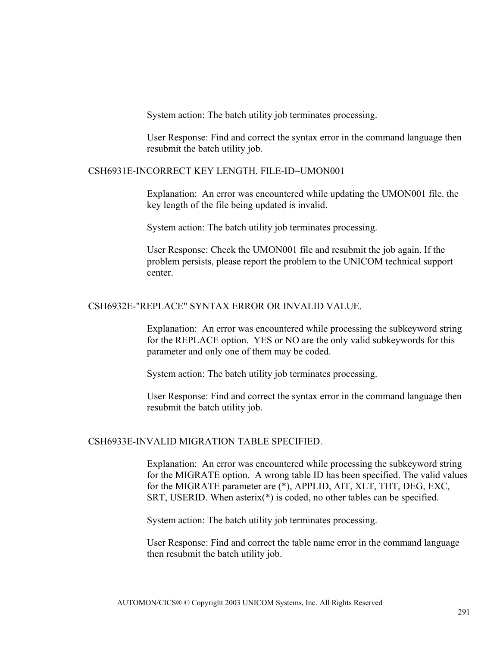System action: The batch utility job terminates processing.

User Response: Find and correct the syntax error in the command language then resubmit the batch utility job.

#### CSH6931E-INCORRECT KEY LENGTH. FILE-ID=UMON001

Explanation: An error was encountered while updating the UMON001 file. the key length of the file being updated is invalid.

System action: The batch utility job terminates processing.

User Response: Check the UMON001 file and resubmit the job again. If the problem persists, please report the problem to the UNICOM technical support center.

#### CSH6932E-"REPLACE" SYNTAX ERROR OR INVALID VALUE.

Explanation: An error was encountered while processing the subkeyword string for the REPLACE option. YES or NO are the only valid subkeywords for this parameter and only one of them may be coded.

System action: The batch utility job terminates processing.

User Response: Find and correct the syntax error in the command language then resubmit the batch utility job.

#### CSH6933E-INVALID MIGRATION TABLE SPECIFIED.

Explanation: An error was encountered while processing the subkeyword string for the MIGRATE option. A wrong table ID has been specified. The valid values for the MIGRATE parameter are (\*), APPLID, AIT, XLT, THT, DEG, EXC, SRT, USERID. When asterix(\*) is coded, no other tables can be specified.

System action: The batch utility job terminates processing.

User Response: Find and correct the table name error in the command language then resubmit the batch utility job.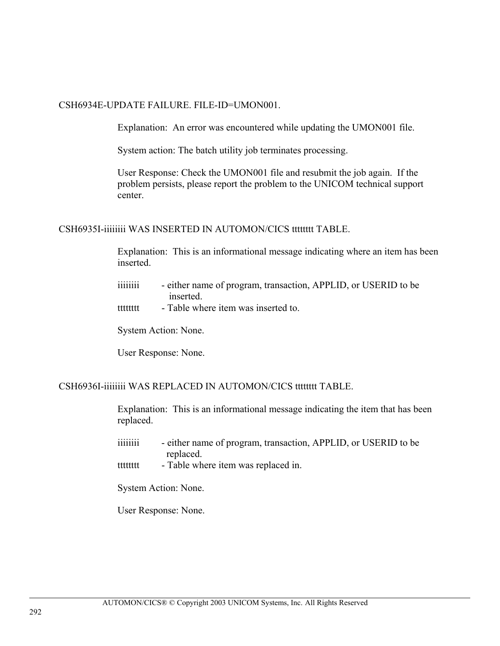#### CSH6934E-UPDATE FAILURE. FILE-ID=UMON001.

Explanation: An error was encountered while updating the UMON001 file.

System action: The batch utility job terminates processing.

User Response: Check the UMON001 file and resubmit the job again. If the problem persists, please report the problem to the UNICOM technical support center.

CSH6935I-iiiiiiii WAS INSERTED IN AUTOMON/CICS tttttttt TABLE.

Explanation: This is an informational message indicating where an item has been inserted.

- iiiiiiii either name of program, transaction, APPLID, or USERID to be inserted.
- tttttttt Table where item was inserted to.

System Action: None.

User Response: None.

#### CSH6936I-iiiiiiii WAS REPLACED IN AUTOMON/CICS tttttttt TABLE.

Explanation: This is an informational message indicating the item that has been replaced.

- iiiiiiii either name of program, transaction, APPLID, or USERID to be replaced.
- tttttttt Table where item was replaced in.

System Action: None.

User Response: None.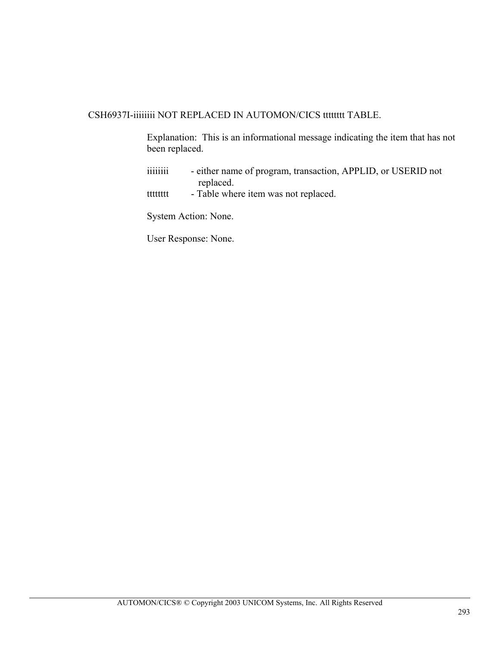#### CSH6937I-iiiiiiii NOT REPLACED IN AUTOMON/CICS tttttttt TABLE.

Explanation: This is an informational message indicating the item that has not been replaced.

- iiiiiiii either name of program, transaction, APPLID, or USERID not replaced.
- tttttttt Table where item was not replaced.

System Action: None.

User Response: None.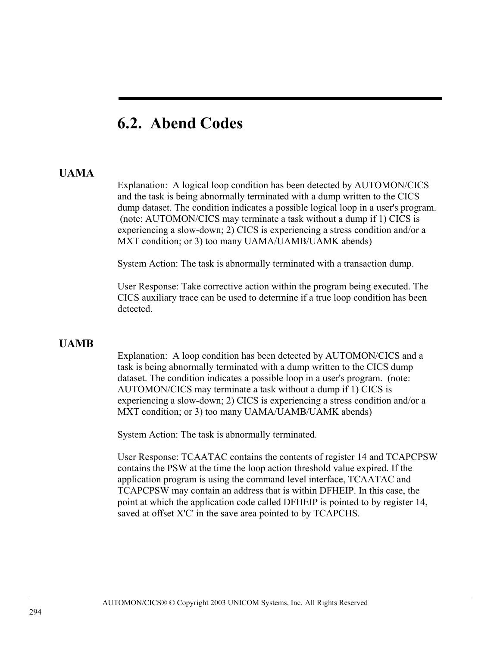# **6.2. Abend Codes**

#### **UAMA**

Explanation: A logical loop condition has been detected by AUTOMON/CICS and the task is being abnormally terminated with a dump written to the CICS dump dataset. The condition indicates a possible logical loop in a user's program. (note: AUTOMON/CICS may terminate a task without a dump if 1) CICS is experiencing a slow-down; 2) CICS is experiencing a stress condition and/or a MXT condition; or 3) too many UAMA/UAMB/UAMK abends)

System Action: The task is abnormally terminated with a transaction dump.

User Response: Take corrective action within the program being executed. The CICS auxiliary trace can be used to determine if a true loop condition has been detected.

#### **UAMB**

Explanation: A loop condition has been detected by AUTOMON/CICS and a task is being abnormally terminated with a dump written to the CICS dump dataset. The condition indicates a possible loop in a user's program. (note: AUTOMON/CICS may terminate a task without a dump if 1) CICS is experiencing a slow-down; 2) CICS is experiencing a stress condition and/or a MXT condition; or 3) too many UAMA/UAMB/UAMK abends)

System Action: The task is abnormally terminated.

User Response: TCAATAC contains the contents of register 14 and TCAPCPSW contains the PSW at the time the loop action threshold value expired. If the application program is using the command level interface, TCAATAC and TCAPCPSW may contain an address that is within DFHEIP. In this case, the point at which the application code called DFHEIP is pointed to by register 14, saved at offset X'C' in the save area pointed to by TCAPCHS.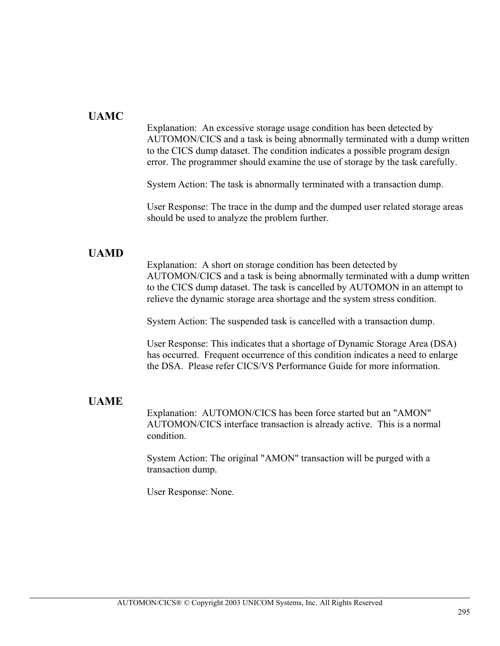#### **UAMC**

Explanation: An excessive storage usage condition has been detected by AUTOMON/CICS and a task is being abnormally terminated with a dump written to the CICS dump dataset. The condition indicates a possible program design error. The programmer should examine the use of storage by the task carefully.

System Action: The task is abnormally terminated with a transaction dump.

User Response: The trace in the dump and the dumped user related storage areas should be used to analyze the problem further.

#### **UAMD**

Explanation: A short on storage condition has been detected by AUTOMON/CICS and a task is being abnormally terminated with a dump written to the CICS dump dataset. The task is cancelled by AUTOMON in an attempt to relieve the dynamic storage area shortage and the system stress condition.

System Action: The suspended task is cancelled with a transaction dump.

User Response: This indicates that a shortage of Dynamic Storage Area (DSA) has occurred. Frequent occurrence of this condition indicates a need to enlarge the DSA. Please refer CICS/VS Performance Guide for more information.

#### **UAME**

Explanation: AUTOMON/CICS has been force started but an "AMON" AUTOMON/CICS interface transaction is already active. This is a normal condition.

System Action: The original "AMON" transaction will be purged with a transaction dump.

User Response: None.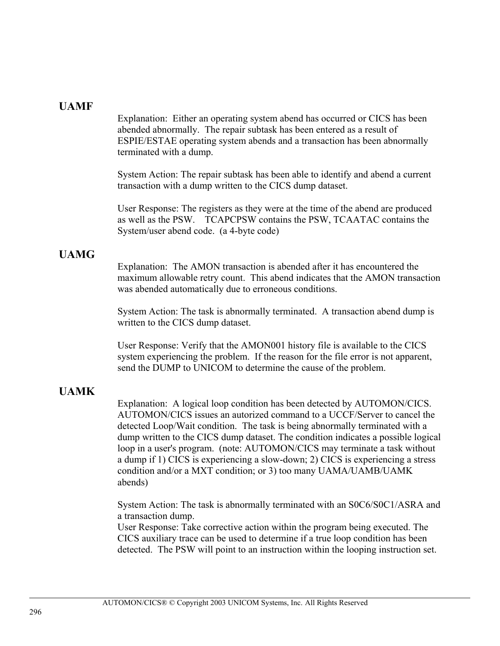#### **UAMF**

Explanation: Either an operating system abend has occurred or CICS has been abended abnormally. The repair subtask has been entered as a result of ESPIE/ESTAE operating system abends and a transaction has been abnormally terminated with a dump.

System Action: The repair subtask has been able to identify and abend a current transaction with a dump written to the CICS dump dataset.

User Response: The registers as they were at the time of the abend are produced as well as the PSW. TCAPCPSW contains the PSW, TCAATAC contains the System/user abend code. (a 4-byte code)

#### **UAMG**

Explanation: The AMON transaction is abended after it has encountered the maximum allowable retry count. This abend indicates that the AMON transaction was abended automatically due to erroneous conditions.

System Action: The task is abnormally terminated. A transaction abend dump is written to the CICS dump dataset.

User Response: Verify that the AMON001 history file is available to the CICS system experiencing the problem. If the reason for the file error is not apparent, send the DUMP to UNICOM to determine the cause of the problem.

#### **UAMK**

Explanation: A logical loop condition has been detected by AUTOMON/CICS. AUTOMON/CICS issues an autorized command to a UCCF/Server to cancel the detected Loop/Wait condition. The task is being abnormally terminated with a dump written to the CICS dump dataset. The condition indicates a possible logical loop in a user's program. (note: AUTOMON/CICS may terminate a task without a dump if 1) CICS is experiencing a slow-down; 2) CICS is experiencing a stress condition and/or a MXT condition; or 3) too many UAMA/UAMB/UAMK abends)

System Action: The task is abnormally terminated with an S0C6/S0C1/ASRA and a transaction dump.

User Response: Take corrective action within the program being executed. The CICS auxiliary trace can be used to determine if a true loop condition has been detected. The PSW will point to an instruction within the looping instruction set.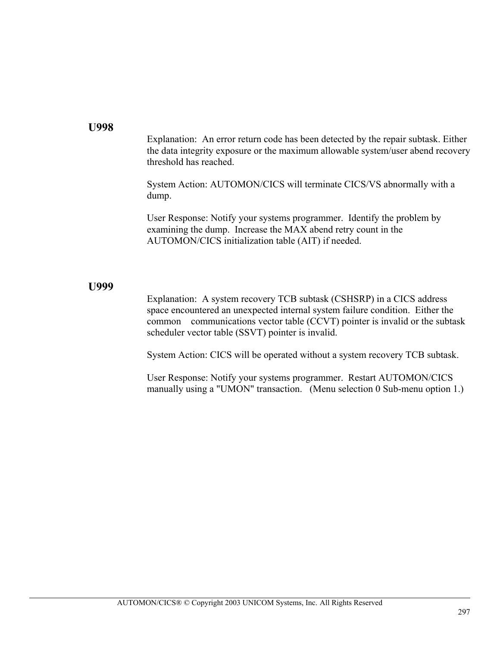#### **U998**

Explanation: An error return code has been detected by the repair subtask. Either the data integrity exposure or the maximum allowable system/user abend recovery threshold has reached.

System Action: AUTOMON/CICS will terminate CICS/VS abnormally with a dump.

User Response: Notify your systems programmer. Identify the problem by examining the dump. Increase the MAX abend retry count in the AUTOMON/CICS initialization table (AIT) if needed.

#### **U999**

Explanation: A system recovery TCB subtask (CSHSRP) in a CICS address space encountered an unexpected internal system failure condition. Either the common communications vector table (CCVT) pointer is invalid or the subtask scheduler vector table (SSVT) pointer is invalid.

System Action: CICS will be operated without a system recovery TCB subtask.

User Response: Notify your systems programmer. Restart AUTOMON/CICS manually using a "UMON" transaction. (Menu selection 0 Sub-menu option 1.)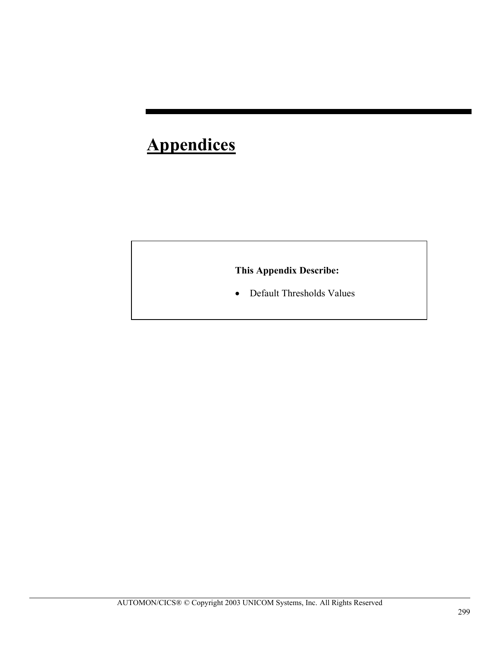# **Appendices**

### **This Appendix Describe:**

• Default Thresholds Values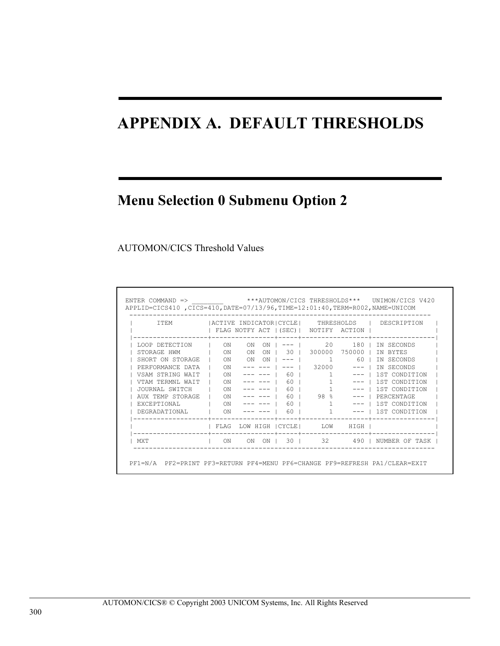# **APPENDIX A. DEFAULT THRESHOLDS**

# **Menu Selection 0 Submenu Option 2**

#### AUTOMON/CICS Threshold Values

| T T F.M                  |                                                                                                                                                                                                                                                                                                                                                                                                                                                                                 |    |      |                  | FLAG NOTFY ACT   (SEC)   NOTIFY ACTION |                   | ACTIVE INDICATOR  CYCLE   THRESHOLDS   DESCRIPTION |
|--------------------------|---------------------------------------------------------------------------------------------------------------------------------------------------------------------------------------------------------------------------------------------------------------------------------------------------------------------------------------------------------------------------------------------------------------------------------------------------------------------------------|----|------|------------------|----------------------------------------|-------------------|----------------------------------------------------|
| LOOP DETECTION   ON      |                                                                                                                                                                                                                                                                                                                                                                                                                                                                                 | ON | ON I |                  |                                        | 20 —              | 180   IN SECONDS                                   |
| STORAGE HWM              | I ON ON                                                                                                                                                                                                                                                                                                                                                                                                                                                                         |    |      |                  | ON   30   300000 750000                |                   | IN BYTES                                           |
| SHORT ON STORAGE   ON ON |                                                                                                                                                                                                                                                                                                                                                                                                                                                                                 |    | ON I |                  | $--- 1$ 1                              |                   | 60   IN SECONDS                                    |
| PERFORMANCE DATA         | ON                                                                                                                                                                                                                                                                                                                                                                                                                                                                              |    |      |                  |                                        |                   | $------ --- $ 32000 ---   IN SECONDS               |
| VSAM STRING WAIT         | $\overline{\phantom{a}}$ $\overline{\phantom{a}}$ $\overline{\phantom{a}}$ $\overline{\phantom{a}}$ $\overline{\phantom{a}}$ $\overline{\phantom{a}}$ $\overline{\phantom{a}}$ $\overline{\phantom{a}}$ $\overline{\phantom{a}}$ $\overline{\phantom{a}}$ $\overline{\phantom{a}}$ $\overline{\phantom{a}}$ $\overline{\phantom{a}}$ $\overline{\phantom{a}}$ $\overline{\phantom{a}}$ $\overline{\phantom{a}}$ $\overline{\phantom{a}}$ $\overline{\phantom{a}}$ $\overline{\$ |    |      |                  |                                        |                   | --- ---   60   1 ---   1ST CONDITION               |
| VTAM TERMNI, WAIT        | ON<br>and the state                                                                                                                                                                                                                                                                                                                                                                                                                                                             |    |      |                  | $60$                                   |                   | ---   1ST CONDITION                                |
| JOURNAL SWITCH           | ON<br>the contract of the con-                                                                                                                                                                                                                                                                                                                                                                                                                                                  |    |      |                  | 60   1                                 |                   | ---   1ST CONDITION                                |
| AUX TEMP STORAGE         | ON                                                                                                                                                                                                                                                                                                                                                                                                                                                                              |    |      |                  | 60   98 %                              |                   | $---$   PERCENTAGE                                 |
| EXCEPTIONAL              | $\sim$ 0N                                                                                                                                                                                                                                                                                                                                                                                                                                                                       |    |      | $--- ---   60  $ |                                        | $1 \qquad \qquad$ | --- 1 1st condition                                |
| DEGRADATIONAL            | ON                                                                                                                                                                                                                                                                                                                                                                                                                                                                              |    |      |                  | 60   1                                 |                   | $--- 1$ 1st condition                              |
|                          |                                                                                                                                                                                                                                                                                                                                                                                                                                                                                 |    |      |                  | FLAG LOW HIGH   CYCLE   LOW HIGH       |                   |                                                    |
| MXT                      | ON                                                                                                                                                                                                                                                                                                                                                                                                                                                                              | ON |      |                  |                                        |                   | ON   30   32 490   NUMBER OF TASK                  |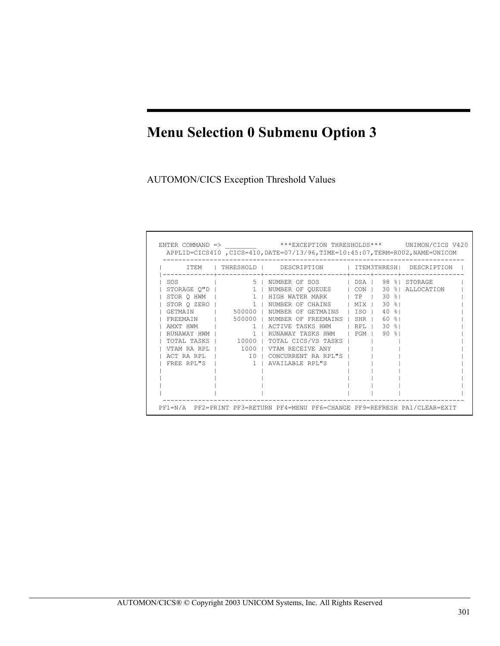AUTOMON/CICS Exception Threshold Values

| T T F.M           |                    | THRESHOLD   DESCRIPTION                   |                                                       |                   | ITEM3THRESH  DESCRIPTION |
|-------------------|--------------------|-------------------------------------------|-------------------------------------------------------|-------------------|--------------------------|
| SOS               | 5 <sub>1</sub>     | NUMBER OF SOS   DSA   98 %   STORAGE      |                                                       |                   |                          |
| STORAGE O"D       |                    | 1   NUMBER OF QUEUES   CON   30           |                                                       |                   | %! ALLOCATION            |
| STOR Q HWM        |                    | 1   HIGH WATER MARK   TP   30 %           |                                                       |                   |                          |
| STOR O ZERO       |                    | 1   NUMBER OF<br>CHAINS   MIX             |                                                       | $30$ $81$         |                          |
| <b>GETMAIN</b>    | 500000   NUMBER OF | GETMAINS   ISO                            |                                                       | 40<br>$\approx$ 1 |                          |
| FREEMAIN   500000 |                    | NUMBER OF<br>FREEMAINS                    | SHR I                                                 | $60$ $%$          |                          |
| AMXT HWM          |                    | 1   ACTIVE TASKS HWM                      | $\overline{\phantom{a}}$ RPL $\overline{\phantom{a}}$ | $30$ $81$         |                          |
| RUNAWAY HWM I     | $1 \quad \square$  | RUNAWAY TASKS HWM   PGM                   |                                                       | <b>. ୨</b> ୦ %    |                          |
|                   |                    | TOTAL TASKS   10000   TOTAL CICS/VS TASKS |                                                       |                   |                          |
| VTAM RA RPL I     |                    | 1000   VTAM RECEIVE ANY                   |                                                       |                   |                          |
| ACT RA RPL   10   |                    | CONCURRENT RA RPL"S                       |                                                       |                   |                          |
| FREE RPL"S        |                    | 1   AVATLABLE RPL"S                       |                                                       |                   |                          |
|                   |                    |                                           |                                                       |                   |                          |
|                   |                    |                                           |                                                       |                   |                          |
|                   |                    |                                           |                                                       |                   |                          |
|                   |                    |                                           |                                                       |                   |                          |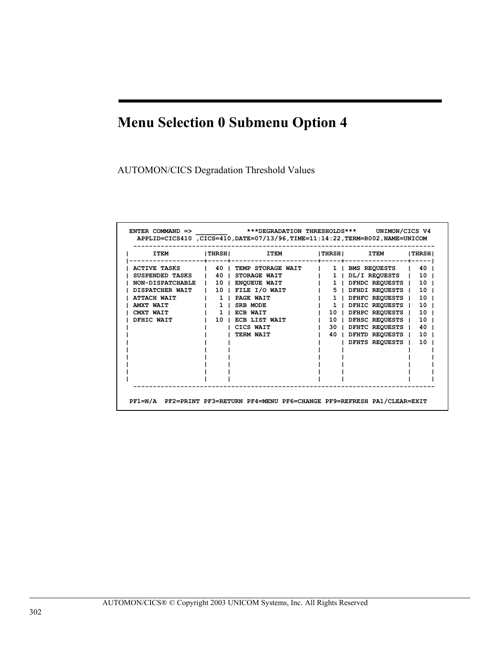AUTOMON/CICS Degradation Threshold Values

| <b>ITEM</b>         | THRSH        | ITEM                | THRSH          | <b>ITEM</b>        | <b>THRSH</b>    |
|---------------------|--------------|---------------------|----------------|--------------------|-----------------|
| <b>ACTIVE TASKS</b> | 40           | TEMP STORAGE WAIT   | $1 \perp$      | BMS REQUESTS       | 40              |
| SUSPENDED TASKS     | 40           | STORAGE WAIT        |                | 1   DL/I REQUESTS  | 10 <sub>1</sub> |
| NON-DISPATCHABLE    | 10           | <b>ENOUEUE WAIT</b> | $1 \perp$      | DFHDC REOUESTS     | $10-1$          |
| DISPATCHER WAIT     |              | 10   FILE I/O WAIT  |                | 5   DFHDI REQUESTS | $10-1$          |
| ATTACH WATT         | $\mathbf{1}$ | PAGE WAIT           | 1 <sub>1</sub> | DFHFC REOUESTS     | 10              |
| AMXT WATT           | 1.           | SRB MODE            |                | 1   DFHIC REQUESTS | 10              |
| CMXT WAIT           | $\mathbf{1}$ | ECB WAIT            | 10             | DFHPC REOUESTS     | 10              |
| DFHIC WAIT          | 10           | ECB LIST WAIT       | 10             | DFHSC REQUESTS     | 10              |
|                     |              | CICS WAIT           | 30             | DFHTC REQUESTS     | 40              |
|                     |              | TERM WAIT           | 40             | DFHTD REQUESTS     | 10              |
|                     |              |                     |                | DFHTS REOUESTS     | 10              |
|                     |              |                     |                |                    |                 |
|                     |              |                     |                |                    |                 |
|                     |              |                     |                |                    |                 |
|                     |              |                     |                |                    |                 |
|                     |              |                     |                |                    |                 |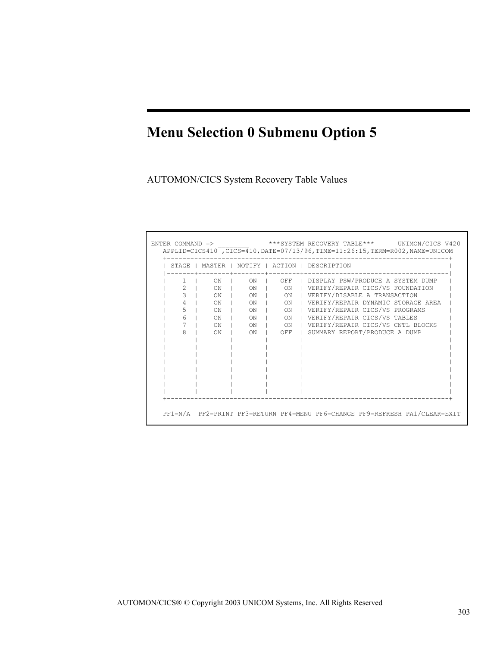AUTOMON/CICS System Recovery Table Values

| STAGE         |           |           |                             | MASTER   NOTIFY   ACTION   DESCRIPTION       |
|---------------|-----------|-----------|-----------------------------|----------------------------------------------|
| 1.            | ON        |           |                             | ON   OFF   DISPLAY PSW/PRODUCE A SYSTEM DUMP |
| $\mathcal{L}$ | ON        | $\sim$ 0N | $\sim$ 0N                   | VERIFY/REPAIR CICS/VS FOUNDATION             |
| $\mathcal{L}$ | ON        | $\sim$ 0N | $\overline{\phantom{a}}$ ON | I VERIFY/DISABLE A TRANSACTION               |
|               | ON        | $\sim$ 0N | $\sim$ 0N                   | VERIFY/REPAIR DYNAMIC STORAGE AREA           |
| 5             | ON        | $\sim$ 0N | $\sim$ 0N                   | VERIFY/REPAIR CICS/VS PROGRAMS               |
| 6             | ON        | $\sim$ 0N | $\sim$ 0N                   | VERIFY/REPAIR CICS/VS TABLES                 |
|               | ON        | $\sim$ 0N | $\circ$ ON                  | VERIFY/REPAIR CICS/VS CNTL BLOCKS            |
| 8             | <b>ON</b> | ON        | OFF                         | I SUMMARY REPORT/PRODUCE A DUMP              |
|               |           |           |                             |                                              |
|               |           |           |                             |                                              |
|               |           |           |                             |                                              |
|               |           |           |                             |                                              |
|               |           |           |                             |                                              |
|               |           |           |                             |                                              |
|               |           |           |                             |                                              |
|               |           |           |                             |                                              |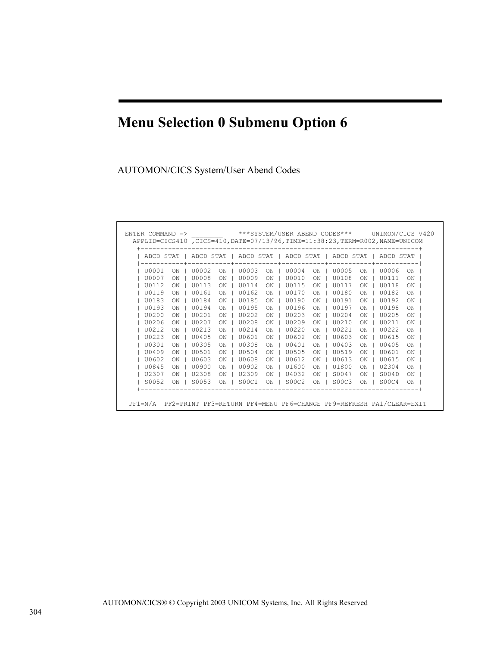AUTOMON/CICS System/User Abend Codes

| ABCD STAT |    | ABCD STAT                    |    |       |           | ABCD STAT   ABCD STAT |    | ABCD STAT |    | ABCD STAT |    |
|-----------|----|------------------------------|----|-------|-----------|-----------------------|----|-----------|----|-----------|----|
| U0001     | ON | -----------+-------<br>U0002 | ON | U0003 | <b>ON</b> | U0004                 | ON | U0005     | ON | U0006     | ON |
| U0007     | ON | U0008                        | ON | U0009 | ON        | U0010                 | ON | U0108     | ON | U0111     | ON |
| U0112     | ON | U0113                        | ON | U0114 | ON        | U0115                 | ON | U0117     | ON | U0118     | ON |
| U0119     | ON | U0161                        | ON | U0162 | ON        | U0170                 | ΟN | U0180     | ON | U0182     | ON |
| U0183     | ON | U0184                        | ON | U0185 | ON        | U0190                 | ON | U0191     | ON | U0192     | ON |
| U0193     | ON | U0194                        | ON | U0195 | ON        | U0196                 | ON | U0197     | ON | U0198     | ON |
| U0200     | ON | U0201                        | ON | U0202 | ON        | U0203                 | ON | U0204     | ON | U0205     | ON |
| U0206     | ON | U0207                        | ON | U0208 | ON        | U0209                 | OΝ | U0210     | ON | U0211     | ON |
| U0212     | ON | U0213                        | ON | U0214 | ON        | U0220                 | ON | U0221     | ON | U0222     | ON |
| U0223     | ON | U0405                        | ON | U0601 | ON        | U0602                 | ON | U0603     | ON | U0615     | ON |
| U0301     | ON | U0305                        | ON | U0308 | ON        | U0401                 | ON | U0403     | ON | U0405     | ON |
| U0409     | ON | U0501                        | ON | U0504 | ON        | U0505                 | ON | U0519     | ON | U0601     | ON |
| U0602     | ON | U0603                        | ON | U0608 | ON        | U0612                 | OΝ | U0613     | ON | U0615     | ON |
| U0845     | ON | U0900                        | ON | U0902 | ON        | U1600                 | ON | U1800     | ON | U2304     | ON |
| U2307     | ON | U2308                        | ON | U2309 | ON        | U4032                 | ON | S0047     | ON | SO04D     | ON |
| S0052     | ON | S0053                        | ON | S00C1 | ON        | S00C2                 | ON | SOOC3     | ON | SOOC4     | ON |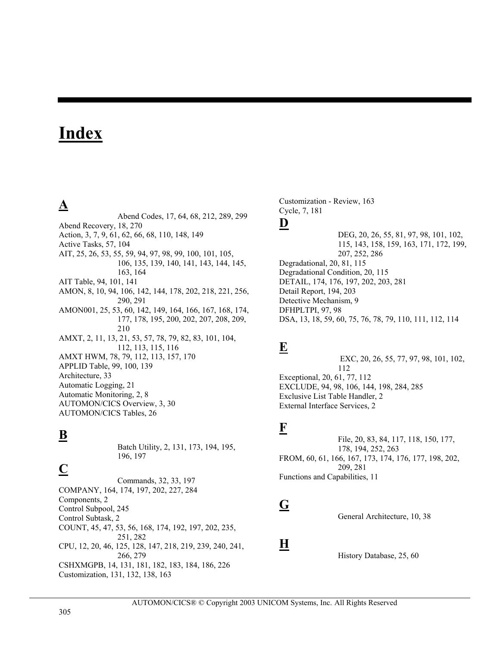# **Index**

## **A**

Abend Codes, 17, 64, 68, 212, 289, 299 Abend Recovery, 18, 270 Action, 3, 7, 9, 61, 62, 66, 68, 110, 148, 149 Active Tasks, 57, 104 AIT, 25, 26, 53, 55, 59, 94, 97, 98, 99, 100, 101, 105, 106, 135, 139, 140, 141, 143, 144, 145, 163, 164 AIT Table, 94, 101, 141 AMON, 8, 10, 94, 106, 142, 144, 178, 202, 218, 221, 256, 290, 291 AMON001, 25, 53, 60, 142, 149, 164, 166, 167, 168, 174, 177, 178, 195, 200, 202, 207, 208, 209, 210 AMXT, 2, 11, 13, 21, 53, 57, 78, 79, 82, 83, 101, 104, 112, 113, 115, 116 AMXT HWM, 78, 79, 112, 113, 157, 170 APPLID Table, 99, 100, 139 Architecture, 33 Automatic Logging, 21 Automatic Monitoring, 2, 8 AUTOMON/CICS Overview, 3, 30 AUTOMON/CICS Tables, 26

## **B**

Batch Utility, 2, 131, 173, 194, 195, 196, 197

# **C**

Commands, 32, 33, 197 COMPANY, 164, 174, 197, 202, 227, 284 Components, 2 Control Subpool, 245 Control Subtask, 2 COUNT, 45, 47, 53, 56, 168, 174, 192, 197, 202, 235, 251, 282 CPU, 12, 20, 46, 125, 128, 147, 218, 219, 239, 240, 241, 266, 279 CSHXMGPB, 14, 131, 181, 182, 183, 184, 186, 226 Customization, 131, 132, 138, 163

Customization - Review, 163 Cycle, 7, 181

### **D**

DEG, 20, 26, 55, 81, 97, 98, 101, 102, 115, 143, 158, 159, 163, 171, 172, 199, 207, 252, 286 Degradational, 20, 81, 115 Degradational Condition, 20, 115 DETAIL, 174, 176, 197, 202, 203, 281 Detail Report, 194, 203 Detective Mechanism, 9 DFHPLTPI, 97, 98 DSA, 13, 18, 59, 60, 75, 76, 78, 79, 110, 111, 112, 114

## **E**

 EXC, 20, 26, 55, 77, 97, 98, 101, 102, 112 Exceptional, 20, 61, 77, 112 EXCLUDE, 94, 98, 106, 144, 198, 284, 285 Exclusive List Table Handler, 2 External Interface Services, 2

## **F**

File, 20, 83, 84, 117, 118, 150, 177, 178, 194, 252, 263 FROM, 60, 61, 166, 167, 173, 174, 176, 177, 198, 202, 209, 281 Functions and Capabilities, 11

## **G**

General Architecture, 10, 38

#### **H**

History Database, 25, 60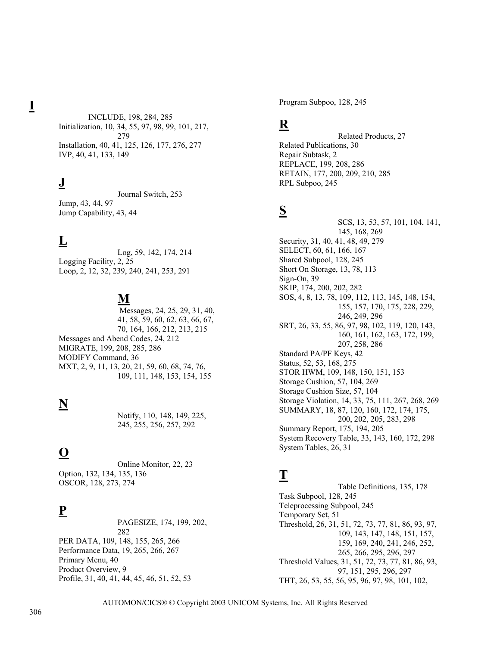**I**

INCLUDE, 198, 284, 285 Initialization, 10, 34, 55, 97, 98, 99, 101, 217, 279 Installation, 40, 41, 125, 126, 177, 276, 277 IVP, 40, 41, 133, 149

### **J**

Journal Switch, 253 Jump, 43, 44, 97 Jump Capability, 43, 44

## **L**

Log, 59, 142, 174, 214 Logging Facility, 2, 25 Loop, 2, 12, 32, 239, 240, 241, 253, 291

### **M**

 Messages, 24, 25, 29, 31, 40, 41, 58, 59, 60, 62, 63, 66, 67, 70, 164, 166, 212, 213, 215 Messages and Abend Codes, 24, 212 MIGRATE, 199, 208, 285, 286 MODIFY Command, 36 MXT, 2, 9, 11, 13, 20, 21, 59, 60, 68, 74, 76, 109, 111, 148, 153, 154, 155

# **N**

Notify, 110, 148, 149, 225, 245, 255, 256, 257, 292

# **O**

Online Monitor, 22, 23 Option, 132, 134, 135, 136 OSCOR, 128, 273, 274

### **P**

PAGESIZE, 174, 199, 202, 282 PER DATA, 109, 148, 155, 265, 266 Performance Data, 19, 265, 266, 267 Primary Menu, 40 Product Overview, 9 Profile, 31, 40, 41, 44, 45, 46, 51, 52, 53

Program Subpoo, 128, 245

# **R**

Related Products, 27 Related Publications, 30 Repair Subtask, 2 REPLACE, 199, 208, 286 RETAIN, 177, 200, 209, 210, 285 RPL Subpoo, 245

### **S**

SCS, 13, 53, 57, 101, 104, 141, 145, 168, 269 Security, 31, 40, 41, 48, 49, 279 SELECT, 60, 61, 166, 167 Shared Subpool, 128, 245 Short On Storage, 13, 78, 113 Sign-On, 39 SKIP, 174, 200, 202, 282 SOS, 4, 8, 13, 78, 109, 112, 113, 145, 148, 154, 155, 157, 170, 175, 228, 229, 246, 249, 296 SRT, 26, 33, 55, 86, 97, 98, 102, 119, 120, 143, 160, 161, 162, 163, 172, 199, 207, 258, 286 Standard PA/PF Keys, 42 Status, 52, 53, 168, 275 STOR HWM, 109, 148, 150, 151, 153 Storage Cushion, 57, 104, 269 Storage Cushion Size, 57, 104 Storage Violation, 14, 33, 75, 111, 267, 268, 269 SUMMARY, 18, 87, 120, 160, 172, 174, 175, 200, 202, 205, 283, 298 Summary Report, 175, 194, 205 System Recovery Table, 33, 143, 160, 172, 298 System Tables, 26, 31

## **T**

Table Definitions, 135, 178 Task Subpool, 128, 245 Teleprocessing Subpool, 245 Temporary Set, 51 Threshold, 26, 31, 51, 72, 73, 77, 81, 86, 93, 97, 109, 143, 147, 148, 151, 157, 159, 169, 240, 241, 246, 252, 265, 266, 295, 296, 297 Threshold Values, 31, 51, 72, 73, 77, 81, 86, 93, 97, 151, 295, 296, 297 THT, 26, 53, 55, 56, 95, 96, 97, 98, 101, 102,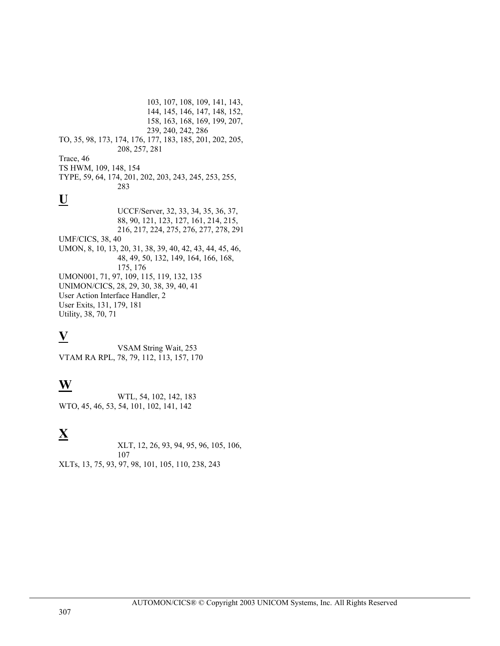103, 107, 108, 109, 141, 143, 144, 145, 146, 147, 148, 152, 158, 163, 168, 169, 199, 207, 239, 240, 242, 286 TO, 35, 98, 173, 174, 176, 177, 183, 185, 201, 202, 205, 208, 257, 281 Trace, 46 TS HWM, 109, 148, 154 TYPE, 59, 64, 174, 201, 202, 203, 243, 245, 253, 255, 283 **U** UCCF/Server, 32, 33, 34, 35, 36, 37, 88, 90, 121, 123, 127, 161, 214, 215, 216, 217, 224, 275, 276, 277, 278, 291 UMF/CICS, 38, 40 UMON, 8, 10, 13, 20, 31, 38, 39, 40, 42, 43, 44, 45, 46, 48, 49, 50, 132, 149, 164, 166, 168, 175, 176 UMON001, 71, 97, 109, 115, 119, 132, 135 UNIMON/CICS, 28, 29, 30, 38, 39, 40, 41 User Action Interface Handler, 2 User Exits, 131, 179, 181 Utility, 38, 70, 71

## **V**

VSAM String Wait, 253 VTAM RA RPL, 78, 79, 112, 113, 157, 170

## **W**

WTL, 54, 102, 142, 183 WTO, 45, 46, 53, 54, 101, 102, 141, 142

# **X**

XLT, 12, 26, 93, 94, 95, 96, 105, 106, 107 XLTs, 13, 75, 93, 97, 98, 101, 105, 110, 238, 243